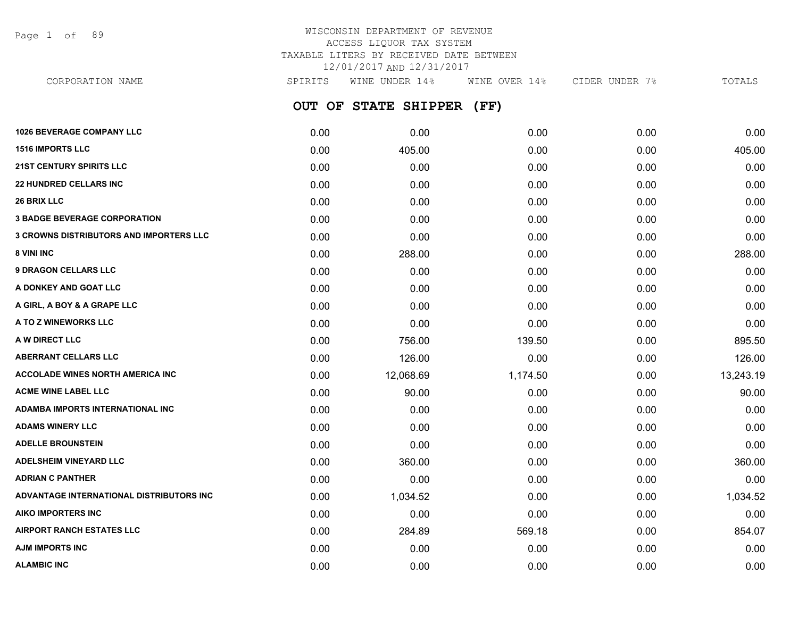Page 1 of 89

| CORPORATION NAME                 | SPIRITS | WINE UNDER 14%            | WINE OVER 14% | CIDER UNDER 7% | TOTALS |
|----------------------------------|---------|---------------------------|---------------|----------------|--------|
|                                  |         | OUT OF STATE SHIPPER (FF) |               |                |        |
| <b>1026 BEVERAGE COMPANY LLC</b> | 0.00    | 0.00                      | 0.00          | 0.00           | 0.00   |
| <b>1516 IMPORTS LLC</b>          | 0.00    | 405.00                    | 0.00          | 0.00           | 405.00 |

| <b>21ST CENTURY SPIRITS LLC</b>                | 0.00 | 0.00      | 0.00     | 0.00 | 0.00      |
|------------------------------------------------|------|-----------|----------|------|-----------|
| <b>22 HUNDRED CELLARS INC</b>                  | 0.00 | 0.00      | 0.00     | 0.00 | 0.00      |
| 26 BRIX LLC                                    | 0.00 | 0.00      | 0.00     | 0.00 | 0.00      |
| <b>3 BADGE BEVERAGE CORPORATION</b>            | 0.00 | 0.00      | 0.00     | 0.00 | 0.00      |
| <b>3 CROWNS DISTRIBUTORS AND IMPORTERS LLC</b> | 0.00 | 0.00      | 0.00     | 0.00 | 0.00      |
| 8 VINI INC                                     | 0.00 | 288.00    | 0.00     | 0.00 | 288.00    |
| <b>9 DRAGON CELLARS LLC</b>                    | 0.00 | 0.00      | 0.00     | 0.00 | 0.00      |
| A DONKEY AND GOAT LLC                          | 0.00 | 0.00      | 0.00     | 0.00 | 0.00      |
| A GIRL, A BOY & A GRAPE LLC                    | 0.00 | 0.00      | 0.00     | 0.00 | 0.00      |
| A TO Z WINEWORKS LLC                           | 0.00 | 0.00      | 0.00     | 0.00 | 0.00      |
| A W DIRECT LLC                                 | 0.00 | 756.00    | 139.50   | 0.00 | 895.50    |
| <b>ABERRANT CELLARS LLC</b>                    | 0.00 | 126.00    | 0.00     | 0.00 | 126.00    |
| <b>ACCOLADE WINES NORTH AMERICA INC</b>        | 0.00 | 12,068.69 | 1,174.50 | 0.00 | 13,243.19 |
| <b>ACME WINE LABEL LLC</b>                     | 0.00 | 90.00     | 0.00     | 0.00 | 90.00     |
| ADAMBA IMPORTS INTERNATIONAL INC               | 0.00 | 0.00      | 0.00     | 0.00 | 0.00      |
| <b>ADAMS WINERY LLC</b>                        | 0.00 | 0.00      | 0.00     | 0.00 | 0.00      |
| <b>ADELLE BROUNSTEIN</b>                       | 0.00 | 0.00      | 0.00     | 0.00 | 0.00      |
| <b>ADELSHEIM VINEYARD LLC</b>                  | 0.00 | 360.00    | 0.00     | 0.00 | 360.00    |
| <b>ADRIAN C PANTHER</b>                        | 0.00 | 0.00      | 0.00     | 0.00 | 0.00      |
| ADVANTAGE INTERNATIONAL DISTRIBUTORS INC       | 0.00 | 1,034.52  | 0.00     | 0.00 | 1,034.52  |
| <b>AIKO IMPORTERS INC</b>                      | 0.00 | 0.00      | 0.00     | 0.00 | 0.00      |
| <b>AIRPORT RANCH ESTATES LLC</b>               | 0.00 | 284.89    | 569.18   | 0.00 | 854.07    |
| <b>AJM IMPORTS INC</b>                         | 0.00 | 0.00      | 0.00     | 0.00 | 0.00      |
| <b>ALAMBIC INC</b>                             | 0.00 | 0.00      | 0.00     | 0.00 | 0.00      |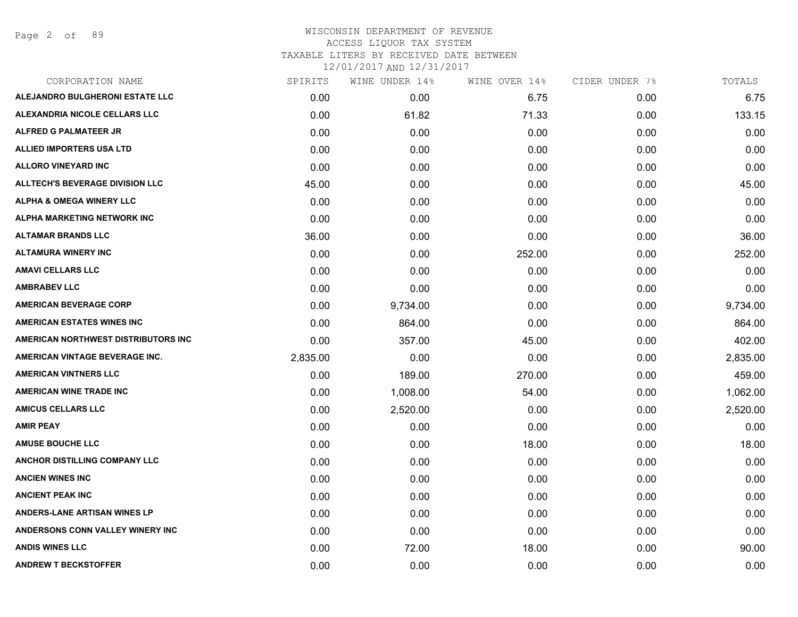Page 2 of 89

# WISCONSIN DEPARTMENT OF REVENUE ACCESS LIQUOR TAX SYSTEM TAXABLE LITERS BY RECEIVED DATE BETWEEN

| CORPORATION NAME                       | SPIRITS  | WINE UNDER 14% | WINE OVER 14% | CIDER UNDER 7% | TOTALS   |
|----------------------------------------|----------|----------------|---------------|----------------|----------|
| ALEJANDRO BULGHERONI ESTATE LLC        | 0.00     | 0.00           | 6.75          | 0.00           | 6.75     |
| ALEXANDRIA NICOLE CELLARS LLC          | 0.00     | 61.82          | 71.33         | 0.00           | 133.15   |
| <b>ALFRED G PALMATEER JR</b>           | 0.00     | 0.00           | 0.00          | 0.00           | 0.00     |
| <b>ALLIED IMPORTERS USA LTD</b>        | 0.00     | 0.00           | 0.00          | 0.00           | 0.00     |
| <b>ALLORO VINEYARD INC</b>             | 0.00     | 0.00           | 0.00          | 0.00           | 0.00     |
| <b>ALLTECH'S BEVERAGE DIVISION LLC</b> | 45.00    | 0.00           | 0.00          | 0.00           | 45.00    |
| <b>ALPHA &amp; OMEGA WINERY LLC</b>    | 0.00     | 0.00           | 0.00          | 0.00           | 0.00     |
| <b>ALPHA MARKETING NETWORK INC</b>     | 0.00     | 0.00           | 0.00          | 0.00           | 0.00     |
| <b>ALTAMAR BRANDS LLC</b>              | 36.00    | 0.00           | 0.00          | 0.00           | 36.00    |
| <b>ALTAMURA WINERY INC</b>             | 0.00     | 0.00           | 252.00        | 0.00           | 252.00   |
| <b>AMAVI CELLARS LLC</b>               | 0.00     | 0.00           | 0.00          | 0.00           | 0.00     |
| <b>AMBRABEV LLC</b>                    | 0.00     | 0.00           | 0.00          | 0.00           | 0.00     |
| <b>AMERICAN BEVERAGE CORP</b>          | 0.00     | 9,734.00       | 0.00          | 0.00           | 9,734.00 |
| <b>AMERICAN ESTATES WINES INC</b>      | 0.00     | 864.00         | 0.00          | 0.00           | 864.00   |
| AMERICAN NORTHWEST DISTRIBUTORS INC    | 0.00     | 357.00         | 45.00         | 0.00           | 402.00   |
| AMERICAN VINTAGE BEVERAGE INC.         | 2,835.00 | 0.00           | 0.00          | 0.00           | 2,835.00 |
| <b>AMERICAN VINTNERS LLC</b>           | 0.00     | 189.00         | 270.00        | 0.00           | 459.00   |
| <b>AMERICAN WINE TRADE INC</b>         | 0.00     | 1,008.00       | 54.00         | 0.00           | 1,062.00 |
| <b>AMICUS CELLARS LLC</b>              | 0.00     | 2,520.00       | 0.00          | 0.00           | 2,520.00 |
| <b>AMIR PEAY</b>                       | 0.00     | 0.00           | 0.00          | 0.00           | 0.00     |
| <b>AMUSE BOUCHE LLC</b>                | 0.00     | 0.00           | 18.00         | 0.00           | 18.00    |
| ANCHOR DISTILLING COMPANY LLC          | 0.00     | 0.00           | 0.00          | 0.00           | 0.00     |
| <b>ANCIEN WINES INC</b>                | 0.00     | 0.00           | 0.00          | 0.00           | 0.00     |
| <b>ANCIENT PEAK INC</b>                | 0.00     | 0.00           | 0.00          | 0.00           | 0.00     |
| <b>ANDERS-LANE ARTISAN WINES LP</b>    | 0.00     | 0.00           | 0.00          | 0.00           | 0.00     |
| ANDERSONS CONN VALLEY WINERY INC       | 0.00     | 0.00           | 0.00          | 0.00           | 0.00     |
| <b>ANDIS WINES LLC</b>                 | 0.00     | 72.00          | 18.00         | 0.00           | 90.00    |
| <b>ANDREW T BECKSTOFFER</b>            | 0.00     | 0.00           | 0.00          | 0.00           | 0.00     |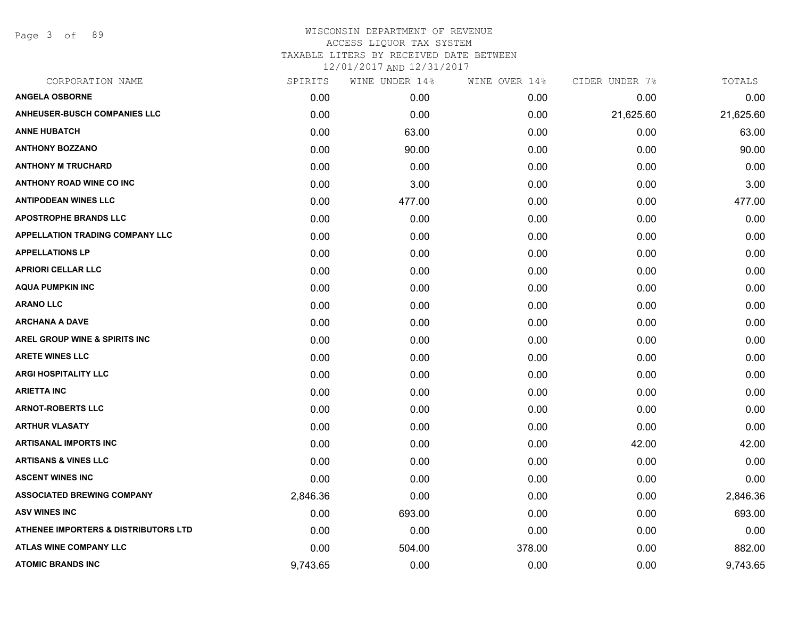Page 3 of 89

| CORPORATION NAME                                | SPIRITS  | WINE UNDER 14% | WINE OVER 14% | CIDER UNDER 7% | TOTALS    |
|-------------------------------------------------|----------|----------------|---------------|----------------|-----------|
| <b>ANGELA OSBORNE</b>                           | 0.00     | 0.00           | 0.00          | 0.00           | 0.00      |
| <b>ANHEUSER-BUSCH COMPANIES LLC</b>             | 0.00     | 0.00           | 0.00          | 21,625.60      | 21,625.60 |
| <b>ANNE HUBATCH</b>                             | 0.00     | 63.00          | 0.00          | 0.00           | 63.00     |
| <b>ANTHONY BOZZANO</b>                          | 0.00     | 90.00          | 0.00          | 0.00           | 90.00     |
| <b>ANTHONY M TRUCHARD</b>                       | 0.00     | 0.00           | 0.00          | 0.00           | 0.00      |
| <b>ANTHONY ROAD WINE CO INC</b>                 | 0.00     | 3.00           | 0.00          | 0.00           | 3.00      |
| <b>ANTIPODEAN WINES LLC</b>                     | 0.00     | 477.00         | 0.00          | 0.00           | 477.00    |
| <b>APOSTROPHE BRANDS LLC</b>                    | 0.00     | 0.00           | 0.00          | 0.00           | 0.00      |
| <b>APPELLATION TRADING COMPANY LLC</b>          | 0.00     | 0.00           | 0.00          | 0.00           | 0.00      |
| <b>APPELLATIONS LP</b>                          | 0.00     | 0.00           | 0.00          | 0.00           | 0.00      |
| <b>APRIORI CELLAR LLC</b>                       | 0.00     | 0.00           | 0.00          | 0.00           | 0.00      |
| <b>AQUA PUMPKIN INC</b>                         | 0.00     | 0.00           | 0.00          | 0.00           | 0.00      |
| <b>ARANO LLC</b>                                | 0.00     | 0.00           | 0.00          | 0.00           | 0.00      |
| <b>ARCHANA A DAVE</b>                           | 0.00     | 0.00           | 0.00          | 0.00           | 0.00      |
| AREL GROUP WINE & SPIRITS INC                   | 0.00     | 0.00           | 0.00          | 0.00           | 0.00      |
| <b>ARETE WINES LLC</b>                          | 0.00     | 0.00           | 0.00          | 0.00           | 0.00      |
| <b>ARGI HOSPITALITY LLC</b>                     | 0.00     | 0.00           | 0.00          | 0.00           | 0.00      |
| <b>ARIETTA INC</b>                              | 0.00     | 0.00           | 0.00          | 0.00           | 0.00      |
| <b>ARNOT-ROBERTS LLC</b>                        | 0.00     | 0.00           | 0.00          | 0.00           | 0.00      |
| <b>ARTHUR VLASATY</b>                           | 0.00     | 0.00           | 0.00          | 0.00           | 0.00      |
| <b>ARTISANAL IMPORTS INC</b>                    | 0.00     | 0.00           | 0.00          | 42.00          | 42.00     |
| <b>ARTISANS &amp; VINES LLC</b>                 | 0.00     | 0.00           | 0.00          | 0.00           | 0.00      |
| <b>ASCENT WINES INC</b>                         | 0.00     | 0.00           | 0.00          | 0.00           | 0.00      |
| <b>ASSOCIATED BREWING COMPANY</b>               | 2,846.36 | 0.00           | 0.00          | 0.00           | 2,846.36  |
| <b>ASV WINES INC</b>                            | 0.00     | 693.00         | 0.00          | 0.00           | 693.00    |
| <b>ATHENEE IMPORTERS &amp; DISTRIBUTORS LTD</b> | 0.00     | 0.00           | 0.00          | 0.00           | 0.00      |
| <b>ATLAS WINE COMPANY LLC</b>                   | 0.00     | 504.00         | 378.00        | 0.00           | 882.00    |
| <b>ATOMIC BRANDS INC</b>                        | 9,743.65 | 0.00           | 0.00          | 0.00           | 9,743.65  |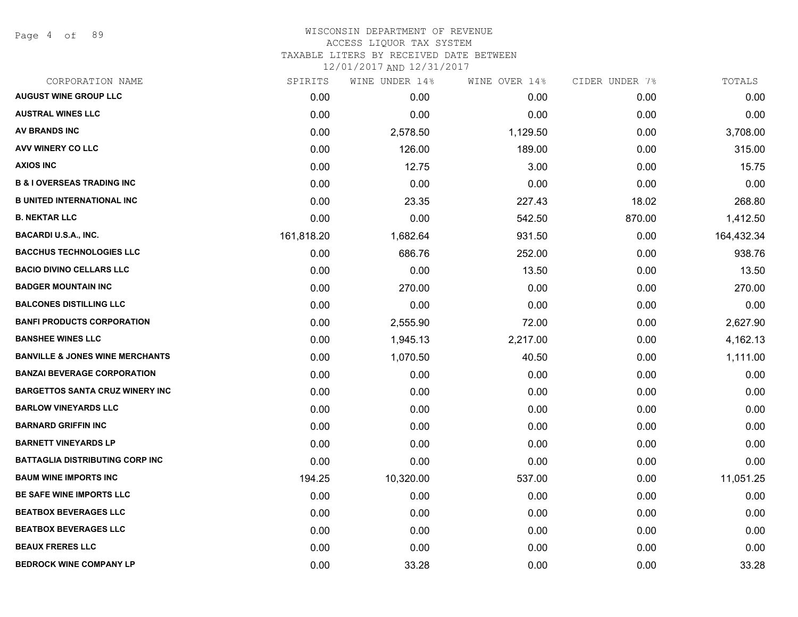Page 4 of 89

#### WISCONSIN DEPARTMENT OF REVENUE ACCESS LIQUOR TAX SYSTEM

TAXABLE LITERS BY RECEIVED DATE BETWEEN

| CORPORATION NAME                           | SPIRITS    | WINE UNDER 14% | WINE OVER 14% | CIDER UNDER 7% | TOTALS     |
|--------------------------------------------|------------|----------------|---------------|----------------|------------|
| <b>AUGUST WINE GROUP LLC</b>               | 0.00       | 0.00           | 0.00          | 0.00           | 0.00       |
| <b>AUSTRAL WINES LLC</b>                   | 0.00       | 0.00           | 0.00          | 0.00           | 0.00       |
| <b>AV BRANDS INC</b>                       | 0.00       | 2,578.50       | 1,129.50      | 0.00           | 3,708.00   |
| AVV WINERY CO LLC                          | 0.00       | 126.00         | 189.00        | 0.00           | 315.00     |
| <b>AXIOS INC</b>                           | 0.00       | 12.75          | 3.00          | 0.00           | 15.75      |
| <b>B &amp; I OVERSEAS TRADING INC</b>      | 0.00       | 0.00           | 0.00          | 0.00           | 0.00       |
| <b>B UNITED INTERNATIONAL INC</b>          | 0.00       | 23.35          | 227.43        | 18.02          | 268.80     |
| <b>B. NEKTAR LLC</b>                       | 0.00       | 0.00           | 542.50        | 870.00         | 1,412.50   |
| <b>BACARDI U.S.A., INC.</b>                | 161,818.20 | 1,682.64       | 931.50        | 0.00           | 164,432.34 |
| <b>BACCHUS TECHNOLOGIES LLC</b>            | 0.00       | 686.76         | 252.00        | 0.00           | 938.76     |
| <b>BACIO DIVINO CELLARS LLC</b>            | 0.00       | 0.00           | 13.50         | 0.00           | 13.50      |
| <b>BADGER MOUNTAIN INC</b>                 | 0.00       | 270.00         | 0.00          | 0.00           | 270.00     |
| <b>BALCONES DISTILLING LLC</b>             | 0.00       | 0.00           | 0.00          | 0.00           | 0.00       |
| <b>BANFI PRODUCTS CORPORATION</b>          | 0.00       | 2,555.90       | 72.00         | 0.00           | 2,627.90   |
| <b>BANSHEE WINES LLC</b>                   | 0.00       | 1,945.13       | 2,217.00      | 0.00           | 4,162.13   |
| <b>BANVILLE &amp; JONES WINE MERCHANTS</b> | 0.00       | 1,070.50       | 40.50         | 0.00           | 1,111.00   |
| <b>BANZAI BEVERAGE CORPORATION</b>         | 0.00       | 0.00           | 0.00          | 0.00           | 0.00       |
| <b>BARGETTOS SANTA CRUZ WINERY INC</b>     | 0.00       | 0.00           | 0.00          | 0.00           | 0.00       |
| <b>BARLOW VINEYARDS LLC</b>                | 0.00       | 0.00           | 0.00          | 0.00           | 0.00       |
| <b>BARNARD GRIFFIN INC</b>                 | 0.00       | 0.00           | 0.00          | 0.00           | 0.00       |
| <b>BARNETT VINEYARDS LP</b>                | 0.00       | 0.00           | 0.00          | 0.00           | 0.00       |
| <b>BATTAGLIA DISTRIBUTING CORP INC</b>     | 0.00       | 0.00           | 0.00          | 0.00           | 0.00       |
| <b>BAUM WINE IMPORTS INC</b>               | 194.25     | 10,320.00      | 537.00        | 0.00           | 11,051.25  |
| <b>BE SAFE WINE IMPORTS LLC</b>            | 0.00       | 0.00           | 0.00          | 0.00           | 0.00       |
| <b>BEATBOX BEVERAGES LLC</b>               | 0.00       | 0.00           | 0.00          | 0.00           | 0.00       |
| <b>BEATBOX BEVERAGES LLC</b>               | 0.00       | 0.00           | 0.00          | 0.00           | 0.00       |
| <b>BEAUX FRERES LLC</b>                    | 0.00       | 0.00           | 0.00          | 0.00           | 0.00       |
| <b>BEDROCK WINE COMPANY LP</b>             | 0.00       | 33.28          | 0.00          | 0.00           | 33.28      |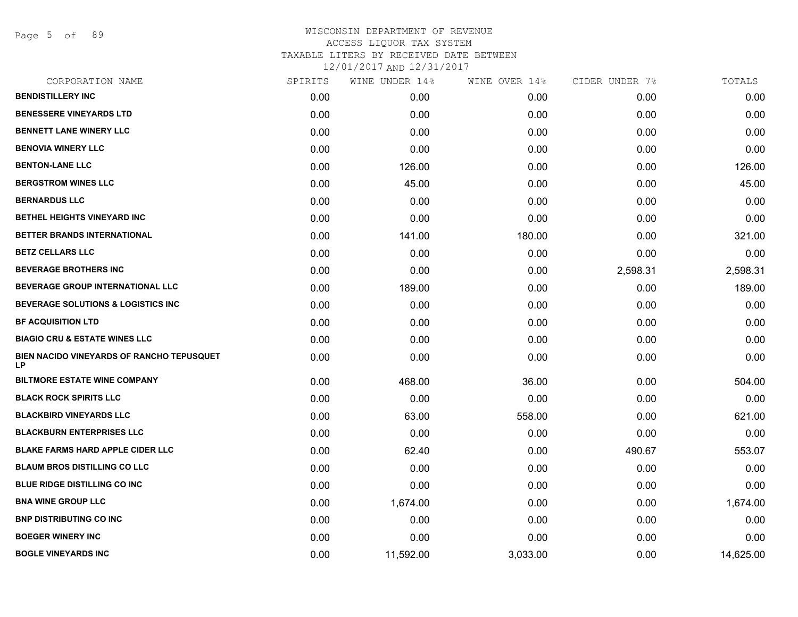Page 5 of 89

# WISCONSIN DEPARTMENT OF REVENUE ACCESS LIQUOR TAX SYSTEM TAXABLE LITERS BY RECEIVED DATE BETWEEN

| CORPORATION NAME                                       | SPIRITS | WINE UNDER 14% | WINE OVER 14% | CIDER UNDER 7% | TOTALS    |
|--------------------------------------------------------|---------|----------------|---------------|----------------|-----------|
| <b>BENDISTILLERY INC</b>                               | 0.00    | 0.00           | 0.00          | 0.00           | 0.00      |
| <b>BENESSERE VINEYARDS LTD</b>                         | 0.00    | 0.00           | 0.00          | 0.00           | 0.00      |
| <b>BENNETT LANE WINERY LLC</b>                         | 0.00    | 0.00           | 0.00          | 0.00           | 0.00      |
| <b>BENOVIA WINERY LLC</b>                              | 0.00    | 0.00           | 0.00          | 0.00           | 0.00      |
| <b>BENTON-LANE LLC</b>                                 | 0.00    | 126.00         | 0.00          | 0.00           | 126.00    |
| <b>BERGSTROM WINES LLC</b>                             | 0.00    | 45.00          | 0.00          | 0.00           | 45.00     |
| <b>BERNARDUS LLC</b>                                   | 0.00    | 0.00           | 0.00          | 0.00           | 0.00      |
| BETHEL HEIGHTS VINEYARD INC                            | 0.00    | 0.00           | 0.00          | 0.00           | 0.00      |
| BETTER BRANDS INTERNATIONAL                            | 0.00    | 141.00         | 180.00        | 0.00           | 321.00    |
| <b>BETZ CELLARS LLC</b>                                | 0.00    | 0.00           | 0.00          | 0.00           | 0.00      |
| <b>BEVERAGE BROTHERS INC</b>                           | 0.00    | 0.00           | 0.00          | 2,598.31       | 2,598.31  |
| BEVERAGE GROUP INTERNATIONAL LLC                       | 0.00    | 189.00         | 0.00          | 0.00           | 189.00    |
| BEVERAGE SOLUTIONS & LOGISTICS INC                     | 0.00    | 0.00           | 0.00          | 0.00           | 0.00      |
| <b>BF ACQUISITION LTD</b>                              | 0.00    | 0.00           | 0.00          | 0.00           | 0.00      |
| <b>BIAGIO CRU &amp; ESTATE WINES LLC</b>               | 0.00    | 0.00           | 0.00          | 0.00           | 0.00      |
| BIEN NACIDO VINEYARDS OF RANCHO TEPUSQUET<br><b>LP</b> | 0.00    | 0.00           | 0.00          | 0.00           | 0.00      |
| <b>BILTMORE ESTATE WINE COMPANY</b>                    | 0.00    | 468.00         | 36.00         | 0.00           | 504.00    |
| <b>BLACK ROCK SPIRITS LLC</b>                          | 0.00    | 0.00           | 0.00          | 0.00           | 0.00      |
| <b>BLACKBIRD VINEYARDS LLC</b>                         | 0.00    | 63.00          | 558.00        | 0.00           | 621.00    |
| <b>BLACKBURN ENTERPRISES LLC</b>                       | 0.00    | 0.00           | 0.00          | 0.00           | 0.00      |
| <b>BLAKE FARMS HARD APPLE CIDER LLC</b>                | 0.00    | 62.40          | 0.00          | 490.67         | 553.07    |
| <b>BLAUM BROS DISTILLING CO LLC</b>                    | 0.00    | 0.00           | 0.00          | 0.00           | 0.00      |
| <b>BLUE RIDGE DISTILLING CO INC.</b>                   | 0.00    | 0.00           | 0.00          | 0.00           | 0.00      |
| <b>BNA WINE GROUP LLC</b>                              | 0.00    | 1,674.00       | 0.00          | 0.00           | 1,674.00  |
| <b>BNP DISTRIBUTING CO INC</b>                         | 0.00    | 0.00           | 0.00          | 0.00           | 0.00      |
| <b>BOEGER WINERY INC</b>                               | 0.00    | 0.00           | 0.00          | 0.00           | 0.00      |
| <b>BOGLE VINEYARDS INC</b>                             | 0.00    | 11,592.00      | 3,033.00      | 0.00           | 14,625.00 |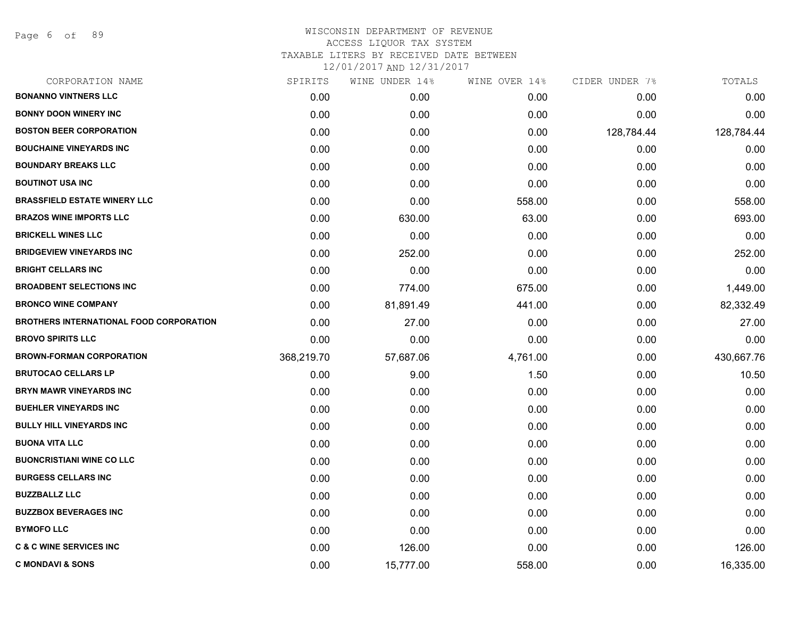Page 6 of 89

| CORPORATION NAME                               | SPIRITS    | WINE UNDER 14% | WINE OVER 14% | CIDER UNDER 7% | TOTALS     |
|------------------------------------------------|------------|----------------|---------------|----------------|------------|
| <b>BONANNO VINTNERS LLC</b>                    | 0.00       | 0.00           | 0.00          | 0.00           | 0.00       |
| <b>BONNY DOON WINERY INC</b>                   | 0.00       | 0.00           | 0.00          | 0.00           | 0.00       |
| <b>BOSTON BEER CORPORATION</b>                 | 0.00       | 0.00           | 0.00          | 128,784.44     | 128,784.44 |
| <b>BOUCHAINE VINEYARDS INC</b>                 | 0.00       | 0.00           | 0.00          | 0.00           | 0.00       |
| <b>BOUNDARY BREAKS LLC</b>                     | 0.00       | 0.00           | 0.00          | 0.00           | 0.00       |
| <b>BOUTINOT USA INC</b>                        | 0.00       | 0.00           | 0.00          | 0.00           | 0.00       |
| <b>BRASSFIELD ESTATE WINERY LLC</b>            | 0.00       | 0.00           | 558.00        | 0.00           | 558.00     |
| <b>BRAZOS WINE IMPORTS LLC</b>                 | 0.00       | 630.00         | 63.00         | 0.00           | 693.00     |
| <b>BRICKELL WINES LLC</b>                      | 0.00       | 0.00           | 0.00          | 0.00           | 0.00       |
| <b>BRIDGEVIEW VINEYARDS INC</b>                | 0.00       | 252.00         | 0.00          | 0.00           | 252.00     |
| <b>BRIGHT CELLARS INC</b>                      | 0.00       | 0.00           | 0.00          | 0.00           | 0.00       |
| <b>BROADBENT SELECTIONS INC</b>                | 0.00       | 774.00         | 675.00        | 0.00           | 1,449.00   |
| <b>BRONCO WINE COMPANY</b>                     | 0.00       | 81,891.49      | 441.00        | 0.00           | 82,332.49  |
| <b>BROTHERS INTERNATIONAL FOOD CORPORATION</b> | 0.00       | 27.00          | 0.00          | 0.00           | 27.00      |
| <b>BROVO SPIRITS LLC</b>                       | 0.00       | 0.00           | 0.00          | 0.00           | 0.00       |
| <b>BROWN-FORMAN CORPORATION</b>                | 368,219.70 | 57,687.06      | 4,761.00      | 0.00           | 430,667.76 |
| <b>BRUTOCAO CELLARS LP</b>                     | 0.00       | 9.00           | 1.50          | 0.00           | 10.50      |
| <b>BRYN MAWR VINEYARDS INC</b>                 | 0.00       | 0.00           | 0.00          | 0.00           | 0.00       |
| <b>BUEHLER VINEYARDS INC</b>                   | 0.00       | 0.00           | 0.00          | 0.00           | 0.00       |
| <b>BULLY HILL VINEYARDS INC</b>                | 0.00       | 0.00           | 0.00          | 0.00           | 0.00       |
| <b>BUONA VITA LLC</b>                          | 0.00       | 0.00           | 0.00          | 0.00           | 0.00       |
| <b>BUONCRISTIANI WINE CO LLC</b>               | 0.00       | 0.00           | 0.00          | 0.00           | 0.00       |
| <b>BURGESS CELLARS INC</b>                     | 0.00       | 0.00           | 0.00          | 0.00           | 0.00       |
| <b>BUZZBALLZ LLC</b>                           | 0.00       | 0.00           | 0.00          | 0.00           | 0.00       |
| <b>BUZZBOX BEVERAGES INC</b>                   | 0.00       | 0.00           | 0.00          | 0.00           | 0.00       |
| <b>BYMOFO LLC</b>                              | 0.00       | 0.00           | 0.00          | 0.00           | 0.00       |
| <b>C &amp; C WINE SERVICES INC</b>             | 0.00       | 126.00         | 0.00          | 0.00           | 126.00     |
| <b>C MONDAVI &amp; SONS</b>                    | 0.00       | 15,777.00      | 558.00        | 0.00           | 16,335.00  |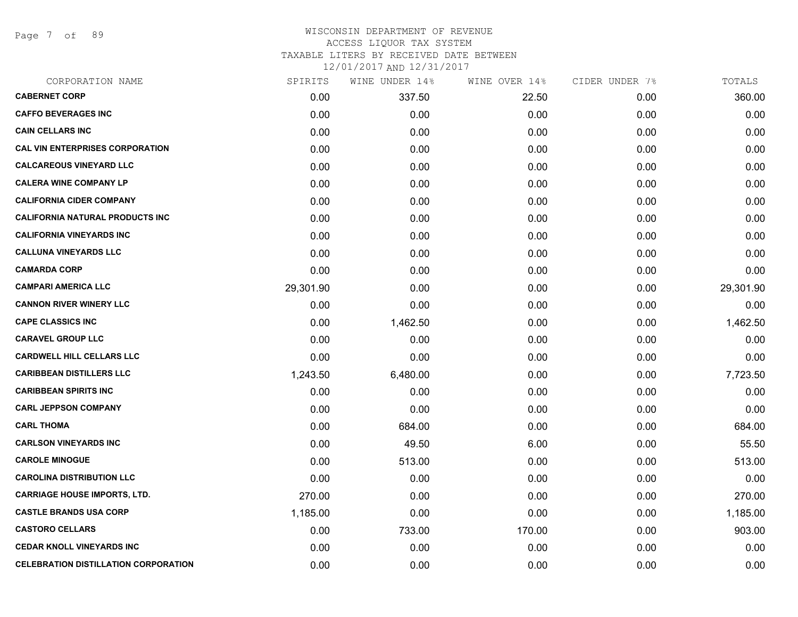Page 7 of 89

#### WISCONSIN DEPARTMENT OF REVENUE ACCESS LIQUOR TAX SYSTEM TAXABLE LITERS BY RECEIVED DATE BETWEEN

| CORPORATION NAME                            | SPIRITS   | WINE UNDER 14% | WINE OVER 14% | CIDER UNDER 7% | TOTALS    |
|---------------------------------------------|-----------|----------------|---------------|----------------|-----------|
| <b>CABERNET CORP</b>                        | 0.00      | 337.50         | 22.50         | 0.00           | 360.00    |
| <b>CAFFO BEVERAGES INC</b>                  | 0.00      | 0.00           | 0.00          | 0.00           | 0.00      |
| <b>CAIN CELLARS INC</b>                     | 0.00      | 0.00           | 0.00          | 0.00           | 0.00      |
| <b>CAL VIN ENTERPRISES CORPORATION</b>      | 0.00      | 0.00           | 0.00          | 0.00           | 0.00      |
| <b>CALCAREOUS VINEYARD LLC</b>              | 0.00      | 0.00           | 0.00          | 0.00           | 0.00      |
| <b>CALERA WINE COMPANY LP</b>               | 0.00      | 0.00           | 0.00          | 0.00           | 0.00      |
| <b>CALIFORNIA CIDER COMPANY</b>             | 0.00      | 0.00           | 0.00          | 0.00           | 0.00      |
| <b>CALIFORNIA NATURAL PRODUCTS INC</b>      | 0.00      | 0.00           | 0.00          | 0.00           | 0.00      |
| <b>CALIFORNIA VINEYARDS INC</b>             | 0.00      | 0.00           | 0.00          | 0.00           | 0.00      |
| <b>CALLUNA VINEYARDS LLC</b>                | 0.00      | 0.00           | 0.00          | 0.00           | 0.00      |
| <b>CAMARDA CORP</b>                         | 0.00      | 0.00           | 0.00          | 0.00           | 0.00      |
| <b>CAMPARI AMERICA LLC</b>                  | 29,301.90 | 0.00           | 0.00          | 0.00           | 29,301.90 |
| <b>CANNON RIVER WINERY LLC</b>              | 0.00      | 0.00           | 0.00          | 0.00           | 0.00      |
| <b>CAPE CLASSICS INC</b>                    | 0.00      | 1,462.50       | 0.00          | 0.00           | 1,462.50  |
| <b>CARAVEL GROUP LLC</b>                    | 0.00      | 0.00           | 0.00          | 0.00           | 0.00      |
| <b>CARDWELL HILL CELLARS LLC</b>            | 0.00      | 0.00           | 0.00          | 0.00           | 0.00      |
| <b>CARIBBEAN DISTILLERS LLC</b>             | 1,243.50  | 6,480.00       | 0.00          | 0.00           | 7,723.50  |
| <b>CARIBBEAN SPIRITS INC</b>                | 0.00      | 0.00           | 0.00          | 0.00           | 0.00      |
| <b>CARL JEPPSON COMPANY</b>                 | 0.00      | 0.00           | 0.00          | 0.00           | 0.00      |
| <b>CARL THOMA</b>                           | 0.00      | 684.00         | 0.00          | 0.00           | 684.00    |
| <b>CARLSON VINEYARDS INC</b>                | 0.00      | 49.50          | 6.00          | 0.00           | 55.50     |
| <b>CAROLE MINOGUE</b>                       | 0.00      | 513.00         | 0.00          | 0.00           | 513.00    |
| <b>CAROLINA DISTRIBUTION LLC</b>            | 0.00      | 0.00           | 0.00          | 0.00           | 0.00      |
| <b>CARRIAGE HOUSE IMPORTS, LTD.</b>         | 270.00    | 0.00           | 0.00          | 0.00           | 270.00    |
| <b>CASTLE BRANDS USA CORP</b>               | 1,185.00  | 0.00           | 0.00          | 0.00           | 1,185.00  |
| <b>CASTORO CELLARS</b>                      | 0.00      | 733.00         | 170.00        | 0.00           | 903.00    |
| <b>CEDAR KNOLL VINEYARDS INC</b>            | 0.00      | 0.00           | 0.00          | 0.00           | 0.00      |
| <b>CELEBRATION DISTILLATION CORPORATION</b> | 0.00      | 0.00           | 0.00          | 0.00           | 0.00      |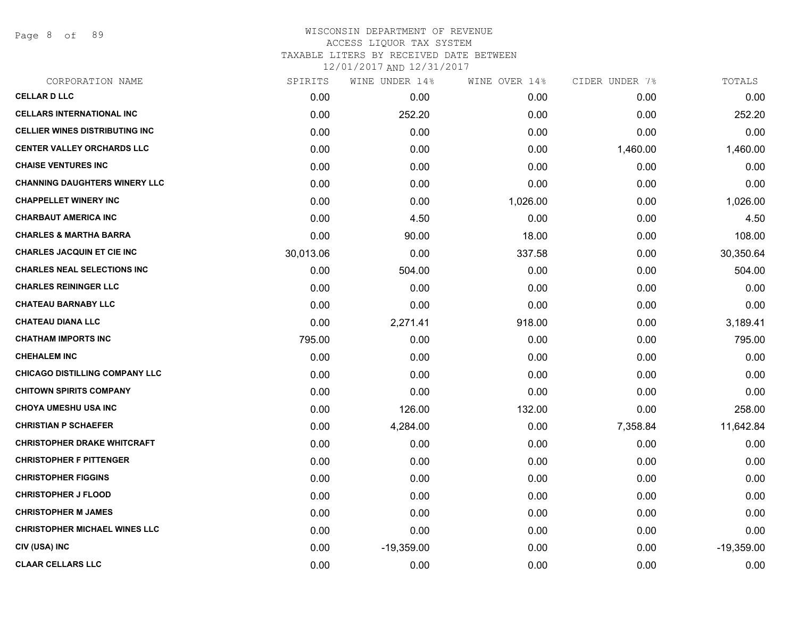Page 8 of 89

| CORPORATION NAME                      | SPIRITS   | WINE UNDER 14% | WINE OVER 14% | CIDER UNDER 7% | TOTALS       |
|---------------------------------------|-----------|----------------|---------------|----------------|--------------|
| <b>CELLAR D LLC</b>                   | 0.00      | 0.00           | 0.00          | 0.00           | 0.00         |
| <b>CELLARS INTERNATIONAL INC</b>      | 0.00      | 252.20         | 0.00          | 0.00           | 252.20       |
| <b>CELLIER WINES DISTRIBUTING INC</b> | 0.00      | 0.00           | 0.00          | 0.00           | 0.00         |
| <b>CENTER VALLEY ORCHARDS LLC</b>     | 0.00      | 0.00           | 0.00          | 1,460.00       | 1,460.00     |
| <b>CHAISE VENTURES INC</b>            | 0.00      | 0.00           | 0.00          | 0.00           | 0.00         |
| <b>CHANNING DAUGHTERS WINERY LLC</b>  | 0.00      | 0.00           | 0.00          | 0.00           | 0.00         |
| <b>CHAPPELLET WINERY INC</b>          | 0.00      | 0.00           | 1,026.00      | 0.00           | 1,026.00     |
| <b>CHARBAUT AMERICA INC</b>           | 0.00      | 4.50           | 0.00          | 0.00           | 4.50         |
| <b>CHARLES &amp; MARTHA BARRA</b>     | 0.00      | 90.00          | 18.00         | 0.00           | 108.00       |
| <b>CHARLES JACQUIN ET CIE INC</b>     | 30,013.06 | 0.00           | 337.58        | 0.00           | 30,350.64    |
| <b>CHARLES NEAL SELECTIONS INC</b>    | 0.00      | 504.00         | 0.00          | 0.00           | 504.00       |
| <b>CHARLES REININGER LLC</b>          | 0.00      | 0.00           | 0.00          | 0.00           | 0.00         |
| <b>CHATEAU BARNABY LLC</b>            | 0.00      | 0.00           | 0.00          | 0.00           | 0.00         |
| <b>CHATEAU DIANA LLC</b>              | 0.00      | 2,271.41       | 918.00        | 0.00           | 3,189.41     |
| <b>CHATHAM IMPORTS INC</b>            | 795.00    | 0.00           | 0.00          | 0.00           | 795.00       |
| <b>CHEHALEM INC</b>                   | 0.00      | 0.00           | 0.00          | 0.00           | 0.00         |
| <b>CHICAGO DISTILLING COMPANY LLC</b> | 0.00      | 0.00           | 0.00          | 0.00           | 0.00         |
| <b>CHITOWN SPIRITS COMPANY</b>        | 0.00      | 0.00           | 0.00          | 0.00           | 0.00         |
| <b>CHOYA UMESHU USA INC</b>           | 0.00      | 126.00         | 132.00        | 0.00           | 258.00       |
| <b>CHRISTIAN P SCHAEFER</b>           | 0.00      | 4,284.00       | 0.00          | 7,358.84       | 11,642.84    |
| <b>CHRISTOPHER DRAKE WHITCRAFT</b>    | 0.00      | 0.00           | 0.00          | 0.00           | 0.00         |
| <b>CHRISTOPHER F PITTENGER</b>        | 0.00      | 0.00           | 0.00          | 0.00           | 0.00         |
| <b>CHRISTOPHER FIGGINS</b>            | 0.00      | 0.00           | 0.00          | 0.00           | 0.00         |
| <b>CHRISTOPHER J FLOOD</b>            | 0.00      | 0.00           | 0.00          | 0.00           | 0.00         |
| <b>CHRISTOPHER M JAMES</b>            | 0.00      | 0.00           | 0.00          | 0.00           | 0.00         |
| <b>CHRISTOPHER MICHAEL WINES LLC</b>  | 0.00      | 0.00           | 0.00          | 0.00           | 0.00         |
| CIV (USA) INC                         | 0.00      | $-19,359.00$   | 0.00          | 0.00           | $-19,359.00$ |
| <b>CLAAR CELLARS LLC</b>              | 0.00      | 0.00           | 0.00          | 0.00           | 0.00         |
|                                       |           |                |               |                |              |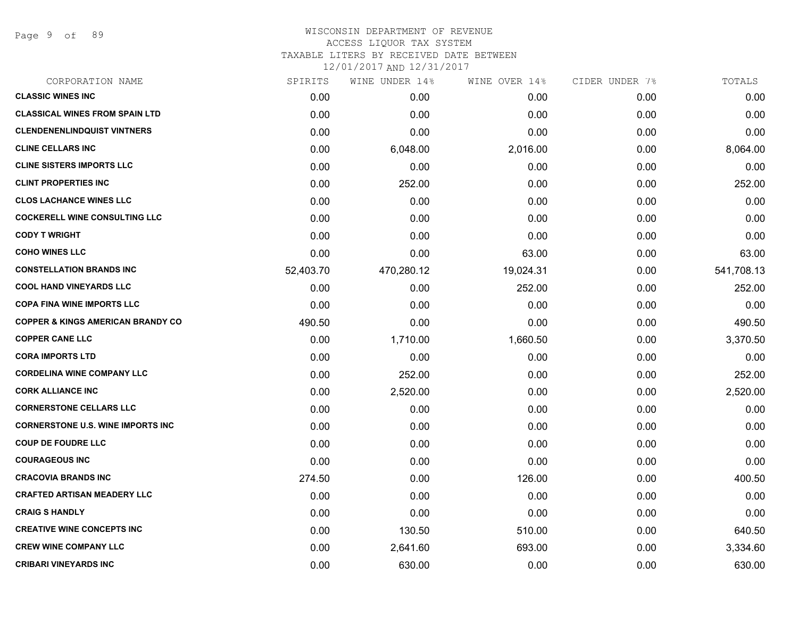Page 9 of 89

# WISCONSIN DEPARTMENT OF REVENUE ACCESS LIQUOR TAX SYSTEM

TAXABLE LITERS BY RECEIVED DATE BETWEEN

| CORPORATION NAME                             | SPIRITS   | WINE UNDER 14% | WINE OVER 14% | CIDER UNDER 7% | TOTALS     |
|----------------------------------------------|-----------|----------------|---------------|----------------|------------|
| <b>CLASSIC WINES INC</b>                     | 0.00      | 0.00           | 0.00          | 0.00           | 0.00       |
| <b>CLASSICAL WINES FROM SPAIN LTD</b>        | 0.00      | 0.00           | 0.00          | 0.00           | 0.00       |
| <b>CLENDENENLINDQUIST VINTNERS</b>           | 0.00      | 0.00           | 0.00          | 0.00           | 0.00       |
| <b>CLINE CELLARS INC</b>                     | 0.00      | 6,048.00       | 2,016.00      | 0.00           | 8,064.00   |
| <b>CLINE SISTERS IMPORTS LLC</b>             | 0.00      | 0.00           | 0.00          | 0.00           | 0.00       |
| <b>CLINT PROPERTIES INC</b>                  | 0.00      | 252.00         | 0.00          | 0.00           | 252.00     |
| <b>CLOS LACHANCE WINES LLC</b>               | 0.00      | 0.00           | 0.00          | 0.00           | 0.00       |
| <b>COCKERELL WINE CONSULTING LLC</b>         | 0.00      | 0.00           | 0.00          | 0.00           | 0.00       |
| <b>CODY T WRIGHT</b>                         | 0.00      | 0.00           | 0.00          | 0.00           | 0.00       |
| <b>COHO WINES LLC</b>                        | 0.00      | 0.00           | 63.00         | 0.00           | 63.00      |
| <b>CONSTELLATION BRANDS INC</b>              | 52,403.70 | 470,280.12     | 19,024.31     | 0.00           | 541,708.13 |
| <b>COOL HAND VINEYARDS LLC</b>               | 0.00      | 0.00           | 252.00        | 0.00           | 252.00     |
| <b>COPA FINA WINE IMPORTS LLC</b>            | 0.00      | 0.00           | 0.00          | 0.00           | 0.00       |
| <b>COPPER &amp; KINGS AMERICAN BRANDY CO</b> | 490.50    | 0.00           | 0.00          | 0.00           | 490.50     |
| <b>COPPER CANE LLC</b>                       | 0.00      | 1,710.00       | 1,660.50      | 0.00           | 3,370.50   |
| <b>CORA IMPORTS LTD</b>                      | 0.00      | 0.00           | 0.00          | 0.00           | 0.00       |
| <b>CORDELINA WINE COMPANY LLC</b>            | 0.00      | 252.00         | 0.00          | 0.00           | 252.00     |
| <b>CORK ALLIANCE INC</b>                     | 0.00      | 2,520.00       | 0.00          | 0.00           | 2,520.00   |
| <b>CORNERSTONE CELLARS LLC</b>               | 0.00      | 0.00           | 0.00          | 0.00           | 0.00       |
| <b>CORNERSTONE U.S. WINE IMPORTS INC</b>     | 0.00      | 0.00           | 0.00          | 0.00           | 0.00       |
| <b>COUP DE FOUDRE LLC</b>                    | 0.00      | 0.00           | 0.00          | 0.00           | 0.00       |
| <b>COURAGEOUS INC</b>                        | 0.00      | 0.00           | 0.00          | 0.00           | 0.00       |
| <b>CRACOVIA BRANDS INC</b>                   | 274.50    | 0.00           | 126.00        | 0.00           | 400.50     |
| <b>CRAFTED ARTISAN MEADERY LLC</b>           | 0.00      | 0.00           | 0.00          | 0.00           | 0.00       |
| <b>CRAIG S HANDLY</b>                        | 0.00      | 0.00           | 0.00          | 0.00           | 0.00       |
| <b>CREATIVE WINE CONCEPTS INC</b>            | 0.00      | 130.50         | 510.00        | 0.00           | 640.50     |
| <b>CREW WINE COMPANY LLC</b>                 | 0.00      | 2,641.60       | 693.00        | 0.00           | 3,334.60   |
| <b>CRIBARI VINEYARDS INC</b>                 | 0.00      | 630.00         | 0.00          | 0.00           | 630.00     |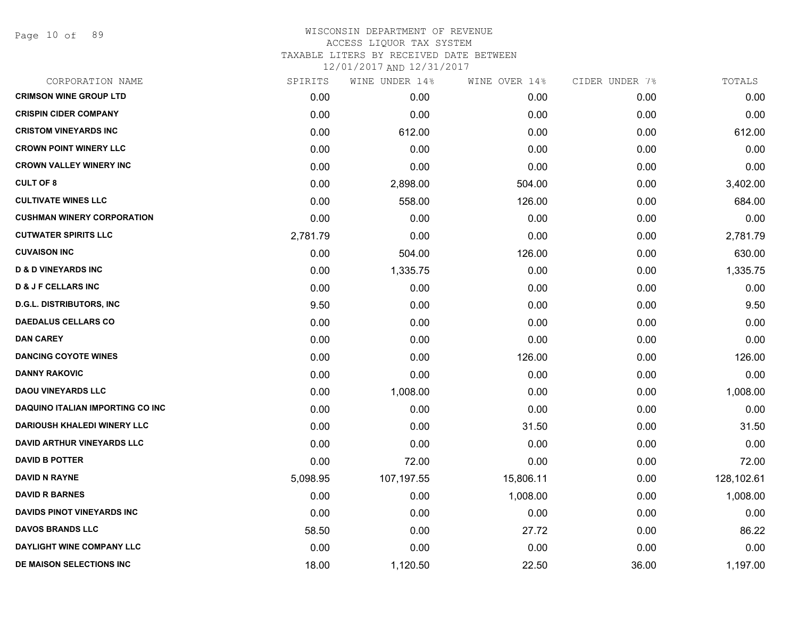Page 10 of 89

#### WISCONSIN DEPARTMENT OF REVENUE ACCESS LIQUOR TAX SYSTEM TAXABLE LITERS BY RECEIVED DATE BETWEEN

| CORPORATION NAME                        | SPIRITS  | WINE UNDER 14% | WINE OVER 14% | CIDER UNDER 7% | TOTALS     |
|-----------------------------------------|----------|----------------|---------------|----------------|------------|
| <b>CRIMSON WINE GROUP LTD</b>           | 0.00     | 0.00           | 0.00          | 0.00           | 0.00       |
| <b>CRISPIN CIDER COMPANY</b>            | 0.00     | 0.00           | 0.00          | 0.00           | 0.00       |
| <b>CRISTOM VINEYARDS INC</b>            | 0.00     | 612.00         | 0.00          | 0.00           | 612.00     |
| <b>CROWN POINT WINERY LLC</b>           | 0.00     | 0.00           | 0.00          | 0.00           | 0.00       |
| <b>CROWN VALLEY WINERY INC</b>          | 0.00     | 0.00           | 0.00          | 0.00           | 0.00       |
| <b>CULT OF 8</b>                        | 0.00     | 2,898.00       | 504.00        | 0.00           | 3,402.00   |
| <b>CULTIVATE WINES LLC</b>              | 0.00     | 558.00         | 126.00        | 0.00           | 684.00     |
| <b>CUSHMAN WINERY CORPORATION</b>       | 0.00     | 0.00           | 0.00          | 0.00           | 0.00       |
| <b>CUTWATER SPIRITS LLC</b>             | 2,781.79 | 0.00           | 0.00          | 0.00           | 2,781.79   |
| <b>CUVAISON INC</b>                     | 0.00     | 504.00         | 126.00        | 0.00           | 630.00     |
| <b>D &amp; D VINEYARDS INC</b>          | 0.00     | 1,335.75       | 0.00          | 0.00           | 1,335.75   |
| <b>D &amp; J F CELLARS INC</b>          | 0.00     | 0.00           | 0.00          | 0.00           | 0.00       |
| <b>D.G.L. DISTRIBUTORS, INC</b>         | 9.50     | 0.00           | 0.00          | 0.00           | 9.50       |
| <b>DAEDALUS CELLARS CO</b>              | 0.00     | 0.00           | 0.00          | 0.00           | 0.00       |
| <b>DAN CAREY</b>                        | 0.00     | 0.00           | 0.00          | 0.00           | 0.00       |
| <b>DANCING COYOTE WINES</b>             | 0.00     | 0.00           | 126.00        | 0.00           | 126.00     |
| <b>DANNY RAKOVIC</b>                    | 0.00     | 0.00           | 0.00          | 0.00           | 0.00       |
| <b>DAOU VINEYARDS LLC</b>               | 0.00     | 1,008.00       | 0.00          | 0.00           | 1,008.00   |
| <b>DAQUINO ITALIAN IMPORTING CO INC</b> | 0.00     | 0.00           | 0.00          | 0.00           | 0.00       |
| <b>DARIOUSH KHALEDI WINERY LLC</b>      | 0.00     | 0.00           | 31.50         | 0.00           | 31.50      |
| <b>DAVID ARTHUR VINEYARDS LLC</b>       | 0.00     | 0.00           | 0.00          | 0.00           | 0.00       |
| <b>DAVID B POTTER</b>                   | 0.00     | 72.00          | 0.00          | 0.00           | 72.00      |
| <b>DAVID N RAYNE</b>                    | 5,098.95 | 107,197.55     | 15,806.11     | 0.00           | 128,102.61 |
| <b>DAVID R BARNES</b>                   | 0.00     | 0.00           | 1,008.00      | 0.00           | 1,008.00   |
| <b>DAVIDS PINOT VINEYARDS INC</b>       | 0.00     | 0.00           | 0.00          | 0.00           | 0.00       |
| <b>DAVOS BRANDS LLC</b>                 | 58.50    | 0.00           | 27.72         | 0.00           | 86.22      |
| DAYLIGHT WINE COMPANY LLC               | 0.00     | 0.00           | 0.00          | 0.00           | 0.00       |
| DE MAISON SELECTIONS INC                | 18.00    | 1,120.50       | 22.50         | 36.00          | 1,197.00   |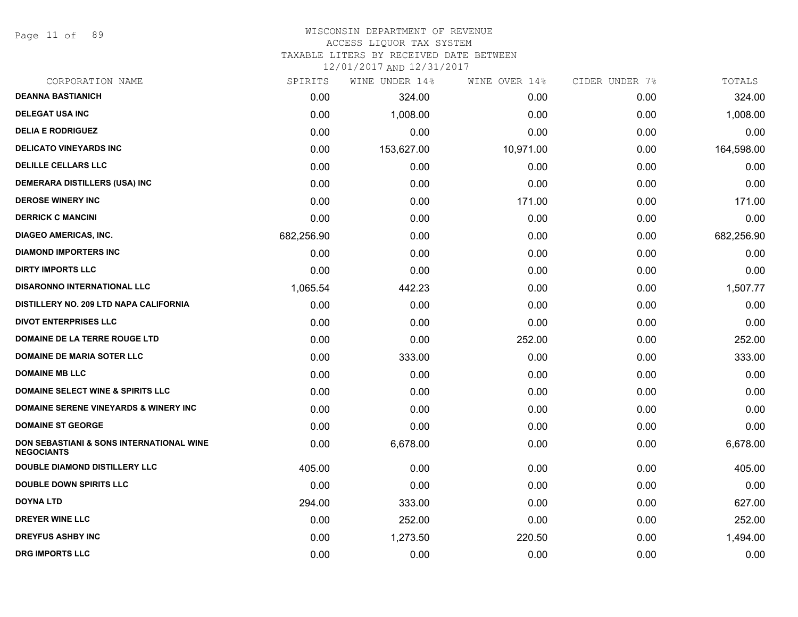Page 11 of 89

#### WISCONSIN DEPARTMENT OF REVENUE ACCESS LIQUOR TAX SYSTEM

TAXABLE LITERS BY RECEIVED DATE BETWEEN

| CORPORATION NAME                                                         | SPIRITS    | WINE UNDER 14% | WINE OVER 14% | CIDER UNDER 7% | TOTALS     |
|--------------------------------------------------------------------------|------------|----------------|---------------|----------------|------------|
| <b>DEANNA BASTIANICH</b>                                                 | 0.00       | 324.00         | 0.00          | 0.00           | 324.00     |
| <b>DELEGAT USA INC</b>                                                   | 0.00       | 1,008.00       | 0.00          | 0.00           | 1,008.00   |
| <b>DELIA E RODRIGUEZ</b>                                                 | 0.00       | 0.00           | 0.00          | 0.00           | 0.00       |
| <b>DELICATO VINEYARDS INC</b>                                            | 0.00       | 153,627.00     | 10,971.00     | 0.00           | 164,598.00 |
| <b>DELILLE CELLARS LLC</b>                                               | 0.00       | 0.00           | 0.00          | 0.00           | 0.00       |
| <b>DEMERARA DISTILLERS (USA) INC</b>                                     | 0.00       | 0.00           | 0.00          | 0.00           | 0.00       |
| <b>DEROSE WINERY INC</b>                                                 | 0.00       | 0.00           | 171.00        | 0.00           | 171.00     |
| <b>DERRICK C MANCINI</b>                                                 | 0.00       | 0.00           | 0.00          | 0.00           | 0.00       |
| <b>DIAGEO AMERICAS, INC.</b>                                             | 682,256.90 | 0.00           | 0.00          | 0.00           | 682,256.90 |
| <b>DIAMOND IMPORTERS INC</b>                                             | 0.00       | 0.00           | 0.00          | 0.00           | 0.00       |
| <b>DIRTY IMPORTS LLC</b>                                                 | 0.00       | 0.00           | 0.00          | 0.00           | 0.00       |
| <b>DISARONNO INTERNATIONAL LLC</b>                                       | 1,065.54   | 442.23         | 0.00          | 0.00           | 1,507.77   |
| DISTILLERY NO. 209 LTD NAPA CALIFORNIA                                   | 0.00       | 0.00           | 0.00          | 0.00           | 0.00       |
| <b>DIVOT ENTERPRISES LLC</b>                                             | 0.00       | 0.00           | 0.00          | 0.00           | 0.00       |
| DOMAINE DE LA TERRE ROUGE LTD                                            | 0.00       | 0.00           | 252.00        | 0.00           | 252.00     |
| <b>DOMAINE DE MARIA SOTER LLC</b>                                        | 0.00       | 333.00         | 0.00          | 0.00           | 333.00     |
| <b>DOMAINE MB LLC</b>                                                    | 0.00       | 0.00           | 0.00          | 0.00           | 0.00       |
| <b>DOMAINE SELECT WINE &amp; SPIRITS LLC</b>                             | 0.00       | 0.00           | 0.00          | 0.00           | 0.00       |
| DOMAINE SERENE VINEYARDS & WINERY INC                                    | 0.00       | 0.00           | 0.00          | 0.00           | 0.00       |
| <b>DOMAINE ST GEORGE</b>                                                 | 0.00       | 0.00           | 0.00          | 0.00           | 0.00       |
| <b>DON SEBASTIANI &amp; SONS INTERNATIONAL WINE</b><br><b>NEGOCIANTS</b> | 0.00       | 6,678.00       | 0.00          | 0.00           | 6,678.00   |
| <b>DOUBLE DIAMOND DISTILLERY LLC</b>                                     | 405.00     | 0.00           | 0.00          | 0.00           | 405.00     |
| <b>DOUBLE DOWN SPIRITS LLC</b>                                           | 0.00       | 0.00           | 0.00          | 0.00           | 0.00       |
| <b>DOYNA LTD</b>                                                         | 294.00     | 333.00         | 0.00          | 0.00           | 627.00     |
| <b>DREYER WINE LLC</b>                                                   | 0.00       | 252.00         | 0.00          | 0.00           | 252.00     |
| <b>DREYFUS ASHBY INC</b>                                                 | 0.00       | 1,273.50       | 220.50        | 0.00           | 1,494.00   |
| <b>DRG IMPORTS LLC</b>                                                   | 0.00       | 0.00           | 0.00          | 0.00           | 0.00       |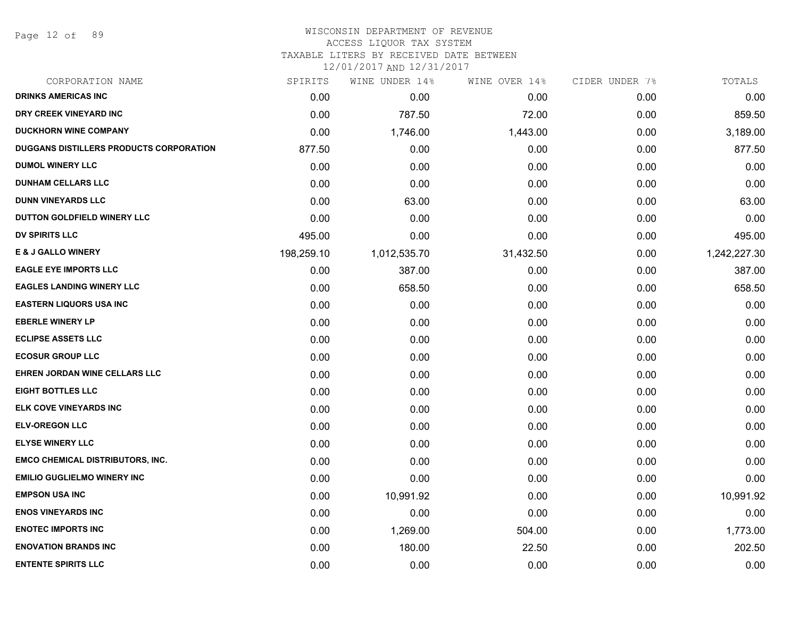Page 12 of 89

# WISCONSIN DEPARTMENT OF REVENUE

ACCESS LIQUOR TAX SYSTEM

TAXABLE LITERS BY RECEIVED DATE BETWEEN

| CORPORATION NAME                        | SPIRITS    | WINE UNDER 14% | WINE OVER 14% | CIDER UNDER 7% | TOTALS       |
|-----------------------------------------|------------|----------------|---------------|----------------|--------------|
| <b>DRINKS AMERICAS INC</b>              | 0.00       | 0.00           | 0.00          | 0.00           | 0.00         |
| DRY CREEK VINEYARD INC                  | 0.00       | 787.50         | 72.00         | 0.00           | 859.50       |
| <b>DUCKHORN WINE COMPANY</b>            | 0.00       | 1,746.00       | 1,443.00      | 0.00           | 3,189.00     |
| DUGGANS DISTILLERS PRODUCTS CORPORATION | 877.50     | 0.00           | 0.00          | 0.00           | 877.50       |
| <b>DUMOL WINERY LLC</b>                 | 0.00       | 0.00           | 0.00          | 0.00           | 0.00         |
| <b>DUNHAM CELLARS LLC</b>               | 0.00       | 0.00           | 0.00          | 0.00           | 0.00         |
| <b>DUNN VINEYARDS LLC</b>               | 0.00       | 63.00          | 0.00          | 0.00           | 63.00        |
| DUTTON GOLDFIELD WINERY LLC             | 0.00       | 0.00           | 0.00          | 0.00           | 0.00         |
| <b>DV SPIRITS LLC</b>                   | 495.00     | 0.00           | 0.00          | 0.00           | 495.00       |
| <b>E &amp; J GALLO WINERY</b>           | 198,259.10 | 1,012,535.70   | 31,432.50     | 0.00           | 1,242,227.30 |
| <b>EAGLE EYE IMPORTS LLC</b>            | 0.00       | 387.00         | 0.00          | 0.00           | 387.00       |
| <b>EAGLES LANDING WINERY LLC</b>        | 0.00       | 658.50         | 0.00          | 0.00           | 658.50       |
| <b>EASTERN LIQUORS USA INC</b>          | 0.00       | 0.00           | 0.00          | 0.00           | 0.00         |
| <b>EBERLE WINERY LP</b>                 | 0.00       | 0.00           | 0.00          | 0.00           | 0.00         |
| <b>ECLIPSE ASSETS LLC</b>               | 0.00       | 0.00           | 0.00          | 0.00           | 0.00         |
| <b>ECOSUR GROUP LLC</b>                 | 0.00       | 0.00           | 0.00          | 0.00           | 0.00         |
| EHREN JORDAN WINE CELLARS LLC           | 0.00       | 0.00           | 0.00          | 0.00           | 0.00         |
| <b>EIGHT BOTTLES LLC</b>                | 0.00       | 0.00           | 0.00          | 0.00           | 0.00         |
| ELK COVE VINEYARDS INC                  | 0.00       | 0.00           | 0.00          | 0.00           | 0.00         |
| <b>ELV-OREGON LLC</b>                   | 0.00       | 0.00           | 0.00          | 0.00           | 0.00         |
| <b>ELYSE WINERY LLC</b>                 | 0.00       | 0.00           | 0.00          | 0.00           | 0.00         |
| <b>EMCO CHEMICAL DISTRIBUTORS, INC.</b> | 0.00       | 0.00           | 0.00          | 0.00           | 0.00         |
| <b>EMILIO GUGLIELMO WINERY INC</b>      | 0.00       | 0.00           | 0.00          | 0.00           | 0.00         |
| <b>EMPSON USA INC</b>                   | 0.00       | 10,991.92      | 0.00          | 0.00           | 10,991.92    |
| <b>ENOS VINEYARDS INC</b>               | 0.00       | 0.00           | 0.00          | 0.00           | 0.00         |
| <b>ENOTEC IMPORTS INC</b>               | 0.00       | 1,269.00       | 504.00        | 0.00           | 1,773.00     |
| <b>ENOVATION BRANDS INC</b>             | 0.00       | 180.00         | 22.50         | 0.00           | 202.50       |
| <b>ENTENTE SPIRITS LLC</b>              | 0.00       | 0.00           | 0.00          | 0.00           | 0.00         |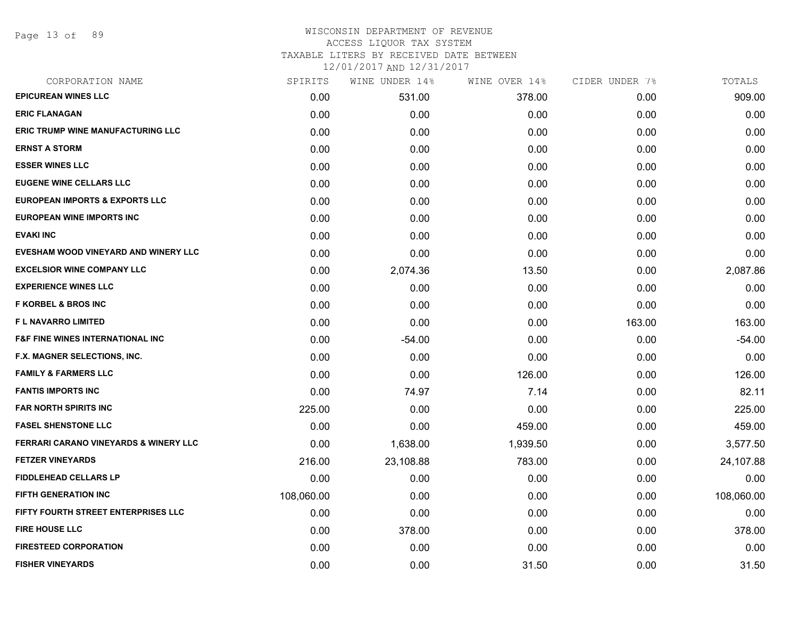Page 13 of 89

#### WISCONSIN DEPARTMENT OF REVENUE ACCESS LIQUOR TAX SYSTEM TAXABLE LITERS BY RECEIVED DATE BETWEEN

| CORPORATION NAME                            | SPIRITS    | WINE UNDER 14% | WINE OVER 14% | CIDER UNDER 7% | TOTALS     |
|---------------------------------------------|------------|----------------|---------------|----------------|------------|
| <b>EPICUREAN WINES LLC</b>                  | 0.00       | 531.00         | 378.00        | 0.00           | 909.00     |
| <b>ERIC FLANAGAN</b>                        | 0.00       | 0.00           | 0.00          | 0.00           | 0.00       |
| <b>ERIC TRUMP WINE MANUFACTURING LLC</b>    | 0.00       | 0.00           | 0.00          | 0.00           | 0.00       |
| <b>ERNST A STORM</b>                        | 0.00       | 0.00           | 0.00          | 0.00           | 0.00       |
| <b>ESSER WINES LLC</b>                      | 0.00       | 0.00           | 0.00          | 0.00           | 0.00       |
| <b>EUGENE WINE CELLARS LLC</b>              | 0.00       | 0.00           | 0.00          | 0.00           | 0.00       |
| <b>EUROPEAN IMPORTS &amp; EXPORTS LLC</b>   | 0.00       | 0.00           | 0.00          | 0.00           | 0.00       |
| <b>EUROPEAN WINE IMPORTS INC</b>            | 0.00       | 0.00           | 0.00          | 0.00           | 0.00       |
| <b>EVAKI INC</b>                            | 0.00       | 0.00           | 0.00          | 0.00           | 0.00       |
| EVESHAM WOOD VINEYARD AND WINERY LLC        | 0.00       | 0.00           | 0.00          | 0.00           | 0.00       |
| <b>EXCELSIOR WINE COMPANY LLC</b>           | 0.00       | 2,074.36       | 13.50         | 0.00           | 2,087.86   |
| <b>EXPERIENCE WINES LLC</b>                 | 0.00       | 0.00           | 0.00          | 0.00           | 0.00       |
| <b>F KORBEL &amp; BROS INC</b>              | 0.00       | 0.00           | 0.00          | 0.00           | 0.00       |
| <b>FL NAVARRO LIMITED</b>                   | 0.00       | 0.00           | 0.00          | 163.00         | 163.00     |
| <b>F&amp;F FINE WINES INTERNATIONAL INC</b> | 0.00       | $-54.00$       | 0.00          | 0.00           | $-54.00$   |
| F.X. MAGNER SELECTIONS, INC.                | 0.00       | 0.00           | 0.00          | 0.00           | 0.00       |
| <b>FAMILY &amp; FARMERS LLC</b>             | 0.00       | 0.00           | 126.00        | 0.00           | 126.00     |
| <b>FANTIS IMPORTS INC</b>                   | 0.00       | 74.97          | 7.14          | 0.00           | 82.11      |
| <b>FAR NORTH SPIRITS INC</b>                | 225.00     | 0.00           | 0.00          | 0.00           | 225.00     |
| <b>FASEL SHENSTONE LLC</b>                  | 0.00       | 0.00           | 459.00        | 0.00           | 459.00     |
| FERRARI CARANO VINEYARDS & WINERY LLC       | 0.00       | 1,638.00       | 1,939.50      | 0.00           | 3,577.50   |
| <b>FETZER VINEYARDS</b>                     | 216.00     | 23,108.88      | 783.00        | 0.00           | 24,107.88  |
| FIDDLEHEAD CELLARS LP                       | 0.00       | 0.00           | 0.00          | 0.00           | 0.00       |
| FIFTH GENERATION INC                        | 108,060.00 | 0.00           | 0.00          | 0.00           | 108,060.00 |
| <b>FIFTY FOURTH STREET ENTERPRISES LLC</b>  | 0.00       | 0.00           | 0.00          | 0.00           | 0.00       |
| <b>FIRE HOUSE LLC</b>                       | 0.00       | 378.00         | 0.00          | 0.00           | 378.00     |
| <b>FIRESTEED CORPORATION</b>                | 0.00       | 0.00           | 0.00          | 0.00           | 0.00       |
| <b>FISHER VINEYARDS</b>                     | 0.00       | 0.00           | 31.50         | 0.00           | 31.50      |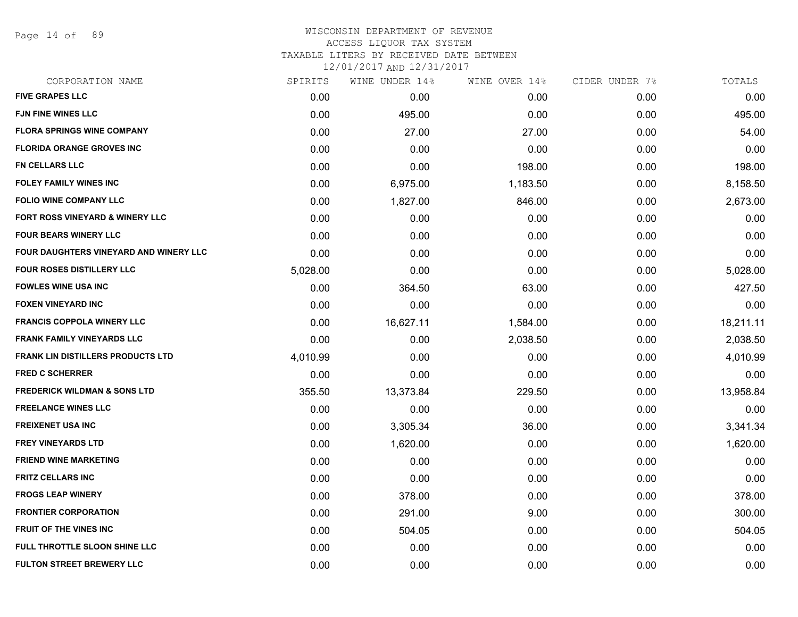Page 14 of 89

#### WISCONSIN DEPARTMENT OF REVENUE ACCESS LIQUOR TAX SYSTEM TAXABLE LITERS BY RECEIVED DATE BETWEEN

| CORPORATION NAME                              | SPIRITS  | WINE UNDER 14% | WINE OVER 14% | CIDER UNDER 7% | TOTALS    |
|-----------------------------------------------|----------|----------------|---------------|----------------|-----------|
| <b>FIVE GRAPES LLC</b>                        | 0.00     | 0.00           | 0.00          | 0.00           | 0.00      |
| <b>FJN FINE WINES LLC</b>                     | 0.00     | 495.00         | 0.00          | 0.00           | 495.00    |
| <b>FLORA SPRINGS WINE COMPANY</b>             | 0.00     | 27.00          | 27.00         | 0.00           | 54.00     |
| <b>FLORIDA ORANGE GROVES INC</b>              | 0.00     | 0.00           | 0.00          | 0.00           | 0.00      |
| <b>FN CELLARS LLC</b>                         | 0.00     | 0.00           | 198.00        | 0.00           | 198.00    |
| FOLEY FAMILY WINES INC                        | 0.00     | 6,975.00       | 1,183.50      | 0.00           | 8,158.50  |
| <b>FOLIO WINE COMPANY LLC</b>                 | 0.00     | 1,827.00       | 846.00        | 0.00           | 2,673.00  |
| FORT ROSS VINEYARD & WINERY LLC               | 0.00     | 0.00           | 0.00          | 0.00           | 0.00      |
| <b>FOUR BEARS WINERY LLC</b>                  | 0.00     | 0.00           | 0.00          | 0.00           | 0.00      |
| <b>FOUR DAUGHTERS VINEYARD AND WINERY LLC</b> | 0.00     | 0.00           | 0.00          | 0.00           | 0.00      |
| <b>FOUR ROSES DISTILLERY LLC</b>              | 5,028.00 | 0.00           | 0.00          | 0.00           | 5,028.00  |
| <b>FOWLES WINE USA INC</b>                    | 0.00     | 364.50         | 63.00         | 0.00           | 427.50    |
| <b>FOXEN VINEYARD INC</b>                     | 0.00     | 0.00           | 0.00          | 0.00           | 0.00      |
| <b>FRANCIS COPPOLA WINERY LLC</b>             | 0.00     | 16,627.11      | 1,584.00      | 0.00           | 18,211.11 |
| <b>FRANK FAMILY VINEYARDS LLC</b>             | 0.00     | 0.00           | 2,038.50      | 0.00           | 2,038.50  |
| <b>FRANK LIN DISTILLERS PRODUCTS LTD</b>      | 4,010.99 | 0.00           | 0.00          | 0.00           | 4,010.99  |
| <b>FRED C SCHERRER</b>                        | 0.00     | 0.00           | 0.00          | 0.00           | 0.00      |
| <b>FREDERICK WILDMAN &amp; SONS LTD</b>       | 355.50   | 13,373.84      | 229.50        | 0.00           | 13,958.84 |
| <b>FREELANCE WINES LLC</b>                    | 0.00     | 0.00           | 0.00          | 0.00           | 0.00      |
| <b>FREIXENET USA INC</b>                      | 0.00     | 3,305.34       | 36.00         | 0.00           | 3,341.34  |
| <b>FREY VINEYARDS LTD</b>                     | 0.00     | 1,620.00       | 0.00          | 0.00           | 1,620.00  |
| <b>FRIEND WINE MARKETING</b>                  | 0.00     | 0.00           | 0.00          | 0.00           | 0.00      |
| <b>FRITZ CELLARS INC</b>                      | 0.00     | 0.00           | 0.00          | 0.00           | 0.00      |
| <b>FROGS LEAP WINERY</b>                      | 0.00     | 378.00         | 0.00          | 0.00           | 378.00    |
| <b>FRONTIER CORPORATION</b>                   | 0.00     | 291.00         | 9.00          | 0.00           | 300.00    |
| <b>FRUIT OF THE VINES INC</b>                 | 0.00     | 504.05         | 0.00          | 0.00           | 504.05    |
| FULL THROTTLE SLOON SHINE LLC                 | 0.00     | 0.00           | 0.00          | 0.00           | 0.00      |
| <b>FULTON STREET BREWERY LLC</b>              | 0.00     | 0.00           | 0.00          | 0.00           | 0.00      |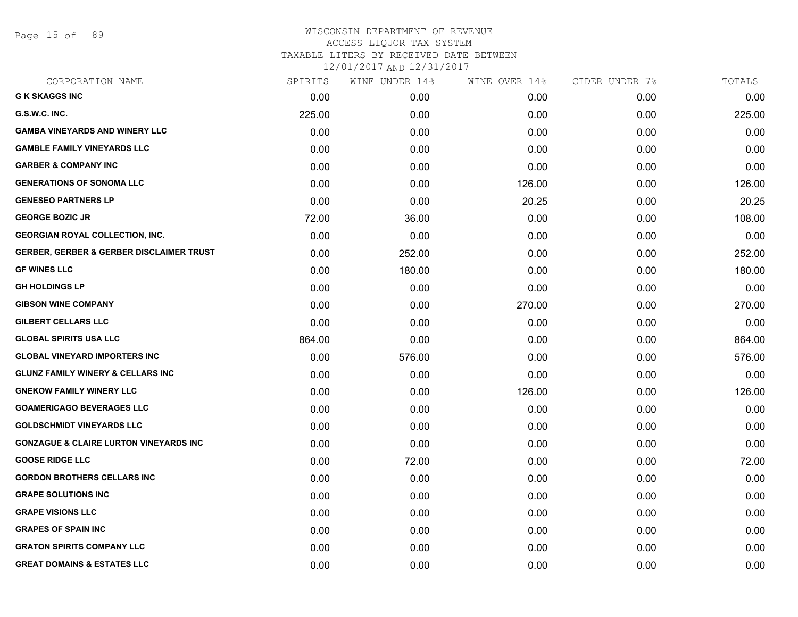Page 15 of 89

| CORPORATION NAME                                    | SPIRITS | WINE UNDER 14% | WINE OVER 14% | CIDER UNDER 7% | TOTALS |
|-----------------------------------------------------|---------|----------------|---------------|----------------|--------|
| <b>G K SKAGGS INC</b>                               | 0.00    | 0.00           | 0.00          | 0.00           | 0.00   |
| G.S.W.C. INC.                                       | 225.00  | 0.00           | 0.00          | 0.00           | 225.00 |
| <b>GAMBA VINEYARDS AND WINERY LLC</b>               | 0.00    | 0.00           | 0.00          | 0.00           | 0.00   |
| <b>GAMBLE FAMILY VINEYARDS LLC</b>                  | 0.00    | 0.00           | 0.00          | 0.00           | 0.00   |
| <b>GARBER &amp; COMPANY INC</b>                     | 0.00    | 0.00           | 0.00          | 0.00           | 0.00   |
| <b>GENERATIONS OF SONOMA LLC</b>                    | 0.00    | 0.00           | 126.00        | 0.00           | 126.00 |
| <b>GENESEO PARTNERS LP</b>                          | 0.00    | 0.00           | 20.25         | 0.00           | 20.25  |
| <b>GEORGE BOZIC JR</b>                              | 72.00   | 36.00          | 0.00          | 0.00           | 108.00 |
| <b>GEORGIAN ROYAL COLLECTION, INC.</b>              | 0.00    | 0.00           | 0.00          | 0.00           | 0.00   |
| <b>GERBER, GERBER &amp; GERBER DISCLAIMER TRUST</b> | 0.00    | 252.00         | 0.00          | 0.00           | 252.00 |
| <b>GF WINES LLC</b>                                 | 0.00    | 180.00         | 0.00          | 0.00           | 180.00 |
| <b>GH HOLDINGS LP</b>                               | 0.00    | 0.00           | 0.00          | 0.00           | 0.00   |
| <b>GIBSON WINE COMPANY</b>                          | 0.00    | 0.00           | 270.00        | 0.00           | 270.00 |
| <b>GILBERT CELLARS LLC</b>                          | 0.00    | 0.00           | 0.00          | 0.00           | 0.00   |
| <b>GLOBAL SPIRITS USA LLC</b>                       | 864.00  | 0.00           | 0.00          | 0.00           | 864.00 |
| <b>GLOBAL VINEYARD IMPORTERS INC</b>                | 0.00    | 576.00         | 0.00          | 0.00           | 576.00 |
| <b>GLUNZ FAMILY WINERY &amp; CELLARS INC</b>        | 0.00    | 0.00           | 0.00          | 0.00           | 0.00   |
| <b>GNEKOW FAMILY WINERY LLC</b>                     | 0.00    | 0.00           | 126.00        | 0.00           | 126.00 |
| <b>GOAMERICAGO BEVERAGES LLC</b>                    | 0.00    | 0.00           | 0.00          | 0.00           | 0.00   |
| <b>GOLDSCHMIDT VINEYARDS LLC</b>                    | 0.00    | 0.00           | 0.00          | 0.00           | 0.00   |
| <b>GONZAGUE &amp; CLAIRE LURTON VINEYARDS INC</b>   | 0.00    | 0.00           | 0.00          | 0.00           | 0.00   |
| <b>GOOSE RIDGE LLC</b>                              | 0.00    | 72.00          | 0.00          | 0.00           | 72.00  |
| <b>GORDON BROTHERS CELLARS INC</b>                  | 0.00    | 0.00           | 0.00          | 0.00           | 0.00   |
| <b>GRAPE SOLUTIONS INC</b>                          | 0.00    | 0.00           | 0.00          | 0.00           | 0.00   |
| <b>GRAPE VISIONS LLC</b>                            | 0.00    | 0.00           | 0.00          | 0.00           | 0.00   |
| <b>GRAPES OF SPAIN INC</b>                          | 0.00    | 0.00           | 0.00          | 0.00           | 0.00   |
| <b>GRATON SPIRITS COMPANY LLC</b>                   | 0.00    | 0.00           | 0.00          | 0.00           | 0.00   |
| <b>GREAT DOMAINS &amp; ESTATES LLC</b>              | 0.00    | 0.00           | 0.00          | 0.00           | 0.00   |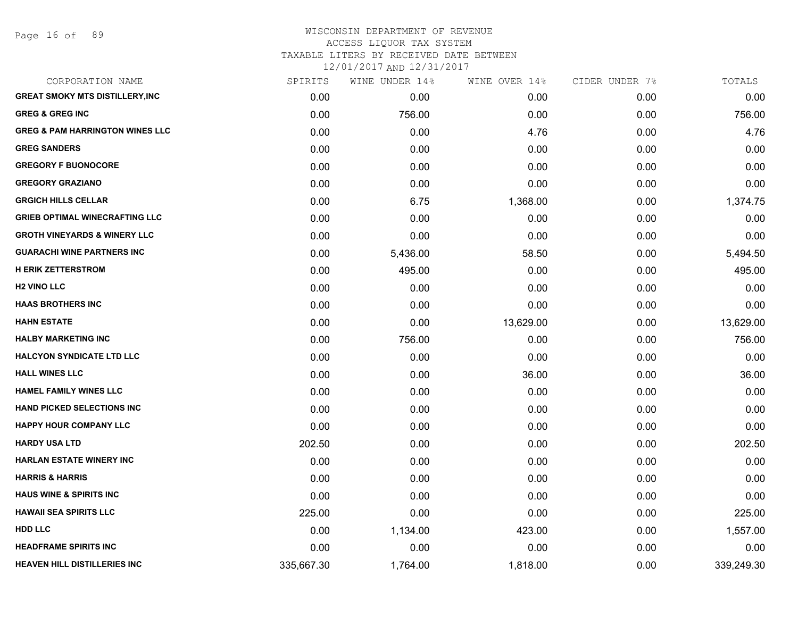Page 16 of 89

# WISCONSIN DEPARTMENT OF REVENUE ACCESS LIQUOR TAX SYSTEM TAXABLE LITERS BY RECEIVED DATE BETWEEN

| CORPORATION NAME                           | SPIRITS    | WINE UNDER 14% | WINE OVER 14% | CIDER UNDER 7% | TOTALS     |
|--------------------------------------------|------------|----------------|---------------|----------------|------------|
| <b>GREAT SMOKY MTS DISTILLERY, INC</b>     | 0.00       | 0.00           | 0.00          | 0.00           | 0.00       |
| <b>GREG &amp; GREG INC</b>                 | 0.00       | 756.00         | 0.00          | 0.00           | 756.00     |
| <b>GREG &amp; PAM HARRINGTON WINES LLC</b> | 0.00       | 0.00           | 4.76          | 0.00           | 4.76       |
| <b>GREG SANDERS</b>                        | 0.00       | 0.00           | 0.00          | 0.00           | 0.00       |
| <b>GREGORY F BUONOCORE</b>                 | 0.00       | 0.00           | 0.00          | 0.00           | 0.00       |
| <b>GREGORY GRAZIANO</b>                    | 0.00       | 0.00           | 0.00          | 0.00           | 0.00       |
| <b>GRGICH HILLS CELLAR</b>                 | 0.00       | 6.75           | 1,368.00      | 0.00           | 1,374.75   |
| <b>GRIEB OPTIMAL WINECRAFTING LLC</b>      | 0.00       | 0.00           | 0.00          | 0.00           | 0.00       |
| <b>GROTH VINEYARDS &amp; WINERY LLC</b>    | 0.00       | 0.00           | 0.00          | 0.00           | 0.00       |
| <b>GUARACHI WINE PARTNERS INC</b>          | 0.00       | 5,436.00       | 58.50         | 0.00           | 5,494.50   |
| <b>H ERIK ZETTERSTROM</b>                  | 0.00       | 495.00         | 0.00          | 0.00           | 495.00     |
| <b>H2 VINO LLC</b>                         | 0.00       | 0.00           | 0.00          | 0.00           | 0.00       |
| <b>HAAS BROTHERS INC</b>                   | 0.00       | 0.00           | 0.00          | 0.00           | 0.00       |
| <b>HAHN ESTATE</b>                         | 0.00       | 0.00           | 13,629.00     | 0.00           | 13,629.00  |
| <b>HALBY MARKETING INC</b>                 | 0.00       | 756.00         | 0.00          | 0.00           | 756.00     |
| <b>HALCYON SYNDICATE LTD LLC</b>           | 0.00       | 0.00           | 0.00          | 0.00           | 0.00       |
| <b>HALL WINES LLC</b>                      | 0.00       | 0.00           | 36.00         | 0.00           | 36.00      |
| <b>HAMEL FAMILY WINES LLC</b>              | 0.00       | 0.00           | 0.00          | 0.00           | 0.00       |
| <b>HAND PICKED SELECTIONS INC</b>          | 0.00       | 0.00           | 0.00          | 0.00           | 0.00       |
| <b>HAPPY HOUR COMPANY LLC</b>              | 0.00       | 0.00           | 0.00          | 0.00           | 0.00       |
| <b>HARDY USA LTD</b>                       | 202.50     | 0.00           | 0.00          | 0.00           | 202.50     |
| <b>HARLAN ESTATE WINERY INC</b>            | 0.00       | 0.00           | 0.00          | 0.00           | 0.00       |
| <b>HARRIS &amp; HARRIS</b>                 | 0.00       | 0.00           | 0.00          | 0.00           | 0.00       |
| <b>HAUS WINE &amp; SPIRITS INC</b>         | 0.00       | 0.00           | 0.00          | 0.00           | 0.00       |
| <b>HAWAII SEA SPIRITS LLC</b>              | 225.00     | 0.00           | 0.00          | 0.00           | 225.00     |
| <b>HDD LLC</b>                             | 0.00       | 1,134.00       | 423.00        | 0.00           | 1,557.00   |
| <b>HEADFRAME SPIRITS INC</b>               | 0.00       | 0.00           | 0.00          | 0.00           | 0.00       |
| HEAVEN HILL DISTILLERIES INC               | 335,667.30 | 1,764.00       | 1,818.00      | 0.00           | 339,249.30 |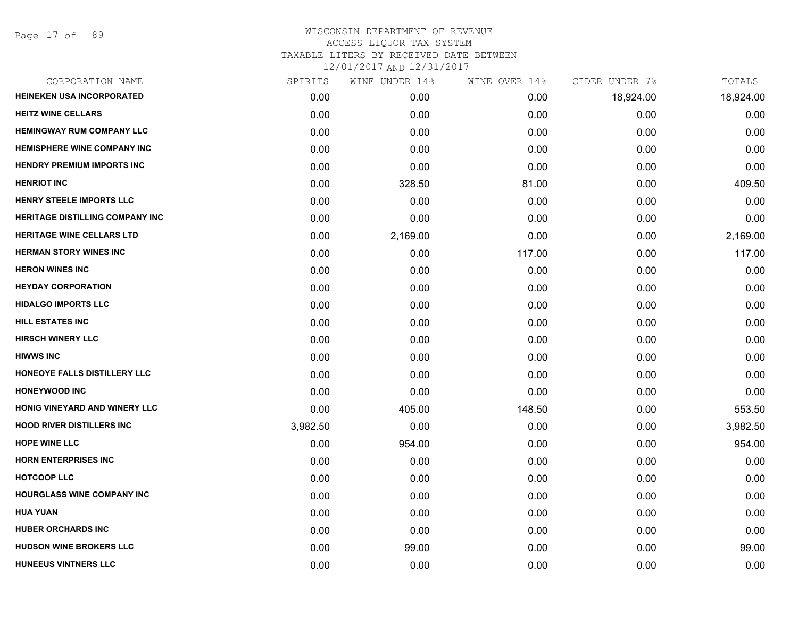| CORPORATION NAME                       | SPIRITS  | WINE UNDER 14% | WINE OVER 14% | CIDER UNDER 7% | TOTALS    |
|----------------------------------------|----------|----------------|---------------|----------------|-----------|
| <b>HEINEKEN USA INCORPORATED</b>       | 0.00     | 0.00           | 0.00          | 18,924.00      | 18,924.00 |
| <b>HEITZ WINE CELLARS</b>              | 0.00     | 0.00           | 0.00          | 0.00           | 0.00      |
| <b>HEMINGWAY RUM COMPANY LLC</b>       | 0.00     | 0.00           | 0.00          | 0.00           | 0.00      |
| <b>HEMISPHERE WINE COMPANY INC</b>     | 0.00     | 0.00           | 0.00          | 0.00           | 0.00      |
| <b>HENDRY PREMIUM IMPORTS INC</b>      | 0.00     | 0.00           | 0.00          | 0.00           | 0.00      |
| <b>HENRIOT INC</b>                     | 0.00     | 328.50         | 81.00         | 0.00           | 409.50    |
| HENRY STEELE IMPORTS LLC               | 0.00     | 0.00           | 0.00          | 0.00           | 0.00      |
| <b>HERITAGE DISTILLING COMPANY INC</b> | 0.00     | 0.00           | 0.00          | 0.00           | 0.00      |
| <b>HERITAGE WINE CELLARS LTD</b>       | 0.00     | 2,169.00       | 0.00          | 0.00           | 2,169.00  |
| <b>HERMAN STORY WINES INC</b>          | 0.00     | 0.00           | 117.00        | 0.00           | 117.00    |
| <b>HERON WINES INC</b>                 | 0.00     | 0.00           | 0.00          | 0.00           | 0.00      |
| <b>HEYDAY CORPORATION</b>              | 0.00     | 0.00           | 0.00          | 0.00           | 0.00      |
| <b>HIDALGO IMPORTS LLC</b>             | 0.00     | 0.00           | 0.00          | 0.00           | 0.00      |
| <b>HILL ESTATES INC</b>                | 0.00     | 0.00           | 0.00          | 0.00           | 0.00      |
| <b>HIRSCH WINERY LLC</b>               | 0.00     | 0.00           | 0.00          | 0.00           | 0.00      |
| <b>HIWWS INC</b>                       | 0.00     | 0.00           | 0.00          | 0.00           | 0.00      |
| HONEOYE FALLS DISTILLERY LLC           | 0.00     | 0.00           | 0.00          | 0.00           | 0.00      |
| <b>HONEYWOOD INC</b>                   | 0.00     | 0.00           | 0.00          | 0.00           | 0.00      |
| HONIG VINEYARD AND WINERY LLC          | 0.00     | 405.00         | 148.50        | 0.00           | 553.50    |
| <b>HOOD RIVER DISTILLERS INC</b>       | 3,982.50 | 0.00           | 0.00          | 0.00           | 3,982.50  |
| <b>HOPE WINE LLC</b>                   | 0.00     | 954.00         | 0.00          | 0.00           | 954.00    |
| <b>HORN ENTERPRISES INC</b>            | 0.00     | 0.00           | 0.00          | 0.00           | 0.00      |
| <b>HOTCOOP LLC</b>                     | 0.00     | 0.00           | 0.00          | 0.00           | 0.00      |
| <b>HOURGLASS WINE COMPANY INC</b>      | 0.00     | 0.00           | 0.00          | 0.00           | 0.00      |
| <b>HUA YUAN</b>                        | 0.00     | 0.00           | 0.00          | 0.00           | 0.00      |
| <b>HUBER ORCHARDS INC</b>              | 0.00     | 0.00           | 0.00          | 0.00           | 0.00      |
| <b>HUDSON WINE BROKERS LLC</b>         | 0.00     | 99.00          | 0.00          | 0.00           | 99.00     |
| <b>HUNEEUS VINTNERS LLC</b>            | 0.00     | 0.00           | 0.00          | 0.00           | 0.00      |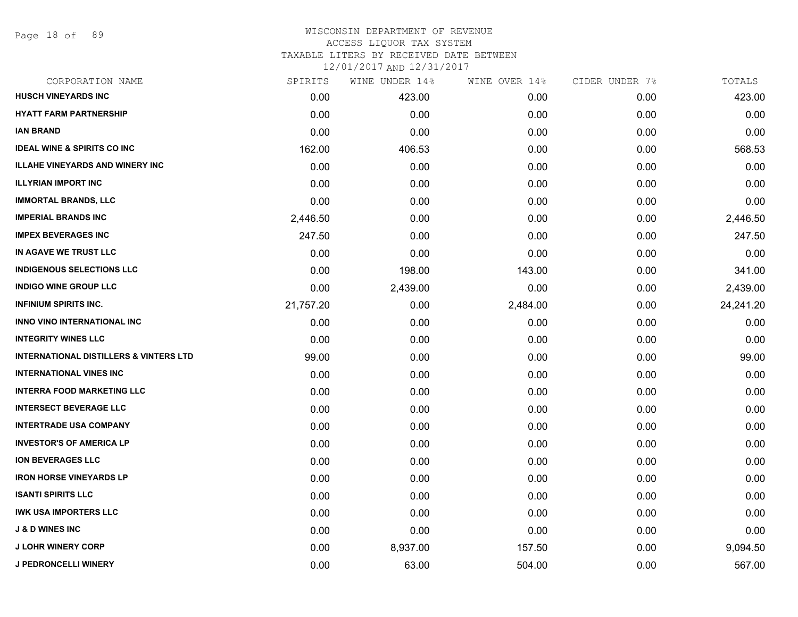Page 18 of 89

#### WISCONSIN DEPARTMENT OF REVENUE ACCESS LIQUOR TAX SYSTEM

TAXABLE LITERS BY RECEIVED DATE BETWEEN

| CORPORATION NAME                                  | SPIRITS   | WINE UNDER 14% | WINE OVER 14% | CIDER UNDER 7% | TOTALS    |
|---------------------------------------------------|-----------|----------------|---------------|----------------|-----------|
| <b>HUSCH VINEYARDS INC</b>                        | 0.00      | 423.00         | 0.00          | 0.00           | 423.00    |
| <b>HYATT FARM PARTNERSHIP</b>                     | 0.00      | 0.00           | 0.00          | 0.00           | 0.00      |
| <b>IAN BRAND</b>                                  | 0.00      | 0.00           | 0.00          | 0.00           | 0.00      |
| <b>IDEAL WINE &amp; SPIRITS CO INC</b>            | 162.00    | 406.53         | 0.00          | 0.00           | 568.53    |
| <b>ILLAHE VINEYARDS AND WINERY INC</b>            | 0.00      | 0.00           | 0.00          | 0.00           | 0.00      |
| <b>ILLYRIAN IMPORT INC</b>                        | 0.00      | 0.00           | 0.00          | 0.00           | 0.00      |
| <b>IMMORTAL BRANDS, LLC</b>                       | 0.00      | 0.00           | 0.00          | 0.00           | 0.00      |
| <b>IMPERIAL BRANDS INC</b>                        | 2,446.50  | 0.00           | 0.00          | 0.00           | 2,446.50  |
| <b>IMPEX BEVERAGES INC</b>                        | 247.50    | 0.00           | 0.00          | 0.00           | 247.50    |
| IN AGAVE WE TRUST LLC                             | 0.00      | 0.00           | 0.00          | 0.00           | 0.00      |
| <b>INDIGENOUS SELECTIONS LLC</b>                  | 0.00      | 198.00         | 143.00        | 0.00           | 341.00    |
| <b>INDIGO WINE GROUP LLC</b>                      | 0.00      | 2,439.00       | 0.00          | 0.00           | 2,439.00  |
| <b>INFINIUM SPIRITS INC.</b>                      | 21,757.20 | 0.00           | 2,484.00      | 0.00           | 24,241.20 |
| <b>INNO VINO INTERNATIONAL INC</b>                | 0.00      | 0.00           | 0.00          | 0.00           | 0.00      |
| <b>INTEGRITY WINES LLC</b>                        | 0.00      | 0.00           | 0.00          | 0.00           | 0.00      |
| <b>INTERNATIONAL DISTILLERS &amp; VINTERS LTD</b> | 99.00     | 0.00           | 0.00          | 0.00           | 99.00     |
| <b>INTERNATIONAL VINES INC</b>                    | 0.00      | 0.00           | 0.00          | 0.00           | 0.00      |
| <b>INTERRA FOOD MARKETING LLC</b>                 | 0.00      | 0.00           | 0.00          | 0.00           | 0.00      |
| <b>INTERSECT BEVERAGE LLC</b>                     | 0.00      | 0.00           | 0.00          | 0.00           | 0.00      |
| <b>INTERTRADE USA COMPANY</b>                     | 0.00      | 0.00           | 0.00          | 0.00           | 0.00      |
| <b>INVESTOR'S OF AMERICA LP</b>                   | 0.00      | 0.00           | 0.00          | 0.00           | 0.00      |
| <b>ION BEVERAGES LLC</b>                          | 0.00      | 0.00           | 0.00          | 0.00           | 0.00      |
| <b>IRON HORSE VINEYARDS LP</b>                    | 0.00      | 0.00           | 0.00          | 0.00           | 0.00      |
| <b>ISANTI SPIRITS LLC</b>                         | 0.00      | 0.00           | 0.00          | 0.00           | 0.00      |
| <b>IWK USA IMPORTERS LLC</b>                      | 0.00      | 0.00           | 0.00          | 0.00           | 0.00      |
| <b>J &amp; D WINES INC</b>                        | 0.00      | 0.00           | 0.00          | 0.00           | 0.00      |
| <b>J LOHR WINERY CORP</b>                         | 0.00      | 8,937.00       | 157.50        | 0.00           | 9,094.50  |
| <b>J PEDRONCELLI WINERY</b>                       | 0.00      | 63.00          | 504.00        | 0.00           | 567.00    |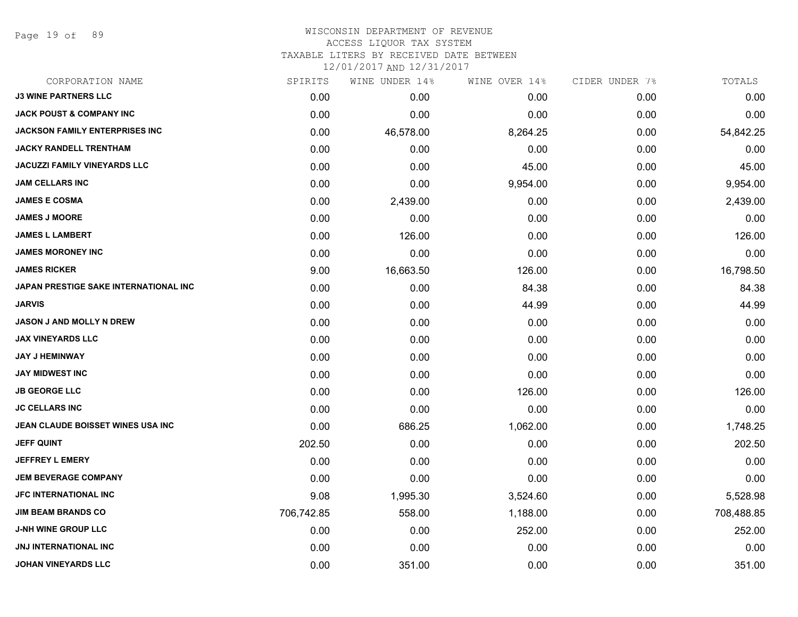Page 19 of 89

## WISCONSIN DEPARTMENT OF REVENUE ACCESS LIQUOR TAX SYSTEM

TAXABLE LITERS BY RECEIVED DATE BETWEEN

| CORPORATION NAME                      | SPIRITS    | WINE UNDER 14% | WINE OVER 14% | CIDER UNDER 7% | TOTALS     |
|---------------------------------------|------------|----------------|---------------|----------------|------------|
| <b>J3 WINE PARTNERS LLC</b>           | 0.00       | 0.00           | 0.00          | 0.00           | 0.00       |
| <b>JACK POUST &amp; COMPANY INC</b>   | 0.00       | 0.00           | 0.00          | 0.00           | 0.00       |
| <b>JACKSON FAMILY ENTERPRISES INC</b> | 0.00       | 46,578.00      | 8,264.25      | 0.00           | 54,842.25  |
| <b>JACKY RANDELL TRENTHAM</b>         | 0.00       | 0.00           | 0.00          | 0.00           | 0.00       |
| <b>JACUZZI FAMILY VINEYARDS LLC</b>   | 0.00       | 0.00           | 45.00         | 0.00           | 45.00      |
| <b>JAM CELLARS INC</b>                | 0.00       | 0.00           | 9,954.00      | 0.00           | 9,954.00   |
| <b>JAMES E COSMA</b>                  | 0.00       | 2,439.00       | 0.00          | 0.00           | 2,439.00   |
| <b>JAMES J MOORE</b>                  | 0.00       | 0.00           | 0.00          | 0.00           | 0.00       |
| <b>JAMES L LAMBERT</b>                | 0.00       | 126.00         | 0.00          | 0.00           | 126.00     |
| <b>JAMES MORONEY INC</b>              | 0.00       | 0.00           | 0.00          | 0.00           | 0.00       |
| <b>JAMES RICKER</b>                   | 9.00       | 16,663.50      | 126.00        | 0.00           | 16,798.50  |
| JAPAN PRESTIGE SAKE INTERNATIONAL INC | 0.00       | 0.00           | 84.38         | 0.00           | 84.38      |
| <b>JARVIS</b>                         | 0.00       | 0.00           | 44.99         | 0.00           | 44.99      |
| <b>JASON J AND MOLLY N DREW</b>       | 0.00       | 0.00           | 0.00          | 0.00           | 0.00       |
| <b>JAX VINEYARDS LLC</b>              | 0.00       | 0.00           | 0.00          | 0.00           | 0.00       |
| <b>JAY J HEMINWAY</b>                 | 0.00       | 0.00           | 0.00          | 0.00           | 0.00       |
| <b>JAY MIDWEST INC</b>                | 0.00       | 0.00           | 0.00          | 0.00           | 0.00       |
| <b>JB GEORGE LLC</b>                  | 0.00       | 0.00           | 126.00        | 0.00           | 126.00     |
| <b>JC CELLARS INC</b>                 | 0.00       | 0.00           | 0.00          | 0.00           | 0.00       |
| JEAN CLAUDE BOISSET WINES USA INC     | 0.00       | 686.25         | 1,062.00      | 0.00           | 1,748.25   |
| <b>JEFF QUINT</b>                     | 202.50     | 0.00           | 0.00          | 0.00           | 202.50     |
| <b>JEFFREY L EMERY</b>                | 0.00       | 0.00           | 0.00          | 0.00           | 0.00       |
| <b>JEM BEVERAGE COMPANY</b>           | 0.00       | 0.00           | 0.00          | 0.00           | 0.00       |
| <b>JFC INTERNATIONAL INC</b>          | 9.08       | 1,995.30       | 3,524.60      | 0.00           | 5,528.98   |
| <b>JIM BEAM BRANDS CO</b>             | 706,742.85 | 558.00         | 1,188.00      | 0.00           | 708,488.85 |
| <b>J-NH WINE GROUP LLC</b>            | 0.00       | 0.00           | 252.00        | 0.00           | 252.00     |
| <b>JNJ INTERNATIONAL INC</b>          | 0.00       | 0.00           | 0.00          | 0.00           | 0.00       |
| <b>JOHAN VINEYARDS LLC</b>            | 0.00       | 351.00         | 0.00          | 0.00           | 351.00     |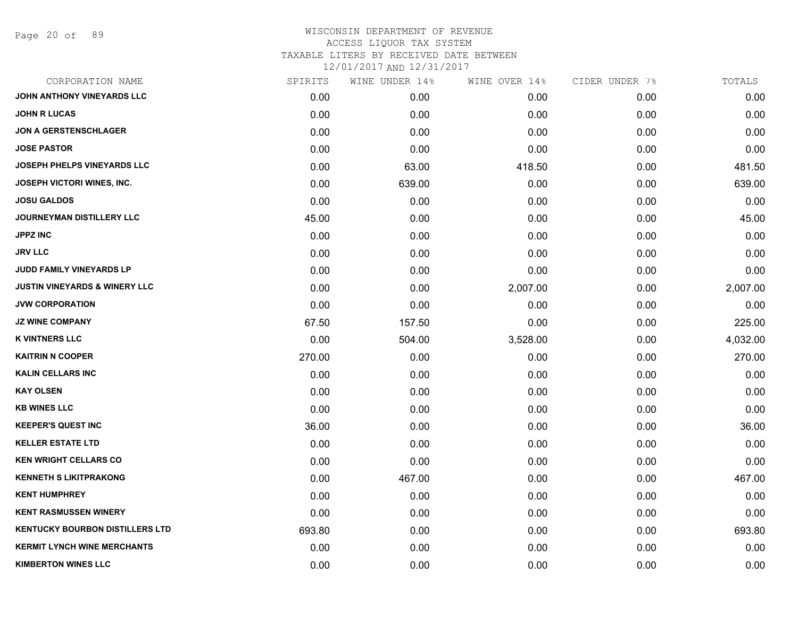Page 20 of 89

| CORPORATION NAME                         | SPIRITS | WINE UNDER 14% | WINE OVER 14% | CIDER UNDER 7% | TOTALS   |
|------------------------------------------|---------|----------------|---------------|----------------|----------|
| JOHN ANTHONY VINEYARDS LLC               | 0.00    | 0.00           | 0.00          | 0.00           | 0.00     |
| <b>JOHN R LUCAS</b>                      | 0.00    | 0.00           | 0.00          | 0.00           | 0.00     |
| <b>JON A GERSTENSCHLAGER</b>             | 0.00    | 0.00           | 0.00          | 0.00           | 0.00     |
| <b>JOSE PASTOR</b>                       | 0.00    | 0.00           | 0.00          | 0.00           | 0.00     |
| <b>JOSEPH PHELPS VINEYARDS LLC</b>       | 0.00    | 63.00          | 418.50        | 0.00           | 481.50   |
| JOSEPH VICTORI WINES, INC.               | 0.00    | 639.00         | 0.00          | 0.00           | 639.00   |
| <b>JOSU GALDOS</b>                       | 0.00    | 0.00           | 0.00          | 0.00           | 0.00     |
| <b>JOURNEYMAN DISTILLERY LLC</b>         | 45.00   | 0.00           | 0.00          | 0.00           | 45.00    |
| <b>JPPZ INC</b>                          | 0.00    | 0.00           | 0.00          | 0.00           | 0.00     |
| <b>JRV LLC</b>                           | 0.00    | 0.00           | 0.00          | 0.00           | 0.00     |
| JUDD FAMILY VINEYARDS LP                 | 0.00    | 0.00           | 0.00          | 0.00           | 0.00     |
| <b>JUSTIN VINEYARDS &amp; WINERY LLC</b> | 0.00    | 0.00           | 2,007.00      | 0.00           | 2,007.00 |
| <b>JVW CORPORATION</b>                   | 0.00    | 0.00           | 0.00          | 0.00           | 0.00     |
| <b>JZ WINE COMPANY</b>                   | 67.50   | 157.50         | 0.00          | 0.00           | 225.00   |
| <b>K VINTNERS LLC</b>                    | 0.00    | 504.00         | 3,528.00      | 0.00           | 4,032.00 |
| <b>KAITRIN N COOPER</b>                  | 270.00  | 0.00           | 0.00          | 0.00           | 270.00   |
| <b>KALIN CELLARS INC</b>                 | 0.00    | 0.00           | 0.00          | 0.00           | 0.00     |
| <b>KAY OLSEN</b>                         | 0.00    | 0.00           | 0.00          | 0.00           | 0.00     |
| <b>KB WINES LLC</b>                      | 0.00    | 0.00           | 0.00          | 0.00           | 0.00     |
| <b>KEEPER'S QUEST INC</b>                | 36.00   | 0.00           | 0.00          | 0.00           | 36.00    |
| <b>KELLER ESTATE LTD</b>                 | 0.00    | 0.00           | 0.00          | 0.00           | 0.00     |
| <b>KEN WRIGHT CELLARS CO</b>             | 0.00    | 0.00           | 0.00          | 0.00           | 0.00     |
| <b>KENNETH S LIKITPRAKONG</b>            | 0.00    | 467.00         | 0.00          | 0.00           | 467.00   |
| <b>KENT HUMPHREY</b>                     | 0.00    | 0.00           | 0.00          | 0.00           | 0.00     |
| <b>KENT RASMUSSEN WINERY</b>             | 0.00    | 0.00           | 0.00          | 0.00           | 0.00     |
| <b>KENTUCKY BOURBON DISTILLERS LTD</b>   | 693.80  | 0.00           | 0.00          | 0.00           | 693.80   |
| <b>KERMIT LYNCH WINE MERCHANTS</b>       | 0.00    | 0.00           | 0.00          | 0.00           | 0.00     |
| <b>KIMBERTON WINES LLC</b>               | 0.00    | 0.00           | 0.00          | 0.00           | 0.00     |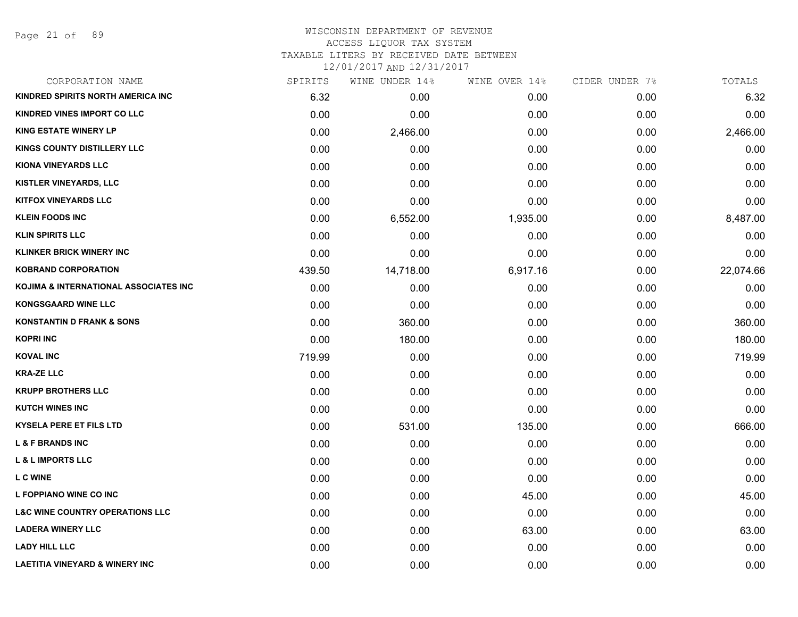Page 21 of 89

#### WISCONSIN DEPARTMENT OF REVENUE ACCESS LIQUOR TAX SYSTEM TAXABLE LITERS BY RECEIVED DATE BETWEEN

| CORPORATION NAME                           | SPIRITS | WINE UNDER 14% | WINE OVER 14% | CIDER UNDER 7% | TOTALS    |
|--------------------------------------------|---------|----------------|---------------|----------------|-----------|
| <b>KINDRED SPIRITS NORTH AMERICA INC</b>   | 6.32    | 0.00           | 0.00          | 0.00           | 6.32      |
| KINDRED VINES IMPORT CO LLC                | 0.00    | 0.00           | 0.00          | 0.00           | 0.00      |
| <b>KING ESTATE WINERY LP</b>               | 0.00    | 2,466.00       | 0.00          | 0.00           | 2,466.00  |
| <b>KINGS COUNTY DISTILLERY LLC</b>         | 0.00    | 0.00           | 0.00          | 0.00           | 0.00      |
| <b>KIONA VINEYARDS LLC</b>                 | 0.00    | 0.00           | 0.00          | 0.00           | 0.00      |
| KISTLER VINEYARDS, LLC                     | 0.00    | 0.00           | 0.00          | 0.00           | 0.00      |
| <b>KITFOX VINEYARDS LLC</b>                | 0.00    | 0.00           | 0.00          | 0.00           | 0.00      |
| <b>KLEIN FOODS INC</b>                     | 0.00    | 6,552.00       | 1,935.00      | 0.00           | 8,487.00  |
| <b>KLIN SPIRITS LLC</b>                    | 0.00    | 0.00           | 0.00          | 0.00           | 0.00      |
| <b>KLINKER BRICK WINERY INC</b>            | 0.00    | 0.00           | 0.00          | 0.00           | 0.00      |
| <b>KOBRAND CORPORATION</b>                 | 439.50  | 14,718.00      | 6,917.16      | 0.00           | 22,074.66 |
| KOJIMA & INTERNATIONAL ASSOCIATES INC      | 0.00    | 0.00           | 0.00          | 0.00           | 0.00      |
| <b>KONGSGAARD WINE LLC</b>                 | 0.00    | 0.00           | 0.00          | 0.00           | 0.00      |
| <b>KONSTANTIN D FRANK &amp; SONS</b>       | 0.00    | 360.00         | 0.00          | 0.00           | 360.00    |
| <b>KOPRI INC</b>                           | 0.00    | 180.00         | 0.00          | 0.00           | 180.00    |
| <b>KOVAL INC</b>                           | 719.99  | 0.00           | 0.00          | 0.00           | 719.99    |
| <b>KRA-ZE LLC</b>                          | 0.00    | 0.00           | 0.00          | 0.00           | 0.00      |
| <b>KRUPP BROTHERS LLC</b>                  | 0.00    | 0.00           | 0.00          | 0.00           | 0.00      |
| <b>KUTCH WINES INC</b>                     | 0.00    | 0.00           | 0.00          | 0.00           | 0.00      |
| <b>KYSELA PERE ET FILS LTD</b>             | 0.00    | 531.00         | 135.00        | 0.00           | 666.00    |
| <b>L &amp; F BRANDS INC</b>                | 0.00    | 0.00           | 0.00          | 0.00           | 0.00      |
| <b>L &amp; L IMPORTS LLC</b>               | 0.00    | 0.00           | 0.00          | 0.00           | 0.00      |
| <b>L C WINE</b>                            | 0.00    | 0.00           | 0.00          | 0.00           | 0.00      |
| L FOPPIANO WINE CO INC                     | 0.00    | 0.00           | 45.00         | 0.00           | 45.00     |
| <b>L&amp;C WINE COUNTRY OPERATIONS LLC</b> | 0.00    | 0.00           | 0.00          | 0.00           | 0.00      |
| <b>LADERA WINERY LLC</b>                   | 0.00    | 0.00           | 63.00         | 0.00           | 63.00     |
| <b>LADY HILL LLC</b>                       | 0.00    | 0.00           | 0.00          | 0.00           | 0.00      |
| <b>LAETITIA VINEYARD &amp; WINERY INC</b>  | 0.00    | 0.00           | 0.00          | 0.00           | 0.00      |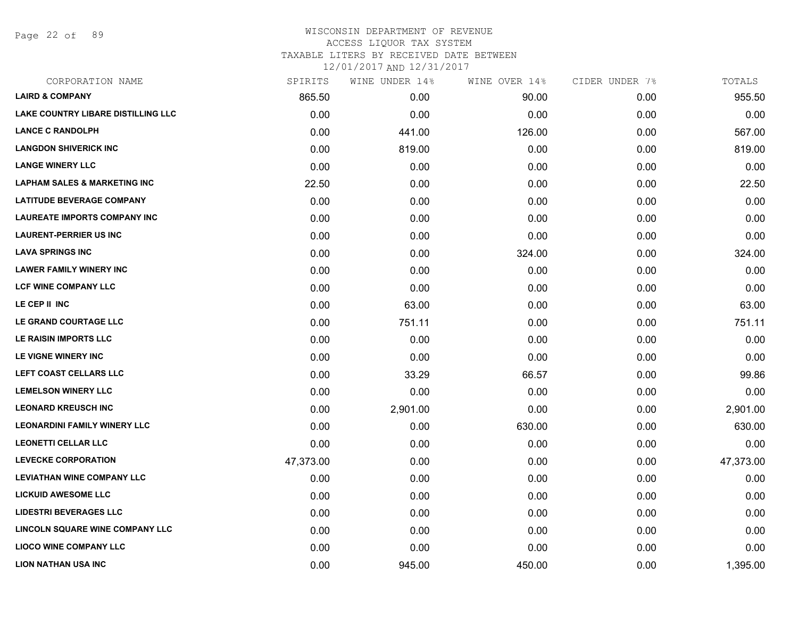Page 22 of 89

| CORPORATION NAME                          | SPIRITS   | WINE UNDER 14% | WINE OVER 14% | CIDER UNDER 7% | TOTALS    |
|-------------------------------------------|-----------|----------------|---------------|----------------|-----------|
| <b>LAIRD &amp; COMPANY</b>                | 865.50    | 0.00           | 90.00         | 0.00           | 955.50    |
| <b>LAKE COUNTRY LIBARE DISTILLING LLC</b> | 0.00      | 0.00           | 0.00          | 0.00           | 0.00      |
| <b>LANCE C RANDOLPH</b>                   | 0.00      | 441.00         | 126.00        | 0.00           | 567.00    |
| <b>LANGDON SHIVERICK INC</b>              | 0.00      | 819.00         | 0.00          | 0.00           | 819.00    |
| <b>LANGE WINERY LLC</b>                   | 0.00      | 0.00           | 0.00          | 0.00           | 0.00      |
| <b>LAPHAM SALES &amp; MARKETING INC</b>   | 22.50     | 0.00           | 0.00          | 0.00           | 22.50     |
| <b>LATITUDE BEVERAGE COMPANY</b>          | 0.00      | 0.00           | 0.00          | 0.00           | 0.00      |
| <b>LAUREATE IMPORTS COMPANY INC</b>       | 0.00      | 0.00           | 0.00          | 0.00           | 0.00      |
| <b>LAURENT-PERRIER US INC</b>             | 0.00      | 0.00           | 0.00          | 0.00           | 0.00      |
| <b>LAVA SPRINGS INC</b>                   | 0.00      | 0.00           | 324.00        | 0.00           | 324.00    |
| <b>LAWER FAMILY WINERY INC</b>            | 0.00      | 0.00           | 0.00          | 0.00           | 0.00      |
| LCF WINE COMPANY LLC                      | 0.00      | 0.00           | 0.00          | 0.00           | 0.00      |
| LE CEP II INC                             | 0.00      | 63.00          | 0.00          | 0.00           | 63.00     |
| LE GRAND COURTAGE LLC                     | 0.00      | 751.11         | 0.00          | 0.00           | 751.11    |
| LE RAISIN IMPORTS LLC                     | 0.00      | 0.00           | 0.00          | 0.00           | 0.00      |
| LE VIGNE WINERY INC                       | 0.00      | 0.00           | 0.00          | 0.00           | 0.00      |
| LEFT COAST CELLARS LLC                    | 0.00      | 33.29          | 66.57         | 0.00           | 99.86     |
| <b>LEMELSON WINERY LLC</b>                | 0.00      | 0.00           | 0.00          | 0.00           | 0.00      |
| <b>LEONARD KREUSCH INC</b>                | 0.00      | 2,901.00       | 0.00          | 0.00           | 2,901.00  |
| <b>LEONARDINI FAMILY WINERY LLC</b>       | 0.00      | 0.00           | 630.00        | 0.00           | 630.00    |
| <b>LEONETTI CELLAR LLC</b>                | 0.00      | 0.00           | 0.00          | 0.00           | 0.00      |
| <b>LEVECKE CORPORATION</b>                | 47,373.00 | 0.00           | 0.00          | 0.00           | 47,373.00 |
| <b>LEVIATHAN WINE COMPANY LLC</b>         | 0.00      | 0.00           | 0.00          | 0.00           | 0.00      |
| <b>LICKUID AWESOME LLC</b>                | 0.00      | 0.00           | 0.00          | 0.00           | 0.00      |
| <b>LIDESTRI BEVERAGES LLC</b>             | 0.00      | 0.00           | 0.00          | 0.00           | 0.00      |
| <b>LINCOLN SQUARE WINE COMPANY LLC</b>    | 0.00      | 0.00           | 0.00          | 0.00           | 0.00      |
| <b>LIOCO WINE COMPANY LLC</b>             | 0.00      | 0.00           | 0.00          | 0.00           | 0.00      |
| <b>LION NATHAN USA INC</b>                | 0.00      | 945.00         | 450.00        | 0.00           | 1,395.00  |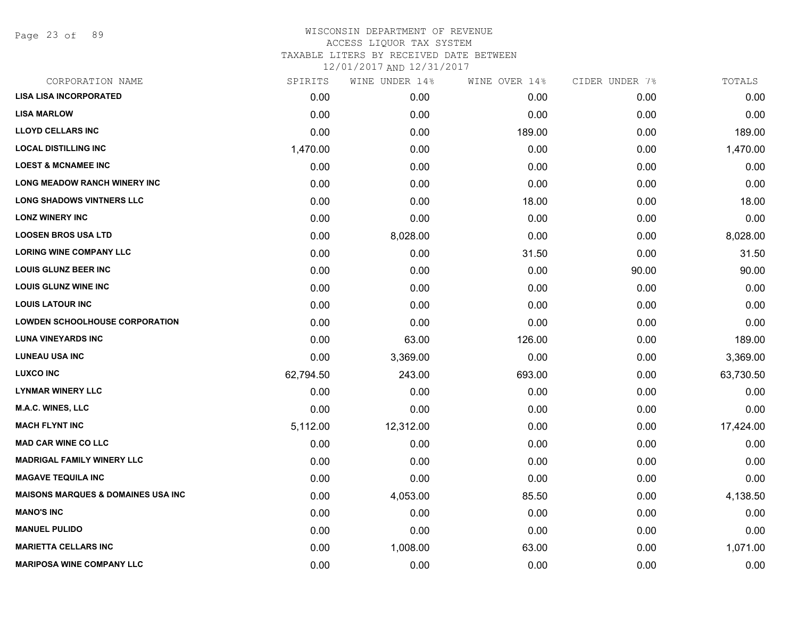Page 23 of 89

| CORPORATION NAME                               | SPIRITS   | WINE UNDER 14% | WINE OVER 14% | CIDER UNDER 7% | TOTALS    |
|------------------------------------------------|-----------|----------------|---------------|----------------|-----------|
| <b>LISA LISA INCORPORATED</b>                  | 0.00      | 0.00           | 0.00          | 0.00           | 0.00      |
| <b>LISA MARLOW</b>                             | 0.00      | 0.00           | 0.00          | 0.00           | 0.00      |
| <b>LLOYD CELLARS INC</b>                       | 0.00      | 0.00           | 189.00        | 0.00           | 189.00    |
| <b>LOCAL DISTILLING INC</b>                    | 1,470.00  | 0.00           | 0.00          | 0.00           | 1,470.00  |
| <b>LOEST &amp; MCNAMEE INC</b>                 | 0.00      | 0.00           | 0.00          | 0.00           | 0.00      |
| <b>LONG MEADOW RANCH WINERY INC</b>            | 0.00      | 0.00           | 0.00          | 0.00           | 0.00      |
| <b>LONG SHADOWS VINTNERS LLC</b>               | 0.00      | 0.00           | 18.00         | 0.00           | 18.00     |
| <b>LONZ WINERY INC</b>                         | 0.00      | 0.00           | 0.00          | 0.00           | 0.00      |
| <b>LOOSEN BROS USA LTD</b>                     | 0.00      | 8,028.00       | 0.00          | 0.00           | 8,028.00  |
| <b>LORING WINE COMPANY LLC</b>                 | 0.00      | 0.00           | 31.50         | 0.00           | 31.50     |
| <b>LOUIS GLUNZ BEER INC</b>                    | 0.00      | 0.00           | 0.00          | 90.00          | 90.00     |
| <b>LOUIS GLUNZ WINE INC</b>                    | 0.00      | 0.00           | 0.00          | 0.00           | 0.00      |
| <b>LOUIS LATOUR INC</b>                        | 0.00      | 0.00           | 0.00          | 0.00           | 0.00      |
| <b>LOWDEN SCHOOLHOUSE CORPORATION</b>          | 0.00      | 0.00           | 0.00          | 0.00           | 0.00      |
| <b>LUNA VINEYARDS INC</b>                      | 0.00      | 63.00          | 126.00        | 0.00           | 189.00    |
| <b>LUNEAU USA INC</b>                          | 0.00      | 3,369.00       | 0.00          | 0.00           | 3,369.00  |
| <b>LUXCO INC</b>                               | 62,794.50 | 243.00         | 693.00        | 0.00           | 63,730.50 |
| <b>LYNMAR WINERY LLC</b>                       | 0.00      | 0.00           | 0.00          | 0.00           | 0.00      |
| <b>M.A.C. WINES, LLC</b>                       | 0.00      | 0.00           | 0.00          | 0.00           | 0.00      |
| <b>MACH FLYNT INC</b>                          | 5,112.00  | 12,312.00      | 0.00          | 0.00           | 17,424.00 |
| <b>MAD CAR WINE CO LLC</b>                     | 0.00      | 0.00           | 0.00          | 0.00           | 0.00      |
| <b>MADRIGAL FAMILY WINERY LLC</b>              | 0.00      | 0.00           | 0.00          | 0.00           | 0.00      |
| <b>MAGAVE TEQUILA INC</b>                      | 0.00      | 0.00           | 0.00          | 0.00           | 0.00      |
| <b>MAISONS MARQUES &amp; DOMAINES USA INC.</b> | 0.00      | 4,053.00       | 85.50         | 0.00           | 4,138.50  |
| <b>MANO'S INC</b>                              | 0.00      | 0.00           | 0.00          | 0.00           | 0.00      |
| <b>MANUEL PULIDO</b>                           | 0.00      | 0.00           | 0.00          | 0.00           | 0.00      |
| <b>MARIETTA CELLARS INC</b>                    | 0.00      | 1,008.00       | 63.00         | 0.00           | 1,071.00  |
| <b>MARIPOSA WINE COMPANY LLC</b>               | 0.00      | 0.00           | 0.00          | 0.00           | 0.00      |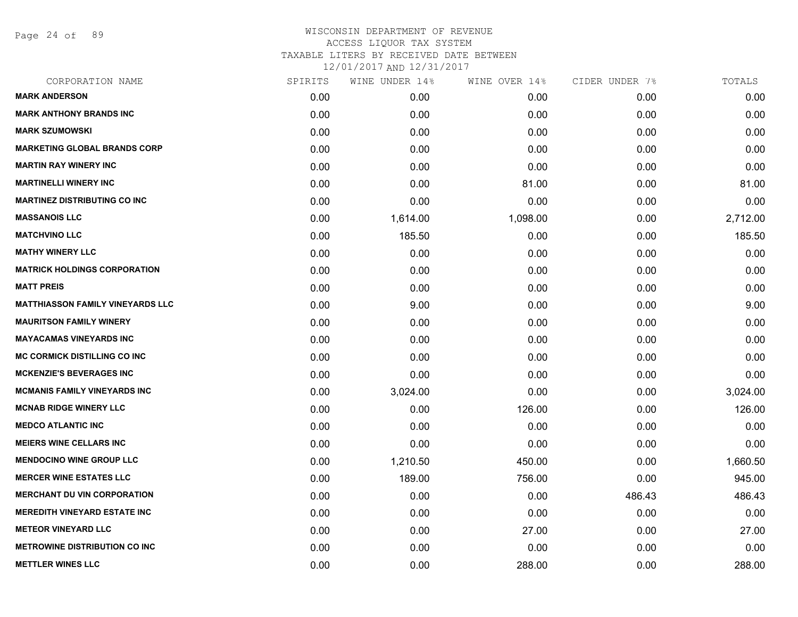Page 24 of 89

| SPIRITS | WINE UNDER 14% | WINE OVER 14% | CIDER UNDER 7% | TOTALS   |
|---------|----------------|---------------|----------------|----------|
| 0.00    | 0.00           | 0.00          | 0.00           | 0.00     |
| 0.00    | 0.00           | 0.00          | 0.00           | 0.00     |
| 0.00    | 0.00           | 0.00          | 0.00           | 0.00     |
| 0.00    | 0.00           | 0.00          | 0.00           | 0.00     |
| 0.00    | 0.00           | 0.00          | 0.00           | 0.00     |
| 0.00    | 0.00           | 81.00         | 0.00           | 81.00    |
| 0.00    | 0.00           | 0.00          | 0.00           | 0.00     |
| 0.00    | 1,614.00       | 1,098.00      | 0.00           | 2,712.00 |
| 0.00    | 185.50         | 0.00          | 0.00           | 185.50   |
| 0.00    | 0.00           | 0.00          | 0.00           | 0.00     |
| 0.00    | 0.00           | 0.00          | 0.00           | 0.00     |
| 0.00    | 0.00           | 0.00          | 0.00           | 0.00     |
| 0.00    | 9.00           | 0.00          | 0.00           | 9.00     |
| 0.00    | 0.00           | 0.00          | 0.00           | 0.00     |
| 0.00    | 0.00           | 0.00          | 0.00           | 0.00     |
| 0.00    | 0.00           | 0.00          | 0.00           | 0.00     |
| 0.00    | 0.00           | 0.00          | 0.00           | 0.00     |
| 0.00    | 3,024.00       | 0.00          | 0.00           | 3,024.00 |
| 0.00    | 0.00           | 126.00        | 0.00           | 126.00   |
| 0.00    | 0.00           | 0.00          | 0.00           | 0.00     |
| 0.00    | 0.00           | 0.00          | 0.00           | 0.00     |
| 0.00    | 1,210.50       | 450.00        | 0.00           | 1,660.50 |
| 0.00    | 189.00         | 756.00        | 0.00           | 945.00   |
| 0.00    | 0.00           | 0.00          | 486.43         | 486.43   |
| 0.00    | 0.00           | 0.00          | 0.00           | 0.00     |
| 0.00    | 0.00           | 27.00         | 0.00           | 27.00    |
| 0.00    | 0.00           | 0.00          | 0.00           | 0.00     |
| 0.00    | 0.00           | 288.00        | 0.00           | 288.00   |
|         |                |               |                |          |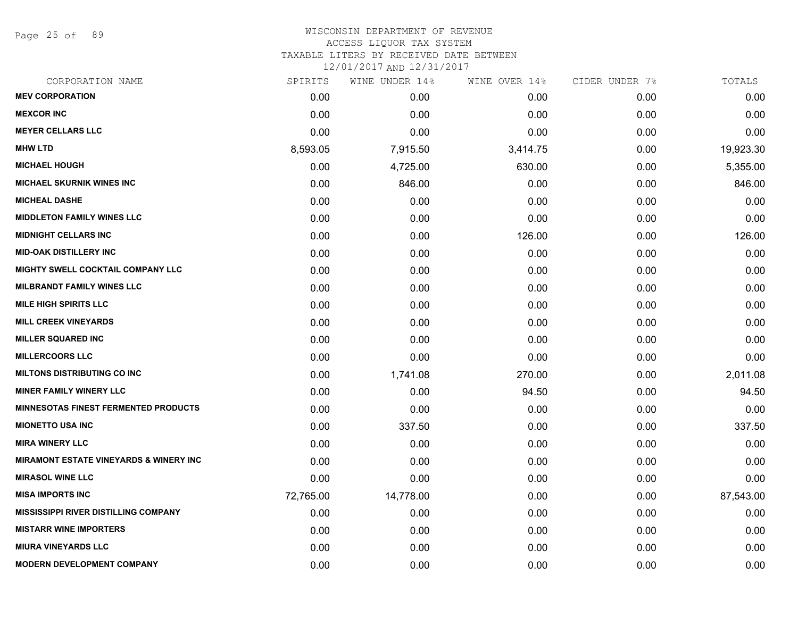Page 25 of 89

# WISCONSIN DEPARTMENT OF REVENUE ACCESS LIQUOR TAX SYSTEM TAXABLE LITERS BY RECEIVED DATE BETWEEN

| CORPORATION NAME                                  | SPIRITS   | WINE UNDER 14% | WINE OVER 14% | CIDER UNDER 7% | TOTALS    |
|---------------------------------------------------|-----------|----------------|---------------|----------------|-----------|
| <b>MEV CORPORATION</b>                            | 0.00      | 0.00           | 0.00          | 0.00           | 0.00      |
| <b>MEXCOR INC</b>                                 | 0.00      | 0.00           | 0.00          | 0.00           | 0.00      |
| <b>MEYER CELLARS LLC</b>                          | 0.00      | 0.00           | 0.00          | 0.00           | 0.00      |
| <b>MHW LTD</b>                                    | 8,593.05  | 7,915.50       | 3,414.75      | 0.00           | 19,923.30 |
| <b>MICHAEL HOUGH</b>                              | 0.00      | 4,725.00       | 630.00        | 0.00           | 5,355.00  |
| <b>MICHAEL SKURNIK WINES INC</b>                  | 0.00      | 846.00         | 0.00          | 0.00           | 846.00    |
| <b>MICHEAL DASHE</b>                              | 0.00      | 0.00           | 0.00          | 0.00           | 0.00      |
| <b>MIDDLETON FAMILY WINES LLC</b>                 | 0.00      | 0.00           | 0.00          | 0.00           | 0.00      |
| <b>MIDNIGHT CELLARS INC</b>                       | 0.00      | 0.00           | 126.00        | 0.00           | 126.00    |
| <b>MID-OAK DISTILLERY INC</b>                     | 0.00      | 0.00           | 0.00          | 0.00           | 0.00      |
| MIGHTY SWELL COCKTAIL COMPANY LLC                 | 0.00      | 0.00           | 0.00          | 0.00           | 0.00      |
| <b>MILBRANDT FAMILY WINES LLC</b>                 | 0.00      | 0.00           | 0.00          | 0.00           | 0.00      |
| <b>MILE HIGH SPIRITS LLC</b>                      | 0.00      | 0.00           | 0.00          | 0.00           | 0.00      |
| <b>MILL CREEK VINEYARDS</b>                       | 0.00      | 0.00           | 0.00          | 0.00           | 0.00      |
| <b>MILLER SQUARED INC</b>                         | 0.00      | 0.00           | 0.00          | 0.00           | 0.00      |
| <b>MILLERCOORS LLC</b>                            | 0.00      | 0.00           | 0.00          | 0.00           | 0.00      |
| <b>MILTONS DISTRIBUTING CO INC</b>                | 0.00      | 1,741.08       | 270.00        | 0.00           | 2,011.08  |
| <b>MINER FAMILY WINERY LLC</b>                    | 0.00      | 0.00           | 94.50         | 0.00           | 94.50     |
| <b>MINNESOTAS FINEST FERMENTED PRODUCTS</b>       | 0.00      | 0.00           | 0.00          | 0.00           | 0.00      |
| <b>MIONETTO USA INC</b>                           | 0.00      | 337.50         | 0.00          | 0.00           | 337.50    |
| <b>MIRA WINERY LLC</b>                            | 0.00      | 0.00           | 0.00          | 0.00           | 0.00      |
| <b>MIRAMONT ESTATE VINEYARDS &amp; WINERY INC</b> | 0.00      | 0.00           | 0.00          | 0.00           | 0.00      |
| <b>MIRASOL WINE LLC</b>                           | 0.00      | 0.00           | 0.00          | 0.00           | 0.00      |
| <b>MISA IMPORTS INC</b>                           | 72,765.00 | 14,778.00      | 0.00          | 0.00           | 87,543.00 |
| <b>MISSISSIPPI RIVER DISTILLING COMPANY</b>       | 0.00      | 0.00           | 0.00          | 0.00           | 0.00      |
| <b>MISTARR WINE IMPORTERS</b>                     | 0.00      | 0.00           | 0.00          | 0.00           | 0.00      |
| <b>MIURA VINEYARDS LLC</b>                        | 0.00      | 0.00           | 0.00          | 0.00           | 0.00      |
| <b>MODERN DEVELOPMENT COMPANY</b>                 | 0.00      | 0.00           | 0.00          | 0.00           | 0.00      |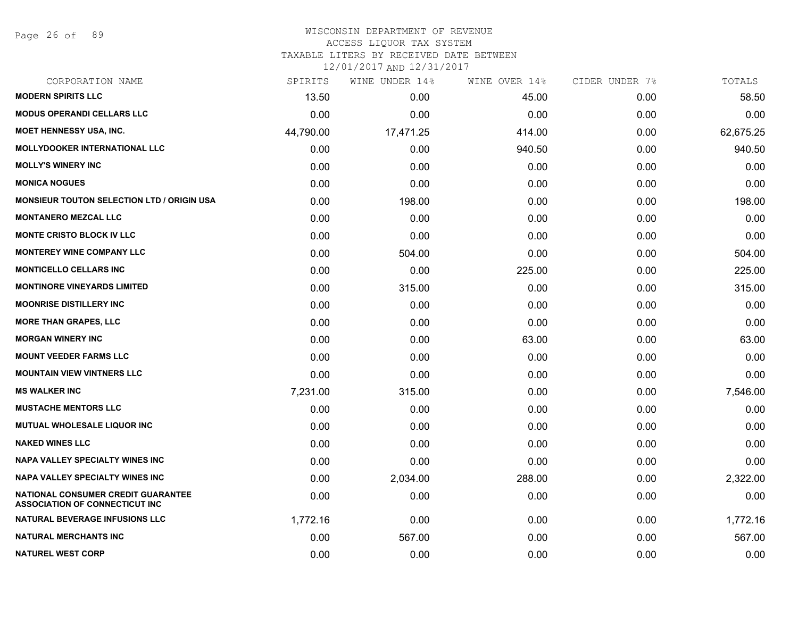#### WISCONSIN DEPARTMENT OF REVENUE ACCESS LIQUOR TAX SYSTEM

TAXABLE LITERS BY RECEIVED DATE BETWEEN

| CORPORATION NAME                                                                   | SPIRITS   | WINE UNDER 14% | WINE OVER 14% | CIDER UNDER 7% | TOTALS    |
|------------------------------------------------------------------------------------|-----------|----------------|---------------|----------------|-----------|
| <b>MODERN SPIRITS LLC</b>                                                          | 13.50     | 0.00           | 45.00         | 0.00           | 58.50     |
| <b>MODUS OPERANDI CELLARS LLC</b>                                                  | 0.00      | 0.00           | 0.00          | 0.00           | 0.00      |
| MOET HENNESSY USA, INC.                                                            | 44,790.00 | 17,471.25      | 414.00        | 0.00           | 62,675.25 |
| <b>MOLLYDOOKER INTERNATIONAL LLC</b>                                               | 0.00      | 0.00           | 940.50        | 0.00           | 940.50    |
| <b>MOLLY'S WINERY INC</b>                                                          | 0.00      | 0.00           | 0.00          | 0.00           | 0.00      |
| <b>MONICA NOGUES</b>                                                               | 0.00      | 0.00           | 0.00          | 0.00           | 0.00      |
| <b>MONSIEUR TOUTON SELECTION LTD / ORIGIN USA</b>                                  | 0.00      | 198.00         | 0.00          | 0.00           | 198.00    |
| <b>MONTANERO MEZCAL LLC</b>                                                        | 0.00      | 0.00           | 0.00          | 0.00           | 0.00      |
| <b>MONTE CRISTO BLOCK IV LLC</b>                                                   | 0.00      | 0.00           | 0.00          | 0.00           | 0.00      |
| <b>MONTEREY WINE COMPANY LLC</b>                                                   | 0.00      | 504.00         | 0.00          | 0.00           | 504.00    |
| <b>MONTICELLO CELLARS INC</b>                                                      | 0.00      | 0.00           | 225.00        | 0.00           | 225.00    |
| <b>MONTINORE VINEYARDS LIMITED</b>                                                 | 0.00      | 315.00         | 0.00          | 0.00           | 315.00    |
| <b>MOONRISE DISTILLERY INC</b>                                                     | 0.00      | 0.00           | 0.00          | 0.00           | 0.00      |
| <b>MORE THAN GRAPES, LLC</b>                                                       | 0.00      | 0.00           | 0.00          | 0.00           | 0.00      |
| <b>MORGAN WINERY INC</b>                                                           | 0.00      | 0.00           | 63.00         | 0.00           | 63.00     |
| <b>MOUNT VEEDER FARMS LLC</b>                                                      | 0.00      | 0.00           | 0.00          | 0.00           | 0.00      |
| <b>MOUNTAIN VIEW VINTNERS LLC</b>                                                  | 0.00      | 0.00           | 0.00          | 0.00           | 0.00      |
| <b>MS WALKER INC</b>                                                               | 7,231.00  | 315.00         | 0.00          | 0.00           | 7,546.00  |
| <b>MUSTACHE MENTORS LLC</b>                                                        | 0.00      | 0.00           | 0.00          | 0.00           | 0.00      |
| MUTUAL WHOLESALE LIQUOR INC                                                        | 0.00      | 0.00           | 0.00          | 0.00           | 0.00      |
| <b>NAKED WINES LLC</b>                                                             | 0.00      | 0.00           | 0.00          | 0.00           | 0.00      |
| <b>NAPA VALLEY SPECIALTY WINES INC</b>                                             | 0.00      | 0.00           | 0.00          | 0.00           | 0.00      |
| <b>NAPA VALLEY SPECIALTY WINES INC</b>                                             | 0.00      | 2,034.00       | 288.00        | 0.00           | 2,322.00  |
| <b>NATIONAL CONSUMER CREDIT GUARANTEE</b><br><b>ASSOCIATION OF CONNECTICUT INC</b> | 0.00      | 0.00           | 0.00          | 0.00           | 0.00      |
| <b>NATURAL BEVERAGE INFUSIONS LLC</b>                                              | 1,772.16  | 0.00           | 0.00          | 0.00           | 1,772.16  |
| <b>NATURAL MERCHANTS INC</b>                                                       | 0.00      | 567.00         | 0.00          | 0.00           | 567.00    |
| <b>NATUREL WEST CORP</b>                                                           | 0.00      | 0.00           | 0.00          | 0.00           | 0.00      |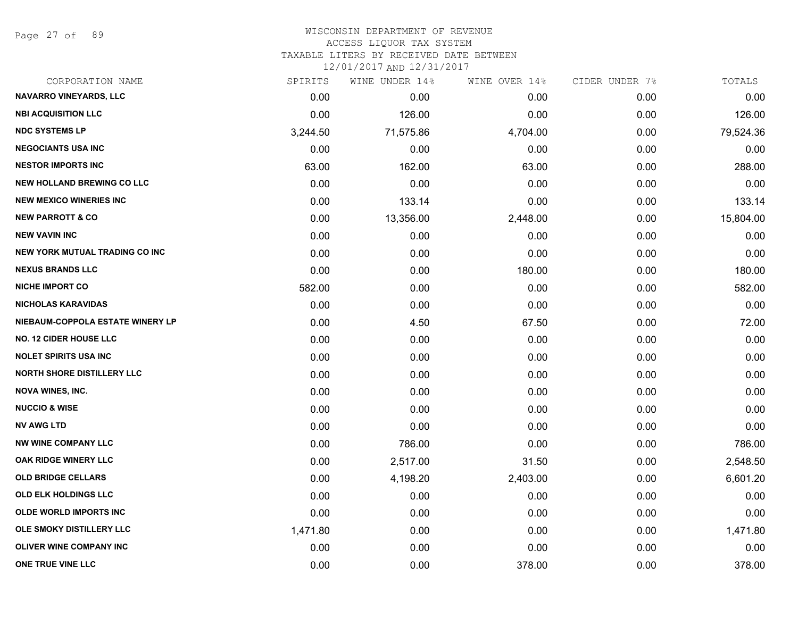Page 27 of 89

## WISCONSIN DEPARTMENT OF REVENUE ACCESS LIQUOR TAX SYSTEM

TAXABLE LITERS BY RECEIVED DATE BETWEEN

| CORPORATION NAME                      | SPIRITS  | WINE UNDER 14% | WINE OVER 14% | CIDER UNDER 7% | TOTALS    |
|---------------------------------------|----------|----------------|---------------|----------------|-----------|
| <b>NAVARRO VINEYARDS, LLC</b>         | 0.00     | 0.00           | 0.00          | 0.00           | 0.00      |
| <b>NBI ACQUISITION LLC</b>            | 0.00     | 126.00         | 0.00          | 0.00           | 126.00    |
| <b>NDC SYSTEMS LP</b>                 | 3,244.50 | 71,575.86      | 4,704.00      | 0.00           | 79,524.36 |
| <b>NEGOCIANTS USA INC</b>             | 0.00     | 0.00           | 0.00          | 0.00           | 0.00      |
| <b>NESTOR IMPORTS INC</b>             | 63.00    | 162.00         | 63.00         | 0.00           | 288.00    |
| <b>NEW HOLLAND BREWING CO LLC</b>     | 0.00     | 0.00           | 0.00          | 0.00           | 0.00      |
| <b>NEW MEXICO WINERIES INC</b>        | 0.00     | 133.14         | 0.00          | 0.00           | 133.14    |
| <b>NEW PARROTT &amp; CO</b>           | 0.00     | 13,356.00      | 2,448.00      | 0.00           | 15,804.00 |
| <b>NEW VAVIN INC</b>                  | 0.00     | 0.00           | 0.00          | 0.00           | 0.00      |
| <b>NEW YORK MUTUAL TRADING CO INC</b> | 0.00     | 0.00           | 0.00          | 0.00           | 0.00      |
| <b>NEXUS BRANDS LLC</b>               | 0.00     | 0.00           | 180.00        | 0.00           | 180.00    |
| <b>NICHE IMPORT CO</b>                | 582.00   | 0.00           | 0.00          | 0.00           | 582.00    |
| <b>NICHOLAS KARAVIDAS</b>             | 0.00     | 0.00           | 0.00          | 0.00           | 0.00      |
| NIEBAUM-COPPOLA ESTATE WINERY LP      | 0.00     | 4.50           | 67.50         | 0.00           | 72.00     |
| <b>NO. 12 CIDER HOUSE LLC</b>         | 0.00     | 0.00           | 0.00          | 0.00           | 0.00      |
| <b>NOLET SPIRITS USA INC</b>          | 0.00     | 0.00           | 0.00          | 0.00           | 0.00      |
| <b>NORTH SHORE DISTILLERY LLC</b>     | 0.00     | 0.00           | 0.00          | 0.00           | 0.00      |
| <b>NOVA WINES, INC.</b>               | 0.00     | 0.00           | 0.00          | 0.00           | 0.00      |
| <b>NUCCIO &amp; WISE</b>              | 0.00     | 0.00           | 0.00          | 0.00           | 0.00      |
| <b>NV AWG LTD</b>                     | 0.00     | 0.00           | 0.00          | 0.00           | 0.00      |
| <b>NW WINE COMPANY LLC</b>            | 0.00     | 786.00         | 0.00          | 0.00           | 786.00    |
| OAK RIDGE WINERY LLC                  | 0.00     | 2,517.00       | 31.50         | 0.00           | 2,548.50  |
| <b>OLD BRIDGE CELLARS</b>             | 0.00     | 4,198.20       | 2,403.00      | 0.00           | 6,601.20  |
| OLD ELK HOLDINGS LLC                  | 0.00     | 0.00           | 0.00          | 0.00           | 0.00      |
| <b>OLDE WORLD IMPORTS INC</b>         | 0.00     | 0.00           | 0.00          | 0.00           | 0.00      |
| OLE SMOKY DISTILLERY LLC              | 1,471.80 | 0.00           | 0.00          | 0.00           | 1,471.80  |
| <b>OLIVER WINE COMPANY INC</b>        | 0.00     | 0.00           | 0.00          | 0.00           | 0.00      |
| ONE TRUE VINE LLC                     | 0.00     | 0.00           | 378.00        | 0.00           | 378.00    |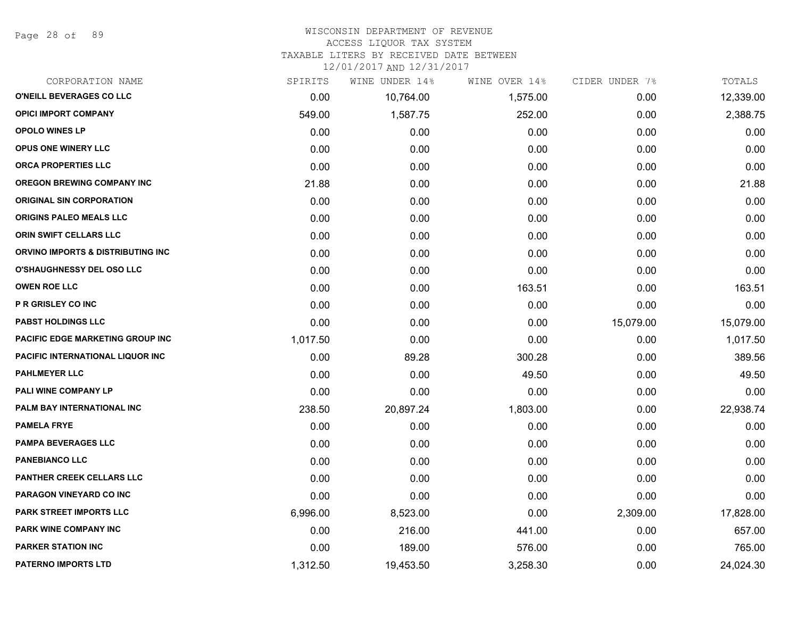Page 28 of 89

#### WISCONSIN DEPARTMENT OF REVENUE

#### ACCESS LIQUOR TAX SYSTEM

TAXABLE LITERS BY RECEIVED DATE BETWEEN

| CORPORATION NAME                  | SPIRITS  | WINE UNDER 14% | WINE OVER 14% | CIDER UNDER 7% | TOTALS    |
|-----------------------------------|----------|----------------|---------------|----------------|-----------|
| O'NEILL BEVERAGES CO LLC          | 0.00     | 10,764.00      | 1,575.00      | 0.00           | 12,339.00 |
| <b>OPICI IMPORT COMPANY</b>       | 549.00   | 1,587.75       | 252.00        | 0.00           | 2,388.75  |
| <b>OPOLO WINES LP</b>             | 0.00     | 0.00           | 0.00          | 0.00           | 0.00      |
| <b>OPUS ONE WINERY LLC</b>        | 0.00     | 0.00           | 0.00          | 0.00           | 0.00      |
| <b>ORCA PROPERTIES LLC</b>        | 0.00     | 0.00           | 0.00          | 0.00           | 0.00      |
| <b>OREGON BREWING COMPANY INC</b> | 21.88    | 0.00           | 0.00          | 0.00           | 21.88     |
| <b>ORIGINAL SIN CORPORATION</b>   | 0.00     | 0.00           | 0.00          | 0.00           | 0.00      |
| <b>ORIGINS PALEO MEALS LLC</b>    | 0.00     | 0.00           | 0.00          | 0.00           | 0.00      |
| ORIN SWIFT CELLARS LLC            | 0.00     | 0.00           | 0.00          | 0.00           | 0.00      |
| ORVINO IMPORTS & DISTRIBUTING INC | 0.00     | 0.00           | 0.00          | 0.00           | 0.00      |
| O'SHAUGHNESSY DEL OSO LLC         | 0.00     | 0.00           | 0.00          | 0.00           | 0.00      |
| <b>OWEN ROE LLC</b>               | 0.00     | 0.00           | 163.51        | 0.00           | 163.51    |
| <b>P R GRISLEY CO INC</b>         | 0.00     | 0.00           | 0.00          | 0.00           | 0.00      |
| <b>PABST HOLDINGS LLC</b>         | 0.00     | 0.00           | 0.00          | 15,079.00      | 15,079.00 |
| PACIFIC EDGE MARKETING GROUP INC  | 1,017.50 | 0.00           | 0.00          | 0.00           | 1,017.50  |
| PACIFIC INTERNATIONAL LIQUOR INC  | 0.00     | 89.28          | 300.28        | 0.00           | 389.56    |
| <b>PAHLMEYER LLC</b>              | 0.00     | 0.00           | 49.50         | 0.00           | 49.50     |
| PALI WINE COMPANY LP              | 0.00     | 0.00           | 0.00          | 0.00           | 0.00      |
| PALM BAY INTERNATIONAL INC        | 238.50   | 20,897.24      | 1,803.00      | 0.00           | 22,938.74 |
| <b>PAMELA FRYE</b>                | 0.00     | 0.00           | 0.00          | 0.00           | 0.00      |
| <b>PAMPA BEVERAGES LLC</b>        | 0.00     | 0.00           | 0.00          | 0.00           | 0.00      |
| <b>PANEBIANCO LLC</b>             | 0.00     | 0.00           | 0.00          | 0.00           | 0.00      |
| PANTHER CREEK CELLARS LLC         | 0.00     | 0.00           | 0.00          | 0.00           | 0.00      |
| PARAGON VINEYARD CO INC           | 0.00     | 0.00           | 0.00          | 0.00           | 0.00      |
| PARK STREET IMPORTS LLC           | 6,996.00 | 8,523.00       | 0.00          | 2,309.00       | 17,828.00 |
| PARK WINE COMPANY INC             | 0.00     | 216.00         | 441.00        | 0.00           | 657.00    |
| <b>PARKER STATION INC</b>         | 0.00     | 189.00         | 576.00        | 0.00           | 765.00    |
| <b>PATERNO IMPORTS LTD</b>        | 1,312.50 | 19,453.50      | 3,258.30      | 0.00           | 24,024.30 |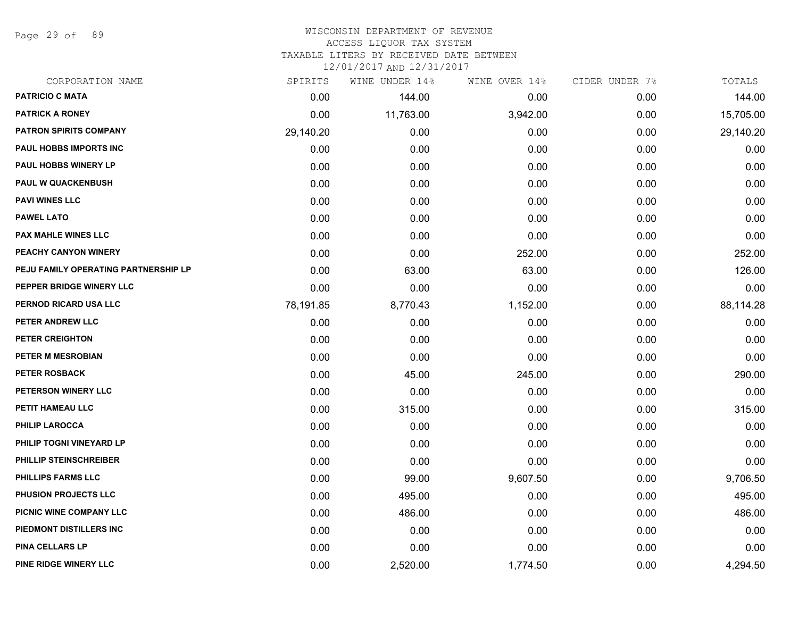Page 29 of 89

## WISCONSIN DEPARTMENT OF REVENUE ACCESS LIQUOR TAX SYSTEM

TAXABLE LITERS BY RECEIVED DATE BETWEEN

| CORPORATION NAME                     | SPIRITS   | WINE UNDER 14% | WINE OVER 14% | CIDER UNDER 7% | TOTALS    |
|--------------------------------------|-----------|----------------|---------------|----------------|-----------|
| <b>PATRICIO C MATA</b>               | 0.00      | 144.00         | 0.00          | 0.00           | 144.00    |
| <b>PATRICK A RONEY</b>               | 0.00      | 11,763.00      | 3,942.00      | 0.00           | 15,705.00 |
| <b>PATRON SPIRITS COMPANY</b>        | 29,140.20 | 0.00           | 0.00          | 0.00           | 29,140.20 |
| <b>PAUL HOBBS IMPORTS INC</b>        | 0.00      | 0.00           | 0.00          | 0.00           | 0.00      |
| PAUL HOBBS WINERY LP                 | 0.00      | 0.00           | 0.00          | 0.00           | 0.00      |
| <b>PAUL W QUACKENBUSH</b>            | 0.00      | 0.00           | 0.00          | 0.00           | 0.00      |
| <b>PAVI WINES LLC</b>                | 0.00      | 0.00           | 0.00          | 0.00           | 0.00      |
| <b>PAWEL LATO</b>                    | 0.00      | 0.00           | 0.00          | 0.00           | 0.00      |
| <b>PAX MAHLE WINES LLC</b>           | 0.00      | 0.00           | 0.00          | 0.00           | 0.00      |
| PEACHY CANYON WINERY                 | 0.00      | 0.00           | 252.00        | 0.00           | 252.00    |
| PEJU FAMILY OPERATING PARTNERSHIP LP | 0.00      | 63.00          | 63.00         | 0.00           | 126.00    |
| PEPPER BRIDGE WINERY LLC             | 0.00      | 0.00           | 0.00          | 0.00           | 0.00      |
| PERNOD RICARD USA LLC                | 78,191.85 | 8,770.43       | 1,152.00      | 0.00           | 88,114.28 |
| PETER ANDREW LLC                     | 0.00      | 0.00           | 0.00          | 0.00           | 0.00      |
| PETER CREIGHTON                      | 0.00      | 0.00           | 0.00          | 0.00           | 0.00      |
| PETER M MESROBIAN                    | 0.00      | 0.00           | 0.00          | 0.00           | 0.00      |
| <b>PETER ROSBACK</b>                 | 0.00      | 45.00          | 245.00        | 0.00           | 290.00    |
| PETERSON WINERY LLC                  | 0.00      | 0.00           | 0.00          | 0.00           | 0.00      |
| PETIT HAMEAU LLC                     | 0.00      | 315.00         | 0.00          | 0.00           | 315.00    |
| <b>PHILIP LAROCCA</b>                | 0.00      | 0.00           | 0.00          | 0.00           | 0.00      |
| PHILIP TOGNI VINEYARD LP             | 0.00      | 0.00           | 0.00          | 0.00           | 0.00      |
| PHILLIP STEINSCHREIBER               | 0.00      | 0.00           | 0.00          | 0.00           | 0.00      |
| PHILLIPS FARMS LLC                   | 0.00      | 99.00          | 9,607.50      | 0.00           | 9,706.50  |
| <b>PHUSION PROJECTS LLC</b>          | 0.00      | 495.00         | 0.00          | 0.00           | 495.00    |
| PICNIC WINE COMPANY LLC              | 0.00      | 486.00         | 0.00          | 0.00           | 486.00    |
| PIEDMONT DISTILLERS INC              | 0.00      | 0.00           | 0.00          | 0.00           | 0.00      |
| PINA CELLARS LP                      | 0.00      | 0.00           | 0.00          | 0.00           | 0.00      |
| PINE RIDGE WINERY LLC                | 0.00      | 2,520.00       | 1,774.50      | 0.00           | 4,294.50  |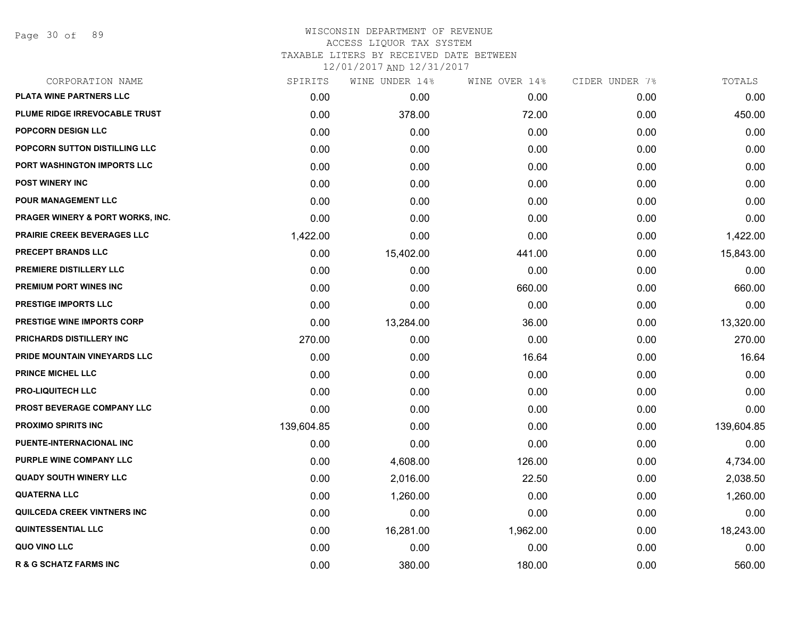Page 30 of 89

| CORPORATION NAME                  | SPIRITS    | WINE UNDER 14% | WINE OVER 14% | CIDER UNDER 7% | TOTALS     |
|-----------------------------------|------------|----------------|---------------|----------------|------------|
| PLATA WINE PARTNERS LLC           | 0.00       | 0.00           | 0.00          | 0.00           | 0.00       |
| PLUME RIDGE IRREVOCABLE TRUST     | 0.00       | 378.00         | 72.00         | 0.00           | 450.00     |
| <b>POPCORN DESIGN LLC</b>         | 0.00       | 0.00           | 0.00          | 0.00           | 0.00       |
| POPCORN SUTTON DISTILLING LLC     | 0.00       | 0.00           | 0.00          | 0.00           | 0.00       |
| PORT WASHINGTON IMPORTS LLC       | 0.00       | 0.00           | 0.00          | 0.00           | 0.00       |
| <b>POST WINERY INC</b>            | 0.00       | 0.00           | 0.00          | 0.00           | 0.00       |
| <b>POUR MANAGEMENT LLC</b>        | 0.00       | 0.00           | 0.00          | 0.00           | 0.00       |
| PRAGER WINERY & PORT WORKS, INC.  | 0.00       | 0.00           | 0.00          | 0.00           | 0.00       |
| PRAIRIE CREEK BEVERAGES LLC       | 1,422.00   | 0.00           | 0.00          | 0.00           | 1,422.00   |
| PRECEPT BRANDS LLC                | 0.00       | 15,402.00      | 441.00        | 0.00           | 15,843.00  |
| PREMIERE DISTILLERY LLC           | 0.00       | 0.00           | 0.00          | 0.00           | 0.00       |
| PREMIUM PORT WINES INC            | 0.00       | 0.00           | 660.00        | 0.00           | 660.00     |
| PRESTIGE IMPORTS LLC              | 0.00       | 0.00           | 0.00          | 0.00           | 0.00       |
| PRESTIGE WINE IMPORTS CORP        | 0.00       | 13,284.00      | 36.00         | 0.00           | 13,320.00  |
| PRICHARDS DISTILLERY INC          | 270.00     | 0.00           | 0.00          | 0.00           | 270.00     |
| PRIDE MOUNTAIN VINEYARDS LLC      | 0.00       | 0.00           | 16.64         | 0.00           | 16.64      |
| <b>PRINCE MICHEL LLC</b>          | 0.00       | 0.00           | 0.00          | 0.00           | 0.00       |
| <b>PRO-LIQUITECH LLC</b>          | 0.00       | 0.00           | 0.00          | 0.00           | 0.00       |
| PROST BEVERAGE COMPANY LLC        | 0.00       | 0.00           | 0.00          | 0.00           | 0.00       |
| <b>PROXIMO SPIRITS INC</b>        | 139,604.85 | 0.00           | 0.00          | 0.00           | 139,604.85 |
| PUENTE-INTERNACIONAL INC          | 0.00       | 0.00           | 0.00          | 0.00           | 0.00       |
| PURPLE WINE COMPANY LLC           | 0.00       | 4,608.00       | 126.00        | 0.00           | 4,734.00   |
| <b>QUADY SOUTH WINERY LLC</b>     | 0.00       | 2,016.00       | 22.50         | 0.00           | 2,038.50   |
| <b>QUATERNA LLC</b>               | 0.00       | 1,260.00       | 0.00          | 0.00           | 1,260.00   |
| QUILCEDA CREEK VINTNERS INC       | 0.00       | 0.00           | 0.00          | 0.00           | 0.00       |
| <b>QUINTESSENTIAL LLC</b>         | 0.00       | 16,281.00      | 1,962.00      | 0.00           | 18,243.00  |
| QUO VINO LLC                      | 0.00       | 0.00           | 0.00          | 0.00           | 0.00       |
| <b>R &amp; G SCHATZ FARMS INC</b> | 0.00       | 380.00         | 180.00        | 0.00           | 560.00     |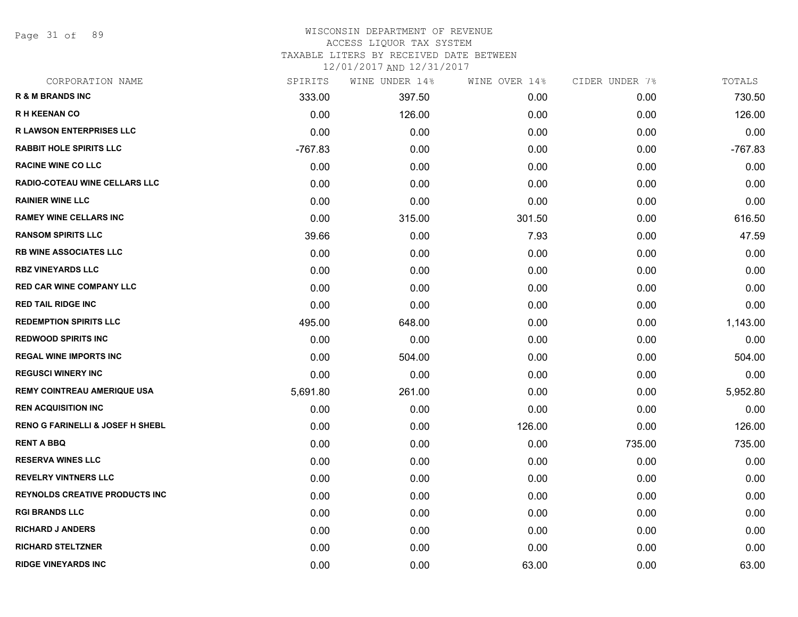Page 31 of 89

#### WISCONSIN DEPARTMENT OF REVENUE ACCESS LIQUOR TAX SYSTEM

TAXABLE LITERS BY RECEIVED DATE BETWEEN

| CORPORATION NAME                            | SPIRITS   | WINE UNDER 14% | WINE OVER 14% | CIDER UNDER 7% | TOTALS    |
|---------------------------------------------|-----------|----------------|---------------|----------------|-----------|
| <b>R &amp; M BRANDS INC</b>                 | 333.00    | 397.50         | 0.00          | 0.00           | 730.50    |
| <b>RH KEENAN CO</b>                         | 0.00      | 126.00         | 0.00          | 0.00           | 126.00    |
| <b>R LAWSON ENTERPRISES LLC</b>             | 0.00      | 0.00           | 0.00          | 0.00           | 0.00      |
| <b>RABBIT HOLE SPIRITS LLC</b>              | $-767.83$ | 0.00           | 0.00          | 0.00           | $-767.83$ |
| <b>RACINE WINE CO LLC</b>                   | 0.00      | 0.00           | 0.00          | 0.00           | 0.00      |
| <b>RADIO-COTEAU WINE CELLARS LLC</b>        | 0.00      | 0.00           | 0.00          | 0.00           | 0.00      |
| <b>RAINIER WINE LLC</b>                     | 0.00      | 0.00           | 0.00          | 0.00           | 0.00      |
| <b>RAMEY WINE CELLARS INC</b>               | 0.00      | 315.00         | 301.50        | 0.00           | 616.50    |
| <b>RANSOM SPIRITS LLC</b>                   | 39.66     | 0.00           | 7.93          | 0.00           | 47.59     |
| <b>RB WINE ASSOCIATES LLC</b>               | 0.00      | 0.00           | 0.00          | 0.00           | 0.00      |
| <b>RBZ VINEYARDS LLC</b>                    | 0.00      | 0.00           | 0.00          | 0.00           | 0.00      |
| <b>RED CAR WINE COMPANY LLC</b>             | 0.00      | 0.00           | 0.00          | 0.00           | 0.00      |
| <b>RED TAIL RIDGE INC</b>                   | 0.00      | 0.00           | 0.00          | 0.00           | 0.00      |
| <b>REDEMPTION SPIRITS LLC</b>               | 495.00    | 648.00         | 0.00          | 0.00           | 1,143.00  |
| <b>REDWOOD SPIRITS INC</b>                  | 0.00      | 0.00           | 0.00          | 0.00           | 0.00      |
| <b>REGAL WINE IMPORTS INC</b>               | 0.00      | 504.00         | 0.00          | 0.00           | 504.00    |
| <b>REGUSCI WINERY INC</b>                   | 0.00      | 0.00           | 0.00          | 0.00           | 0.00      |
| <b>REMY COINTREAU AMERIQUE USA</b>          | 5,691.80  | 261.00         | 0.00          | 0.00           | 5,952.80  |
| <b>REN ACQUISITION INC</b>                  | 0.00      | 0.00           | 0.00          | 0.00           | 0.00      |
| <b>RENO G FARINELLI &amp; JOSEF H SHEBL</b> | 0.00      | 0.00           | 126.00        | 0.00           | 126.00    |
| <b>RENT A BBQ</b>                           | 0.00      | 0.00           | 0.00          | 735.00         | 735.00    |
| <b>RESERVA WINES LLC</b>                    | 0.00      | 0.00           | 0.00          | 0.00           | 0.00      |
| <b>REVELRY VINTNERS LLC</b>                 | 0.00      | 0.00           | 0.00          | 0.00           | 0.00      |
| <b>REYNOLDS CREATIVE PRODUCTS INC</b>       | 0.00      | 0.00           | 0.00          | 0.00           | 0.00      |
| <b>RGI BRANDS LLC</b>                       | 0.00      | 0.00           | 0.00          | 0.00           | 0.00      |
| <b>RICHARD J ANDERS</b>                     | 0.00      | 0.00           | 0.00          | 0.00           | 0.00      |
| <b>RICHARD STELTZNER</b>                    | 0.00      | 0.00           | 0.00          | 0.00           | 0.00      |
| <b>RIDGE VINEYARDS INC</b>                  | 0.00      | 0.00           | 63.00         | 0.00           | 63.00     |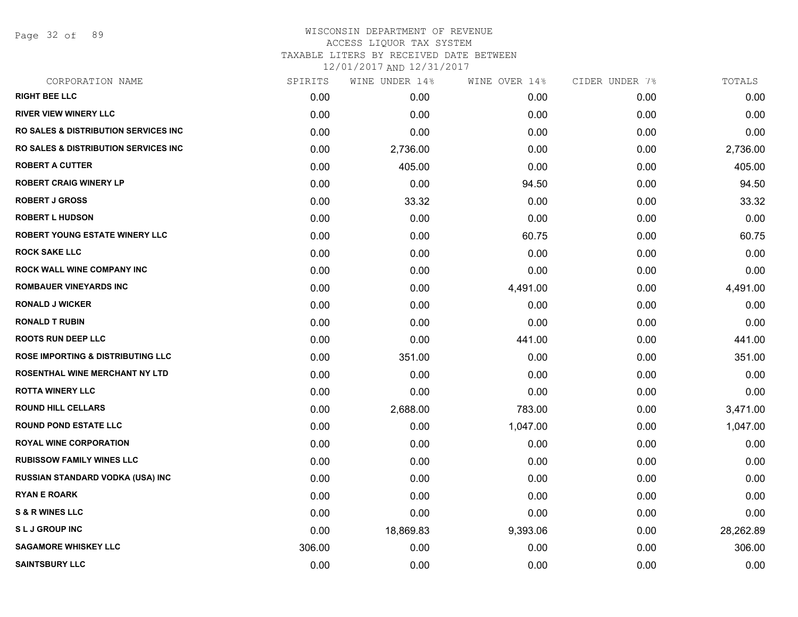Page 32 of 89

# WISCONSIN DEPARTMENT OF REVENUE ACCESS LIQUOR TAX SYSTEM TAXABLE LITERS BY RECEIVED DATE BETWEEN

| CORPORATION NAME                                 | SPIRITS | WINE UNDER 14% | WINE OVER 14% | CIDER UNDER 7% | TOTALS    |
|--------------------------------------------------|---------|----------------|---------------|----------------|-----------|
| <b>RIGHT BEE LLC</b>                             | 0.00    | 0.00           | 0.00          | 0.00           | 0.00      |
| <b>RIVER VIEW WINERY LLC</b>                     | 0.00    | 0.00           | 0.00          | 0.00           | 0.00      |
| <b>RO SALES &amp; DISTRIBUTION SERVICES INC.</b> | 0.00    | 0.00           | 0.00          | 0.00           | 0.00      |
| <b>RO SALES &amp; DISTRIBUTION SERVICES INC.</b> | 0.00    | 2,736.00       | 0.00          | 0.00           | 2,736.00  |
| <b>ROBERT A CUTTER</b>                           | 0.00    | 405.00         | 0.00          | 0.00           | 405.00    |
| <b>ROBERT CRAIG WINERY LP</b>                    | 0.00    | 0.00           | 94.50         | 0.00           | 94.50     |
| <b>ROBERT J GROSS</b>                            | 0.00    | 33.32          | 0.00          | 0.00           | 33.32     |
| <b>ROBERT L HUDSON</b>                           | 0.00    | 0.00           | 0.00          | 0.00           | 0.00      |
| ROBERT YOUNG ESTATE WINERY LLC                   | 0.00    | 0.00           | 60.75         | 0.00           | 60.75     |
| <b>ROCK SAKE LLC</b>                             | 0.00    | 0.00           | 0.00          | 0.00           | 0.00      |
| <b>ROCK WALL WINE COMPANY INC</b>                | 0.00    | 0.00           | 0.00          | 0.00           | 0.00      |
| <b>ROMBAUER VINEYARDS INC</b>                    | 0.00    | 0.00           | 4,491.00      | 0.00           | 4,491.00  |
| <b>RONALD J WICKER</b>                           | 0.00    | 0.00           | 0.00          | 0.00           | 0.00      |
| <b>RONALD T RUBIN</b>                            | 0.00    | 0.00           | 0.00          | 0.00           | 0.00      |
| <b>ROOTS RUN DEEP LLC</b>                        | 0.00    | 0.00           | 441.00        | 0.00           | 441.00    |
| <b>ROSE IMPORTING &amp; DISTRIBUTING LLC</b>     | 0.00    | 351.00         | 0.00          | 0.00           | 351.00    |
| <b>ROSENTHAL WINE MERCHANT NY LTD</b>            | 0.00    | 0.00           | 0.00          | 0.00           | 0.00      |
| <b>ROTTA WINERY LLC</b>                          | 0.00    | 0.00           | 0.00          | 0.00           | 0.00      |
| <b>ROUND HILL CELLARS</b>                        | 0.00    | 2,688.00       | 783.00        | 0.00           | 3,471.00  |
| <b>ROUND POND ESTATE LLC</b>                     | 0.00    | 0.00           | 1,047.00      | 0.00           | 1,047.00  |
| <b>ROYAL WINE CORPORATION</b>                    | 0.00    | 0.00           | 0.00          | 0.00           | 0.00      |
| <b>RUBISSOW FAMILY WINES LLC</b>                 | 0.00    | 0.00           | 0.00          | 0.00           | 0.00      |
| RUSSIAN STANDARD VODKA (USA) INC                 | 0.00    | 0.00           | 0.00          | 0.00           | 0.00      |
| <b>RYAN E ROARK</b>                              | 0.00    | 0.00           | 0.00          | 0.00           | 0.00      |
| <b>S &amp; R WINES LLC</b>                       | 0.00    | 0.00           | 0.00          | 0.00           | 0.00      |
| <b>SLJ GROUP INC</b>                             | 0.00    | 18,869.83      | 9,393.06      | 0.00           | 28,262.89 |
| <b>SAGAMORE WHISKEY LLC</b>                      | 306.00  | 0.00           | 0.00          | 0.00           | 306.00    |
| <b>SAINTSBURY LLC</b>                            | 0.00    | 0.00           | 0.00          | 0.00           | 0.00      |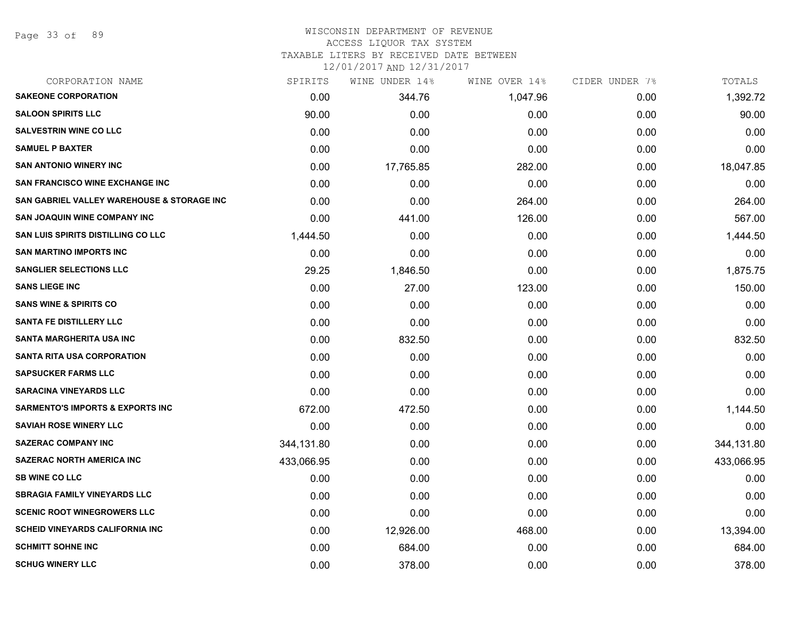Page 33 of 89

#### WISCONSIN DEPARTMENT OF REVENUE ACCESS LIQUOR TAX SYSTEM

TAXABLE LITERS BY RECEIVED DATE BETWEEN

| CORPORATION NAME                                      | SPIRITS    | WINE UNDER 14% | WINE OVER 14% | CIDER UNDER 7% | TOTALS     |
|-------------------------------------------------------|------------|----------------|---------------|----------------|------------|
| <b>SAKEONE CORPORATION</b>                            | 0.00       | 344.76         | 1,047.96      | 0.00           | 1,392.72   |
| <b>SALOON SPIRITS LLC</b>                             | 90.00      | 0.00           | 0.00          | 0.00           | 90.00      |
| <b>SALVESTRIN WINE CO LLC</b>                         | 0.00       | 0.00           | 0.00          | 0.00           | 0.00       |
| <b>SAMUEL P BAXTER</b>                                | 0.00       | 0.00           | 0.00          | 0.00           | 0.00       |
| <b>SAN ANTONIO WINERY INC</b>                         | 0.00       | 17,765.85      | 282.00        | 0.00           | 18,047.85  |
| SAN FRANCISCO WINE EXCHANGE INC                       | 0.00       | 0.00           | 0.00          | 0.00           | 0.00       |
| <b>SAN GABRIEL VALLEY WAREHOUSE &amp; STORAGE INC</b> | 0.00       | 0.00           | 264.00        | 0.00           | 264.00     |
| <b>SAN JOAQUIN WINE COMPANY INC</b>                   | 0.00       | 441.00         | 126.00        | 0.00           | 567.00     |
| SAN LUIS SPIRITS DISTILLING CO LLC                    | 1,444.50   | 0.00           | 0.00          | 0.00           | 1,444.50   |
| <b>SAN MARTINO IMPORTS INC</b>                        | 0.00       | 0.00           | 0.00          | 0.00           | 0.00       |
| <b>SANGLIER SELECTIONS LLC</b>                        | 29.25      | 1,846.50       | 0.00          | 0.00           | 1,875.75   |
| <b>SANS LIEGE INC</b>                                 | 0.00       | 27.00          | 123.00        | 0.00           | 150.00     |
| <b>SANS WINE &amp; SPIRITS CO</b>                     | 0.00       | 0.00           | 0.00          | 0.00           | 0.00       |
| <b>SANTA FE DISTILLERY LLC</b>                        | 0.00       | 0.00           | 0.00          | 0.00           | 0.00       |
| <b>SANTA MARGHERITA USA INC</b>                       | 0.00       | 832.50         | 0.00          | 0.00           | 832.50     |
| <b>SANTA RITA USA CORPORATION</b>                     | 0.00       | 0.00           | 0.00          | 0.00           | 0.00       |
| <b>SAPSUCKER FARMS LLC</b>                            | 0.00       | 0.00           | 0.00          | 0.00           | 0.00       |
| <b>SARACINA VINEYARDS LLC</b>                         | 0.00       | 0.00           | 0.00          | 0.00           | 0.00       |
| <b>SARMENTO'S IMPORTS &amp; EXPORTS INC</b>           | 672.00     | 472.50         | 0.00          | 0.00           | 1,144.50   |
| <b>SAVIAH ROSE WINERY LLC</b>                         | 0.00       | 0.00           | 0.00          | 0.00           | 0.00       |
| <b>SAZERAC COMPANY INC</b>                            | 344,131.80 | 0.00           | 0.00          | 0.00           | 344,131.80 |
| <b>SAZERAC NORTH AMERICA INC</b>                      | 433,066.95 | 0.00           | 0.00          | 0.00           | 433,066.95 |
| <b>SB WINE CO LLC</b>                                 | 0.00       | 0.00           | 0.00          | 0.00           | 0.00       |
| <b>SBRAGIA FAMILY VINEYARDS LLC</b>                   | 0.00       | 0.00           | 0.00          | 0.00           | 0.00       |
| <b>SCENIC ROOT WINEGROWERS LLC</b>                    | 0.00       | 0.00           | 0.00          | 0.00           | 0.00       |
| <b>SCHEID VINEYARDS CALIFORNIA INC</b>                | 0.00       | 12,926.00      | 468.00        | 0.00           | 13,394.00  |
| <b>SCHMITT SOHNE INC</b>                              | 0.00       | 684.00         | 0.00          | 0.00           | 684.00     |
| <b>SCHUG WINERY LLC</b>                               | 0.00       | 378.00         | 0.00          | 0.00           | 378.00     |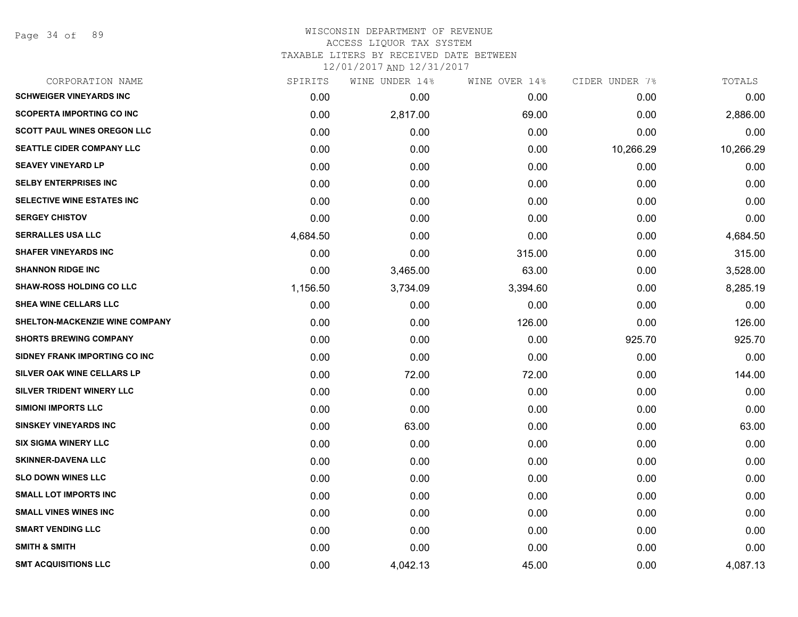Page 34 of 89

#### WISCONSIN DEPARTMENT OF REVENUE ACCESS LIQUOR TAX SYSTEM TAXABLE LITERS BY RECEIVED DATE BETWEEN

| CORPORATION NAME                      | SPIRITS  | WINE UNDER 14% | WINE OVER 14% | CIDER UNDER 7% | TOTALS    |
|---------------------------------------|----------|----------------|---------------|----------------|-----------|
| <b>SCHWEIGER VINEYARDS INC</b>        | 0.00     | 0.00           | 0.00          | 0.00           | 0.00      |
| <b>SCOPERTA IMPORTING CO INC</b>      | 0.00     | 2,817.00       | 69.00         | 0.00           | 2,886.00  |
| <b>SCOTT PAUL WINES OREGON LLC</b>    | 0.00     | 0.00           | 0.00          | 0.00           | 0.00      |
| <b>SEATTLE CIDER COMPANY LLC</b>      | 0.00     | 0.00           | 0.00          | 10,266.29      | 10,266.29 |
| <b>SEAVEY VINEYARD LP</b>             | 0.00     | 0.00           | 0.00          | 0.00           | 0.00      |
| <b>SELBY ENTERPRISES INC</b>          | 0.00     | 0.00           | 0.00          | 0.00           | 0.00      |
| SELECTIVE WINE ESTATES INC            | 0.00     | 0.00           | 0.00          | 0.00           | 0.00      |
| <b>SERGEY CHISTOV</b>                 | 0.00     | 0.00           | 0.00          | 0.00           | 0.00      |
| <b>SERRALLES USA LLC</b>              | 4,684.50 | 0.00           | 0.00          | 0.00           | 4,684.50  |
| <b>SHAFER VINEYARDS INC</b>           | 0.00     | 0.00           | 315.00        | 0.00           | 315.00    |
| <b>SHANNON RIDGE INC</b>              | 0.00     | 3,465.00       | 63.00         | 0.00           | 3,528.00  |
| <b>SHAW-ROSS HOLDING CO LLC</b>       | 1,156.50 | 3,734.09       | 3,394.60      | 0.00           | 8,285.19  |
| SHEA WINE CELLARS LLC                 | 0.00     | 0.00           | 0.00          | 0.00           | 0.00      |
| <b>SHELTON-MACKENZIE WINE COMPANY</b> | 0.00     | 0.00           | 126.00        | 0.00           | 126.00    |
| <b>SHORTS BREWING COMPANY</b>         | 0.00     | 0.00           | 0.00          | 925.70         | 925.70    |
| SIDNEY FRANK IMPORTING CO INC         | 0.00     | 0.00           | 0.00          | 0.00           | 0.00      |
| <b>SILVER OAK WINE CELLARS LP</b>     | 0.00     | 72.00          | 72.00         | 0.00           | 144.00    |
| SILVER TRIDENT WINERY LLC             | 0.00     | 0.00           | 0.00          | 0.00           | 0.00      |
| <b>SIMIONI IMPORTS LLC</b>            | 0.00     | 0.00           | 0.00          | 0.00           | 0.00      |
| <b>SINSKEY VINEYARDS INC</b>          | 0.00     | 63.00          | 0.00          | 0.00           | 63.00     |
| <b>SIX SIGMA WINERY LLC</b>           | 0.00     | 0.00           | 0.00          | 0.00           | 0.00      |
| <b>SKINNER-DAVENA LLC</b>             | 0.00     | 0.00           | 0.00          | 0.00           | 0.00      |
| <b>SLO DOWN WINES LLC</b>             | 0.00     | 0.00           | 0.00          | 0.00           | 0.00      |
| <b>SMALL LOT IMPORTS INC</b>          | 0.00     | 0.00           | 0.00          | 0.00           | 0.00      |
| <b>SMALL VINES WINES INC</b>          | 0.00     | 0.00           | 0.00          | 0.00           | 0.00      |
| <b>SMART VENDING LLC</b>              | 0.00     | 0.00           | 0.00          | 0.00           | 0.00      |
| <b>SMITH &amp; SMITH</b>              | 0.00     | 0.00           | 0.00          | 0.00           | 0.00      |
| <b>SMT ACQUISITIONS LLC</b>           | 0.00     | 4,042.13       | 45.00         | 0.00           | 4,087.13  |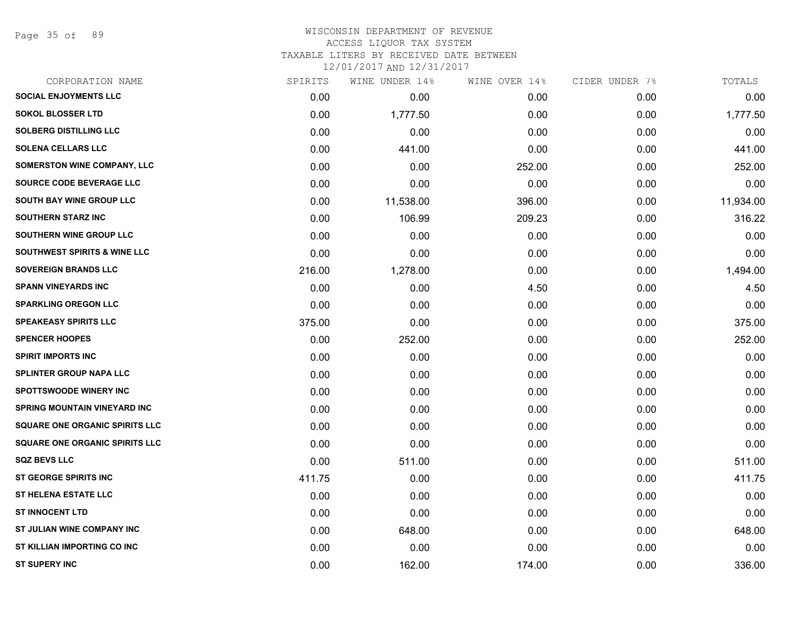Page 35 of 89

# WISCONSIN DEPARTMENT OF REVENUE ACCESS LIQUOR TAX SYSTEM

TAXABLE LITERS BY RECEIVED DATE BETWEEN

| CORPORATION NAME                        | SPIRITS | WINE UNDER 14% | WINE OVER 14% | CIDER UNDER 7% | TOTALS    |
|-----------------------------------------|---------|----------------|---------------|----------------|-----------|
| <b>SOCIAL ENJOYMENTS LLC</b>            | 0.00    | 0.00           | 0.00          | 0.00           | 0.00      |
| <b>SOKOL BLOSSER LTD</b>                | 0.00    | 1,777.50       | 0.00          | 0.00           | 1,777.50  |
| <b>SOLBERG DISTILLING LLC</b>           | 0.00    | 0.00           | 0.00          | 0.00           | 0.00      |
| <b>SOLENA CELLARS LLC</b>               | 0.00    | 441.00         | 0.00          | 0.00           | 441.00    |
| <b>SOMERSTON WINE COMPANY, LLC</b>      | 0.00    | 0.00           | 252.00        | 0.00           | 252.00    |
| <b>SOURCE CODE BEVERAGE LLC</b>         | 0.00    | 0.00           | 0.00          | 0.00           | 0.00      |
| SOUTH BAY WINE GROUP LLC                | 0.00    | 11,538.00      | 396.00        | 0.00           | 11,934.00 |
| <b>SOUTHERN STARZ INC</b>               | 0.00    | 106.99         | 209.23        | 0.00           | 316.22    |
| <b>SOUTHERN WINE GROUP LLC</b>          | 0.00    | 0.00           | 0.00          | 0.00           | 0.00      |
| <b>SOUTHWEST SPIRITS &amp; WINE LLC</b> | 0.00    | 0.00           | 0.00          | 0.00           | 0.00      |
| <b>SOVEREIGN BRANDS LLC</b>             | 216.00  | 1,278.00       | 0.00          | 0.00           | 1,494.00  |
| <b>SPANN VINEYARDS INC</b>              | 0.00    | 0.00           | 4.50          | 0.00           | 4.50      |
| <b>SPARKLING OREGON LLC</b>             | 0.00    | 0.00           | 0.00          | 0.00           | 0.00      |
| <b>SPEAKEASY SPIRITS LLC</b>            | 375.00  | 0.00           | 0.00          | 0.00           | 375.00    |
| <b>SPENCER HOOPES</b>                   | 0.00    | 252.00         | 0.00          | 0.00           | 252.00    |
| <b>SPIRIT IMPORTS INC</b>               | 0.00    | 0.00           | 0.00          | 0.00           | 0.00      |
| <b>SPLINTER GROUP NAPA LLC</b>          | 0.00    | 0.00           | 0.00          | 0.00           | 0.00      |
| <b>SPOTTSWOODE WINERY INC</b>           | 0.00    | 0.00           | 0.00          | 0.00           | 0.00      |
| <b>SPRING MOUNTAIN VINEYARD INC</b>     | 0.00    | 0.00           | 0.00          | 0.00           | 0.00      |
| <b>SQUARE ONE ORGANIC SPIRITS LLC</b>   | 0.00    | 0.00           | 0.00          | 0.00           | 0.00      |
| <b>SQUARE ONE ORGANIC SPIRITS LLC</b>   | 0.00    | 0.00           | 0.00          | 0.00           | 0.00      |
| <b>SQZ BEVS LLC</b>                     | 0.00    | 511.00         | 0.00          | 0.00           | 511.00    |
| <b>ST GEORGE SPIRITS INC</b>            | 411.75  | 0.00           | 0.00          | 0.00           | 411.75    |
| <b>ST HELENA ESTATE LLC</b>             | 0.00    | 0.00           | 0.00          | 0.00           | 0.00      |
| <b>ST INNOCENT LTD</b>                  | 0.00    | 0.00           | 0.00          | 0.00           | 0.00      |
| ST JULIAN WINE COMPANY INC              | 0.00    | 648.00         | 0.00          | 0.00           | 648.00    |
| ST KILLIAN IMPORTING CO INC             | 0.00    | 0.00           | 0.00          | 0.00           | 0.00      |
| <b>ST SUPERY INC</b>                    | 0.00    | 162.00         | 174.00        | 0.00           | 336.00    |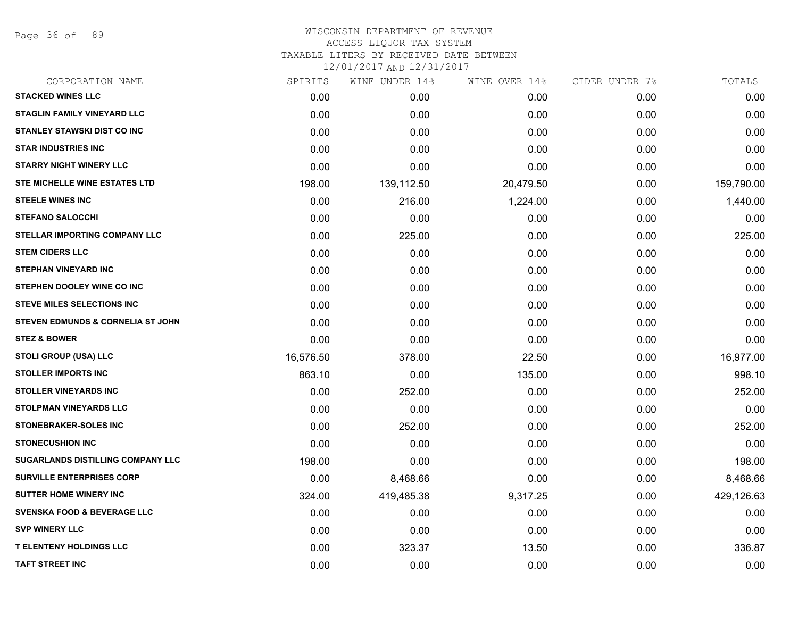Page 36 of 89

#### WISCONSIN DEPARTMENT OF REVENUE ACCESS LIQUOR TAX SYSTEM TAXABLE LITERS BY RECEIVED DATE BETWEEN

| CORPORATION NAME                       | SPIRITS   | WINE UNDER 14% | WINE OVER 14% | CIDER UNDER 7% | TOTALS     |
|----------------------------------------|-----------|----------------|---------------|----------------|------------|
| <b>STACKED WINES LLC</b>               | 0.00      | 0.00           | 0.00          | 0.00           | 0.00       |
| <b>STAGLIN FAMILY VINEYARD LLC</b>     | 0.00      | 0.00           | 0.00          | 0.00           | 0.00       |
| <b>STANLEY STAWSKI DIST CO INC</b>     | 0.00      | 0.00           | 0.00          | 0.00           | 0.00       |
| <b>STAR INDUSTRIES INC</b>             | 0.00      | 0.00           | 0.00          | 0.00           | 0.00       |
| <b>STARRY NIGHT WINERY LLC</b>         | 0.00      | 0.00           | 0.00          | 0.00           | 0.00       |
| STE MICHELLE WINE ESTATES LTD          | 198.00    | 139,112.50     | 20,479.50     | 0.00           | 159,790.00 |
| <b>STEELE WINES INC</b>                | 0.00      | 216.00         | 1,224.00      | 0.00           | 1,440.00   |
| <b>STEFANO SALOCCHI</b>                | 0.00      | 0.00           | 0.00          | 0.00           | 0.00       |
| <b>STELLAR IMPORTING COMPANY LLC</b>   | 0.00      | 225.00         | 0.00          | 0.00           | 225.00     |
| <b>STEM CIDERS LLC</b>                 | 0.00      | 0.00           | 0.00          | 0.00           | 0.00       |
| <b>STEPHAN VINEYARD INC</b>            | 0.00      | 0.00           | 0.00          | 0.00           | 0.00       |
| STEPHEN DOOLEY WINE CO INC             | 0.00      | 0.00           | 0.00          | 0.00           | 0.00       |
| <b>STEVE MILES SELECTIONS INC</b>      | 0.00      | 0.00           | 0.00          | 0.00           | 0.00       |
| STEVEN EDMUNDS & CORNELIA ST JOHN      | 0.00      | 0.00           | 0.00          | 0.00           | 0.00       |
| <b>STEZ &amp; BOWER</b>                | 0.00      | 0.00           | 0.00          | 0.00           | 0.00       |
| <b>STOLI GROUP (USA) LLC</b>           | 16,576.50 | 378.00         | 22.50         | 0.00           | 16,977.00  |
| <b>STOLLER IMPORTS INC</b>             | 863.10    | 0.00           | 135.00        | 0.00           | 998.10     |
| <b>STOLLER VINEYARDS INC</b>           | 0.00      | 252.00         | 0.00          | 0.00           | 252.00     |
| <b>STOLPMAN VINEYARDS LLC</b>          | 0.00      | 0.00           | 0.00          | 0.00           | 0.00       |
| <b>STONEBRAKER-SOLES INC</b>           | 0.00      | 252.00         | 0.00          | 0.00           | 252.00     |
| <b>STONECUSHION INC</b>                | 0.00      | 0.00           | 0.00          | 0.00           | 0.00       |
| SUGARLANDS DISTILLING COMPANY LLC      | 198.00    | 0.00           | 0.00          | 0.00           | 198.00     |
| <b>SURVILLE ENTERPRISES CORP</b>       | 0.00      | 8,468.66       | 0.00          | 0.00           | 8,468.66   |
| <b>SUTTER HOME WINERY INC</b>          | 324.00    | 419,485.38     | 9,317.25      | 0.00           | 429,126.63 |
| <b>SVENSKA FOOD &amp; BEVERAGE LLC</b> | 0.00      | 0.00           | 0.00          | 0.00           | 0.00       |
| <b>SVP WINERY LLC</b>                  | 0.00      | 0.00           | 0.00          | 0.00           | 0.00       |
| <b>T ELENTENY HOLDINGS LLC</b>         | 0.00      | 323.37         | 13.50         | 0.00           | 336.87     |
| <b>TAFT STREET INC</b>                 | 0.00      | 0.00           | 0.00          | 0.00           | 0.00       |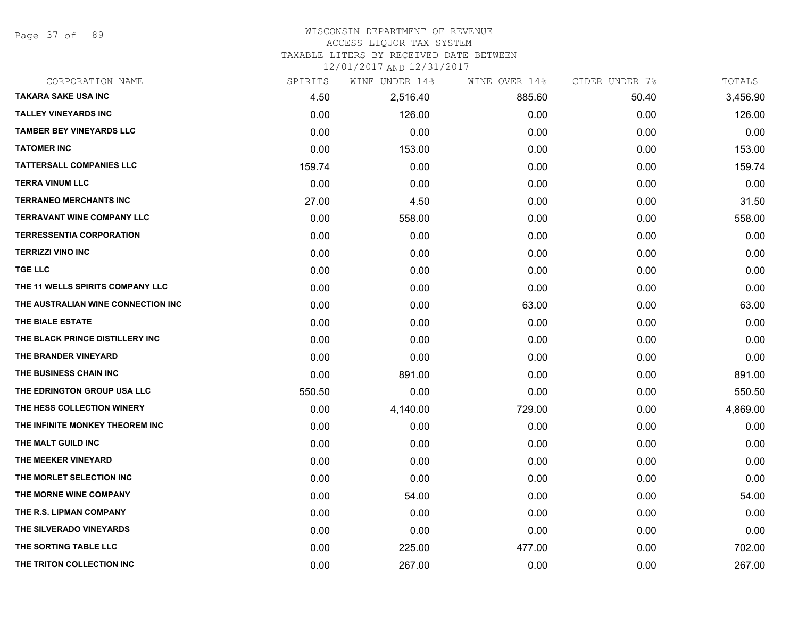Page 37 of 89

#### WISCONSIN DEPARTMENT OF REVENUE ACCESS LIQUOR TAX SYSTEM

TAXABLE LITERS BY RECEIVED DATE BETWEEN

| CORPORATION NAME                   | SPIRITS | WINE UNDER 14% | WINE OVER 14% | CIDER UNDER 7% | TOTALS   |
|------------------------------------|---------|----------------|---------------|----------------|----------|
| <b>TAKARA SAKE USA INC</b>         | 4.50    | 2,516.40       | 885.60        | 50.40          | 3,456.90 |
| <b>TALLEY VINEYARDS INC</b>        | 0.00    | 126.00         | 0.00          | 0.00           | 126.00   |
| <b>TAMBER BEY VINEYARDS LLC</b>    | 0.00    | 0.00           | 0.00          | 0.00           | 0.00     |
| <b>TATOMER INC</b>                 | 0.00    | 153.00         | 0.00          | 0.00           | 153.00   |
| <b>TATTERSALL COMPANIES LLC</b>    | 159.74  | 0.00           | 0.00          | 0.00           | 159.74   |
| <b>TERRA VINUM LLC</b>             | 0.00    | 0.00           | 0.00          | 0.00           | 0.00     |
| <b>TERRANEO MERCHANTS INC</b>      | 27.00   | 4.50           | 0.00          | 0.00           | 31.50    |
| <b>TERRAVANT WINE COMPANY LLC</b>  | 0.00    | 558.00         | 0.00          | 0.00           | 558.00   |
| <b>TERRESSENTIA CORPORATION</b>    | 0.00    | 0.00           | 0.00          | 0.00           | 0.00     |
| <b>TERRIZZI VINO INC</b>           | 0.00    | 0.00           | 0.00          | 0.00           | 0.00     |
| <b>TGE LLC</b>                     | 0.00    | 0.00           | 0.00          | 0.00           | 0.00     |
| THE 11 WELLS SPIRITS COMPANY LLC   | 0.00    | 0.00           | 0.00          | 0.00           | 0.00     |
| THE AUSTRALIAN WINE CONNECTION INC | 0.00    | 0.00           | 63.00         | 0.00           | 63.00    |
| THE BIALE ESTATE                   | 0.00    | 0.00           | 0.00          | 0.00           | 0.00     |
| THE BLACK PRINCE DISTILLERY INC    | 0.00    | 0.00           | 0.00          | 0.00           | 0.00     |
| THE BRANDER VINEYARD               | 0.00    | 0.00           | 0.00          | 0.00           | 0.00     |
| THE BUSINESS CHAIN INC             | 0.00    | 891.00         | 0.00          | 0.00           | 891.00   |
| THE EDRINGTON GROUP USA LLC        | 550.50  | 0.00           | 0.00          | 0.00           | 550.50   |
| THE HESS COLLECTION WINERY         | 0.00    | 4,140.00       | 729.00        | 0.00           | 4,869.00 |
| THE INFINITE MONKEY THEOREM INC    | 0.00    | 0.00           | 0.00          | 0.00           | 0.00     |
| THE MALT GUILD INC                 | 0.00    | 0.00           | 0.00          | 0.00           | 0.00     |
| THE MEEKER VINEYARD                | 0.00    | 0.00           | 0.00          | 0.00           | 0.00     |
| THE MORLET SELECTION INC           | 0.00    | 0.00           | 0.00          | 0.00           | 0.00     |
| THE MORNE WINE COMPANY             | 0.00    | 54.00          | 0.00          | 0.00           | 54.00    |
| THE R.S. LIPMAN COMPANY            | 0.00    | 0.00           | 0.00          | 0.00           | 0.00     |
| THE SILVERADO VINEYARDS            | 0.00    | 0.00           | 0.00          | 0.00           | 0.00     |
| THE SORTING TABLE LLC              | 0.00    | 225.00         | 477.00        | 0.00           | 702.00   |
| THE TRITON COLLECTION INC          | 0.00    | 267.00         | 0.00          | 0.00           | 267.00   |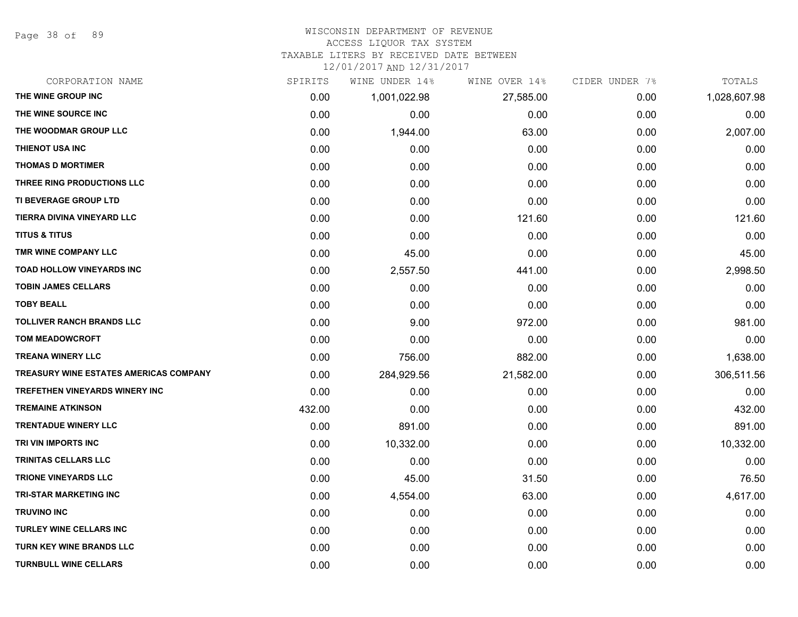Page 38 of 89

#### WISCONSIN DEPARTMENT OF REVENUE

#### ACCESS LIQUOR TAX SYSTEM

TAXABLE LITERS BY RECEIVED DATE BETWEEN

| CORPORATION NAME                              | SPIRITS | WINE UNDER 14% | WINE OVER 14% | CIDER UNDER 7% | TOTALS       |
|-----------------------------------------------|---------|----------------|---------------|----------------|--------------|
| THE WINE GROUP INC                            | 0.00    | 1,001,022.98   | 27,585.00     | 0.00           | 1,028,607.98 |
| THE WINE SOURCE INC                           | 0.00    | 0.00           | 0.00          | 0.00           | 0.00         |
| THE WOODMAR GROUP LLC                         | 0.00    | 1,944.00       | 63.00         | 0.00           | 2,007.00     |
| THIENOT USA INC                               | 0.00    | 0.00           | 0.00          | 0.00           | 0.00         |
| <b>THOMAS D MORTIMER</b>                      | 0.00    | 0.00           | 0.00          | 0.00           | 0.00         |
| THREE RING PRODUCTIONS LLC                    | 0.00    | 0.00           | 0.00          | 0.00           | 0.00         |
| TI BEVERAGE GROUP LTD                         | 0.00    | 0.00           | 0.00          | 0.00           | 0.00         |
| TIERRA DIVINA VINEYARD LLC                    | 0.00    | 0.00           | 121.60        | 0.00           | 121.60       |
| <b>TITUS &amp; TITUS</b>                      | 0.00    | 0.00           | 0.00          | 0.00           | 0.00         |
| TMR WINE COMPANY LLC                          | 0.00    | 45.00          | 0.00          | 0.00           | 45.00        |
| <b>TOAD HOLLOW VINEYARDS INC</b>              | 0.00    | 2,557.50       | 441.00        | 0.00           | 2,998.50     |
| <b>TOBIN JAMES CELLARS</b>                    | 0.00    | 0.00           | 0.00          | 0.00           | 0.00         |
| <b>TOBY BEALL</b>                             | 0.00    | 0.00           | 0.00          | 0.00           | 0.00         |
| <b>TOLLIVER RANCH BRANDS LLC</b>              | 0.00    | 9.00           | 972.00        | 0.00           | 981.00       |
| <b>TOM MEADOWCROFT</b>                        | 0.00    | 0.00           | 0.00          | 0.00           | 0.00         |
| <b>TREANA WINERY LLC</b>                      | 0.00    | 756.00         | 882.00        | 0.00           | 1,638.00     |
| <b>TREASURY WINE ESTATES AMERICAS COMPANY</b> | 0.00    | 284,929.56     | 21,582.00     | 0.00           | 306,511.56   |
| <b>TREFETHEN VINEYARDS WINERY INC</b>         | 0.00    | 0.00           | 0.00          | 0.00           | 0.00         |
| <b>TREMAINE ATKINSON</b>                      | 432.00  | 0.00           | 0.00          | 0.00           | 432.00       |
| <b>TRENTADUE WINERY LLC</b>                   | 0.00    | 891.00         | 0.00          | 0.00           | 891.00       |
| TRI VIN IMPORTS INC                           | 0.00    | 10,332.00      | 0.00          | 0.00           | 10,332.00    |
| TRINITAS CELLARS LLC                          | 0.00    | 0.00           | 0.00          | 0.00           | 0.00         |
| <b>TRIONE VINEYARDS LLC</b>                   | 0.00    | 45.00          | 31.50         | 0.00           | 76.50        |
| <b>TRI-STAR MARKETING INC</b>                 | 0.00    | 4,554.00       | 63.00         | 0.00           | 4,617.00     |
| <b>TRUVINO INC</b>                            | 0.00    | 0.00           | 0.00          | 0.00           | 0.00         |
| <b>TURLEY WINE CELLARS INC</b>                | 0.00    | 0.00           | 0.00          | 0.00           | 0.00         |
| <b>TURN KEY WINE BRANDS LLC</b>               | 0.00    | 0.00           | 0.00          | 0.00           | 0.00         |
| <b>TURNBULL WINE CELLARS</b>                  | 0.00    | 0.00           | 0.00          | 0.00           | 0.00         |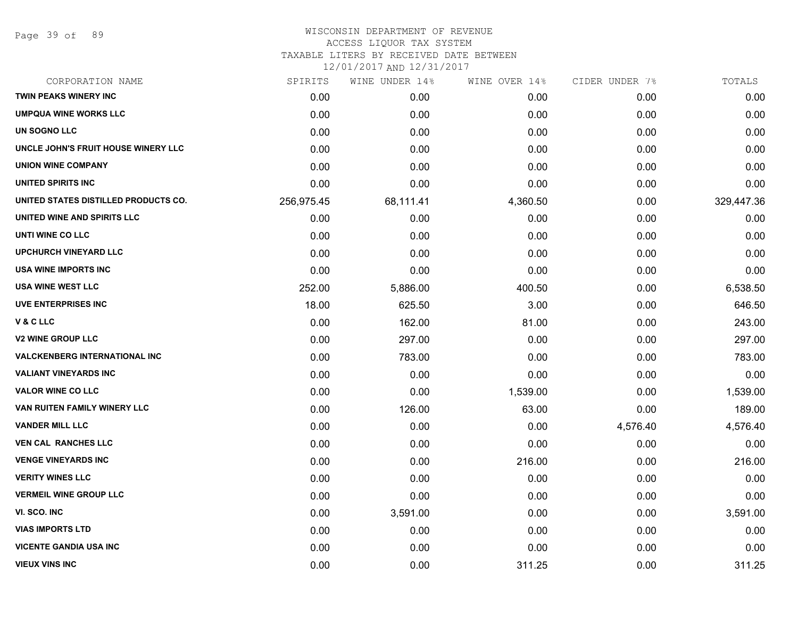Page 39 of 89

## WISCONSIN DEPARTMENT OF REVENUE ACCESS LIQUOR TAX SYSTEM

TAXABLE LITERS BY RECEIVED DATE BETWEEN

| CORPORATION NAME                     | SPIRITS    | WINE UNDER 14% | WINE OVER 14% | CIDER UNDER 7% | TOTALS     |
|--------------------------------------|------------|----------------|---------------|----------------|------------|
| TWIN PEAKS WINERY INC                | 0.00       | 0.00           | 0.00          | 0.00           | 0.00       |
| <b>UMPQUA WINE WORKS LLC</b>         | 0.00       | 0.00           | 0.00          | 0.00           | 0.00       |
| UN SOGNO LLC                         | 0.00       | 0.00           | 0.00          | 0.00           | 0.00       |
| UNCLE JOHN'S FRUIT HOUSE WINERY LLC  | 0.00       | 0.00           | 0.00          | 0.00           | 0.00       |
| <b>UNION WINE COMPANY</b>            | 0.00       | 0.00           | 0.00          | 0.00           | 0.00       |
| UNITED SPIRITS INC                   | 0.00       | 0.00           | 0.00          | 0.00           | 0.00       |
| UNITED STATES DISTILLED PRODUCTS CO. | 256,975.45 | 68,111.41      | 4,360.50      | 0.00           | 329,447.36 |
| UNITED WINE AND SPIRITS LLC          | 0.00       | 0.00           | 0.00          | 0.00           | 0.00       |
| UNTI WINE CO LLC                     | 0.00       | 0.00           | 0.00          | 0.00           | 0.00       |
| <b>UPCHURCH VINEYARD LLC</b>         | 0.00       | 0.00           | 0.00          | 0.00           | 0.00       |
| <b>USA WINE IMPORTS INC</b>          | 0.00       | 0.00           | 0.00          | 0.00           | 0.00       |
| <b>USA WINE WEST LLC</b>             | 252.00     | 5,886.00       | 400.50        | 0.00           | 6,538.50   |
| <b>UVE ENTERPRISES INC</b>           | 18.00      | 625.50         | 3.00          | 0.00           | 646.50     |
| V&CLLC                               | 0.00       | 162.00         | 81.00         | 0.00           | 243.00     |
| <b>V2 WINE GROUP LLC</b>             | 0.00       | 297.00         | 0.00          | 0.00           | 297.00     |
| <b>VALCKENBERG INTERNATIONAL INC</b> | 0.00       | 783.00         | 0.00          | 0.00           | 783.00     |
| <b>VALIANT VINEYARDS INC</b>         | 0.00       | 0.00           | 0.00          | 0.00           | 0.00       |
| <b>VALOR WINE CO LLC</b>             | 0.00       | 0.00           | 1,539.00      | 0.00           | 1,539.00   |
| VAN RUITEN FAMILY WINERY LLC         | 0.00       | 126.00         | 63.00         | 0.00           | 189.00     |
| <b>VANDER MILL LLC</b>               | 0.00       | 0.00           | 0.00          | 4,576.40       | 4,576.40   |
| <b>VEN CAL RANCHES LLC</b>           | 0.00       | 0.00           | 0.00          | 0.00           | 0.00       |
| <b>VENGE VINEYARDS INC</b>           | 0.00       | 0.00           | 216.00        | 0.00           | 216.00     |
| <b>VERITY WINES LLC</b>              | 0.00       | 0.00           | 0.00          | 0.00           | 0.00       |
| <b>VERMEIL WINE GROUP LLC</b>        | 0.00       | 0.00           | 0.00          | 0.00           | 0.00       |
| VI. SCO. INC                         | 0.00       | 3,591.00       | 0.00          | 0.00           | 3,591.00   |
| <b>VIAS IMPORTS LTD</b>              | 0.00       | 0.00           | 0.00          | 0.00           | 0.00       |
| <b>VICENTE GANDIA USA INC</b>        | 0.00       | 0.00           | 0.00          | 0.00           | 0.00       |
| <b>VIEUX VINS INC</b>                | 0.00       | 0.00           | 311.25        | 0.00           | 311.25     |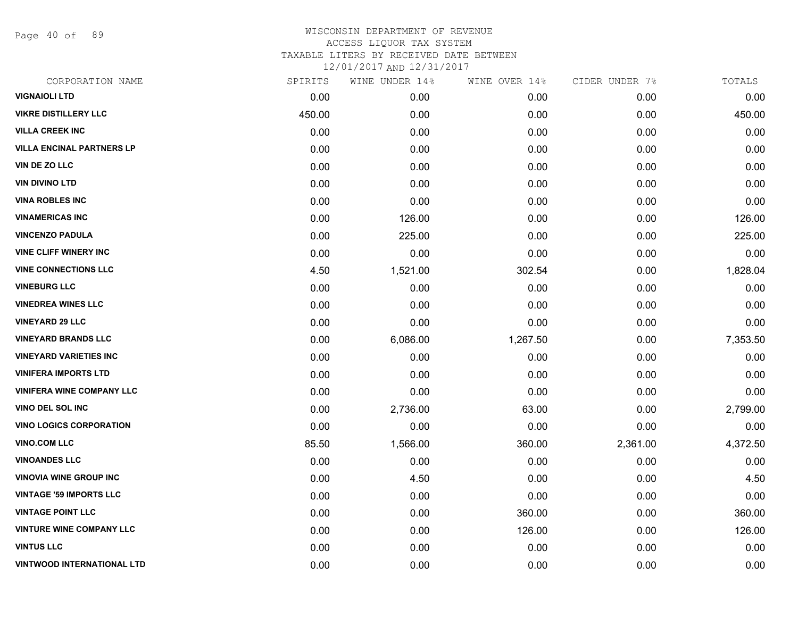Page 40 of 89

| SPIRITS | WINE UNDER 14% | WINE OVER 14% | CIDER UNDER 7% | TOTALS   |
|---------|----------------|---------------|----------------|----------|
| 0.00    | 0.00           | 0.00          | 0.00           | 0.00     |
| 450.00  | 0.00           | 0.00          | 0.00           | 450.00   |
| 0.00    | 0.00           | 0.00          | 0.00           | 0.00     |
| 0.00    | 0.00           | 0.00          | 0.00           | 0.00     |
| 0.00    | 0.00           | 0.00          | 0.00           | 0.00     |
| 0.00    | 0.00           | 0.00          | 0.00           | 0.00     |
| 0.00    | 0.00           | 0.00          | 0.00           | 0.00     |
| 0.00    | 126.00         | 0.00          | 0.00           | 126.00   |
| 0.00    | 225.00         | 0.00          | 0.00           | 225.00   |
| 0.00    | 0.00           | 0.00          | 0.00           | 0.00     |
| 4.50    | 1,521.00       | 302.54        | 0.00           | 1,828.04 |
| 0.00    | 0.00           | 0.00          | 0.00           | 0.00     |
| 0.00    | 0.00           | 0.00          | 0.00           | 0.00     |
| 0.00    | 0.00           | 0.00          | 0.00           | 0.00     |
| 0.00    | 6,086.00       | 1,267.50      | 0.00           | 7,353.50 |
| 0.00    | 0.00           | 0.00          | 0.00           | 0.00     |
| 0.00    | 0.00           | 0.00          | 0.00           | 0.00     |
| 0.00    | 0.00           | 0.00          | 0.00           | 0.00     |
| 0.00    | 2,736.00       | 63.00         | 0.00           | 2,799.00 |
| 0.00    | 0.00           | 0.00          | 0.00           | 0.00     |
| 85.50   | 1,566.00       | 360.00        | 2,361.00       | 4,372.50 |
| 0.00    | 0.00           | 0.00          | 0.00           | 0.00     |
| 0.00    | 4.50           | 0.00          | 0.00           | 4.50     |
| 0.00    | 0.00           | 0.00          | 0.00           | 0.00     |
| 0.00    | 0.00           | 360.00        | 0.00           | 360.00   |
| 0.00    | 0.00           | 126.00        | 0.00           | 126.00   |
| 0.00    | 0.00           | 0.00          | 0.00           | 0.00     |
| 0.00    | 0.00           | 0.00          | 0.00           | 0.00     |
|         |                |               |                |          |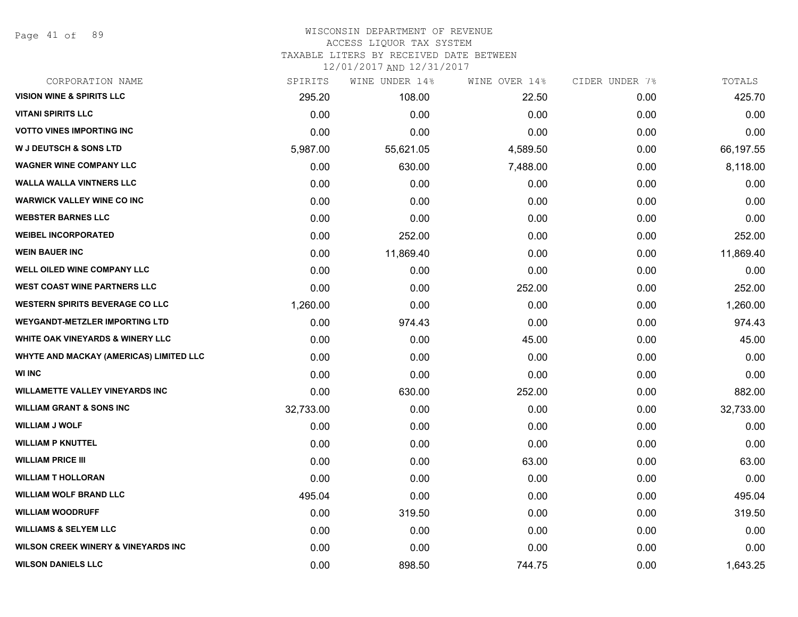Page 41 of 89

#### WISCONSIN DEPARTMENT OF REVENUE ACCESS LIQUOR TAX SYSTEM

TAXABLE LITERS BY RECEIVED DATE BETWEEN

| CORPORATION NAME                               | SPIRITS   | WINE UNDER 14% | WINE OVER 14% | CIDER UNDER 7% | TOTALS    |
|------------------------------------------------|-----------|----------------|---------------|----------------|-----------|
| <b>VISION WINE &amp; SPIRITS LLC</b>           | 295.20    | 108.00         | 22.50         | 0.00           | 425.70    |
| <b>VITANI SPIRITS LLC</b>                      | 0.00      | 0.00           | 0.00          | 0.00           | 0.00      |
| <b>VOTTO VINES IMPORTING INC</b>               | 0.00      | 0.00           | 0.00          | 0.00           | 0.00      |
| <b>W J DEUTSCH &amp; SONS LTD</b>              | 5,987.00  | 55,621.05      | 4,589.50      | 0.00           | 66,197.55 |
| <b>WAGNER WINE COMPANY LLC</b>                 | 0.00      | 630.00         | 7,488.00      | 0.00           | 8,118.00  |
| <b>WALLA WALLA VINTNERS LLC</b>                | 0.00      | 0.00           | 0.00          | 0.00           | 0.00      |
| <b>WARWICK VALLEY WINE CO INC</b>              | 0.00      | 0.00           | 0.00          | 0.00           | 0.00      |
| <b>WEBSTER BARNES LLC</b>                      | 0.00      | 0.00           | 0.00          | 0.00           | 0.00      |
| <b>WEIBEL INCORPORATED</b>                     | 0.00      | 252.00         | 0.00          | 0.00           | 252.00    |
| <b>WEIN BAUER INC</b>                          | 0.00      | 11,869.40      | 0.00          | 0.00           | 11,869.40 |
| WELL OILED WINE COMPANY LLC                    | 0.00      | 0.00           | 0.00          | 0.00           | 0.00      |
| <b>WEST COAST WINE PARTNERS LLC</b>            | 0.00      | 0.00           | 252.00        | 0.00           | 252.00    |
| <b>WESTERN SPIRITS BEVERAGE CO LLC</b>         | 1,260.00  | 0.00           | 0.00          | 0.00           | 1,260.00  |
| <b>WEYGANDT-METZLER IMPORTING LTD</b>          | 0.00      | 974.43         | 0.00          | 0.00           | 974.43    |
| <b>WHITE OAK VINEYARDS &amp; WINERY LLC</b>    | 0.00      | 0.00           | 45.00         | 0.00           | 45.00     |
| <b>WHYTE AND MACKAY (AMERICAS) LIMITED LLC</b> | 0.00      | 0.00           | 0.00          | 0.00           | 0.00      |
| <b>WI INC</b>                                  | 0.00      | 0.00           | 0.00          | 0.00           | 0.00      |
| <b>WILLAMETTE VALLEY VINEYARDS INC</b>         | 0.00      | 630.00         | 252.00        | 0.00           | 882.00    |
| <b>WILLIAM GRANT &amp; SONS INC</b>            | 32,733.00 | 0.00           | 0.00          | 0.00           | 32,733.00 |
| <b>WILLIAM J WOLF</b>                          | 0.00      | 0.00           | 0.00          | 0.00           | 0.00      |
| <b>WILLIAM P KNUTTEL</b>                       | 0.00      | 0.00           | 0.00          | 0.00           | 0.00      |
| <b>WILLIAM PRICE III</b>                       | 0.00      | 0.00           | 63.00         | 0.00           | 63.00     |
| <b>WILLIAM T HOLLORAN</b>                      | 0.00      | 0.00           | 0.00          | 0.00           | 0.00      |
| <b>WILLIAM WOLF BRAND LLC</b>                  | 495.04    | 0.00           | 0.00          | 0.00           | 495.04    |
| <b>WILLIAM WOODRUFF</b>                        | 0.00      | 319.50         | 0.00          | 0.00           | 319.50    |
| <b>WILLIAMS &amp; SELYEM LLC</b>               | 0.00      | 0.00           | 0.00          | 0.00           | 0.00      |
| <b>WILSON CREEK WINERY &amp; VINEYARDS INC</b> | 0.00      | 0.00           | 0.00          | 0.00           | 0.00      |
| <b>WILSON DANIELS LLC</b>                      | 0.00      | 898.50         | 744.75        | 0.00           | 1,643.25  |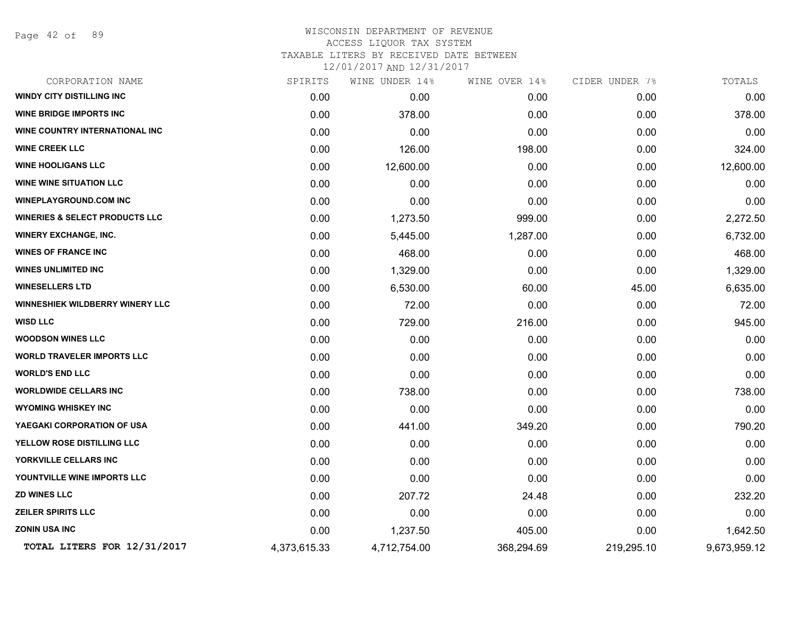Page 42 of 89

#### WISCONSIN DEPARTMENT OF REVENUE ACCESS LIQUOR TAX SYSTEM TAXABLE LITERS BY RECEIVED DATE BETWEEN

| CORPORATION NAME                          | SPIRITS      | WINE UNDER 14% | WINE OVER 14% | CIDER UNDER 7% | TOTALS       |
|-------------------------------------------|--------------|----------------|---------------|----------------|--------------|
| <b>WINDY CITY DISTILLING INC</b>          | 0.00         | 0.00           | 0.00          | 0.00           | 0.00         |
| <b>WINE BRIDGE IMPORTS INC</b>            | 0.00         | 378.00         | 0.00          | 0.00           | 378.00       |
| WINE COUNTRY INTERNATIONAL INC            | 0.00         | 0.00           | 0.00          | 0.00           | 0.00         |
| <b>WINE CREEK LLC</b>                     | 0.00         | 126.00         | 198.00        | 0.00           | 324.00       |
| <b>WINE HOOLIGANS LLC</b>                 | 0.00         | 12,600.00      | 0.00          | 0.00           | 12,600.00    |
| <b>WINE WINE SITUATION LLC</b>            | 0.00         | 0.00           | 0.00          | 0.00           | 0.00         |
| <b>WINEPLAYGROUND.COM INC</b>             | 0.00         | 0.00           | 0.00          | 0.00           | 0.00         |
| <b>WINERIES &amp; SELECT PRODUCTS LLC</b> | 0.00         | 1,273.50       | 999.00        | 0.00           | 2,272.50     |
| <b>WINERY EXCHANGE, INC.</b>              | 0.00         | 5,445.00       | 1,287.00      | 0.00           | 6,732.00     |
| <b>WINES OF FRANCE INC</b>                | 0.00         | 468.00         | 0.00          | 0.00           | 468.00       |
| <b>WINES UNLIMITED INC</b>                | 0.00         | 1,329.00       | 0.00          | 0.00           | 1,329.00     |
| <b>WINESELLERS LTD</b>                    | 0.00         | 6,530.00       | 60.00         | 45.00          | 6,635.00     |
| <b>WINNESHIEK WILDBERRY WINERY LLC</b>    | 0.00         | 72.00          | 0.00          | 0.00           | 72.00        |
| <b>WISD LLC</b>                           | 0.00         | 729.00         | 216.00        | 0.00           | 945.00       |
| <b>WOODSON WINES LLC</b>                  | 0.00         | 0.00           | 0.00          | 0.00           | 0.00         |
| <b>WORLD TRAVELER IMPORTS LLC</b>         | 0.00         | 0.00           | 0.00          | 0.00           | 0.00         |
| <b>WORLD'S END LLC</b>                    | 0.00         | 0.00           | 0.00          | 0.00           | 0.00         |
| <b>WORLDWIDE CELLARS INC</b>              | 0.00         | 738.00         | 0.00          | 0.00           | 738.00       |
| <b>WYOMING WHISKEY INC</b>                | 0.00         | 0.00           | 0.00          | 0.00           | 0.00         |
| YAEGAKI CORPORATION OF USA                | 0.00         | 441.00         | 349.20        | 0.00           | 790.20       |
| YELLOW ROSE DISTILLING LLC                | 0.00         | 0.00           | 0.00          | 0.00           | 0.00         |
| YORKVILLE CELLARS INC                     | 0.00         | 0.00           | 0.00          | 0.00           | 0.00         |
| YOUNTVILLE WINE IMPORTS LLC               | 0.00         | 0.00           | 0.00          | 0.00           | 0.00         |
| <b>ZD WINES LLC</b>                       | 0.00         | 207.72         | 24.48         | 0.00           | 232.20       |
| <b>ZEILER SPIRITS LLC</b>                 | 0.00         | 0.00           | 0.00          | 0.00           | 0.00         |
| ZONIN USA INC                             | 0.00         | 1,237.50       | 405.00        | 0.00           | 1,642.50     |
| TOTAL LITERS FOR 12/31/2017               | 4,373,615.33 | 4,712,754.00   | 368,294.69    | 219,295.10     | 9,673,959.12 |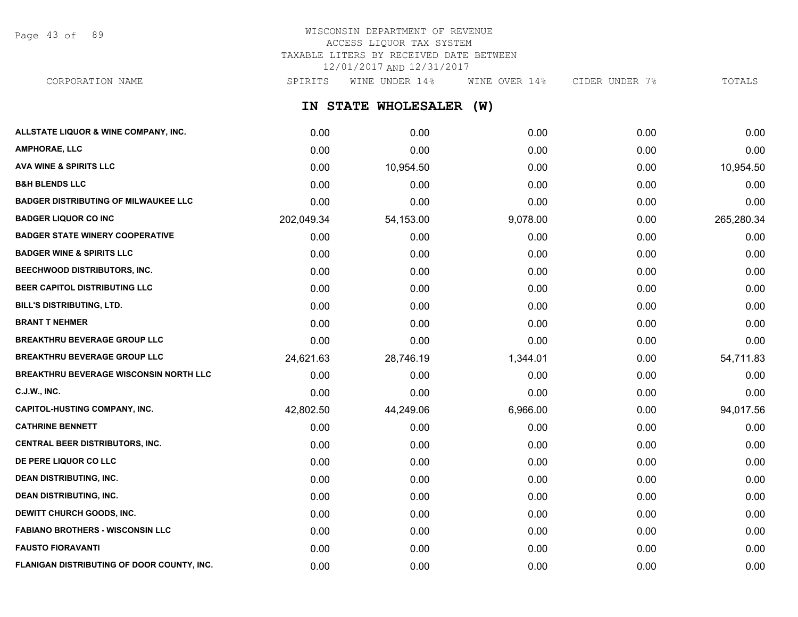Page 43 of 89

#### WISCONSIN DEPARTMENT OF REVENUE ACCESS LIQUOR TAX SYSTEM TAXABLE LITERS BY RECEIVED DATE BETWEEN 12/01/2017 AND 12/31/2017 CORPORATION NAME SPIRITS WINE UNDER 14% WINE OVER 14% CIDER UNDER 7% TOTALS

**IN STATE WHOLESALER (W) ALLSTATE LIQUOR & WINE COMPANY, INC.** 0.00 0.00 0.00 0.00 0.00 **AMPHORAE, LLC** 0.00 0.00 0.00 0.00 0.00 **AVA WINE & SPIRITS LLC** 0.00 10,954.50 0.00 0.00 10,954.50 **B&H BLENDS LLC** 0.00 0.00 0.00 0.00 0.00 **BADGER DISTRIBUTING OF MILWAUKEE LLC** 0.00 0.00 0.00 0.00 0.00 **BADGER LIQUOR CO INC** 202,049.34 54,153.00 9,078.00 0.00 265,280.34 **BADGER STATE WINERY COOPERATIVE** 0.00 0.00 0.00 0.00 0.00 **BADGER WINE & SPIRITS LLC** 0.00 0.00 0.00 0.00 0.00 **BEECHWOOD DISTRIBUTORS, INC.** 0.00 0.00 0.00 0.00 0.00 **BEER CAPITOL DISTRIBUTING LLC** 0.00 0.00 0.00 0.00 0.00 **BILL'S DISTRIBUTING, LTD.** 0.00 0.00 0.00 0.00 0.00 **BRANT T NEHMER** 0.00 0.00 0.00 0.00 0.00 **BREAKTHRU BEVERAGE GROUP LLC**  $0.00$   $0.00$   $0.00$   $0.00$   $0.00$   $0.00$   $0.00$   $0.00$   $0.00$   $0.00$   $0.00$   $0.00$   $0.00$   $0.00$   $0.00$   $0.00$   $0.00$   $0.00$   $0.00$   $0.00$   $0.00$   $0.00$   $0.00$   $0.00$   $0.00$   $0.00$   $0.00$   $0$ **BREAKTHRU BEVERAGE GROUP LLC** 24,621.63 28,746.19 1,344.01 0.00 54,711.83 **BREAKTHRU BEVERAGE WISCONSIN NORTH LLC** 0.00 0.00 0.00 0.00 0.00 **C.J.W., INC.** 6.00 **0.00 0.00 0.00 0.00 0.00 0.00 0.00 0.00 0.00 0.00 0.00 0.00 0.00 CAPITOL-HUSTING COMPANY, INC.** 42,802.50 44,249.06 6,966.00 0.00 94,017.56 **CATHRINE BENNETT** 0.00 0.00 0.00 0.00 0.00 **CENTRAL BEER DISTRIBUTORS, INC.** 0.00 0.00 0.00 0.00 0.00 **DE PERE LIQUOR CO LLC** 0.00 0.00 0.00 0.00 0.00 **DEAN DISTRIBUTING, INC.** 0.00 0.00 0.00 0.00 0.00 **DEAN DISTRIBUTING, INC.** 0.00 0.00 0.00 0.00 0.00

**DEWITT CHURCH GOODS, INC.** 0.00 0.00 0.00 0.00 0.00 **FABIANO BROTHERS - WISCONSIN LLC** 0.00 0.00 0.00 0.00 0.00 **FAUSTO FIORAVANTI** 0.00 0.00 0.00 0.00 0.00 **FLANIGAN DISTRIBUTING OF DOOR COUNTY, INC.** 0.00 0.00 0.00 0.00 0.00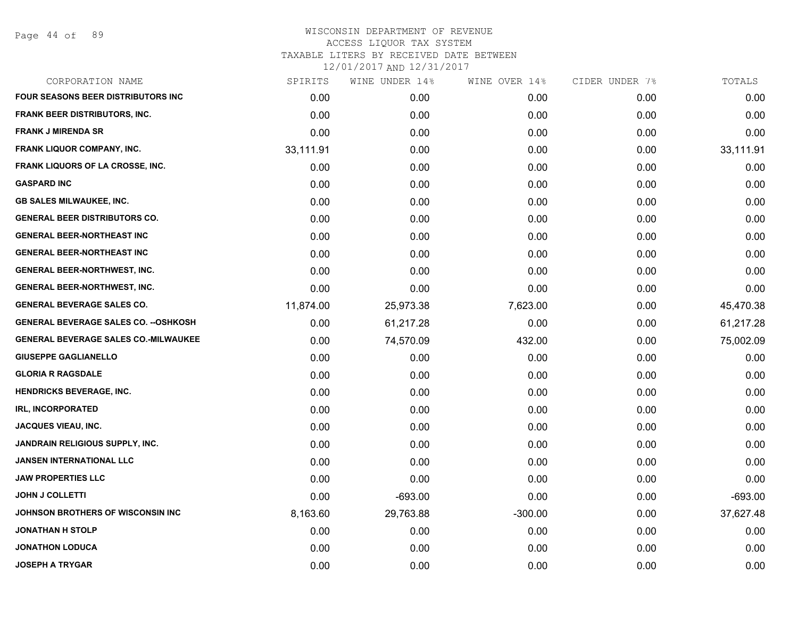Page 44 of 89

| CORPORATION NAME                             | SPIRITS   | WINE UNDER 14% | WINE OVER 14% | CIDER UNDER 7% | TOTALS    |
|----------------------------------------------|-----------|----------------|---------------|----------------|-----------|
| <b>FOUR SEASONS BEER DISTRIBUTORS INC.</b>   | 0.00      | 0.00           | 0.00          | 0.00           | 0.00      |
| <b>FRANK BEER DISTRIBUTORS, INC.</b>         | 0.00      | 0.00           | 0.00          | 0.00           | 0.00      |
| <b>FRANK J MIRENDA SR</b>                    | 0.00      | 0.00           | 0.00          | 0.00           | 0.00      |
| <b>FRANK LIQUOR COMPANY, INC.</b>            | 33,111.91 | 0.00           | 0.00          | 0.00           | 33,111.91 |
| FRANK LIQUORS OF LA CROSSE, INC.             | 0.00      | 0.00           | 0.00          | 0.00           | 0.00      |
| <b>GASPARD INC</b>                           | 0.00      | 0.00           | 0.00          | 0.00           | 0.00      |
| <b>GB SALES MILWAUKEE, INC.</b>              | 0.00      | 0.00           | 0.00          | 0.00           | 0.00      |
| <b>GENERAL BEER DISTRIBUTORS CO.</b>         | 0.00      | 0.00           | 0.00          | 0.00           | 0.00      |
| <b>GENERAL BEER-NORTHEAST INC</b>            | 0.00      | 0.00           | 0.00          | 0.00           | 0.00      |
| <b>GENERAL BEER-NORTHEAST INC</b>            | 0.00      | 0.00           | 0.00          | 0.00           | 0.00      |
| <b>GENERAL BEER-NORTHWEST, INC.</b>          | 0.00      | 0.00           | 0.00          | 0.00           | 0.00      |
| <b>GENERAL BEER-NORTHWEST, INC.</b>          | 0.00      | 0.00           | 0.00          | 0.00           | 0.00      |
| <b>GENERAL BEVERAGE SALES CO.</b>            | 11,874.00 | 25,973.38      | 7,623.00      | 0.00           | 45,470.38 |
| <b>GENERAL BEVERAGE SALES CO. -- OSHKOSH</b> | 0.00      | 61,217.28      | 0.00          | 0.00           | 61,217.28 |
| <b>GENERAL BEVERAGE SALES CO.-MILWAUKEE</b>  | 0.00      | 74,570.09      | 432.00        | 0.00           | 75,002.09 |
| <b>GIUSEPPE GAGLIANELLO</b>                  | 0.00      | 0.00           | 0.00          | 0.00           | 0.00      |
| <b>GLORIA R RAGSDALE</b>                     | 0.00      | 0.00           | 0.00          | 0.00           | 0.00      |
| <b>HENDRICKS BEVERAGE, INC.</b>              | 0.00      | 0.00           | 0.00          | 0.00           | 0.00      |
| <b>IRL, INCORPORATED</b>                     | 0.00      | 0.00           | 0.00          | 0.00           | 0.00      |
| <b>JACQUES VIEAU, INC.</b>                   | 0.00      | 0.00           | 0.00          | 0.00           | 0.00      |
| <b>JANDRAIN RELIGIOUS SUPPLY, INC.</b>       | 0.00      | 0.00           | 0.00          | 0.00           | 0.00      |
| <b>JANSEN INTERNATIONAL LLC</b>              | 0.00      | 0.00           | 0.00          | 0.00           | 0.00      |
| <b>JAW PROPERTIES LLC</b>                    | 0.00      | 0.00           | 0.00          | 0.00           | 0.00      |
| <b>JOHN J COLLETTI</b>                       | 0.00      | $-693.00$      | 0.00          | 0.00           | $-693.00$ |
| JOHNSON BROTHERS OF WISCONSIN INC            | 8,163.60  | 29,763.88      | $-300.00$     | 0.00           | 37,627.48 |
| <b>JONATHAN H STOLP</b>                      | 0.00      | 0.00           | 0.00          | 0.00           | 0.00      |
| <b>JONATHON LODUCA</b>                       | 0.00      | 0.00           | 0.00          | 0.00           | 0.00      |
| <b>JOSEPH A TRYGAR</b>                       | 0.00      | 0.00           | 0.00          | 0.00           | 0.00      |
|                                              |           |                |               |                |           |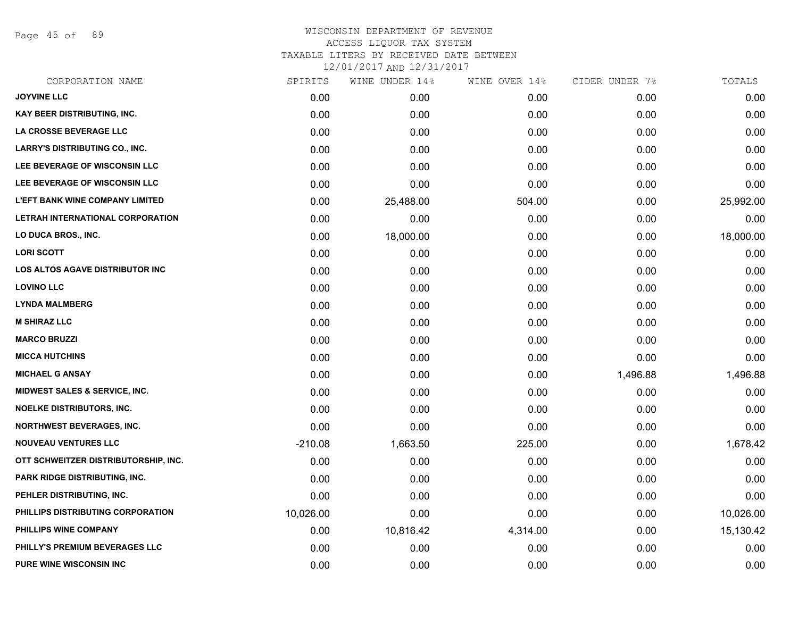Page 45 of 89

| CORPORATION NAME                         | SPIRITS   | WINE UNDER 14% | WINE OVER 14% | CIDER UNDER 7% | TOTALS    |
|------------------------------------------|-----------|----------------|---------------|----------------|-----------|
| <b>JOYVINE LLC</b>                       | 0.00      | 0.00           | 0.00          | 0.00           | 0.00      |
| <b>KAY BEER DISTRIBUTING, INC.</b>       | 0.00      | 0.00           | 0.00          | 0.00           | 0.00      |
| LA CROSSE BEVERAGE LLC                   | 0.00      | 0.00           | 0.00          | 0.00           | 0.00      |
| LARRY'S DISTRIBUTING CO., INC.           | 0.00      | 0.00           | 0.00          | 0.00           | 0.00      |
| LEE BEVERAGE OF WISCONSIN LLC            | 0.00      | 0.00           | 0.00          | 0.00           | 0.00      |
| LEE BEVERAGE OF WISCONSIN LLC            | 0.00      | 0.00           | 0.00          | 0.00           | 0.00      |
| <b>L'EFT BANK WINE COMPANY LIMITED</b>   | 0.00      | 25,488.00      | 504.00        | 0.00           | 25,992.00 |
| LETRAH INTERNATIONAL CORPORATION         | 0.00      | 0.00           | 0.00          | 0.00           | 0.00      |
| <b>LO DUCA BROS., INC.</b>               | 0.00      | 18,000.00      | 0.00          | 0.00           | 18,000.00 |
| <b>LORI SCOTT</b>                        | 0.00      | 0.00           | 0.00          | 0.00           | 0.00      |
| LOS ALTOS AGAVE DISTRIBUTOR INC          | 0.00      | 0.00           | 0.00          | 0.00           | 0.00      |
| <b>LOVINO LLC</b>                        | 0.00      | 0.00           | 0.00          | 0.00           | 0.00      |
| <b>LYNDA MALMBERG</b>                    | 0.00      | 0.00           | 0.00          | 0.00           | 0.00      |
| <b>M SHIRAZ LLC</b>                      | 0.00      | 0.00           | 0.00          | 0.00           | 0.00      |
| <b>MARCO BRUZZI</b>                      | 0.00      | 0.00           | 0.00          | 0.00           | 0.00      |
| <b>MICCA HUTCHINS</b>                    | 0.00      | 0.00           | 0.00          | 0.00           | 0.00      |
| <b>MICHAEL G ANSAY</b>                   | 0.00      | 0.00           | 0.00          | 1,496.88       | 1,496.88  |
| <b>MIDWEST SALES &amp; SERVICE, INC.</b> | 0.00      | 0.00           | 0.00          | 0.00           | 0.00      |
| <b>NOELKE DISTRIBUTORS, INC.</b>         | 0.00      | 0.00           | 0.00          | 0.00           | 0.00      |
| <b>NORTHWEST BEVERAGES, INC.</b>         | 0.00      | 0.00           | 0.00          | 0.00           | 0.00      |
| <b>NOUVEAU VENTURES LLC</b>              | $-210.08$ | 1,663.50       | 225.00        | 0.00           | 1,678.42  |
| OTT SCHWEITZER DISTRIBUTORSHIP, INC.     | 0.00      | 0.00           | 0.00          | 0.00           | 0.00      |
| <b>PARK RIDGE DISTRIBUTING, INC.</b>     | 0.00      | 0.00           | 0.00          | 0.00           | 0.00      |
| PEHLER DISTRIBUTING, INC.                | 0.00      | 0.00           | 0.00          | 0.00           | 0.00      |
| PHILLIPS DISTRIBUTING CORPORATION        | 10,026.00 | 0.00           | 0.00          | 0.00           | 10,026.00 |
| PHILLIPS WINE COMPANY                    | 0.00      | 10,816.42      | 4,314.00      | 0.00           | 15,130.42 |
| PHILLY'S PREMIUM BEVERAGES LLC           | 0.00      | 0.00           | 0.00          | 0.00           | 0.00      |
| <b>PURE WINE WISCONSIN INC</b>           | 0.00      | 0.00           | 0.00          | 0.00           | 0.00      |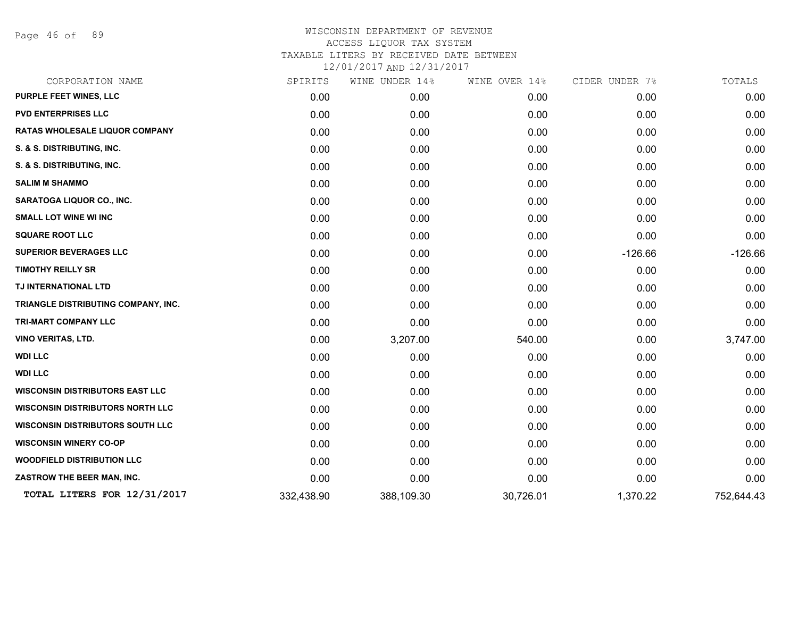Page 46 of 89

| CORPORATION NAME                        | SPIRITS    | WINE UNDER 14% | WINE OVER 14% | CIDER UNDER 7% | TOTALS     |
|-----------------------------------------|------------|----------------|---------------|----------------|------------|
| PURPLE FEET WINES, LLC                  | 0.00       | 0.00           | 0.00          | 0.00           | 0.00       |
| <b>PVD ENTERPRISES LLC</b>              | 0.00       | 0.00           | 0.00          | 0.00           | 0.00       |
| <b>RATAS WHOLESALE LIQUOR COMPANY</b>   | 0.00       | 0.00           | 0.00          | 0.00           | 0.00       |
| S. & S. DISTRIBUTING, INC.              | 0.00       | 0.00           | 0.00          | 0.00           | 0.00       |
| S. & S. DISTRIBUTING, INC.              | 0.00       | 0.00           | 0.00          | 0.00           | 0.00       |
| <b>SALIM M SHAMMO</b>                   | 0.00       | 0.00           | 0.00          | 0.00           | 0.00       |
| <b>SARATOGA LIQUOR CO., INC.</b>        | 0.00       | 0.00           | 0.00          | 0.00           | 0.00       |
| <b>SMALL LOT WINE WI INC</b>            | 0.00       | 0.00           | 0.00          | 0.00           | 0.00       |
| <b>SQUARE ROOT LLC</b>                  | 0.00       | 0.00           | 0.00          | 0.00           | 0.00       |
| <b>SUPERIOR BEVERAGES LLC</b>           | 0.00       | 0.00           | 0.00          | $-126.66$      | $-126.66$  |
| <b>TIMOTHY REILLY SR</b>                | 0.00       | 0.00           | 0.00          | 0.00           | 0.00       |
| TJ INTERNATIONAL LTD                    | 0.00       | 0.00           | 0.00          | 0.00           | 0.00       |
| TRIANGLE DISTRIBUTING COMPANY, INC.     | 0.00       | 0.00           | 0.00          | 0.00           | 0.00       |
| <b>TRI-MART COMPANY LLC</b>             | 0.00       | 0.00           | 0.00          | 0.00           | 0.00       |
| <b>VINO VERITAS, LTD.</b>               | 0.00       | 3,207.00       | 540.00        | 0.00           | 3,747.00   |
| <b>WDI LLC</b>                          | 0.00       | 0.00           | 0.00          | 0.00           | 0.00       |
| <b>WDI LLC</b>                          | 0.00       | 0.00           | 0.00          | 0.00           | 0.00       |
| <b>WISCONSIN DISTRIBUTORS EAST LLC</b>  | 0.00       | 0.00           | 0.00          | 0.00           | 0.00       |
| <b>WISCONSIN DISTRIBUTORS NORTH LLC</b> | 0.00       | 0.00           | 0.00          | 0.00           | 0.00       |
| <b>WISCONSIN DISTRIBUTORS SOUTH LLC</b> | 0.00       | 0.00           | 0.00          | 0.00           | 0.00       |
| <b>WISCONSIN WINERY CO-OP</b>           | 0.00       | 0.00           | 0.00          | 0.00           | 0.00       |
| <b>WOODFIELD DISTRIBUTION LLC</b>       | 0.00       | 0.00           | 0.00          | 0.00           | 0.00       |
| ZASTROW THE BEER MAN, INC.              | 0.00       | 0.00           | 0.00          | 0.00           | 0.00       |
| TOTAL LITERS FOR 12/31/2017             | 332,438.90 | 388,109.30     | 30,726.01     | 1,370.22       | 752,644.43 |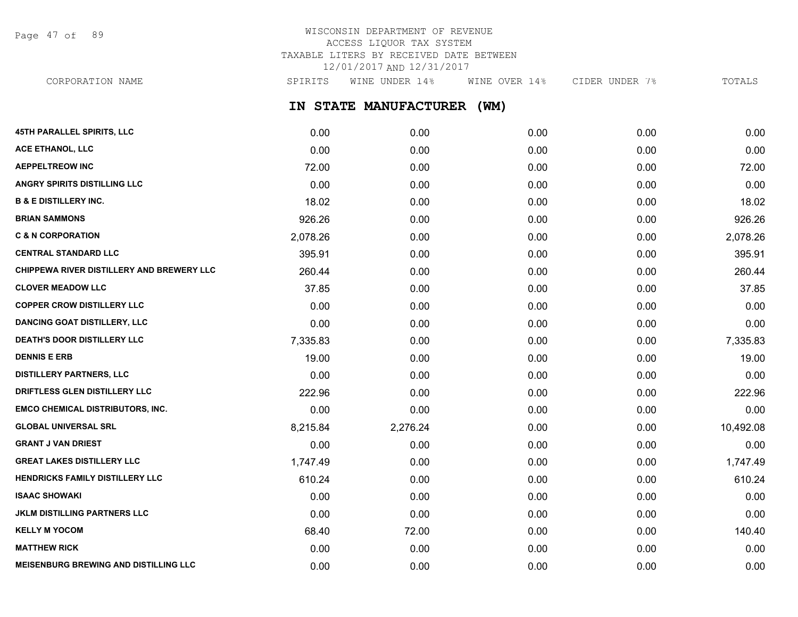Page 47 of 89

# WISCONSIN DEPARTMENT OF REVENUE ACCESS LIQUOR TAX SYSTEM TAXABLE LITERS BY RECEIVED DATE BETWEEN 12/01/2017 AND 12/31/2017

CORPORATION NAME SPIRITS WINE UNDER 14% WINE OVER 14% CIDER UNDER 7% TOTALS

**IN STATE MANUFACTURER (WM)**

| <b>45TH PARALLEL SPIRITS, LLC</b>            | 0.00     | 0.00     | 0.00 | 0.00 | 0.00      |
|----------------------------------------------|----------|----------|------|------|-----------|
| ACE ETHANOL, LLC                             | 0.00     | 0.00     | 0.00 | 0.00 | 0.00      |
| <b>AEPPELTREOW INC</b>                       | 72.00    | 0.00     | 0.00 | 0.00 | 72.00     |
| ANGRY SPIRITS DISTILLING LLC                 | 0.00     | 0.00     | 0.00 | 0.00 | 0.00      |
| <b>B &amp; E DISTILLERY INC.</b>             | 18.02    | 0.00     | 0.00 | 0.00 | 18.02     |
| <b>BRIAN SAMMONS</b>                         | 926.26   | 0.00     | 0.00 | 0.00 | 926.26    |
| <b>C &amp; N CORPORATION</b>                 | 2,078.26 | 0.00     | 0.00 | 0.00 | 2,078.26  |
| <b>CENTRAL STANDARD LLC</b>                  | 395.91   | 0.00     | 0.00 | 0.00 | 395.91    |
| CHIPPEWA RIVER DISTILLERY AND BREWERY LLC    | 260.44   | 0.00     | 0.00 | 0.00 | 260.44    |
| <b>CLOVER MEADOW LLC</b>                     | 37.85    | 0.00     | 0.00 | 0.00 | 37.85     |
| <b>COPPER CROW DISTILLERY LLC</b>            | 0.00     | 0.00     | 0.00 | 0.00 | 0.00      |
| <b>DANCING GOAT DISTILLERY, LLC</b>          | 0.00     | 0.00     | 0.00 | 0.00 | 0.00      |
| DEATH'S DOOR DISTILLERY LLC                  | 7,335.83 | 0.00     | 0.00 | 0.00 | 7,335.83  |
| <b>DENNIS E ERB</b>                          | 19.00    | 0.00     | 0.00 | 0.00 | 19.00     |
| <b>DISTILLERY PARTNERS, LLC</b>              | 0.00     | 0.00     | 0.00 | 0.00 | 0.00      |
| DRIFTLESS GLEN DISTILLERY LLC                | 222.96   | 0.00     | 0.00 | 0.00 | 222.96    |
| <b>EMCO CHEMICAL DISTRIBUTORS, INC.</b>      | 0.00     | 0.00     | 0.00 | 0.00 | 0.00      |
| <b>GLOBAL UNIVERSAL SRL</b>                  | 8,215.84 | 2,276.24 | 0.00 | 0.00 | 10,492.08 |
| <b>GRANT J VAN DRIEST</b>                    | 0.00     | 0.00     | 0.00 | 0.00 | 0.00      |
| <b>GREAT LAKES DISTILLERY LLC</b>            | 1,747.49 | 0.00     | 0.00 | 0.00 | 1,747.49  |
| <b>HENDRICKS FAMILY DISTILLERY LLC</b>       | 610.24   | 0.00     | 0.00 | 0.00 | 610.24    |
| <b>ISAAC SHOWAKI</b>                         | 0.00     | 0.00     | 0.00 | 0.00 | 0.00      |
| <b>JKLM DISTILLING PARTNERS LLC</b>          | 0.00     | 0.00     | 0.00 | 0.00 | 0.00      |
| <b>KELLY M YOCOM</b>                         | 68.40    | 72.00    | 0.00 | 0.00 | 140.40    |
| <b>MATTHEW RICK</b>                          | 0.00     | 0.00     | 0.00 | 0.00 | 0.00      |
| <b>MEISENBURG BREWING AND DISTILLING LLC</b> | 0.00     | 0.00     | 0.00 | 0.00 | 0.00      |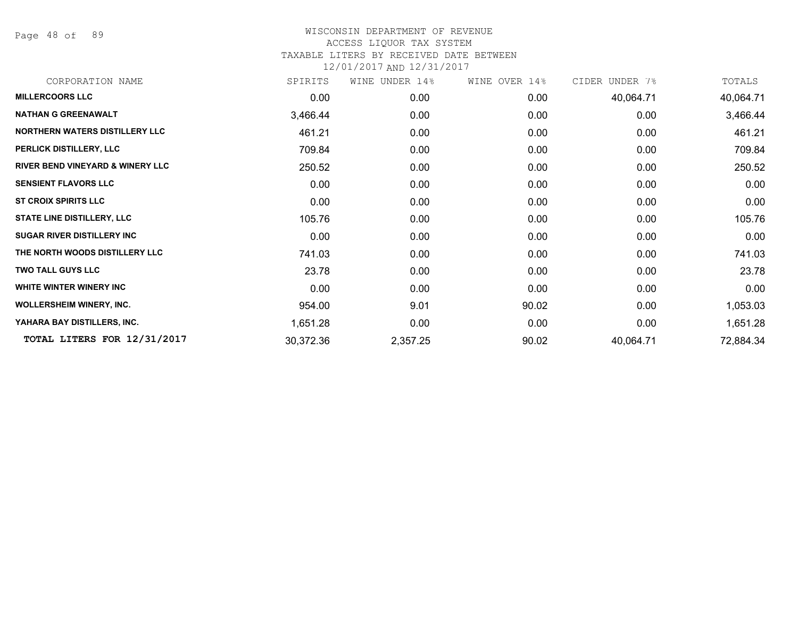Page 48 of 89

| CORPORATION NAME                            | SPIRITS   | WINE UNDER 14% | WINE OVER 14% | CIDER UNDER 7% | TOTALS    |
|---------------------------------------------|-----------|----------------|---------------|----------------|-----------|
| <b>MILLERCOORS LLC</b>                      | 0.00      | 0.00           | 0.00          | 40,064.71      | 40,064.71 |
| <b>NATHAN G GREENAWALT</b>                  | 3,466.44  | 0.00           | 0.00          | 0.00           | 3,466.44  |
| NORTHERN WATERS DISTILLERY LLC              | 461.21    | 0.00           | 0.00          | 0.00           | 461.21    |
| PERLICK DISTILLERY, LLC                     | 709.84    | 0.00           | 0.00          | 0.00           | 709.84    |
| <b>RIVER BEND VINEYARD &amp; WINERY LLC</b> | 250.52    | 0.00           | 0.00          | 0.00           | 250.52    |
| <b>SENSIENT FLAVORS LLC</b>                 | 0.00      | 0.00           | 0.00          | 0.00           | 0.00      |
| <b>ST CROIX SPIRITS LLC</b>                 | 0.00      | 0.00           | 0.00          | 0.00           | 0.00      |
| <b>STATE LINE DISTILLERY, LLC</b>           | 105.76    | 0.00           | 0.00          | 0.00           | 105.76    |
| <b>SUGAR RIVER DISTILLERY INC</b>           | 0.00      | 0.00           | 0.00          | 0.00           | 0.00      |
| THE NORTH WOODS DISTILLERY LLC              | 741.03    | 0.00           | 0.00          | 0.00           | 741.03    |
| <b>TWO TALL GUYS LLC</b>                    | 23.78     | 0.00           | 0.00          | 0.00           | 23.78     |
| WHITE WINTER WINERY INC                     | 0.00      | 0.00           | 0.00          | 0.00           | 0.00      |
| <b>WOLLERSHEIM WINERY, INC.</b>             | 954.00    | 9.01           | 90.02         | 0.00           | 1,053.03  |
| YAHARA BAY DISTILLERS, INC.                 | 1,651.28  | 0.00           | 0.00          | 0.00           | 1,651.28  |
| TOTAL LITERS FOR 12/31/2017                 | 30,372.36 | 2,357.25       | 90.02         | 40,064.71      | 72,884.34 |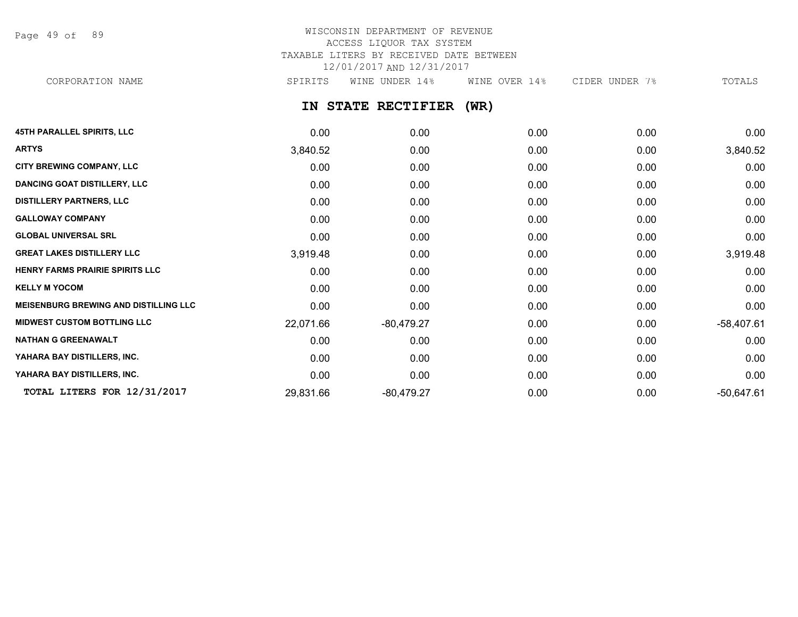Page 49 of 89

# WISCONSIN DEPARTMENT OF REVENUE ACCESS LIQUOR TAX SYSTEM TAXABLE LITERS BY RECEIVED DATE BETWEEN 12/01/2017 AND 12/31/2017 CORPORATION NAME SPIRITS WINE UNDER 14% WINE OVER 14% CIDER UNDER 7% TOTALS

**IN STATE RECTIFIER (WR)**

| <b>45TH PARALLEL SPIRITS, LLC</b>            | 0.00      | 0.00         | 0.00 | 0.00 | 0.00         |
|----------------------------------------------|-----------|--------------|------|------|--------------|
| <b>ARTYS</b>                                 | 3,840.52  | 0.00         | 0.00 | 0.00 | 3,840.52     |
| <b>CITY BREWING COMPANY, LLC</b>             | 0.00      | 0.00         | 0.00 | 0.00 | 0.00         |
| <b>DANCING GOAT DISTILLERY, LLC</b>          | 0.00      | 0.00         | 0.00 | 0.00 | 0.00         |
| <b>DISTILLERY PARTNERS, LLC</b>              | 0.00      | 0.00         | 0.00 | 0.00 | 0.00         |
| <b>GALLOWAY COMPANY</b>                      | 0.00      | 0.00         | 0.00 | 0.00 | 0.00         |
| <b>GLOBAL UNIVERSAL SRL</b>                  | 0.00      | 0.00         | 0.00 | 0.00 | 0.00         |
| <b>GREAT LAKES DISTILLERY LLC</b>            | 3,919.48  | 0.00         | 0.00 | 0.00 | 3,919.48     |
| <b>HENRY FARMS PRAIRIE SPIRITS LLC</b>       | 0.00      | 0.00         | 0.00 | 0.00 | 0.00         |
| <b>KELLY M YOCOM</b>                         | 0.00      | 0.00         | 0.00 | 0.00 | 0.00         |
| <b>MEISENBURG BREWING AND DISTILLING LLC</b> | 0.00      | 0.00         | 0.00 | 0.00 | 0.00         |
| <b>MIDWEST CUSTOM BOTTLING LLC</b>           | 22,071.66 | $-80,479.27$ | 0.00 | 0.00 | $-58,407.61$ |
| <b>NATHAN G GREENAWALT</b>                   | 0.00      | 0.00         | 0.00 | 0.00 | 0.00         |
| YAHARA BAY DISTILLERS, INC.                  | 0.00      | 0.00         | 0.00 | 0.00 | 0.00         |
| YAHARA BAY DISTILLERS, INC.                  | 0.00      | 0.00         | 0.00 | 0.00 | 0.00         |
| TOTAL LITERS FOR 12/31/2017                  | 29,831.66 | $-80,479.27$ | 0.00 | 0.00 | $-50,647.61$ |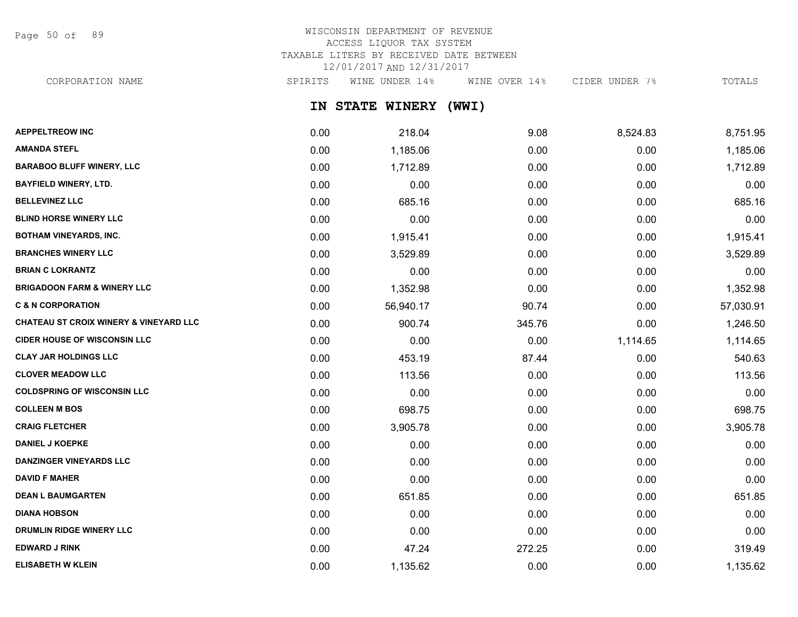Page 50 of 89

# WISCONSIN DEPARTMENT OF REVENUE ACCESS LIQUOR TAX SYSTEM TAXABLE LITERS BY RECEIVED DATE BETWEEN 12/01/2017 AND 12/31/2017

CORPORATION NAME SPIRITS WINE UNDER 14% WINE OVER 14% CIDER UNDER 7% TOTALS

**IN STATE WINERY (WWI)**

| <b>AEPPELTREOW INC</b>                 | 0.00 | 218.04    | 9.08   | 8,524.83 | 8,751.95  |
|----------------------------------------|------|-----------|--------|----------|-----------|
| <b>AMANDA STEFL</b>                    | 0.00 | 1,185.06  | 0.00   | 0.00     | 1,185.06  |
| <b>BARABOO BLUFF WINERY, LLC</b>       | 0.00 | 1,712.89  | 0.00   | 0.00     | 1,712.89  |
| <b>BAYFIELD WINERY, LTD.</b>           | 0.00 | 0.00      | 0.00   | 0.00     | 0.00      |
| <b>BELLEVINEZ LLC</b>                  | 0.00 | 685.16    | 0.00   | 0.00     | 685.16    |
| <b>BLIND HORSE WINERY LLC</b>          | 0.00 | 0.00      | 0.00   | 0.00     | 0.00      |
| <b>BOTHAM VINEYARDS, INC.</b>          | 0.00 | 1,915.41  | 0.00   | 0.00     | 1,915.41  |
| <b>BRANCHES WINERY LLC</b>             | 0.00 | 3,529.89  | 0.00   | 0.00     | 3,529.89  |
| <b>BRIAN C LOKRANTZ</b>                | 0.00 | 0.00      | 0.00   | 0.00     | 0.00      |
| <b>BRIGADOON FARM &amp; WINERY LLC</b> | 0.00 | 1,352.98  | 0.00   | 0.00     | 1,352.98  |
| <b>C &amp; N CORPORATION</b>           | 0.00 | 56,940.17 | 90.74  | 0.00     | 57,030.91 |
| CHATEAU ST CROIX WINERY & VINEYARD LLC | 0.00 | 900.74    | 345.76 | 0.00     | 1,246.50  |
| <b>CIDER HOUSE OF WISCONSIN LLC</b>    | 0.00 | 0.00      | 0.00   | 1,114.65 | 1,114.65  |
| <b>CLAY JAR HOLDINGS LLC</b>           | 0.00 | 453.19    | 87.44  | 0.00     | 540.63    |
| <b>CLOVER MEADOW LLC</b>               | 0.00 | 113.56    | 0.00   | 0.00     | 113.56    |
| <b>COLDSPRING OF WISCONSIN LLC</b>     | 0.00 | 0.00      | 0.00   | 0.00     | 0.00      |
| <b>COLLEEN M BOS</b>                   | 0.00 | 698.75    | 0.00   | 0.00     | 698.75    |
| <b>CRAIG FLETCHER</b>                  | 0.00 | 3,905.78  | 0.00   | 0.00     | 3,905.78  |
| <b>DANIEL J KOEPKE</b>                 | 0.00 | 0.00      | 0.00   | 0.00     | 0.00      |
| <b>DANZINGER VINEYARDS LLC</b>         | 0.00 | 0.00      | 0.00   | 0.00     | 0.00      |
| <b>DAVID F MAHER</b>                   | 0.00 | 0.00      | 0.00   | 0.00     | 0.00      |
| <b>DEAN L BAUMGARTEN</b>               | 0.00 | 651.85    | 0.00   | 0.00     | 651.85    |
| <b>DIANA HOBSON</b>                    | 0.00 | 0.00      | 0.00   | 0.00     | 0.00      |
| <b>DRUMLIN RIDGE WINERY LLC</b>        | 0.00 | 0.00      | 0.00   | 0.00     | 0.00      |
| <b>EDWARD J RINK</b>                   | 0.00 | 47.24     | 272.25 | 0.00     | 319.49    |
| <b>ELISABETH W KLEIN</b>               | 0.00 | 1,135.62  | 0.00   | 0.00     | 1,135.62  |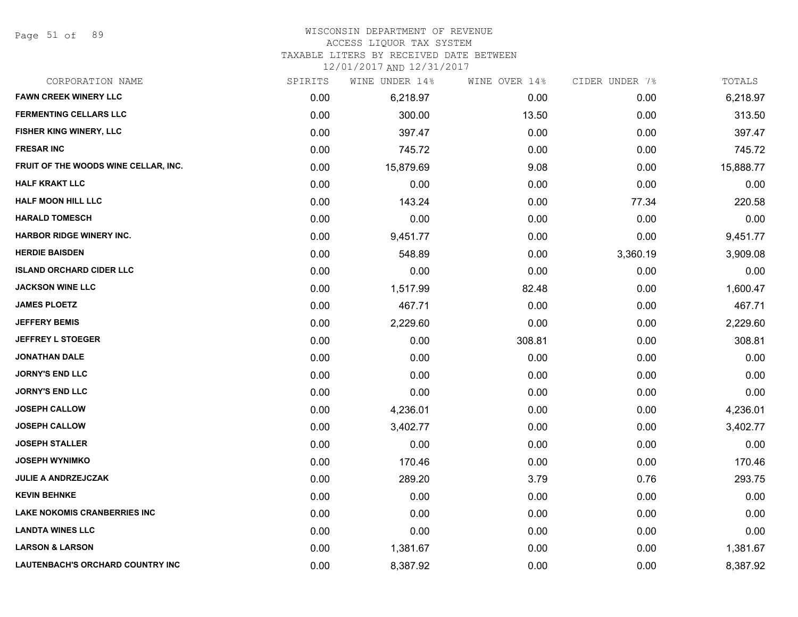Page 51 of 89

#### WISCONSIN DEPARTMENT OF REVENUE

#### ACCESS LIQUOR TAX SYSTEM

TAXABLE LITERS BY RECEIVED DATE BETWEEN

| CORPORATION NAME                        | SPIRITS | WINE UNDER 14% | WINE OVER 14% | CIDER UNDER 7% | TOTALS    |
|-----------------------------------------|---------|----------------|---------------|----------------|-----------|
| <b>FAWN CREEK WINERY LLC</b>            | 0.00    | 6,218.97       | 0.00          | 0.00           | 6,218.97  |
| <b>FERMENTING CELLARS LLC</b>           | 0.00    | 300.00         | 13.50         | 0.00           | 313.50    |
| FISHER KING WINERY, LLC                 | 0.00    | 397.47         | 0.00          | 0.00           | 397.47    |
| <b>FRESAR INC</b>                       | 0.00    | 745.72         | 0.00          | 0.00           | 745.72    |
| FRUIT OF THE WOODS WINE CELLAR, INC.    | 0.00    | 15,879.69      | 9.08          | 0.00           | 15,888.77 |
| <b>HALF KRAKT LLC</b>                   | 0.00    | 0.00           | 0.00          | 0.00           | 0.00      |
| <b>HALF MOON HILL LLC</b>               | 0.00    | 143.24         | 0.00          | 77.34          | 220.58    |
| <b>HARALD TOMESCH</b>                   | 0.00    | 0.00           | 0.00          | 0.00           | 0.00      |
| <b>HARBOR RIDGE WINERY INC.</b>         | 0.00    | 9,451.77       | 0.00          | 0.00           | 9,451.77  |
| <b>HERDIE BAISDEN</b>                   | 0.00    | 548.89         | 0.00          | 3,360.19       | 3,909.08  |
| <b>ISLAND ORCHARD CIDER LLC</b>         | 0.00    | 0.00           | 0.00          | 0.00           | 0.00      |
| <b>JACKSON WINE LLC</b>                 | 0.00    | 1,517.99       | 82.48         | 0.00           | 1,600.47  |
| <b>JAMES PLOETZ</b>                     | 0.00    | 467.71         | 0.00          | 0.00           | 467.71    |
| <b>JEFFERY BEMIS</b>                    | 0.00    | 2,229.60       | 0.00          | 0.00           | 2,229.60  |
| <b>JEFFREY L STOEGER</b>                | 0.00    | 0.00           | 308.81        | 0.00           | 308.81    |
| <b>JONATHAN DALE</b>                    | 0.00    | 0.00           | 0.00          | 0.00           | 0.00      |
| <b>JORNY'S END LLC</b>                  | 0.00    | 0.00           | 0.00          | 0.00           | 0.00      |
| <b>JORNY'S END LLC</b>                  | 0.00    | 0.00           | 0.00          | 0.00           | 0.00      |
| <b>JOSEPH CALLOW</b>                    | 0.00    | 4,236.01       | 0.00          | 0.00           | 4,236.01  |
| <b>JOSEPH CALLOW</b>                    | 0.00    | 3,402.77       | 0.00          | 0.00           | 3,402.77  |
| <b>JOSEPH STALLER</b>                   | 0.00    | 0.00           | 0.00          | 0.00           | 0.00      |
| <b>JOSEPH WYNIMKO</b>                   | 0.00    | 170.46         | 0.00          | 0.00           | 170.46    |
| <b>JULIE A ANDRZEJCZAK</b>              | 0.00    | 289.20         | 3.79          | 0.76           | 293.75    |
| <b>KEVIN BEHNKE</b>                     | 0.00    | 0.00           | 0.00          | 0.00           | 0.00      |
| <b>LAKE NOKOMIS CRANBERRIES INC</b>     | 0.00    | 0.00           | 0.00          | 0.00           | 0.00      |
| <b>LANDTA WINES LLC</b>                 | 0.00    | 0.00           | 0.00          | 0.00           | 0.00      |
| <b>LARSON &amp; LARSON</b>              | 0.00    | 1,381.67       | 0.00          | 0.00           | 1,381.67  |
| <b>LAUTENBACH'S ORCHARD COUNTRY INC</b> | 0.00    | 8,387.92       | 0.00          | 0.00           | 8,387.92  |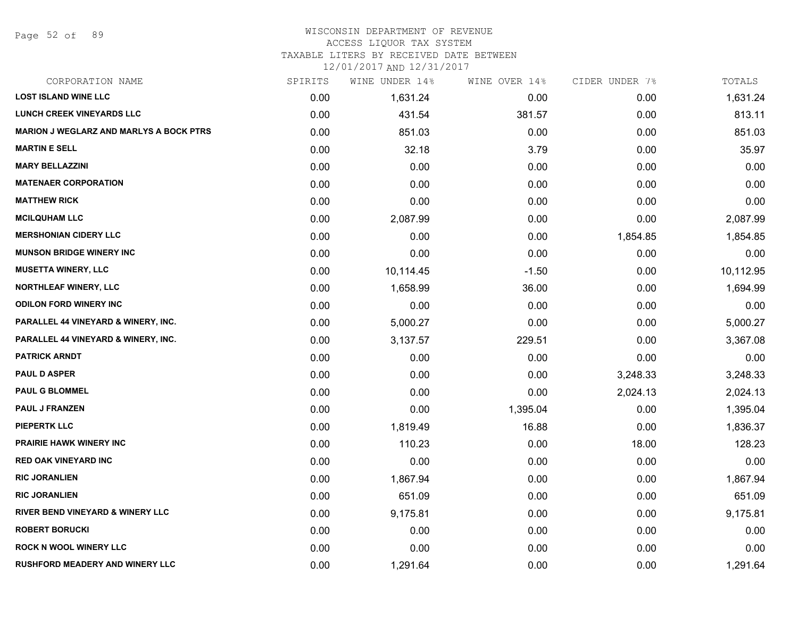Page 52 of 89

## WISCONSIN DEPARTMENT OF REVENUE

#### ACCESS LIQUOR TAX SYSTEM

TAXABLE LITERS BY RECEIVED DATE BETWEEN

| CORPORATION NAME                               | SPIRITS | WINE UNDER 14% | WINE OVER 14% | CIDER UNDER 7% | TOTALS    |
|------------------------------------------------|---------|----------------|---------------|----------------|-----------|
| <b>LOST ISLAND WINE LLC</b>                    | 0.00    | 1,631.24       | 0.00          | 0.00           | 1,631.24  |
| <b>LUNCH CREEK VINEYARDS LLC</b>               | 0.00    | 431.54         | 381.57        | 0.00           | 813.11    |
| <b>MARION J WEGLARZ AND MARLYS A BOCK PTRS</b> | 0.00    | 851.03         | 0.00          | 0.00           | 851.03    |
| <b>MARTIN E SELL</b>                           | 0.00    | 32.18          | 3.79          | 0.00           | 35.97     |
| <b>MARY BELLAZZINI</b>                         | 0.00    | 0.00           | 0.00          | 0.00           | 0.00      |
| <b>MATENAER CORPORATION</b>                    | 0.00    | 0.00           | 0.00          | 0.00           | 0.00      |
| <b>MATTHEW RICK</b>                            | 0.00    | 0.00           | 0.00          | 0.00           | 0.00      |
| <b>MCILQUHAM LLC</b>                           | 0.00    | 2,087.99       | 0.00          | 0.00           | 2,087.99  |
| <b>MERSHONIAN CIDERY LLC</b>                   | 0.00    | 0.00           | 0.00          | 1,854.85       | 1,854.85  |
| <b>MUNSON BRIDGE WINERY INC</b>                | 0.00    | 0.00           | 0.00          | 0.00           | 0.00      |
| <b>MUSETTA WINERY, LLC</b>                     | 0.00    | 10,114.45      | $-1.50$       | 0.00           | 10,112.95 |
| <b>NORTHLEAF WINERY, LLC</b>                   | 0.00    | 1,658.99       | 36.00         | 0.00           | 1,694.99  |
| <b>ODILON FORD WINERY INC</b>                  | 0.00    | 0.00           | 0.00          | 0.00           | 0.00      |
| PARALLEL 44 VINEYARD & WINERY, INC.            | 0.00    | 5,000.27       | 0.00          | 0.00           | 5,000.27  |
| PARALLEL 44 VINEYARD & WINERY, INC.            | 0.00    | 3,137.57       | 229.51        | 0.00           | 3,367.08  |
| <b>PATRICK ARNDT</b>                           | 0.00    | 0.00           | 0.00          | 0.00           | 0.00      |
| <b>PAUL D ASPER</b>                            | 0.00    | 0.00           | 0.00          | 3,248.33       | 3,248.33  |
| <b>PAUL G BLOMMEL</b>                          | 0.00    | 0.00           | 0.00          | 2,024.13       | 2,024.13  |
| PAUL J FRANZEN                                 | 0.00    | 0.00           | 1,395.04      | 0.00           | 1,395.04  |
| <b>PIEPERTK LLC</b>                            | 0.00    | 1,819.49       | 16.88         | 0.00           | 1,836.37  |
| <b>PRAIRIE HAWK WINERY INC</b>                 | 0.00    | 110.23         | 0.00          | 18.00          | 128.23    |
| <b>RED OAK VINEYARD INC</b>                    | 0.00    | 0.00           | 0.00          | 0.00           | 0.00      |
| <b>RIC JORANLIEN</b>                           | 0.00    | 1,867.94       | 0.00          | 0.00           | 1,867.94  |
| <b>RIC JORANLIEN</b>                           | 0.00    | 651.09         | 0.00          | 0.00           | 651.09    |
| <b>RIVER BEND VINEYARD &amp; WINERY LLC</b>    | 0.00    | 9,175.81       | 0.00          | 0.00           | 9,175.81  |
| <b>ROBERT BORUCKI</b>                          | 0.00    | 0.00           | 0.00          | 0.00           | 0.00      |
| <b>ROCK N WOOL WINERY LLC</b>                  | 0.00    | 0.00           | 0.00          | 0.00           | 0.00      |
| <b>RUSHFORD MEADERY AND WINERY LLC</b>         | 0.00    | 1,291.64       | 0.00          | 0.00           | 1,291.64  |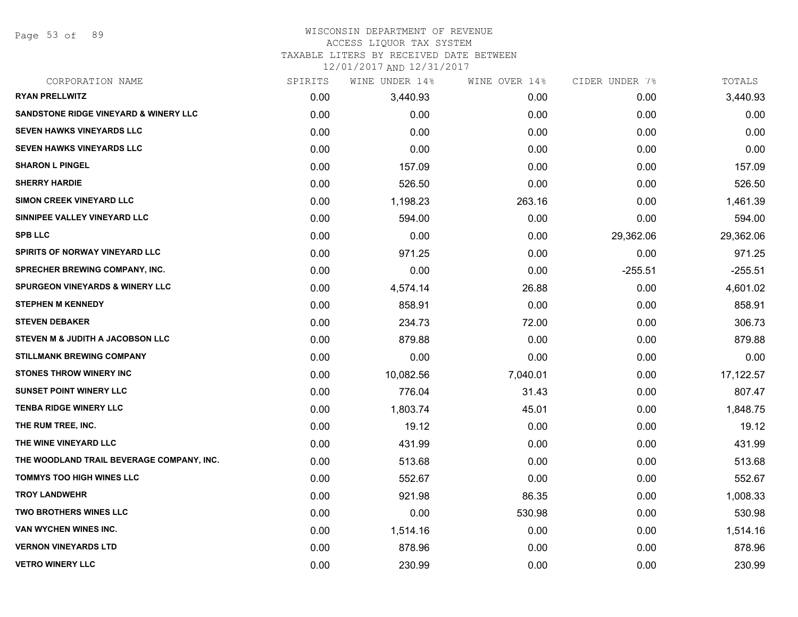Page 53 of 89

#### WISCONSIN DEPARTMENT OF REVENUE ACCESS LIQUOR TAX SYSTEM

TAXABLE LITERS BY RECEIVED DATE BETWEEN

| CORPORATION NAME                                 | SPIRITS | WINE UNDER 14% | WINE OVER 14% | CIDER UNDER 7% | TOTALS    |
|--------------------------------------------------|---------|----------------|---------------|----------------|-----------|
| <b>RYAN PRELLWITZ</b>                            | 0.00    | 3,440.93       | 0.00          | 0.00           | 3,440.93  |
| <b>SANDSTONE RIDGE VINEYARD &amp; WINERY LLC</b> | 0.00    | 0.00           | 0.00          | 0.00           | 0.00      |
| <b>SEVEN HAWKS VINEYARDS LLC</b>                 | 0.00    | 0.00           | 0.00          | 0.00           | 0.00      |
| <b>SEVEN HAWKS VINEYARDS LLC</b>                 | 0.00    | 0.00           | 0.00          | 0.00           | 0.00      |
| <b>SHARON L PINGEL</b>                           | 0.00    | 157.09         | 0.00          | 0.00           | 157.09    |
| <b>SHERRY HARDIE</b>                             | 0.00    | 526.50         | 0.00          | 0.00           | 526.50    |
| <b>SIMON CREEK VINEYARD LLC</b>                  | 0.00    | 1,198.23       | 263.16        | 0.00           | 1,461.39  |
| SINNIPEE VALLEY VINEYARD LLC                     | 0.00    | 594.00         | 0.00          | 0.00           | 594.00    |
| <b>SPB LLC</b>                                   | 0.00    | 0.00           | 0.00          | 29,362.06      | 29,362.06 |
| SPIRITS OF NORWAY VINEYARD LLC                   | 0.00    | 971.25         | 0.00          | 0.00           | 971.25    |
| <b>SPRECHER BREWING COMPANY, INC.</b>            | 0.00    | 0.00           | 0.00          | $-255.51$      | $-255.51$ |
| <b>SPURGEON VINEYARDS &amp; WINERY LLC</b>       | 0.00    | 4,574.14       | 26.88         | 0.00           | 4,601.02  |
| <b>STEPHEN M KENNEDY</b>                         | 0.00    | 858.91         | 0.00          | 0.00           | 858.91    |
| <b>STEVEN DEBAKER</b>                            | 0.00    | 234.73         | 72.00         | 0.00           | 306.73    |
| STEVEN M & JUDITH A JACOBSON LLC                 | 0.00    | 879.88         | 0.00          | 0.00           | 879.88    |
| <b>STILLMANK BREWING COMPANY</b>                 | 0.00    | 0.00           | 0.00          | 0.00           | 0.00      |
| <b>STONES THROW WINERY INC</b>                   | 0.00    | 10,082.56      | 7,040.01      | 0.00           | 17,122.57 |
| <b>SUNSET POINT WINERY LLC</b>                   | 0.00    | 776.04         | 31.43         | 0.00           | 807.47    |
| <b>TENBA RIDGE WINERY LLC</b>                    | 0.00    | 1,803.74       | 45.01         | 0.00           | 1,848.75  |
| THE RUM TREE, INC.                               | 0.00    | 19.12          | 0.00          | 0.00           | 19.12     |
| THE WINE VINEYARD LLC                            | 0.00    | 431.99         | 0.00          | 0.00           | 431.99    |
| THE WOODLAND TRAIL BEVERAGE COMPANY, INC.        | 0.00    | 513.68         | 0.00          | 0.00           | 513.68    |
| <b>TOMMYS TOO HIGH WINES LLC</b>                 | 0.00    | 552.67         | 0.00          | 0.00           | 552.67    |
| <b>TROY LANDWEHR</b>                             | 0.00    | 921.98         | 86.35         | 0.00           | 1,008.33  |
| <b>TWO BROTHERS WINES LLC</b>                    | 0.00    | 0.00           | 530.98        | 0.00           | 530.98    |
| VAN WYCHEN WINES INC.                            | 0.00    | 1,514.16       | 0.00          | 0.00           | 1,514.16  |
| <b>VERNON VINEYARDS LTD</b>                      | 0.00    | 878.96         | 0.00          | 0.00           | 878.96    |
| <b>VETRO WINERY LLC</b>                          | 0.00    | 230.99         | 0.00          | 0.00           | 230.99    |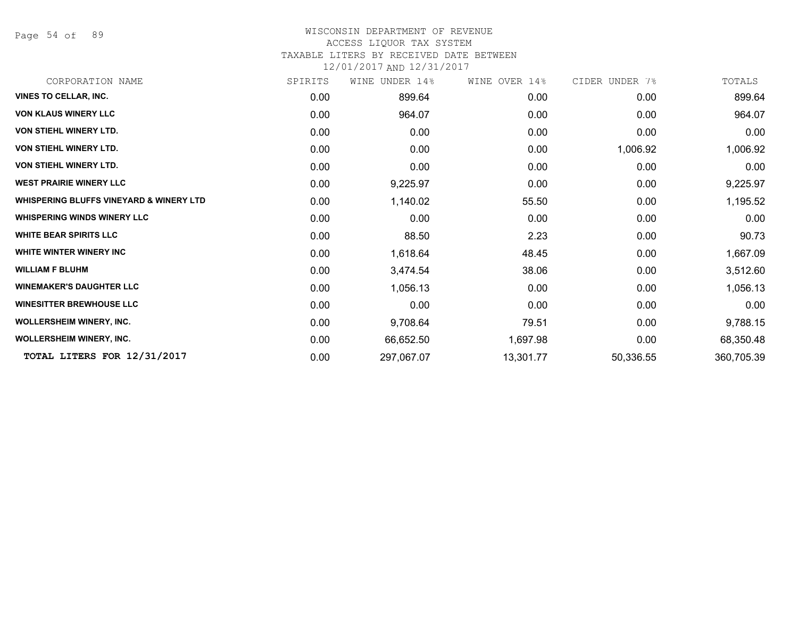Page 54 of 89

# WISCONSIN DEPARTMENT OF REVENUE

#### ACCESS LIQUOR TAX SYSTEM

TAXABLE LITERS BY RECEIVED DATE BETWEEN

| CORPORATION NAME                                   | SPIRITS | UNDER 14%<br>WINE | WINE OVER 14% | CIDER UNDER 7% | TOTALS     |
|----------------------------------------------------|---------|-------------------|---------------|----------------|------------|
| <b>VINES TO CELLAR, INC.</b>                       | 0.00    | 899.64            | 0.00          | 0.00           | 899.64     |
| <b>VON KLAUS WINERY LLC</b>                        | 0.00    | 964.07            | 0.00          | 0.00           | 964.07     |
| <b>VON STIEHL WINERY LTD.</b>                      | 0.00    | 0.00              | 0.00          | 0.00           | 0.00       |
| <b>VON STIEHL WINERY LTD.</b>                      | 0.00    | 0.00              | 0.00          | 1,006.92       | 1,006.92   |
| <b>VON STIEHL WINERY LTD.</b>                      | 0.00    | 0.00              | 0.00          | 0.00           | 0.00       |
| <b>WEST PRAIRIE WINERY LLC</b>                     | 0.00    | 9,225.97          | 0.00          | 0.00           | 9,225.97   |
| <b>WHISPERING BLUFFS VINEYARD &amp; WINERY LTD</b> | 0.00    | 1,140.02          | 55.50         | 0.00           | 1,195.52   |
| <b>WHISPERING WINDS WINERY LLC</b>                 | 0.00    | 0.00              | 0.00          | 0.00           | 0.00       |
| <b>WHITE BEAR SPIRITS LLC</b>                      | 0.00    | 88.50             | 2.23          | 0.00           | 90.73      |
| <b>WHITE WINTER WINERY INC</b>                     | 0.00    | 1,618.64          | 48.45         | 0.00           | 1,667.09   |
| <b>WILLIAM F BLUHM</b>                             | 0.00    | 3,474.54          | 38.06         | 0.00           | 3,512.60   |
| <b>WINEMAKER'S DAUGHTER LLC</b>                    | 0.00    | 1,056.13          | 0.00          | 0.00           | 1,056.13   |
| <b>WINESITTER BREWHOUSE LLC</b>                    | 0.00    | 0.00              | 0.00          | 0.00           | 0.00       |
| <b>WOLLERSHEIM WINERY, INC.</b>                    | 0.00    | 9,708.64          | 79.51         | 0.00           | 9,788.15   |
| <b>WOLLERSHEIM WINERY, INC.</b>                    | 0.00    | 66,652.50         | 1,697.98      | 0.00           | 68,350.48  |
| TOTAL LITERS FOR 12/31/2017                        | 0.00    | 297,067.07        | 13,301.77     | 50,336.55      | 360,705.39 |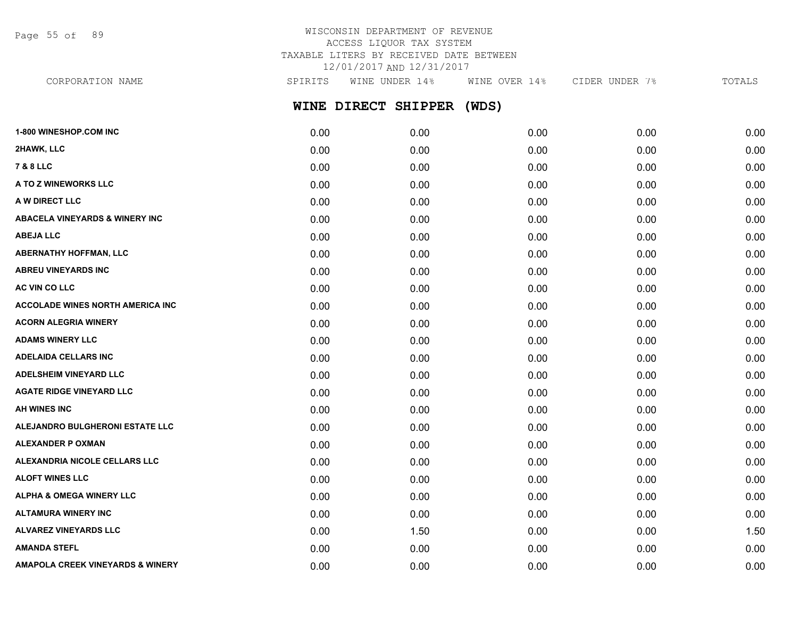Page 55 of 89

# WISCONSIN DEPARTMENT OF REVENUE ACCESS LIQUOR TAX SYSTEM TAXABLE LITERS BY RECEIVED DATE BETWEEN 12/01/2017 AND 12/31/2017

**WINE DIRECT SHIPPER (WDS) 1-800 WINESHOP.COM INC** 0.00 0.00 0.00 0.00 0.00 **2HAWK, LLC** 0.00 0.00 0.00 0.00 0.00 CORPORATION NAME SPIRITS WINE UNDER 14% WINE OVER 14% CIDER UNDER 7% TOTALS

| <b>7 &amp; 8 LLC</b>                        | 0.00 | 0.00 | 0.00 | 0.00 | 0.00 |
|---------------------------------------------|------|------|------|------|------|
| A TO Z WINEWORKS LLC                        | 0.00 | 0.00 | 0.00 | 0.00 | 0.00 |
| A W DIRECT LLC                              | 0.00 | 0.00 | 0.00 | 0.00 | 0.00 |
| <b>ABACELA VINEYARDS &amp; WINERY INC</b>   | 0.00 | 0.00 | 0.00 | 0.00 | 0.00 |
| <b>ABEJA LLC</b>                            | 0.00 | 0.00 | 0.00 | 0.00 | 0.00 |
| <b>ABERNATHY HOFFMAN, LLC</b>               | 0.00 | 0.00 | 0.00 | 0.00 | 0.00 |
| <b>ABREU VINEYARDS INC</b>                  | 0.00 | 0.00 | 0.00 | 0.00 | 0.00 |
| AC VIN CO LLC                               | 0.00 | 0.00 | 0.00 | 0.00 | 0.00 |
| <b>ACCOLADE WINES NORTH AMERICA INC.</b>    | 0.00 | 0.00 | 0.00 | 0.00 | 0.00 |
| <b>ACORN ALEGRIA WINERY</b>                 | 0.00 | 0.00 | 0.00 | 0.00 | 0.00 |
| <b>ADAMS WINERY LLC</b>                     | 0.00 | 0.00 | 0.00 | 0.00 | 0.00 |
| <b>ADELAIDA CELLARS INC</b>                 | 0.00 | 0.00 | 0.00 | 0.00 | 0.00 |
| <b>ADELSHEIM VINEYARD LLC</b>               | 0.00 | 0.00 | 0.00 | 0.00 | 0.00 |
| <b>AGATE RIDGE VINEYARD LLC</b>             | 0.00 | 0.00 | 0.00 | 0.00 | 0.00 |
| AH WINES INC                                | 0.00 | 0.00 | 0.00 | 0.00 | 0.00 |
| ALEJANDRO BULGHERONI ESTATE LLC             | 0.00 | 0.00 | 0.00 | 0.00 | 0.00 |
| <b>ALEXANDER P OXMAN</b>                    | 0.00 | 0.00 | 0.00 | 0.00 | 0.00 |
| ALEXANDRIA NICOLE CELLARS LLC               | 0.00 | 0.00 | 0.00 | 0.00 | 0.00 |
| <b>ALOFT WINES LLC</b>                      | 0.00 | 0.00 | 0.00 | 0.00 | 0.00 |
| <b>ALPHA &amp; OMEGA WINERY LLC</b>         | 0.00 | 0.00 | 0.00 | 0.00 | 0.00 |
| <b>ALTAMURA WINERY INC</b>                  | 0.00 | 0.00 | 0.00 | 0.00 | 0.00 |
| <b>ALVAREZ VINEYARDS LLC</b>                | 0.00 | 1.50 | 0.00 | 0.00 | 1.50 |
| <b>AMANDA STEFL</b>                         | 0.00 | 0.00 | 0.00 | 0.00 | 0.00 |
| <b>AMAPOLA CREEK VINEYARDS &amp; WINERY</b> | 0.00 | 0.00 | 0.00 | 0.00 | 0.00 |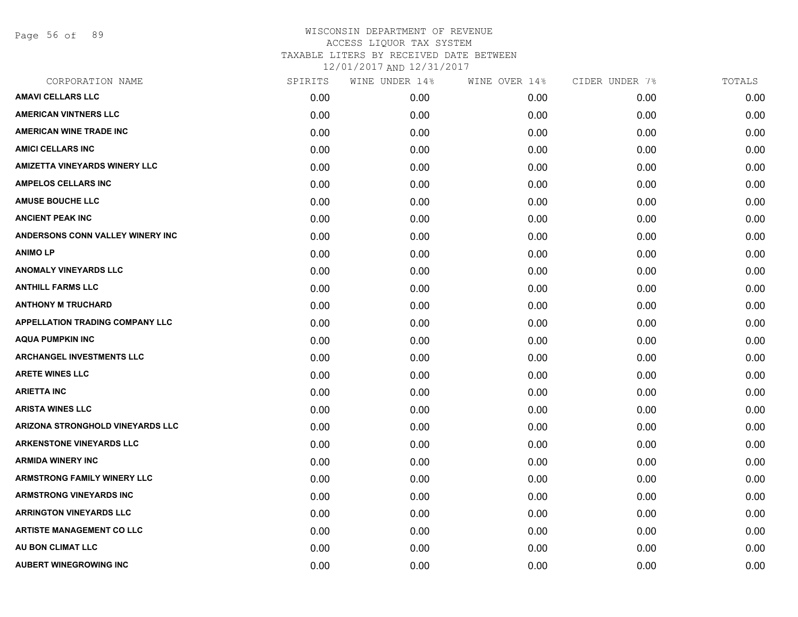Page 56 of 89

| CORPORATION NAME                        | SPIRITS | WINE UNDER 14% | WINE OVER 14% | CIDER UNDER 7% | TOTALS |
|-----------------------------------------|---------|----------------|---------------|----------------|--------|
| <b>AMAVI CELLARS LLC</b>                | 0.00    | 0.00           | 0.00          | 0.00           | 0.00   |
| <b>AMERICAN VINTNERS LLC</b>            | 0.00    | 0.00           | 0.00          | 0.00           | 0.00   |
| <b>AMERICAN WINE TRADE INC</b>          | 0.00    | 0.00           | 0.00          | 0.00           | 0.00   |
| <b>AMICI CELLARS INC</b>                | 0.00    | 0.00           | 0.00          | 0.00           | 0.00   |
| <b>AMIZETTA VINEYARDS WINERY LLC</b>    | 0.00    | 0.00           | 0.00          | 0.00           | 0.00   |
| <b>AMPELOS CELLARS INC</b>              | 0.00    | 0.00           | 0.00          | 0.00           | 0.00   |
| <b>AMUSE BOUCHE LLC</b>                 | 0.00    | 0.00           | 0.00          | 0.00           | 0.00   |
| <b>ANCIENT PEAK INC</b>                 | 0.00    | 0.00           | 0.00          | 0.00           | 0.00   |
| ANDERSONS CONN VALLEY WINERY INC        | 0.00    | 0.00           | 0.00          | 0.00           | 0.00   |
| <b>ANIMO LP</b>                         | 0.00    | 0.00           | 0.00          | 0.00           | 0.00   |
| <b>ANOMALY VINEYARDS LLC</b>            | 0.00    | 0.00           | 0.00          | 0.00           | 0.00   |
| <b>ANTHILL FARMS LLC</b>                | 0.00    | 0.00           | 0.00          | 0.00           | 0.00   |
| <b>ANTHONY M TRUCHARD</b>               | 0.00    | 0.00           | 0.00          | 0.00           | 0.00   |
| <b>APPELLATION TRADING COMPANY LLC</b>  | 0.00    | 0.00           | 0.00          | 0.00           | 0.00   |
| <b>AQUA PUMPKIN INC</b>                 | 0.00    | 0.00           | 0.00          | 0.00           | 0.00   |
| <b>ARCHANGEL INVESTMENTS LLC</b>        | 0.00    | 0.00           | 0.00          | 0.00           | 0.00   |
| <b>ARETE WINES LLC</b>                  | 0.00    | 0.00           | 0.00          | 0.00           | 0.00   |
| <b>ARIETTA INC</b>                      | 0.00    | 0.00           | 0.00          | 0.00           | 0.00   |
| <b>ARISTA WINES LLC</b>                 | 0.00    | 0.00           | 0.00          | 0.00           | 0.00   |
| <b>ARIZONA STRONGHOLD VINEYARDS LLC</b> | 0.00    | 0.00           | 0.00          | 0.00           | 0.00   |
| <b>ARKENSTONE VINEYARDS LLC</b>         | 0.00    | 0.00           | 0.00          | 0.00           | 0.00   |
| <b>ARMIDA WINERY INC</b>                | 0.00    | 0.00           | 0.00          | 0.00           | 0.00   |
| <b>ARMSTRONG FAMILY WINERY LLC</b>      | 0.00    | 0.00           | 0.00          | 0.00           | 0.00   |
| <b>ARMSTRONG VINEYARDS INC</b>          | 0.00    | 0.00           | 0.00          | 0.00           | 0.00   |
| <b>ARRINGTON VINEYARDS LLC</b>          | 0.00    | 0.00           | 0.00          | 0.00           | 0.00   |
| <b>ARTISTE MANAGEMENT CO LLC</b>        | 0.00    | 0.00           | 0.00          | 0.00           | 0.00   |
| AU BON CLIMAT LLC                       | 0.00    | 0.00           | 0.00          | 0.00           | 0.00   |
| <b>AUBERT WINEGROWING INC</b>           | 0.00    | 0.00           | 0.00          | 0.00           | 0.00   |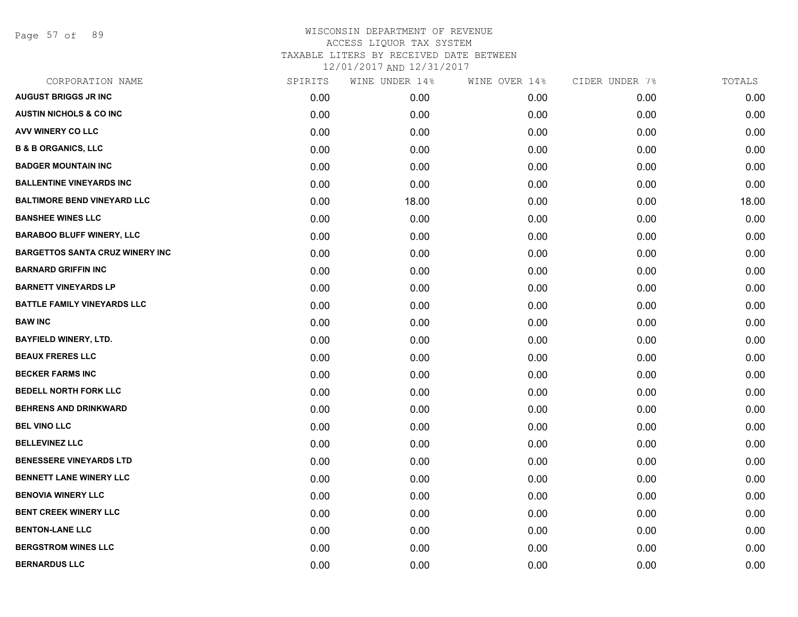Page 57 of 89

| CORPORATION NAME                       | SPIRITS | WINE UNDER 14% | WINE OVER 14% | CIDER UNDER 7% | TOTALS |
|----------------------------------------|---------|----------------|---------------|----------------|--------|
| <b>AUGUST BRIGGS JR INC</b>            | 0.00    | 0.00           | 0.00          | 0.00           | 0.00   |
| <b>AUSTIN NICHOLS &amp; CO INC</b>     | 0.00    | 0.00           | 0.00          | 0.00           | 0.00   |
| AVV WINERY CO LLC                      | 0.00    | 0.00           | 0.00          | 0.00           | 0.00   |
| <b>B &amp; B ORGANICS, LLC</b>         | 0.00    | 0.00           | 0.00          | 0.00           | 0.00   |
| <b>BADGER MOUNTAIN INC</b>             | 0.00    | 0.00           | 0.00          | 0.00           | 0.00   |
| <b>BALLENTINE VINEYARDS INC</b>        | 0.00    | 0.00           | 0.00          | 0.00           | 0.00   |
| <b>BALTIMORE BEND VINEYARD LLC</b>     | 0.00    | 18.00          | 0.00          | 0.00           | 18.00  |
| <b>BANSHEE WINES LLC</b>               | 0.00    | 0.00           | 0.00          | 0.00           | 0.00   |
| <b>BARABOO BLUFF WINERY, LLC</b>       | 0.00    | 0.00           | 0.00          | 0.00           | 0.00   |
| <b>BARGETTOS SANTA CRUZ WINERY INC</b> | 0.00    | 0.00           | 0.00          | 0.00           | 0.00   |
| <b>BARNARD GRIFFIN INC</b>             | 0.00    | 0.00           | 0.00          | 0.00           | 0.00   |
| <b>BARNETT VINEYARDS LP</b>            | 0.00    | 0.00           | 0.00          | 0.00           | 0.00   |
| <b>BATTLE FAMILY VINEYARDS LLC</b>     | 0.00    | 0.00           | 0.00          | 0.00           | 0.00   |
| <b>BAW INC</b>                         | 0.00    | 0.00           | 0.00          | 0.00           | 0.00   |
| <b>BAYFIELD WINERY, LTD.</b>           | 0.00    | 0.00           | 0.00          | 0.00           | 0.00   |
| <b>BEAUX FRERES LLC</b>                | 0.00    | 0.00           | 0.00          | 0.00           | 0.00   |
| <b>BECKER FARMS INC</b>                | 0.00    | 0.00           | 0.00          | 0.00           | 0.00   |
| <b>BEDELL NORTH FORK LLC</b>           | 0.00    | 0.00           | 0.00          | 0.00           | 0.00   |
| <b>BEHRENS AND DRINKWARD</b>           | 0.00    | 0.00           | 0.00          | 0.00           | 0.00   |
| <b>BEL VINO LLC</b>                    | 0.00    | 0.00           | 0.00          | 0.00           | 0.00   |
| <b>BELLEVINEZ LLC</b>                  | 0.00    | 0.00           | 0.00          | 0.00           | 0.00   |
| <b>BENESSERE VINEYARDS LTD</b>         | 0.00    | 0.00           | 0.00          | 0.00           | 0.00   |
| <b>BENNETT LANE WINERY LLC</b>         | 0.00    | 0.00           | 0.00          | 0.00           | 0.00   |
| <b>BENOVIA WINERY LLC</b>              | 0.00    | 0.00           | 0.00          | 0.00           | 0.00   |
| <b>BENT CREEK WINERY LLC</b>           | 0.00    | 0.00           | 0.00          | 0.00           | 0.00   |
| <b>BENTON-LANE LLC</b>                 | 0.00    | 0.00           | 0.00          | 0.00           | 0.00   |
| <b>BERGSTROM WINES LLC</b>             | 0.00    | 0.00           | 0.00          | 0.00           | 0.00   |
| <b>BERNARDUS LLC</b>                   | 0.00    | 0.00           | 0.00          | 0.00           | 0.00   |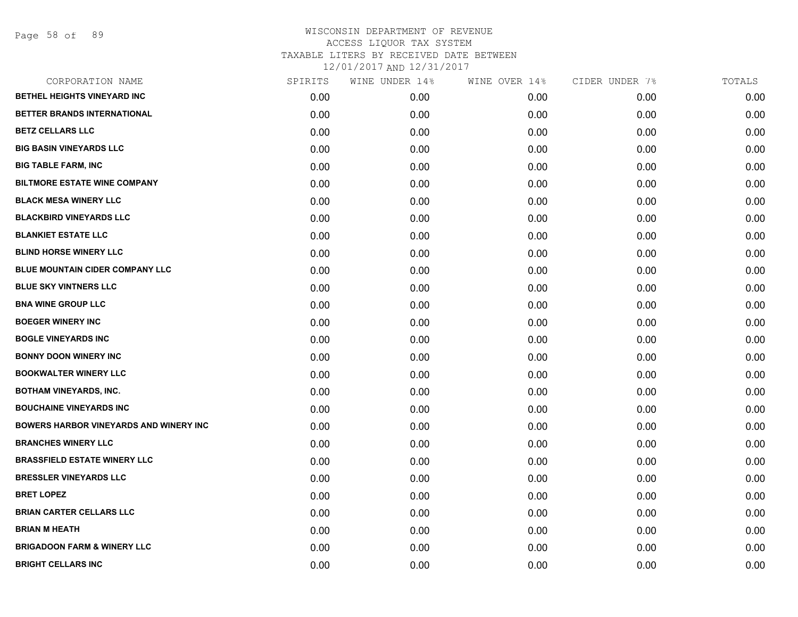| CORPORATION NAME                               | SPIRITS | WINE UNDER 14% | WINE OVER 14% | CIDER UNDER 7% | TOTALS |
|------------------------------------------------|---------|----------------|---------------|----------------|--------|
| BETHEL HEIGHTS VINEYARD INC                    | 0.00    | 0.00           | 0.00          | 0.00           | 0.00   |
| BETTER BRANDS INTERNATIONAL                    | 0.00    | 0.00           | 0.00          | 0.00           | 0.00   |
| <b>BETZ CELLARS LLC</b>                        | 0.00    | 0.00           | 0.00          | 0.00           | 0.00   |
| <b>BIG BASIN VINEYARDS LLC</b>                 | 0.00    | 0.00           | 0.00          | 0.00           | 0.00   |
| <b>BIG TABLE FARM, INC</b>                     | 0.00    | 0.00           | 0.00          | 0.00           | 0.00   |
| <b>BILTMORE ESTATE WINE COMPANY</b>            | 0.00    | 0.00           | 0.00          | 0.00           | 0.00   |
| <b>BLACK MESA WINERY LLC</b>                   | 0.00    | 0.00           | 0.00          | 0.00           | 0.00   |
| <b>BLACKBIRD VINEYARDS LLC</b>                 | 0.00    | 0.00           | 0.00          | 0.00           | 0.00   |
| <b>BLANKIET ESTATE LLC</b>                     | 0.00    | 0.00           | 0.00          | 0.00           | 0.00   |
| <b>BLIND HORSE WINERY LLC</b>                  | 0.00    | 0.00           | 0.00          | 0.00           | 0.00   |
| BLUE MOUNTAIN CIDER COMPANY LLC                | 0.00    | 0.00           | 0.00          | 0.00           | 0.00   |
| <b>BLUE SKY VINTNERS LLC</b>                   | 0.00    | 0.00           | 0.00          | 0.00           | 0.00   |
| <b>BNA WINE GROUP LLC</b>                      | 0.00    | 0.00           | 0.00          | 0.00           | 0.00   |
| <b>BOEGER WINERY INC</b>                       | 0.00    | 0.00           | 0.00          | 0.00           | 0.00   |
| <b>BOGLE VINEYARDS INC</b>                     | 0.00    | 0.00           | 0.00          | 0.00           | 0.00   |
| <b>BONNY DOON WINERY INC</b>                   | 0.00    | 0.00           | 0.00          | 0.00           | 0.00   |
| <b>BOOKWALTER WINERY LLC</b>                   | 0.00    | 0.00           | 0.00          | 0.00           | 0.00   |
| <b>BOTHAM VINEYARDS, INC.</b>                  | 0.00    | 0.00           | 0.00          | 0.00           | 0.00   |
| <b>BOUCHAINE VINEYARDS INC</b>                 | 0.00    | 0.00           | 0.00          | 0.00           | 0.00   |
| <b>BOWERS HARBOR VINEYARDS AND WINERY INC.</b> | 0.00    | 0.00           | 0.00          | 0.00           | 0.00   |
| <b>BRANCHES WINERY LLC</b>                     | 0.00    | 0.00           | 0.00          | 0.00           | 0.00   |
| <b>BRASSFIELD ESTATE WINERY LLC</b>            | 0.00    | 0.00           | 0.00          | 0.00           | 0.00   |
| <b>BRESSLER VINEYARDS LLC</b>                  | 0.00    | 0.00           | 0.00          | 0.00           | 0.00   |
| <b>BRET LOPEZ</b>                              | 0.00    | 0.00           | 0.00          | 0.00           | 0.00   |
| <b>BRIAN CARTER CELLARS LLC</b>                | 0.00    | 0.00           | 0.00          | 0.00           | 0.00   |
| <b>BRIAN M HEATH</b>                           | 0.00    | 0.00           | 0.00          | 0.00           | 0.00   |
| <b>BRIGADOON FARM &amp; WINERY LLC</b>         | 0.00    | 0.00           | 0.00          | 0.00           | 0.00   |
| <b>BRIGHT CELLARS INC</b>                      | 0.00    | 0.00           | 0.00          | 0.00           | 0.00   |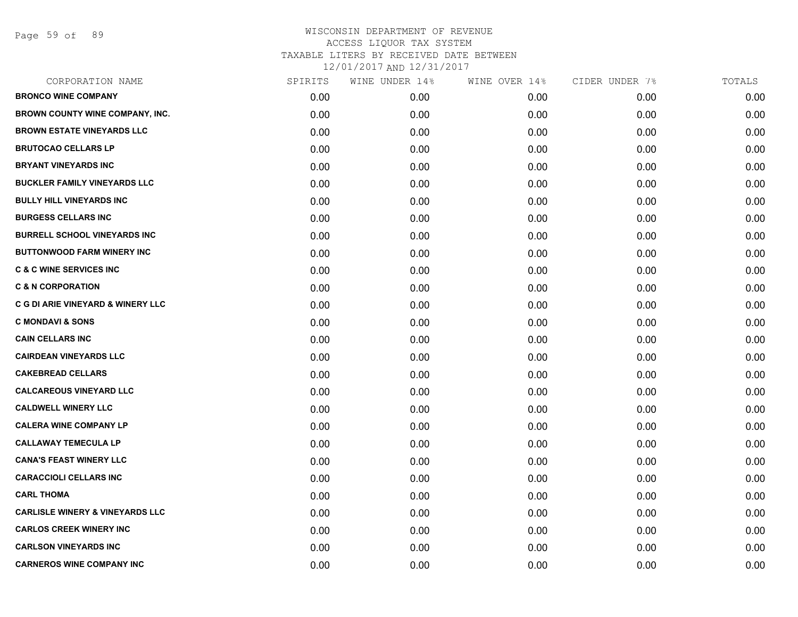Page 59 of 89

| CORPORATION NAME                           | SPIRITS | WINE UNDER 14% | WINE OVER 14% | CIDER UNDER 7% | TOTALS |
|--------------------------------------------|---------|----------------|---------------|----------------|--------|
| <b>BRONCO WINE COMPANY</b>                 | 0.00    | 0.00           | 0.00          | 0.00           | 0.00   |
| <b>BROWN COUNTY WINE COMPANY, INC.</b>     | 0.00    | 0.00           | 0.00          | 0.00           | 0.00   |
| <b>BROWN ESTATE VINEYARDS LLC</b>          | 0.00    | 0.00           | 0.00          | 0.00           | 0.00   |
| <b>BRUTOCAO CELLARS LP</b>                 | 0.00    | 0.00           | 0.00          | 0.00           | 0.00   |
| <b>BRYANT VINEYARDS INC</b>                | 0.00    | 0.00           | 0.00          | 0.00           | 0.00   |
| <b>BUCKLER FAMILY VINEYARDS LLC</b>        | 0.00    | 0.00           | 0.00          | 0.00           | 0.00   |
| <b>BULLY HILL VINEYARDS INC</b>            | 0.00    | 0.00           | 0.00          | 0.00           | 0.00   |
| <b>BURGESS CELLARS INC</b>                 | 0.00    | 0.00           | 0.00          | 0.00           | 0.00   |
| <b>BURRELL SCHOOL VINEYARDS INC</b>        | 0.00    | 0.00           | 0.00          | 0.00           | 0.00   |
| <b>BUTTONWOOD FARM WINERY INC</b>          | 0.00    | 0.00           | 0.00          | 0.00           | 0.00   |
| <b>C &amp; C WINE SERVICES INC</b>         | 0.00    | 0.00           | 0.00          | 0.00           | 0.00   |
| <b>C &amp; N CORPORATION</b>               | 0.00    | 0.00           | 0.00          | 0.00           | 0.00   |
| C G DI ARIE VINEYARD & WINERY LLC          | 0.00    | 0.00           | 0.00          | 0.00           | 0.00   |
| <b>C MONDAVI &amp; SONS</b>                | 0.00    | 0.00           | 0.00          | 0.00           | 0.00   |
| <b>CAIN CELLARS INC</b>                    | 0.00    | 0.00           | 0.00          | 0.00           | 0.00   |
| <b>CAIRDEAN VINEYARDS LLC</b>              | 0.00    | 0.00           | 0.00          | 0.00           | 0.00   |
| <b>CAKEBREAD CELLARS</b>                   | 0.00    | 0.00           | 0.00          | 0.00           | 0.00   |
| <b>CALCAREOUS VINEYARD LLC</b>             | 0.00    | 0.00           | 0.00          | 0.00           | 0.00   |
| <b>CALDWELL WINERY LLC</b>                 | 0.00    | 0.00           | 0.00          | 0.00           | 0.00   |
| <b>CALERA WINE COMPANY LP</b>              | 0.00    | 0.00           | 0.00          | 0.00           | 0.00   |
| <b>CALLAWAY TEMECULA LP</b>                | 0.00    | 0.00           | 0.00          | 0.00           | 0.00   |
| <b>CANA'S FEAST WINERY LLC</b>             | 0.00    | 0.00           | 0.00          | 0.00           | 0.00   |
| <b>CARACCIOLI CELLARS INC</b>              | 0.00    | 0.00           | 0.00          | 0.00           | 0.00   |
| <b>CARL THOMA</b>                          | 0.00    | 0.00           | 0.00          | 0.00           | 0.00   |
| <b>CARLISLE WINERY &amp; VINEYARDS LLC</b> | 0.00    | 0.00           | 0.00          | 0.00           | 0.00   |
| <b>CARLOS CREEK WINERY INC</b>             | 0.00    | 0.00           | 0.00          | 0.00           | 0.00   |
| <b>CARLSON VINEYARDS INC</b>               | 0.00    | 0.00           | 0.00          | 0.00           | 0.00   |
| <b>CARNEROS WINE COMPANY INC</b>           | 0.00    | 0.00           | 0.00          | 0.00           | 0.00   |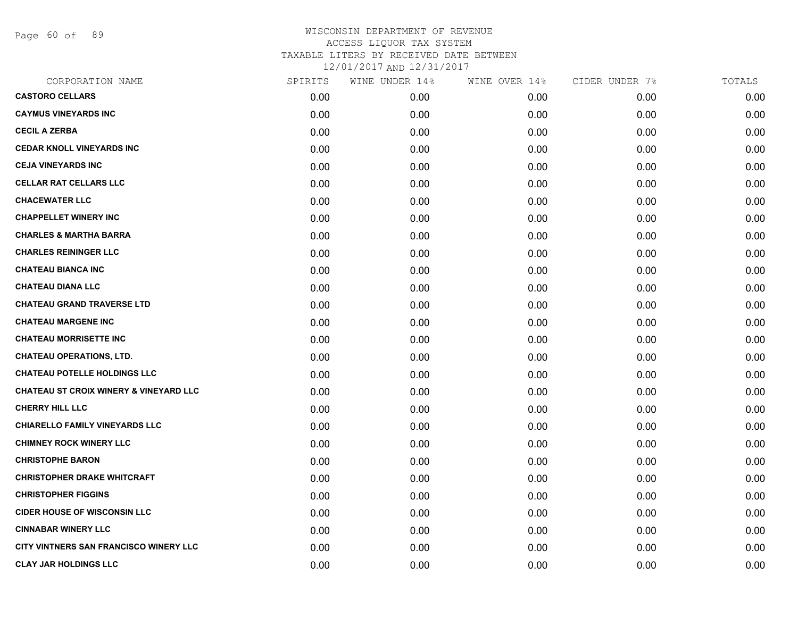Page 60 of 89

| <b>CASTORO CELLARS</b><br>0.00<br>0.00<br>0.00<br>0.00<br><b>CAYMUS VINEYARDS INC</b><br>0.00<br>0.00<br>0.00<br>0.00<br><b>CECIL A ZERBA</b><br>0.00<br>0.00<br>0.00<br>0.00<br><b>CEDAR KNOLL VINEYARDS INC</b><br>0.00<br>0.00<br>0.00<br>0.00<br><b>CEJA VINEYARDS INC</b><br>0.00<br>0.00<br>0.00<br>0.00<br><b>CELLAR RAT CELLARS LLC</b><br>0.00<br>0.00<br>0.00<br>0.00<br><b>CHACEWATER LLC</b><br>0.00<br>0.00<br>0.00<br>0.00<br><b>CHAPPELLET WINERY INC</b><br>0.00<br>0.00<br>0.00<br>0.00<br><b>CHARLES &amp; MARTHA BARRA</b><br>0.00<br>0.00<br>0.00<br>0.00<br><b>CHARLES REININGER LLC</b><br>0.00<br>0.00<br>0.00<br>0.00<br><b>CHATEAU BIANCA INC</b><br>0.00<br>0.00<br>0.00<br>0.00<br><b>CHATEAU DIANA LLC</b><br>0.00<br>0.00<br>0.00<br>0.00<br><b>CHATEAU GRAND TRAVERSE LTD</b><br>0.00<br>0.00<br>0.00<br>0.00<br><b>CHATEAU MARGENE INC</b><br>0.00<br>0.00<br>0.00<br>0.00<br><b>CHATEAU MORRISETTE INC</b><br>0.00<br>0.00<br>0.00<br>0.00<br><b>CHATEAU OPERATIONS, LTD.</b><br>0.00<br>0.00<br>0.00<br>0.00<br><b>CHATEAU POTELLE HOLDINGS LLC</b><br>0.00<br>0.00<br>0.00<br>0.00<br><b>CHATEAU ST CROIX WINERY &amp; VINEYARD LLC</b><br>0.00<br>0.00<br>0.00<br>0.00<br><b>CHERRY HILL LLC</b><br>0.00<br>0.00<br>0.00<br>0.00<br><b>CHIARELLO FAMILY VINEYARDS LLC</b><br>0.00<br>0.00<br>0.00<br>0.00<br><b>CHIMNEY ROCK WINERY LLC</b><br>0.00<br>0.00<br>0.00<br>0.00<br><b>CHRISTOPHE BARON</b><br>0.00<br>0.00<br>0.00<br>0.00<br><b>CHRISTOPHER DRAKE WHITCRAFT</b><br>0.00<br>0.00<br>0.00<br>0.00<br><b>CHRISTOPHER FIGGINS</b><br>0.00<br>0.00<br>0.00<br>0.00<br><b>CIDER HOUSE OF WISCONSIN LLC</b><br>0.00<br>0.00<br>0.00<br>0.00<br><b>CINNABAR WINERY LLC</b><br>0.00<br>0.00<br>0.00<br>0.00<br>CITY VINTNERS SAN FRANCISCO WINERY LLC<br>0.00<br>0.00<br>0.00<br>0.00<br><b>CLAY JAR HOLDINGS LLC</b> | CORPORATION NAME<br>SPIRITS | WINE UNDER 14% | WINE OVER 14%<br>CIDER UNDER 7% | TOTALS |
|--------------------------------------------------------------------------------------------------------------------------------------------------------------------------------------------------------------------------------------------------------------------------------------------------------------------------------------------------------------------------------------------------------------------------------------------------------------------------------------------------------------------------------------------------------------------------------------------------------------------------------------------------------------------------------------------------------------------------------------------------------------------------------------------------------------------------------------------------------------------------------------------------------------------------------------------------------------------------------------------------------------------------------------------------------------------------------------------------------------------------------------------------------------------------------------------------------------------------------------------------------------------------------------------------------------------------------------------------------------------------------------------------------------------------------------------------------------------------------------------------------------------------------------------------------------------------------------------------------------------------------------------------------------------------------------------------------------------------------------------------------------------------------------------------------------------------------------------------------------|-----------------------------|----------------|---------------------------------|--------|
|                                                                                                                                                                                                                                                                                                                                                                                                                                                                                                                                                                                                                                                                                                                                                                                                                                                                                                                                                                                                                                                                                                                                                                                                                                                                                                                                                                                                                                                                                                                                                                                                                                                                                                                                                                                                                                                              |                             |                |                                 | 0.00   |
|                                                                                                                                                                                                                                                                                                                                                                                                                                                                                                                                                                                                                                                                                                                                                                                                                                                                                                                                                                                                                                                                                                                                                                                                                                                                                                                                                                                                                                                                                                                                                                                                                                                                                                                                                                                                                                                              |                             |                |                                 | 0.00   |
|                                                                                                                                                                                                                                                                                                                                                                                                                                                                                                                                                                                                                                                                                                                                                                                                                                                                                                                                                                                                                                                                                                                                                                                                                                                                                                                                                                                                                                                                                                                                                                                                                                                                                                                                                                                                                                                              |                             |                |                                 | 0.00   |
|                                                                                                                                                                                                                                                                                                                                                                                                                                                                                                                                                                                                                                                                                                                                                                                                                                                                                                                                                                                                                                                                                                                                                                                                                                                                                                                                                                                                                                                                                                                                                                                                                                                                                                                                                                                                                                                              |                             |                |                                 | 0.00   |
|                                                                                                                                                                                                                                                                                                                                                                                                                                                                                                                                                                                                                                                                                                                                                                                                                                                                                                                                                                                                                                                                                                                                                                                                                                                                                                                                                                                                                                                                                                                                                                                                                                                                                                                                                                                                                                                              |                             |                |                                 | 0.00   |
|                                                                                                                                                                                                                                                                                                                                                                                                                                                                                                                                                                                                                                                                                                                                                                                                                                                                                                                                                                                                                                                                                                                                                                                                                                                                                                                                                                                                                                                                                                                                                                                                                                                                                                                                                                                                                                                              |                             |                |                                 | 0.00   |
|                                                                                                                                                                                                                                                                                                                                                                                                                                                                                                                                                                                                                                                                                                                                                                                                                                                                                                                                                                                                                                                                                                                                                                                                                                                                                                                                                                                                                                                                                                                                                                                                                                                                                                                                                                                                                                                              |                             |                |                                 | 0.00   |
|                                                                                                                                                                                                                                                                                                                                                                                                                                                                                                                                                                                                                                                                                                                                                                                                                                                                                                                                                                                                                                                                                                                                                                                                                                                                                                                                                                                                                                                                                                                                                                                                                                                                                                                                                                                                                                                              |                             |                |                                 | 0.00   |
|                                                                                                                                                                                                                                                                                                                                                                                                                                                                                                                                                                                                                                                                                                                                                                                                                                                                                                                                                                                                                                                                                                                                                                                                                                                                                                                                                                                                                                                                                                                                                                                                                                                                                                                                                                                                                                                              |                             |                |                                 | 0.00   |
|                                                                                                                                                                                                                                                                                                                                                                                                                                                                                                                                                                                                                                                                                                                                                                                                                                                                                                                                                                                                                                                                                                                                                                                                                                                                                                                                                                                                                                                                                                                                                                                                                                                                                                                                                                                                                                                              |                             |                |                                 | 0.00   |
|                                                                                                                                                                                                                                                                                                                                                                                                                                                                                                                                                                                                                                                                                                                                                                                                                                                                                                                                                                                                                                                                                                                                                                                                                                                                                                                                                                                                                                                                                                                                                                                                                                                                                                                                                                                                                                                              |                             |                |                                 | 0.00   |
|                                                                                                                                                                                                                                                                                                                                                                                                                                                                                                                                                                                                                                                                                                                                                                                                                                                                                                                                                                                                                                                                                                                                                                                                                                                                                                                                                                                                                                                                                                                                                                                                                                                                                                                                                                                                                                                              |                             |                |                                 | 0.00   |
|                                                                                                                                                                                                                                                                                                                                                                                                                                                                                                                                                                                                                                                                                                                                                                                                                                                                                                                                                                                                                                                                                                                                                                                                                                                                                                                                                                                                                                                                                                                                                                                                                                                                                                                                                                                                                                                              |                             |                |                                 | 0.00   |
|                                                                                                                                                                                                                                                                                                                                                                                                                                                                                                                                                                                                                                                                                                                                                                                                                                                                                                                                                                                                                                                                                                                                                                                                                                                                                                                                                                                                                                                                                                                                                                                                                                                                                                                                                                                                                                                              |                             |                |                                 | 0.00   |
|                                                                                                                                                                                                                                                                                                                                                                                                                                                                                                                                                                                                                                                                                                                                                                                                                                                                                                                                                                                                                                                                                                                                                                                                                                                                                                                                                                                                                                                                                                                                                                                                                                                                                                                                                                                                                                                              |                             |                |                                 | 0.00   |
|                                                                                                                                                                                                                                                                                                                                                                                                                                                                                                                                                                                                                                                                                                                                                                                                                                                                                                                                                                                                                                                                                                                                                                                                                                                                                                                                                                                                                                                                                                                                                                                                                                                                                                                                                                                                                                                              |                             |                |                                 | 0.00   |
|                                                                                                                                                                                                                                                                                                                                                                                                                                                                                                                                                                                                                                                                                                                                                                                                                                                                                                                                                                                                                                                                                                                                                                                                                                                                                                                                                                                                                                                                                                                                                                                                                                                                                                                                                                                                                                                              |                             |                |                                 | 0.00   |
|                                                                                                                                                                                                                                                                                                                                                                                                                                                                                                                                                                                                                                                                                                                                                                                                                                                                                                                                                                                                                                                                                                                                                                                                                                                                                                                                                                                                                                                                                                                                                                                                                                                                                                                                                                                                                                                              |                             |                |                                 | 0.00   |
|                                                                                                                                                                                                                                                                                                                                                                                                                                                                                                                                                                                                                                                                                                                                                                                                                                                                                                                                                                                                                                                                                                                                                                                                                                                                                                                                                                                                                                                                                                                                                                                                                                                                                                                                                                                                                                                              |                             |                |                                 | 0.00   |
|                                                                                                                                                                                                                                                                                                                                                                                                                                                                                                                                                                                                                                                                                                                                                                                                                                                                                                                                                                                                                                                                                                                                                                                                                                                                                                                                                                                                                                                                                                                                                                                                                                                                                                                                                                                                                                                              |                             |                |                                 | 0.00   |
|                                                                                                                                                                                                                                                                                                                                                                                                                                                                                                                                                                                                                                                                                                                                                                                                                                                                                                                                                                                                                                                                                                                                                                                                                                                                                                                                                                                                                                                                                                                                                                                                                                                                                                                                                                                                                                                              |                             |                |                                 | 0.00   |
|                                                                                                                                                                                                                                                                                                                                                                                                                                                                                                                                                                                                                                                                                                                                                                                                                                                                                                                                                                                                                                                                                                                                                                                                                                                                                                                                                                                                                                                                                                                                                                                                                                                                                                                                                                                                                                                              |                             |                |                                 | 0.00   |
|                                                                                                                                                                                                                                                                                                                                                                                                                                                                                                                                                                                                                                                                                                                                                                                                                                                                                                                                                                                                                                                                                                                                                                                                                                                                                                                                                                                                                                                                                                                                                                                                                                                                                                                                                                                                                                                              |                             |                |                                 | 0.00   |
|                                                                                                                                                                                                                                                                                                                                                                                                                                                                                                                                                                                                                                                                                                                                                                                                                                                                                                                                                                                                                                                                                                                                                                                                                                                                                                                                                                                                                                                                                                                                                                                                                                                                                                                                                                                                                                                              |                             |                |                                 | 0.00   |
|                                                                                                                                                                                                                                                                                                                                                                                                                                                                                                                                                                                                                                                                                                                                                                                                                                                                                                                                                                                                                                                                                                                                                                                                                                                                                                                                                                                                                                                                                                                                                                                                                                                                                                                                                                                                                                                              |                             |                |                                 | 0.00   |
|                                                                                                                                                                                                                                                                                                                                                                                                                                                                                                                                                                                                                                                                                                                                                                                                                                                                                                                                                                                                                                                                                                                                                                                                                                                                                                                                                                                                                                                                                                                                                                                                                                                                                                                                                                                                                                                              |                             |                |                                 | 0.00   |
|                                                                                                                                                                                                                                                                                                                                                                                                                                                                                                                                                                                                                                                                                                                                                                                                                                                                                                                                                                                                                                                                                                                                                                                                                                                                                                                                                                                                                                                                                                                                                                                                                                                                                                                                                                                                                                                              |                             |                |                                 | 0.00   |
|                                                                                                                                                                                                                                                                                                                                                                                                                                                                                                                                                                                                                                                                                                                                                                                                                                                                                                                                                                                                                                                                                                                                                                                                                                                                                                                                                                                                                                                                                                                                                                                                                                                                                                                                                                                                                                                              | 0.00                        | 0.00           | 0.00<br>0.00                    | 0.00   |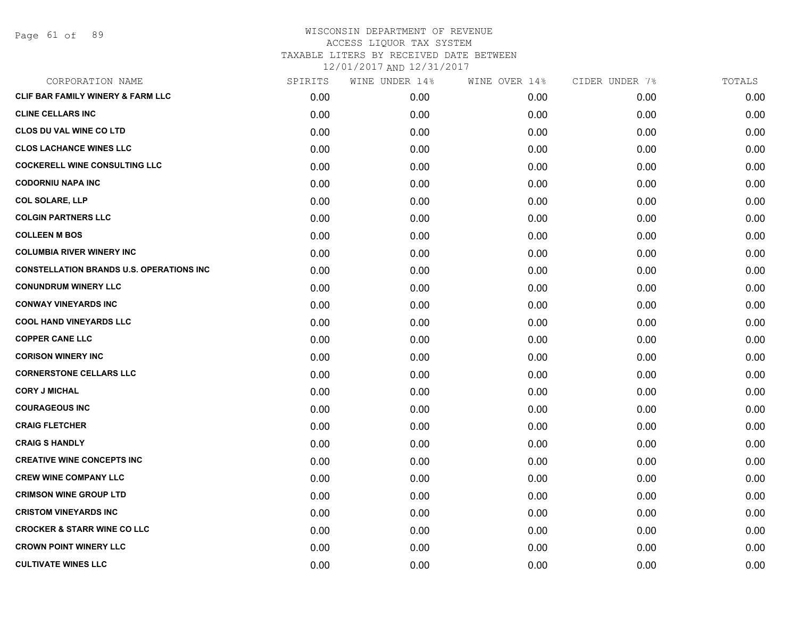Page 61 of 89

| CORPORATION NAME                                | SPIRITS | WINE UNDER 14% | WINE OVER 14% | CIDER UNDER 7% | TOTALS |
|-------------------------------------------------|---------|----------------|---------------|----------------|--------|
| <b>CLIF BAR FAMILY WINERY &amp; FARM LLC</b>    | 0.00    | 0.00           | 0.00          | 0.00           | 0.00   |
| <b>CLINE CELLARS INC</b>                        | 0.00    | 0.00           | 0.00          | 0.00           | 0.00   |
| <b>CLOS DU VAL WINE CO LTD</b>                  | 0.00    | 0.00           | 0.00          | 0.00           | 0.00   |
| <b>CLOS LACHANCE WINES LLC</b>                  | 0.00    | 0.00           | 0.00          | 0.00           | 0.00   |
| <b>COCKERELL WINE CONSULTING LLC</b>            | 0.00    | 0.00           | 0.00          | 0.00           | 0.00   |
| <b>CODORNIU NAPA INC</b>                        | 0.00    | 0.00           | 0.00          | 0.00           | 0.00   |
| <b>COL SOLARE, LLP</b>                          | 0.00    | 0.00           | 0.00          | 0.00           | 0.00   |
| <b>COLGIN PARTNERS LLC</b>                      | 0.00    | 0.00           | 0.00          | 0.00           | 0.00   |
| <b>COLLEEN M BOS</b>                            | 0.00    | 0.00           | 0.00          | 0.00           | 0.00   |
| <b>COLUMBIA RIVER WINERY INC</b>                | 0.00    | 0.00           | 0.00          | 0.00           | 0.00   |
| <b>CONSTELLATION BRANDS U.S. OPERATIONS INC</b> | 0.00    | 0.00           | 0.00          | 0.00           | 0.00   |
| <b>CONUNDRUM WINERY LLC</b>                     | 0.00    | 0.00           | 0.00          | 0.00           | 0.00   |
| <b>CONWAY VINEYARDS INC</b>                     | 0.00    | 0.00           | 0.00          | 0.00           | 0.00   |
| <b>COOL HAND VINEYARDS LLC</b>                  | 0.00    | 0.00           | 0.00          | 0.00           | 0.00   |
| <b>COPPER CANE LLC</b>                          | 0.00    | 0.00           | 0.00          | 0.00           | 0.00   |
| <b>CORISON WINERY INC</b>                       | 0.00    | 0.00           | 0.00          | 0.00           | 0.00   |
| <b>CORNERSTONE CELLARS LLC</b>                  | 0.00    | 0.00           | 0.00          | 0.00           | 0.00   |
| <b>CORY J MICHAL</b>                            | 0.00    | 0.00           | 0.00          | 0.00           | 0.00   |
| <b>COURAGEOUS INC</b>                           | 0.00    | 0.00           | 0.00          | 0.00           | 0.00   |
| <b>CRAIG FLETCHER</b>                           | 0.00    | 0.00           | 0.00          | 0.00           | 0.00   |
| <b>CRAIG S HANDLY</b>                           | 0.00    | 0.00           | 0.00          | 0.00           | 0.00   |
| <b>CREATIVE WINE CONCEPTS INC</b>               | 0.00    | 0.00           | 0.00          | 0.00           | 0.00   |
| <b>CREW WINE COMPANY LLC</b>                    | 0.00    | 0.00           | 0.00          | 0.00           | 0.00   |
| <b>CRIMSON WINE GROUP LTD</b>                   | 0.00    | 0.00           | 0.00          | 0.00           | 0.00   |
| <b>CRISTOM VINEYARDS INC</b>                    | 0.00    | 0.00           | 0.00          | 0.00           | 0.00   |
| <b>CROCKER &amp; STARR WINE CO LLC</b>          | 0.00    | 0.00           | 0.00          | 0.00           | 0.00   |
| <b>CROWN POINT WINERY LLC</b>                   | 0.00    | 0.00           | 0.00          | 0.00           | 0.00   |
| <b>CULTIVATE WINES LLC</b>                      | 0.00    | 0.00           | 0.00          | 0.00           | 0.00   |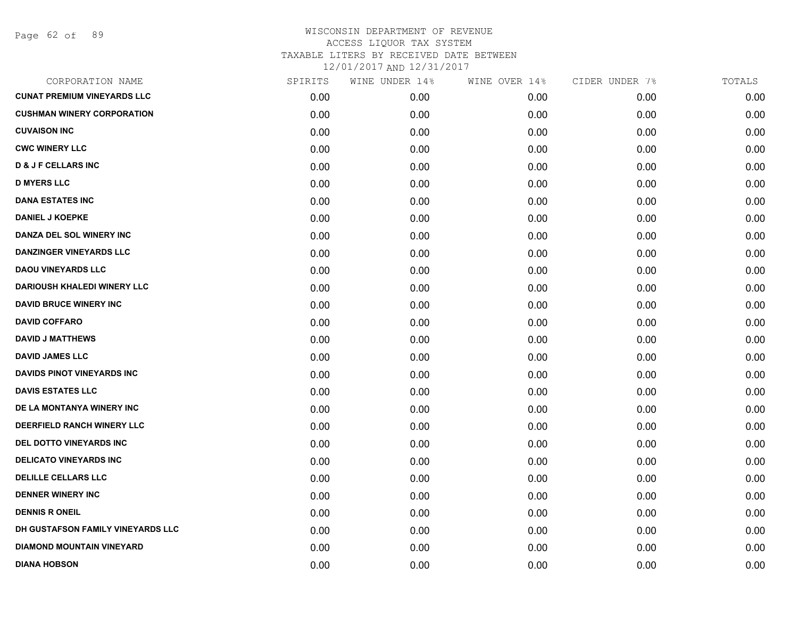Page 62 of 89

| CORPORATION NAME                   | SPIRITS | WINE UNDER 14% | WINE OVER 14% | CIDER UNDER 7% | TOTALS |
|------------------------------------|---------|----------------|---------------|----------------|--------|
| <b>CUNAT PREMIUM VINEYARDS LLC</b> | 0.00    | 0.00           | 0.00          | 0.00           | 0.00   |
| <b>CUSHMAN WINERY CORPORATION</b>  | 0.00    | 0.00           | 0.00          | 0.00           | 0.00   |
| <b>CUVAISON INC</b>                | 0.00    | 0.00           | 0.00          | 0.00           | 0.00   |
| <b>CWC WINERY LLC</b>              | 0.00    | 0.00           | 0.00          | 0.00           | 0.00   |
| <b>D &amp; J F CELLARS INC</b>     | 0.00    | 0.00           | 0.00          | 0.00           | 0.00   |
| <b>D MYERS LLC</b>                 | 0.00    | 0.00           | 0.00          | 0.00           | 0.00   |
| <b>DANA ESTATES INC</b>            | 0.00    | 0.00           | 0.00          | 0.00           | 0.00   |
| <b>DANIEL J KOEPKE</b>             | 0.00    | 0.00           | 0.00          | 0.00           | 0.00   |
| DANZA DEL SOL WINERY INC           | 0.00    | 0.00           | 0.00          | 0.00           | 0.00   |
| <b>DANZINGER VINEYARDS LLC</b>     | 0.00    | 0.00           | 0.00          | 0.00           | 0.00   |
| <b>DAOU VINEYARDS LLC</b>          | 0.00    | 0.00           | 0.00          | 0.00           | 0.00   |
| <b>DARIOUSH KHALEDI WINERY LLC</b> | 0.00    | 0.00           | 0.00          | 0.00           | 0.00   |
| <b>DAVID BRUCE WINERY INC</b>      | 0.00    | 0.00           | 0.00          | 0.00           | 0.00   |
| <b>DAVID COFFARO</b>               | 0.00    | 0.00           | 0.00          | 0.00           | 0.00   |
| <b>DAVID J MATTHEWS</b>            | 0.00    | 0.00           | 0.00          | 0.00           | 0.00   |
| <b>DAVID JAMES LLC</b>             | 0.00    | 0.00           | 0.00          | 0.00           | 0.00   |
| <b>DAVIDS PINOT VINEYARDS INC</b>  | 0.00    | 0.00           | 0.00          | 0.00           | 0.00   |
| <b>DAVIS ESTATES LLC</b>           | 0.00    | 0.00           | 0.00          | 0.00           | 0.00   |
| DE LA MONTANYA WINERY INC          | 0.00    | 0.00           | 0.00          | 0.00           | 0.00   |
| DEERFIELD RANCH WINERY LLC         | 0.00    | 0.00           | 0.00          | 0.00           | 0.00   |
| DEL DOTTO VINEYARDS INC            | 0.00    | 0.00           | 0.00          | 0.00           | 0.00   |
| <b>DELICATO VINEYARDS INC</b>      | 0.00    | 0.00           | 0.00          | 0.00           | 0.00   |
| <b>DELILLE CELLARS LLC</b>         | 0.00    | 0.00           | 0.00          | 0.00           | 0.00   |
| <b>DENNER WINERY INC</b>           | 0.00    | 0.00           | 0.00          | 0.00           | 0.00   |
| <b>DENNIS R ONEIL</b>              | 0.00    | 0.00           | 0.00          | 0.00           | 0.00   |
| DH GUSTAFSON FAMILY VINEYARDS LLC  | 0.00    | 0.00           | 0.00          | 0.00           | 0.00   |
| <b>DIAMOND MOUNTAIN VINEYARD</b>   | 0.00    | 0.00           | 0.00          | 0.00           | 0.00   |
| <b>DIANA HOBSON</b>                | 0.00    | 0.00           | 0.00          | 0.00           | 0.00   |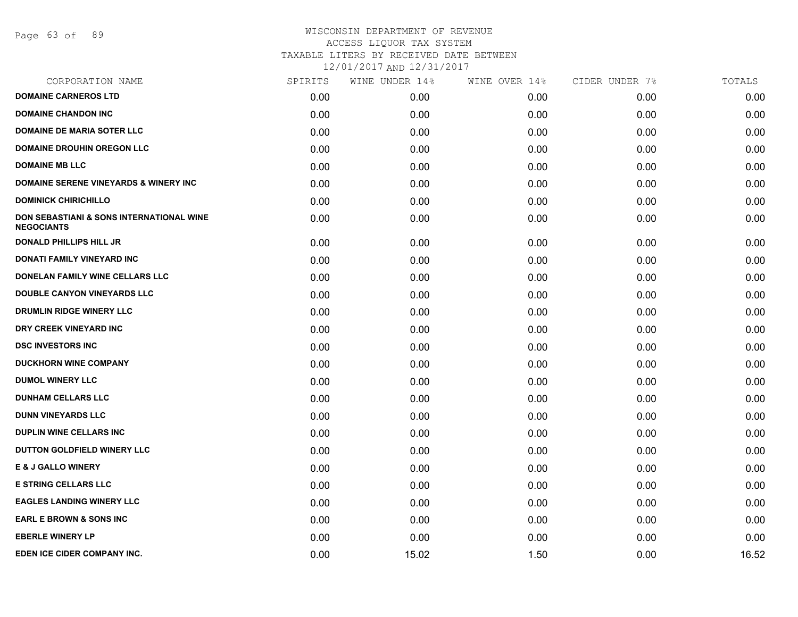Page 63 of 89

#### WISCONSIN DEPARTMENT OF REVENUE ACCESS LIQUOR TAX SYSTEM TAXABLE LITERS BY RECEIVED DATE BETWEEN

| CORPORATION NAME                                                         | SPIRITS | WINE UNDER 14% | WINE OVER 14% | CIDER UNDER 7% | TOTALS |
|--------------------------------------------------------------------------|---------|----------------|---------------|----------------|--------|
| <b>DOMAINE CARNEROS LTD</b>                                              | 0.00    | 0.00           | 0.00          | 0.00           | 0.00   |
| <b>DOMAINE CHANDON INC</b>                                               | 0.00    | 0.00           | 0.00          | 0.00           | 0.00   |
| <b>DOMAINE DE MARIA SOTER LLC</b>                                        | 0.00    | 0.00           | 0.00          | 0.00           | 0.00   |
| <b>DOMAINE DROUHIN OREGON LLC</b>                                        | 0.00    | 0.00           | 0.00          | 0.00           | 0.00   |
| <b>DOMAINE MB LLC</b>                                                    | 0.00    | 0.00           | 0.00          | 0.00           | 0.00   |
| <b>DOMAINE SERENE VINEYARDS &amp; WINERY INC</b>                         | 0.00    | 0.00           | 0.00          | 0.00           | 0.00   |
| <b>DOMINICK CHIRICHILLO</b>                                              | 0.00    | 0.00           | 0.00          | 0.00           | 0.00   |
| <b>DON SEBASTIANI &amp; SONS INTERNATIONAL WINE</b><br><b>NEGOCIANTS</b> | 0.00    | 0.00           | 0.00          | 0.00           | 0.00   |
| <b>DONALD PHILLIPS HILL JR</b>                                           | 0.00    | 0.00           | 0.00          | 0.00           | 0.00   |
| DONATI FAMILY VINEYARD INC                                               | 0.00    | 0.00           | 0.00          | 0.00           | 0.00   |
| DONELAN FAMILY WINE CELLARS LLC                                          | 0.00    | 0.00           | 0.00          | 0.00           | 0.00   |
| <b>DOUBLE CANYON VINEYARDS LLC</b>                                       | 0.00    | 0.00           | 0.00          | 0.00           | 0.00   |
| DRUMLIN RIDGE WINERY LLC                                                 | 0.00    | 0.00           | 0.00          | 0.00           | 0.00   |
| DRY CREEK VINEYARD INC                                                   | 0.00    | 0.00           | 0.00          | 0.00           | 0.00   |
| <b>DSC INVESTORS INC</b>                                                 | 0.00    | 0.00           | 0.00          | 0.00           | 0.00   |
| <b>DUCKHORN WINE COMPANY</b>                                             | 0.00    | 0.00           | 0.00          | 0.00           | 0.00   |
| <b>DUMOL WINERY LLC</b>                                                  | 0.00    | 0.00           | 0.00          | 0.00           | 0.00   |
| <b>DUNHAM CELLARS LLC</b>                                                | 0.00    | 0.00           | 0.00          | 0.00           | 0.00   |
| <b>DUNN VINEYARDS LLC</b>                                                | 0.00    | 0.00           | 0.00          | 0.00           | 0.00   |
| <b>DUPLIN WINE CELLARS INC</b>                                           | 0.00    | 0.00           | 0.00          | 0.00           | 0.00   |
| DUTTON GOLDFIELD WINERY LLC                                              | 0.00    | 0.00           | 0.00          | 0.00           | 0.00   |
| <b>E &amp; J GALLO WINERY</b>                                            | 0.00    | 0.00           | 0.00          | 0.00           | 0.00   |
| <b>E STRING CELLARS LLC</b>                                              | 0.00    | 0.00           | 0.00          | 0.00           | 0.00   |
| <b>EAGLES LANDING WINERY LLC</b>                                         | 0.00    | 0.00           | 0.00          | 0.00           | 0.00   |
| <b>EARL E BROWN &amp; SONS INC</b>                                       | 0.00    | 0.00           | 0.00          | 0.00           | 0.00   |
| <b>EBERLE WINERY LP</b>                                                  | 0.00    | 0.00           | 0.00          | 0.00           | 0.00   |
| EDEN ICE CIDER COMPANY INC.                                              | 0.00    | 15.02          | 1.50          | 0.00           | 16.52  |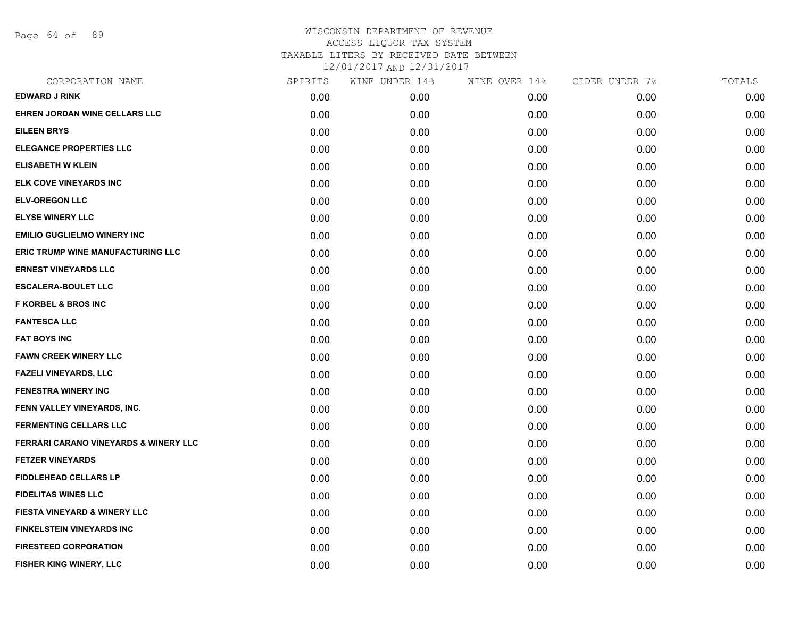Page 64 of 89

| CORPORATION NAME                                 | SPIRITS | WINE UNDER 14% | WINE OVER 14% | CIDER UNDER 7% | TOTALS |
|--------------------------------------------------|---------|----------------|---------------|----------------|--------|
| <b>EDWARD J RINK</b>                             | 0.00    | 0.00           | 0.00          | 0.00           | 0.00   |
| EHREN JORDAN WINE CELLARS LLC                    | 0.00    | 0.00           | 0.00          | 0.00           | 0.00   |
| <b>EILEEN BRYS</b>                               | 0.00    | 0.00           | 0.00          | 0.00           | 0.00   |
| <b>ELEGANCE PROPERTIES LLC</b>                   | 0.00    | 0.00           | 0.00          | 0.00           | 0.00   |
| <b>ELISABETH W KLEIN</b>                         | 0.00    | 0.00           | 0.00          | 0.00           | 0.00   |
| <b>ELK COVE VINEYARDS INC</b>                    | 0.00    | 0.00           | 0.00          | 0.00           | 0.00   |
| <b>ELV-OREGON LLC</b>                            | 0.00    | 0.00           | 0.00          | 0.00           | 0.00   |
| <b>ELYSE WINERY LLC</b>                          | 0.00    | 0.00           | 0.00          | 0.00           | 0.00   |
| <b>EMILIO GUGLIELMO WINERY INC</b>               | 0.00    | 0.00           | 0.00          | 0.00           | 0.00   |
| <b>ERIC TRUMP WINE MANUFACTURING LLC</b>         | 0.00    | 0.00           | 0.00          | 0.00           | 0.00   |
| <b>ERNEST VINEYARDS LLC</b>                      | 0.00    | 0.00           | 0.00          | 0.00           | 0.00   |
| <b>ESCALERA-BOULET LLC</b>                       | 0.00    | 0.00           | 0.00          | 0.00           | 0.00   |
| <b>F KORBEL &amp; BROS INC</b>                   | 0.00    | 0.00           | 0.00          | 0.00           | 0.00   |
| <b>FANTESCA LLC</b>                              | 0.00    | 0.00           | 0.00          | 0.00           | 0.00   |
| <b>FAT BOYS INC</b>                              | 0.00    | 0.00           | 0.00          | 0.00           | 0.00   |
| <b>FAWN CREEK WINERY LLC</b>                     | 0.00    | 0.00           | 0.00          | 0.00           | 0.00   |
| <b>FAZELI VINEYARDS, LLC</b>                     | 0.00    | 0.00           | 0.00          | 0.00           | 0.00   |
| FENESTRA WINERY INC                              | 0.00    | 0.00           | 0.00          | 0.00           | 0.00   |
| FENN VALLEY VINEYARDS, INC.                      | 0.00    | 0.00           | 0.00          | 0.00           | 0.00   |
| <b>FERMENTING CELLARS LLC</b>                    | 0.00    | 0.00           | 0.00          | 0.00           | 0.00   |
| <b>FERRARI CARANO VINEYARDS &amp; WINERY LLC</b> | 0.00    | 0.00           | 0.00          | 0.00           | 0.00   |
| <b>FETZER VINEYARDS</b>                          | 0.00    | 0.00           | 0.00          | 0.00           | 0.00   |
| <b>FIDDLEHEAD CELLARS LP</b>                     | 0.00    | 0.00           | 0.00          | 0.00           | 0.00   |
| <b>FIDELITAS WINES LLC</b>                       | 0.00    | 0.00           | 0.00          | 0.00           | 0.00   |
| <b>FIESTA VINEYARD &amp; WINERY LLC</b>          | 0.00    | 0.00           | 0.00          | 0.00           | 0.00   |
| <b>FINKELSTEIN VINEYARDS INC</b>                 | 0.00    | 0.00           | 0.00          | 0.00           | 0.00   |
| <b>FIRESTEED CORPORATION</b>                     | 0.00    | 0.00           | 0.00          | 0.00           | 0.00   |
| FISHER KING WINERY, LLC                          | 0.00    | 0.00           | 0.00          | 0.00           | 0.00   |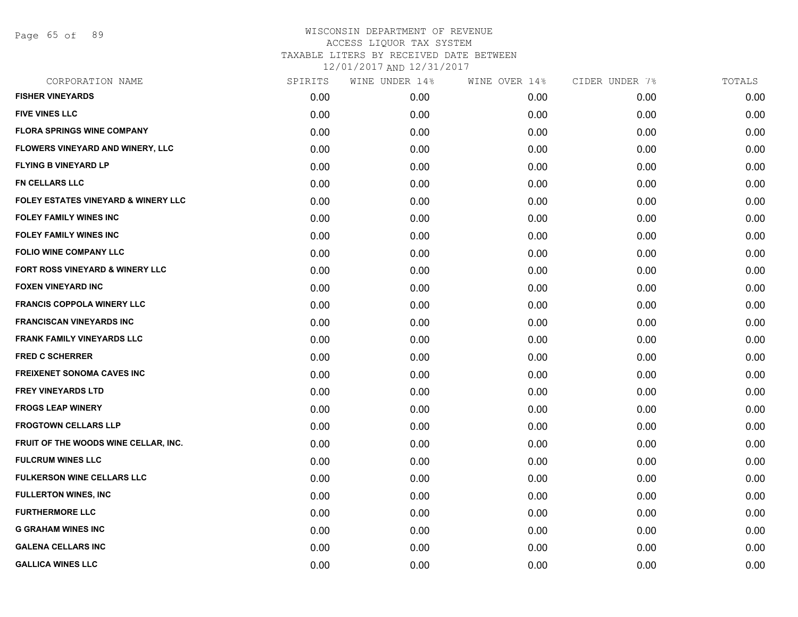Page 65 of 89

| CORPORATION NAME                               | SPIRITS | WINE UNDER 14% | WINE OVER 14% | CIDER UNDER 7% | TOTALS |
|------------------------------------------------|---------|----------------|---------------|----------------|--------|
| <b>FISHER VINEYARDS</b>                        | 0.00    | 0.00           | 0.00          | 0.00           | 0.00   |
| <b>FIVE VINES LLC</b>                          | 0.00    | 0.00           | 0.00          | 0.00           | 0.00   |
| <b>FLORA SPRINGS WINE COMPANY</b>              | 0.00    | 0.00           | 0.00          | 0.00           | 0.00   |
| FLOWERS VINEYARD AND WINERY, LLC               | 0.00    | 0.00           | 0.00          | 0.00           | 0.00   |
| <b>FLYING B VINEYARD LP</b>                    | 0.00    | 0.00           | 0.00          | 0.00           | 0.00   |
| FN CELLARS LLC                                 | 0.00    | 0.00           | 0.00          | 0.00           | 0.00   |
| <b>FOLEY ESTATES VINEYARD &amp; WINERY LLC</b> | 0.00    | 0.00           | 0.00          | 0.00           | 0.00   |
| <b>FOLEY FAMILY WINES INC</b>                  | 0.00    | 0.00           | 0.00          | 0.00           | 0.00   |
| <b>FOLEY FAMILY WINES INC</b>                  | 0.00    | 0.00           | 0.00          | 0.00           | 0.00   |
| <b>FOLIO WINE COMPANY LLC</b>                  | 0.00    | 0.00           | 0.00          | 0.00           | 0.00   |
| FORT ROSS VINEYARD & WINERY LLC                | 0.00    | 0.00           | 0.00          | 0.00           | 0.00   |
| <b>FOXEN VINEYARD INC</b>                      | 0.00    | 0.00           | 0.00          | 0.00           | 0.00   |
| <b>FRANCIS COPPOLA WINERY LLC</b>              | 0.00    | 0.00           | 0.00          | 0.00           | 0.00   |
| <b>FRANCISCAN VINEYARDS INC</b>                | 0.00    | 0.00           | 0.00          | 0.00           | 0.00   |
| <b>FRANK FAMILY VINEYARDS LLC</b>              | 0.00    | 0.00           | 0.00          | 0.00           | 0.00   |
| <b>FRED C SCHERRER</b>                         | 0.00    | 0.00           | 0.00          | 0.00           | 0.00   |
| <b>FREIXENET SONOMA CAVES INC</b>              | 0.00    | 0.00           | 0.00          | 0.00           | 0.00   |
| <b>FREY VINEYARDS LTD</b>                      | 0.00    | 0.00           | 0.00          | 0.00           | 0.00   |
| <b>FROGS LEAP WINERY</b>                       | 0.00    | 0.00           | 0.00          | 0.00           | 0.00   |
| <b>FROGTOWN CELLARS LLP</b>                    | 0.00    | 0.00           | 0.00          | 0.00           | 0.00   |
| FRUIT OF THE WOODS WINE CELLAR, INC.           | 0.00    | 0.00           | 0.00          | 0.00           | 0.00   |
| <b>FULCRUM WINES LLC</b>                       | 0.00    | 0.00           | 0.00          | 0.00           | 0.00   |
| <b>FULKERSON WINE CELLARS LLC</b>              | 0.00    | 0.00           | 0.00          | 0.00           | 0.00   |
| <b>FULLERTON WINES, INC</b>                    | 0.00    | 0.00           | 0.00          | 0.00           | 0.00   |
| <b>FURTHERMORE LLC</b>                         | 0.00    | 0.00           | 0.00          | 0.00           | 0.00   |
| <b>G GRAHAM WINES INC</b>                      | 0.00    | 0.00           | 0.00          | 0.00           | 0.00   |
| <b>GALENA CELLARS INC</b>                      | 0.00    | 0.00           | 0.00          | 0.00           | 0.00   |
| <b>GALLICA WINES LLC</b>                       | 0.00    | 0.00           | 0.00          | 0.00           | 0.00   |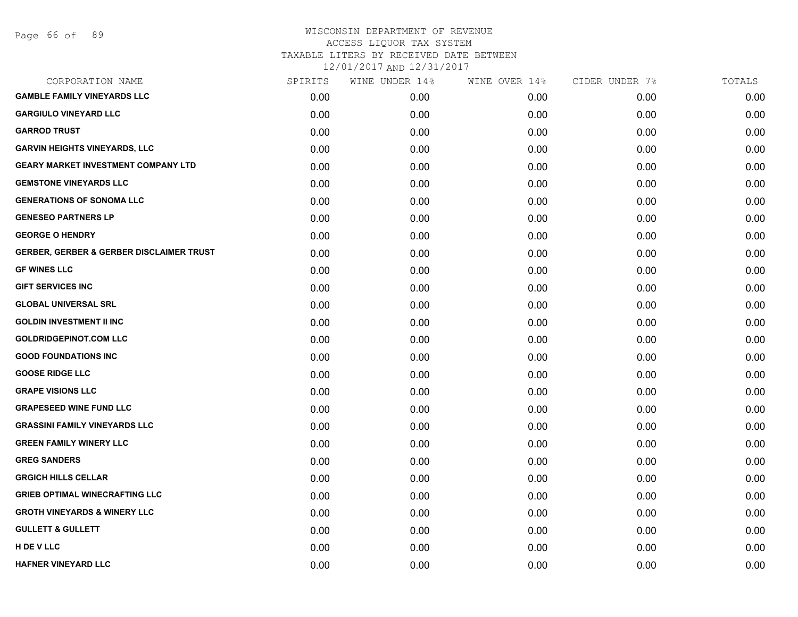# WISCONSIN DEPARTMENT OF REVENUE ACCESS LIQUOR TAX SYSTEM TAXABLE LITERS BY RECEIVED DATE BETWEEN

| CORPORATION NAME                                    | SPIRITS | WINE UNDER 14% | WINE OVER 14% | CIDER UNDER 7% | TOTALS |
|-----------------------------------------------------|---------|----------------|---------------|----------------|--------|
| <b>GAMBLE FAMILY VINEYARDS LLC</b>                  | 0.00    | 0.00           | 0.00          | 0.00           | 0.00   |
| <b>GARGIULO VINEYARD LLC</b>                        | 0.00    | 0.00           | 0.00          | 0.00           | 0.00   |
| <b>GARROD TRUST</b>                                 | 0.00    | 0.00           | 0.00          | 0.00           | 0.00   |
| <b>GARVIN HEIGHTS VINEYARDS, LLC</b>                | 0.00    | 0.00           | 0.00          | 0.00           | 0.00   |
| <b>GEARY MARKET INVESTMENT COMPANY LTD</b>          | 0.00    | 0.00           | 0.00          | 0.00           | 0.00   |
| <b>GEMSTONE VINEYARDS LLC</b>                       | 0.00    | 0.00           | 0.00          | 0.00           | 0.00   |
| <b>GENERATIONS OF SONOMA LLC</b>                    | 0.00    | 0.00           | 0.00          | 0.00           | 0.00   |
| <b>GENESEO PARTNERS LP</b>                          | 0.00    | 0.00           | 0.00          | 0.00           | 0.00   |
| <b>GEORGE O HENDRY</b>                              | 0.00    | 0.00           | 0.00          | 0.00           | 0.00   |
| <b>GERBER, GERBER &amp; GERBER DISCLAIMER TRUST</b> | 0.00    | 0.00           | 0.00          | 0.00           | 0.00   |
| <b>GF WINES LLC</b>                                 | 0.00    | 0.00           | 0.00          | 0.00           | 0.00   |
| <b>GIFT SERVICES INC</b>                            | 0.00    | 0.00           | 0.00          | 0.00           | 0.00   |
| <b>GLOBAL UNIVERSAL SRL</b>                         | 0.00    | 0.00           | 0.00          | 0.00           | 0.00   |
| <b>GOLDIN INVESTMENT II INC</b>                     | 0.00    | 0.00           | 0.00          | 0.00           | 0.00   |
| <b>GOLDRIDGEPINOT.COM LLC</b>                       | 0.00    | 0.00           | 0.00          | 0.00           | 0.00   |
| <b>GOOD FOUNDATIONS INC</b>                         | 0.00    | 0.00           | 0.00          | 0.00           | 0.00   |
| <b>GOOSE RIDGE LLC</b>                              | 0.00    | 0.00           | 0.00          | 0.00           | 0.00   |
| <b>GRAPE VISIONS LLC</b>                            | 0.00    | 0.00           | 0.00          | 0.00           | 0.00   |
| <b>GRAPESEED WINE FUND LLC</b>                      | 0.00    | 0.00           | 0.00          | 0.00           | 0.00   |
| <b>GRASSINI FAMILY VINEYARDS LLC</b>                | 0.00    | 0.00           | 0.00          | 0.00           | 0.00   |
| <b>GREEN FAMILY WINERY LLC</b>                      | 0.00    | 0.00           | 0.00          | 0.00           | 0.00   |
| <b>GREG SANDERS</b>                                 | 0.00    | 0.00           | 0.00          | 0.00           | 0.00   |
| <b>GRGICH HILLS CELLAR</b>                          | 0.00    | 0.00           | 0.00          | 0.00           | 0.00   |
| <b>GRIEB OPTIMAL WINECRAFTING LLC</b>               | 0.00    | 0.00           | 0.00          | 0.00           | 0.00   |
| <b>GROTH VINEYARDS &amp; WINERY LLC</b>             | 0.00    | 0.00           | 0.00          | 0.00           | 0.00   |
| <b>GULLETT &amp; GULLETT</b>                        | 0.00    | 0.00           | 0.00          | 0.00           | 0.00   |
| H DE V LLC                                          | 0.00    | 0.00           | 0.00          | 0.00           | 0.00   |
| <b>HAFNER VINEYARD LLC</b>                          | 0.00    | 0.00           | 0.00          | 0.00           | 0.00   |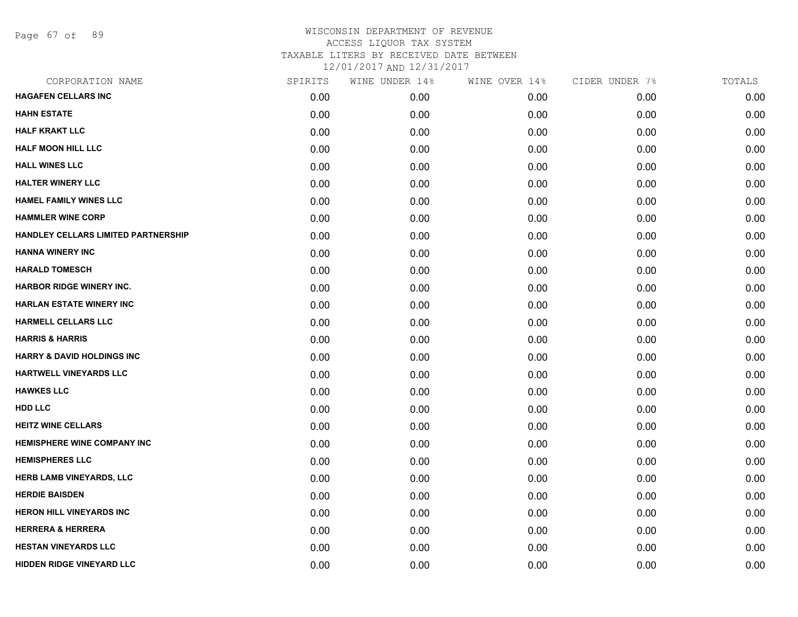Page 67 of 89

# WISCONSIN DEPARTMENT OF REVENUE ACCESS LIQUOR TAX SYSTEM TAXABLE LITERS BY RECEIVED DATE BETWEEN

| CORPORATION NAME                      | SPIRITS | WINE UNDER 14% | WINE OVER 14% | CIDER UNDER 7% | TOTALS |
|---------------------------------------|---------|----------------|---------------|----------------|--------|
| <b>HAGAFEN CELLARS INC</b>            | 0.00    | 0.00           | 0.00          | 0.00           | 0.00   |
| <b>HAHN ESTATE</b>                    | 0.00    | 0.00           | 0.00          | 0.00           | 0.00   |
| <b>HALF KRAKT LLC</b>                 | 0.00    | 0.00           | 0.00          | 0.00           | 0.00   |
| <b>HALF MOON HILL LLC</b>             | 0.00    | 0.00           | 0.00          | 0.00           | 0.00   |
| <b>HALL WINES LLC</b>                 | 0.00    | 0.00           | 0.00          | 0.00           | 0.00   |
| <b>HALTER WINERY LLC</b>              | 0.00    | 0.00           | 0.00          | 0.00           | 0.00   |
| HAMEL FAMILY WINES LLC                | 0.00    | 0.00           | 0.00          | 0.00           | 0.00   |
| <b>HAMMLER WINE CORP</b>              | 0.00    | 0.00           | 0.00          | 0.00           | 0.00   |
| HANDLEY CELLARS LIMITED PARTNERSHIP   | 0.00    | 0.00           | 0.00          | 0.00           | 0.00   |
| <b>HANNA WINERY INC</b>               | 0.00    | 0.00           | 0.00          | 0.00           | 0.00   |
| <b>HARALD TOMESCH</b>                 | 0.00    | 0.00           | 0.00          | 0.00           | 0.00   |
| <b>HARBOR RIDGE WINERY INC.</b>       | 0.00    | 0.00           | 0.00          | 0.00           | 0.00   |
| <b>HARLAN ESTATE WINERY INC</b>       | 0.00    | 0.00           | 0.00          | 0.00           | 0.00   |
| <b>HARMELL CELLARS LLC</b>            | 0.00    | 0.00           | 0.00          | 0.00           | 0.00   |
| <b>HARRIS &amp; HARRIS</b>            | 0.00    | 0.00           | 0.00          | 0.00           | 0.00   |
| <b>HARRY &amp; DAVID HOLDINGS INC</b> | 0.00    | 0.00           | 0.00          | 0.00           | 0.00   |
| <b>HARTWELL VINEYARDS LLC</b>         | 0.00    | 0.00           | 0.00          | 0.00           | 0.00   |
| <b>HAWKES LLC</b>                     | 0.00    | 0.00           | 0.00          | 0.00           | 0.00   |
| <b>HDD LLC</b>                        | 0.00    | 0.00           | 0.00          | 0.00           | 0.00   |
| <b>HEITZ WINE CELLARS</b>             | 0.00    | 0.00           | 0.00          | 0.00           | 0.00   |
| <b>HEMISPHERE WINE COMPANY INC</b>    | 0.00    | 0.00           | 0.00          | 0.00           | 0.00   |
| <b>HEMISPHERES LLC</b>                | 0.00    | 0.00           | 0.00          | 0.00           | 0.00   |
| <b>HERB LAMB VINEYARDS, LLC</b>       | 0.00    | 0.00           | 0.00          | 0.00           | 0.00   |
| <b>HERDIE BAISDEN</b>                 | 0.00    | 0.00           | 0.00          | 0.00           | 0.00   |
| <b>HERON HILL VINEYARDS INC</b>       | 0.00    | 0.00           | 0.00          | 0.00           | 0.00   |
| <b>HERRERA &amp; HERRERA</b>          | 0.00    | 0.00           | 0.00          | 0.00           | 0.00   |
| <b>HESTAN VINEYARDS LLC</b>           | 0.00    | 0.00           | 0.00          | 0.00           | 0.00   |
| HIDDEN RIDGE VINEYARD LLC             | 0.00    | 0.00           | 0.00          | 0.00           | 0.00   |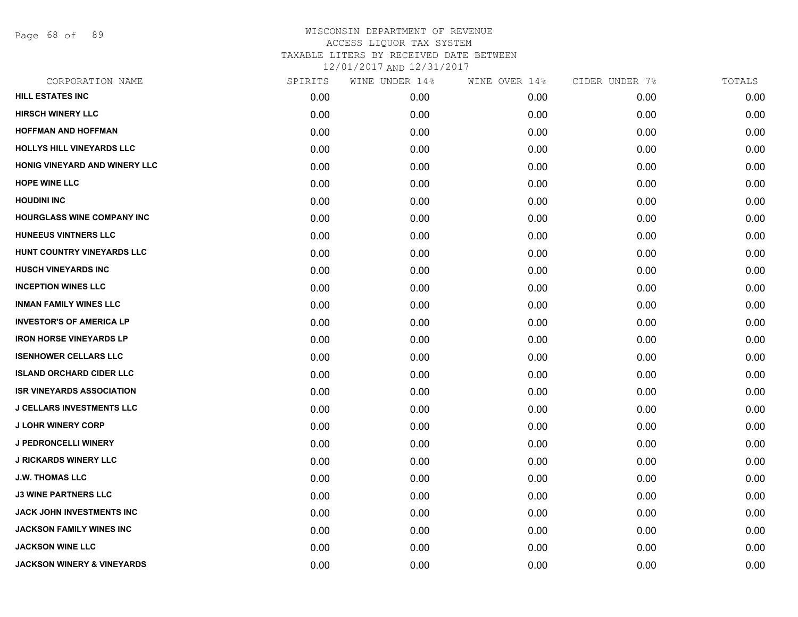Page 68 of 89

| CORPORATION NAME                      | SPIRITS | WINE UNDER 14% | WINE OVER 14% | CIDER UNDER 7% | TOTALS |
|---------------------------------------|---------|----------------|---------------|----------------|--------|
| <b>HILL ESTATES INC</b>               | 0.00    | 0.00           | 0.00          | 0.00           | 0.00   |
| <b>HIRSCH WINERY LLC</b>              | 0.00    | 0.00           | 0.00          | 0.00           | 0.00   |
| <b>HOFFMAN AND HOFFMAN</b>            | 0.00    | 0.00           | 0.00          | 0.00           | 0.00   |
| HOLLYS HILL VINEYARDS LLC             | 0.00    | 0.00           | 0.00          | 0.00           | 0.00   |
| HONIG VINEYARD AND WINERY LLC         | 0.00    | 0.00           | 0.00          | 0.00           | 0.00   |
| <b>HOPE WINE LLC</b>                  | 0.00    | 0.00           | 0.00          | 0.00           | 0.00   |
| <b>HOUDINI INC</b>                    | 0.00    | 0.00           | 0.00          | 0.00           | 0.00   |
| HOURGLASS WINE COMPANY INC            | 0.00    | 0.00           | 0.00          | 0.00           | 0.00   |
| <b>HUNEEUS VINTNERS LLC</b>           | 0.00    | 0.00           | 0.00          | 0.00           | 0.00   |
| HUNT COUNTRY VINEYARDS LLC            | 0.00    | 0.00           | 0.00          | 0.00           | 0.00   |
| <b>HUSCH VINEYARDS INC</b>            | 0.00    | 0.00           | 0.00          | 0.00           | 0.00   |
| <b>INCEPTION WINES LLC</b>            | 0.00    | 0.00           | 0.00          | 0.00           | 0.00   |
| <b>INMAN FAMILY WINES LLC</b>         | 0.00    | 0.00           | 0.00          | 0.00           | 0.00   |
| <b>INVESTOR'S OF AMERICA LP</b>       | 0.00    | 0.00           | 0.00          | 0.00           | 0.00   |
| <b>IRON HORSE VINEYARDS LP</b>        | 0.00    | 0.00           | 0.00          | 0.00           | 0.00   |
| <b>ISENHOWER CELLARS LLC</b>          | 0.00    | 0.00           | 0.00          | 0.00           | 0.00   |
| <b>ISLAND ORCHARD CIDER LLC</b>       | 0.00    | 0.00           | 0.00          | 0.00           | 0.00   |
| <b>ISR VINEYARDS ASSOCIATION</b>      | 0.00    | 0.00           | 0.00          | 0.00           | 0.00   |
| <b>J CELLARS INVESTMENTS LLC</b>      | 0.00    | 0.00           | 0.00          | 0.00           | 0.00   |
| <b>J LOHR WINERY CORP</b>             | 0.00    | 0.00           | 0.00          | 0.00           | 0.00   |
| <b>J PEDRONCELLI WINERY</b>           | 0.00    | 0.00           | 0.00          | 0.00           | 0.00   |
| <b>J RICKARDS WINERY LLC</b>          | 0.00    | 0.00           | 0.00          | 0.00           | 0.00   |
| <b>J.W. THOMAS LLC</b>                | 0.00    | 0.00           | 0.00          | 0.00           | 0.00   |
| <b>J3 WINE PARTNERS LLC</b>           | 0.00    | 0.00           | 0.00          | 0.00           | 0.00   |
| JACK JOHN INVESTMENTS INC             | 0.00    | 0.00           | 0.00          | 0.00           | 0.00   |
| <b>JACKSON FAMILY WINES INC</b>       | 0.00    | 0.00           | 0.00          | 0.00           | 0.00   |
| <b>JACKSON WINE LLC</b>               | 0.00    | 0.00           | 0.00          | 0.00           | 0.00   |
| <b>JACKSON WINERY &amp; VINEYARDS</b> | 0.00    | 0.00           | 0.00          | 0.00           | 0.00   |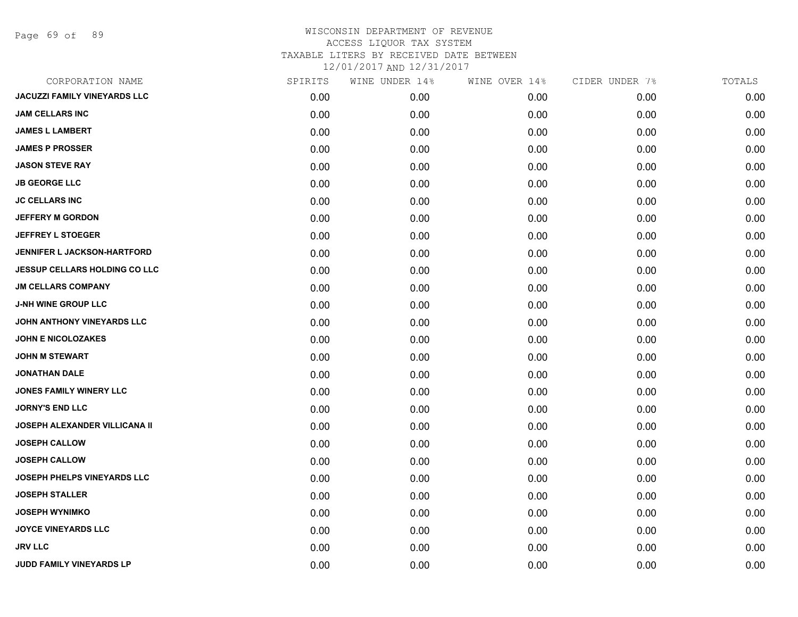Page 69 of 89

| CORPORATION NAME                     | SPIRITS | WINE UNDER 14% | WINE OVER 14% | CIDER UNDER 7% | TOTALS |
|--------------------------------------|---------|----------------|---------------|----------------|--------|
| <b>JACUZZI FAMILY VINEYARDS LLC</b>  | 0.00    | 0.00           | 0.00          | 0.00           | 0.00   |
| <b>JAM CELLARS INC</b>               | 0.00    | 0.00           | 0.00          | 0.00           | 0.00   |
| <b>JAMES L LAMBERT</b>               | 0.00    | 0.00           | 0.00          | 0.00           | 0.00   |
| <b>JAMES P PROSSER</b>               | 0.00    | 0.00           | 0.00          | 0.00           | 0.00   |
| <b>JASON STEVE RAY</b>               | 0.00    | 0.00           | 0.00          | 0.00           | 0.00   |
| <b>JB GEORGE LLC</b>                 | 0.00    | 0.00           | 0.00          | 0.00           | 0.00   |
| <b>JC CELLARS INC</b>                | 0.00    | 0.00           | 0.00          | 0.00           | 0.00   |
| <b>JEFFERY M GORDON</b>              | 0.00    | 0.00           | 0.00          | 0.00           | 0.00   |
| <b>JEFFREY L STOEGER</b>             | 0.00    | 0.00           | 0.00          | 0.00           | 0.00   |
| <b>JENNIFER L JACKSON-HARTFORD</b>   | 0.00    | 0.00           | 0.00          | 0.00           | 0.00   |
| <b>JESSUP CELLARS HOLDING CO LLC</b> | 0.00    | 0.00           | 0.00          | 0.00           | 0.00   |
| <b>JM CELLARS COMPANY</b>            | 0.00    | 0.00           | 0.00          | 0.00           | 0.00   |
| <b>J-NH WINE GROUP LLC</b>           | 0.00    | 0.00           | 0.00          | 0.00           | 0.00   |
| JOHN ANTHONY VINEYARDS LLC           | 0.00    | 0.00           | 0.00          | 0.00           | 0.00   |
| <b>JOHN E NICOLOZAKES</b>            | 0.00    | 0.00           | 0.00          | 0.00           | 0.00   |
| <b>JOHN M STEWART</b>                | 0.00    | 0.00           | 0.00          | 0.00           | 0.00   |
| <b>JONATHAN DALE</b>                 | 0.00    | 0.00           | 0.00          | 0.00           | 0.00   |
| <b>JONES FAMILY WINERY LLC</b>       | 0.00    | 0.00           | 0.00          | 0.00           | 0.00   |
| <b>JORNY'S END LLC</b>               | 0.00    | 0.00           | 0.00          | 0.00           | 0.00   |
| <b>JOSEPH ALEXANDER VILLICANA II</b> | 0.00    | 0.00           | 0.00          | 0.00           | 0.00   |
| <b>JOSEPH CALLOW</b>                 | 0.00    | 0.00           | 0.00          | 0.00           | 0.00   |
| <b>JOSEPH CALLOW</b>                 | 0.00    | 0.00           | 0.00          | 0.00           | 0.00   |
| JOSEPH PHELPS VINEYARDS LLC          | 0.00    | 0.00           | 0.00          | 0.00           | 0.00   |
| <b>JOSEPH STALLER</b>                | 0.00    | 0.00           | 0.00          | 0.00           | 0.00   |
| <b>JOSEPH WYNIMKO</b>                | 0.00    | 0.00           | 0.00          | 0.00           | 0.00   |
| <b>JOYCE VINEYARDS LLC</b>           | 0.00    | 0.00           | 0.00          | 0.00           | 0.00   |
| <b>JRV LLC</b>                       | 0.00    | 0.00           | 0.00          | 0.00           | 0.00   |
| JUDD FAMILY VINEYARDS LP             | 0.00    | 0.00           | 0.00          | 0.00           | 0.00   |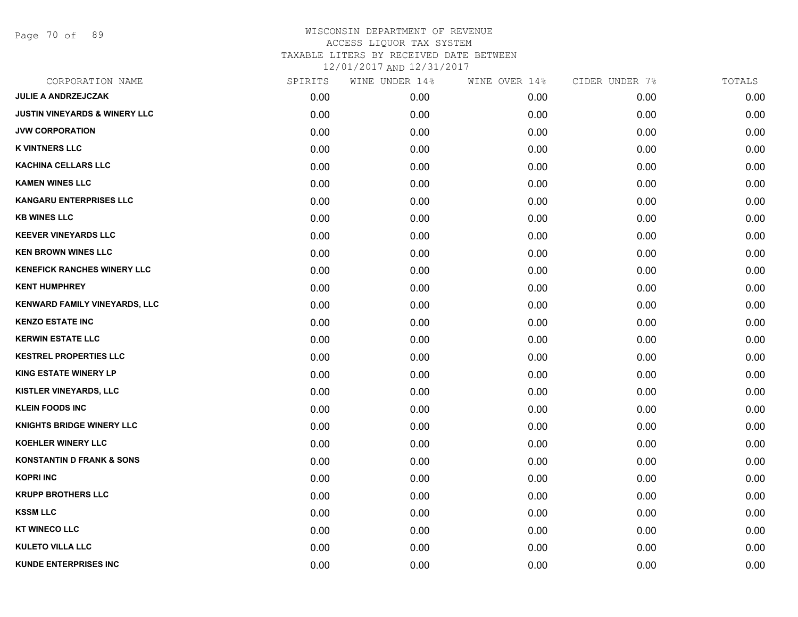Page 70 of 89

| CORPORATION NAME                         | SPIRITS | WINE UNDER 14% | WINE OVER 14% | CIDER UNDER 7% | TOTALS |
|------------------------------------------|---------|----------------|---------------|----------------|--------|
| <b>JULIE A ANDRZEJCZAK</b>               | 0.00    | 0.00           | 0.00          | 0.00           | 0.00   |
| <b>JUSTIN VINEYARDS &amp; WINERY LLC</b> | 0.00    | 0.00           | 0.00          | 0.00           | 0.00   |
| <b>JVW CORPORATION</b>                   | 0.00    | 0.00           | 0.00          | 0.00           | 0.00   |
| <b>K VINTNERS LLC</b>                    | 0.00    | 0.00           | 0.00          | 0.00           | 0.00   |
| <b>KACHINA CELLARS LLC</b>               | 0.00    | 0.00           | 0.00          | 0.00           | 0.00   |
| <b>KAMEN WINES LLC</b>                   | 0.00    | 0.00           | 0.00          | 0.00           | 0.00   |
| <b>KANGARU ENTERPRISES LLC</b>           | 0.00    | 0.00           | 0.00          | 0.00           | 0.00   |
| <b>KB WINES LLC</b>                      | 0.00    | 0.00           | 0.00          | 0.00           | 0.00   |
| <b>KEEVER VINEYARDS LLC</b>              | 0.00    | 0.00           | 0.00          | 0.00           | 0.00   |
| <b>KEN BROWN WINES LLC</b>               | 0.00    | 0.00           | 0.00          | 0.00           | 0.00   |
| <b>KENEFICK RANCHES WINERY LLC</b>       | 0.00    | 0.00           | 0.00          | 0.00           | 0.00   |
| <b>KENT HUMPHREY</b>                     | 0.00    | 0.00           | 0.00          | 0.00           | 0.00   |
| <b>KENWARD FAMILY VINEYARDS, LLC</b>     | 0.00    | 0.00           | 0.00          | 0.00           | 0.00   |
| <b>KENZO ESTATE INC</b>                  | 0.00    | 0.00           | 0.00          | 0.00           | 0.00   |
| <b>KERWIN ESTATE LLC</b>                 | 0.00    | 0.00           | 0.00          | 0.00           | 0.00   |
| <b>KESTREL PROPERTIES LLC</b>            | 0.00    | 0.00           | 0.00          | 0.00           | 0.00   |
| <b>KING ESTATE WINERY LP</b>             | 0.00    | 0.00           | 0.00          | 0.00           | 0.00   |
| KISTLER VINEYARDS, LLC                   | 0.00    | 0.00           | 0.00          | 0.00           | 0.00   |
| <b>KLEIN FOODS INC</b>                   | 0.00    | 0.00           | 0.00          | 0.00           | 0.00   |
| <b>KNIGHTS BRIDGE WINERY LLC</b>         | 0.00    | 0.00           | 0.00          | 0.00           | 0.00   |
| <b>KOEHLER WINERY LLC</b>                | 0.00    | 0.00           | 0.00          | 0.00           | 0.00   |
| <b>KONSTANTIN D FRANK &amp; SONS</b>     | 0.00    | 0.00           | 0.00          | 0.00           | 0.00   |
| <b>KOPRI INC</b>                         | 0.00    | 0.00           | 0.00          | 0.00           | 0.00   |
| <b>KRUPP BROTHERS LLC</b>                | 0.00    | 0.00           | 0.00          | 0.00           | 0.00   |
| <b>KSSM LLC</b>                          | 0.00    | 0.00           | 0.00          | 0.00           | 0.00   |
| <b>KT WINECO LLC</b>                     | 0.00    | 0.00           | 0.00          | 0.00           | 0.00   |
| <b>KULETO VILLA LLC</b>                  | 0.00    | 0.00           | 0.00          | 0.00           | 0.00   |
| <b>KUNDE ENTERPRISES INC</b>             | 0.00    | 0.00           | 0.00          | 0.00           | 0.00   |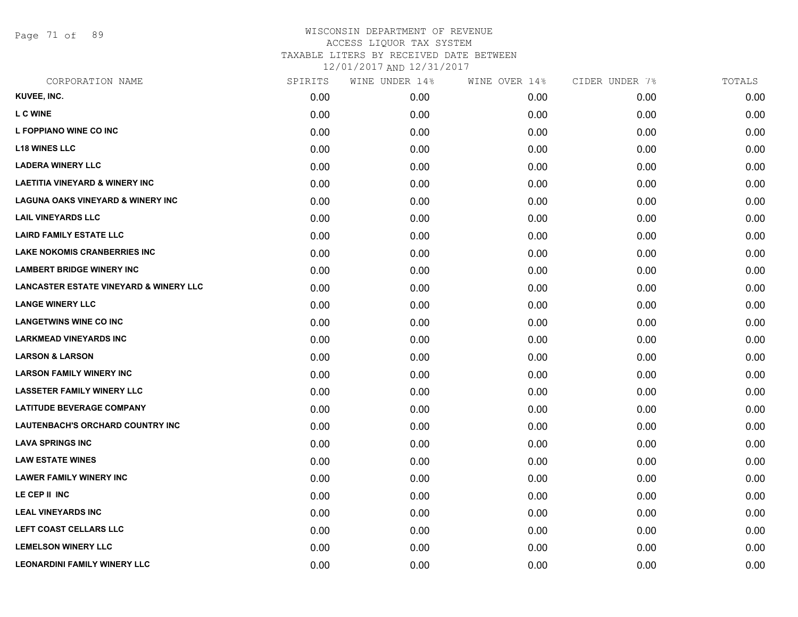Page 71 of 89

| CORPORATION NAME                                  | SPIRITS | WINE UNDER 14% | WINE OVER 14% | CIDER UNDER 7% | TOTALS |
|---------------------------------------------------|---------|----------------|---------------|----------------|--------|
| KUVEE, INC.                                       | 0.00    | 0.00           | 0.00          | 0.00           | 0.00   |
| <b>L C WINE</b>                                   | 0.00    | 0.00           | 0.00          | 0.00           | 0.00   |
| L FOPPIANO WINE CO INC                            | 0.00    | 0.00           | 0.00          | 0.00           | 0.00   |
| <b>L18 WINES LLC</b>                              | 0.00    | 0.00           | 0.00          | 0.00           | 0.00   |
| <b>LADERA WINERY LLC</b>                          | 0.00    | 0.00           | 0.00          | 0.00           | 0.00   |
| <b>LAETITIA VINEYARD &amp; WINERY INC</b>         | 0.00    | 0.00           | 0.00          | 0.00           | 0.00   |
| <b>LAGUNA OAKS VINEYARD &amp; WINERY INC</b>      | 0.00    | 0.00           | 0.00          | 0.00           | 0.00   |
| <b>LAIL VINEYARDS LLC</b>                         | 0.00    | 0.00           | 0.00          | 0.00           | 0.00   |
| <b>LAIRD FAMILY ESTATE LLC</b>                    | 0.00    | 0.00           | 0.00          | 0.00           | 0.00   |
| <b>LAKE NOKOMIS CRANBERRIES INC</b>               | 0.00    | 0.00           | 0.00          | 0.00           | 0.00   |
| <b>LAMBERT BRIDGE WINERY INC</b>                  | 0.00    | 0.00           | 0.00          | 0.00           | 0.00   |
| <b>LANCASTER ESTATE VINEYARD &amp; WINERY LLC</b> | 0.00    | 0.00           | 0.00          | 0.00           | 0.00   |
| <b>LANGE WINERY LLC</b>                           | 0.00    | 0.00           | 0.00          | 0.00           | 0.00   |
| <b>LANGETWINS WINE CO INC</b>                     | 0.00    | 0.00           | 0.00          | 0.00           | 0.00   |
| <b>LARKMEAD VINEYARDS INC</b>                     | 0.00    | 0.00           | 0.00          | 0.00           | 0.00   |
| <b>LARSON &amp; LARSON</b>                        | 0.00    | 0.00           | 0.00          | 0.00           | 0.00   |
| <b>LARSON FAMILY WINERY INC</b>                   | 0.00    | 0.00           | 0.00          | 0.00           | 0.00   |
| <b>LASSETER FAMILY WINERY LLC</b>                 | 0.00    | 0.00           | 0.00          | 0.00           | 0.00   |
| <b>LATITUDE BEVERAGE COMPANY</b>                  | 0.00    | 0.00           | 0.00          | 0.00           | 0.00   |
| LAUTENBACH'S ORCHARD COUNTRY INC                  | 0.00    | 0.00           | 0.00          | 0.00           | 0.00   |
| <b>LAVA SPRINGS INC</b>                           | 0.00    | 0.00           | 0.00          | 0.00           | 0.00   |
| <b>LAW ESTATE WINES</b>                           | 0.00    | 0.00           | 0.00          | 0.00           | 0.00   |
| <b>LAWER FAMILY WINERY INC</b>                    | 0.00    | 0.00           | 0.00          | 0.00           | 0.00   |
| LE CEP II INC                                     | 0.00    | 0.00           | 0.00          | 0.00           | 0.00   |
| <b>LEAL VINEYARDS INC</b>                         | 0.00    | 0.00           | 0.00          | 0.00           | 0.00   |
| LEFT COAST CELLARS LLC                            | 0.00    | 0.00           | 0.00          | 0.00           | 0.00   |
| <b>LEMELSON WINERY LLC</b>                        | 0.00    | 0.00           | 0.00          | 0.00           | 0.00   |
| <b>LEONARDINI FAMILY WINERY LLC</b>               | 0.00    | 0.00           | 0.00          | 0.00           | 0.00   |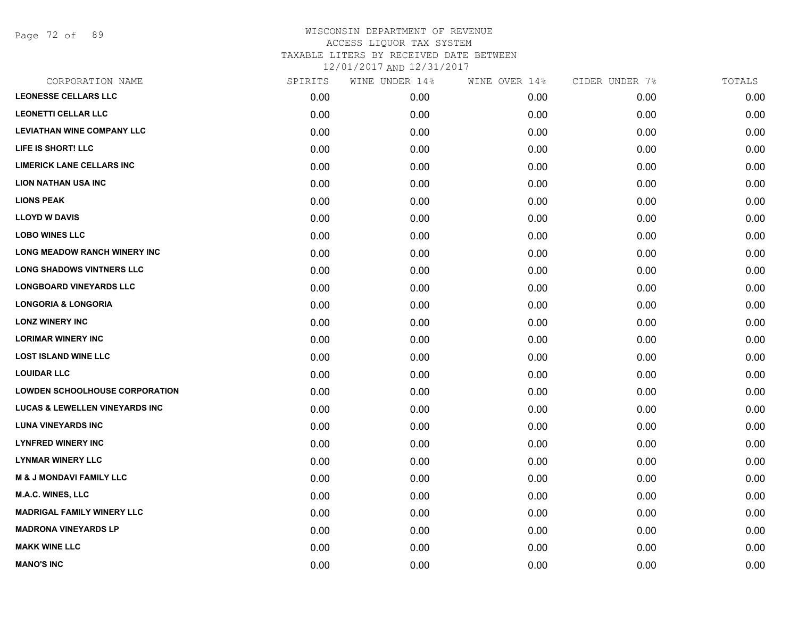Page 72 of 89

| CORPORATION NAME                          | SPIRITS | WINE UNDER 14% | WINE OVER 14% | CIDER UNDER 7% | TOTALS |
|-------------------------------------------|---------|----------------|---------------|----------------|--------|
| <b>LEONESSE CELLARS LLC</b>               | 0.00    | 0.00           | 0.00          | 0.00           | 0.00   |
| <b>LEONETTI CELLAR LLC</b>                | 0.00    | 0.00           | 0.00          | 0.00           | 0.00   |
| <b>LEVIATHAN WINE COMPANY LLC</b>         | 0.00    | 0.00           | 0.00          | 0.00           | 0.00   |
| LIFE IS SHORT! LLC                        | 0.00    | 0.00           | 0.00          | 0.00           | 0.00   |
| <b>LIMERICK LANE CELLARS INC</b>          | 0.00    | 0.00           | 0.00          | 0.00           | 0.00   |
| <b>LION NATHAN USA INC</b>                | 0.00    | 0.00           | 0.00          | 0.00           | 0.00   |
| <b>LIONS PEAK</b>                         | 0.00    | 0.00           | 0.00          | 0.00           | 0.00   |
| <b>LLOYD W DAVIS</b>                      | 0.00    | 0.00           | 0.00          | 0.00           | 0.00   |
| <b>LOBO WINES LLC</b>                     | 0.00    | 0.00           | 0.00          | 0.00           | 0.00   |
| <b>LONG MEADOW RANCH WINERY INC</b>       | 0.00    | 0.00           | 0.00          | 0.00           | 0.00   |
| <b>LONG SHADOWS VINTNERS LLC</b>          | 0.00    | 0.00           | 0.00          | 0.00           | 0.00   |
| <b>LONGBOARD VINEYARDS LLC</b>            | 0.00    | 0.00           | 0.00          | 0.00           | 0.00   |
| <b>LONGORIA &amp; LONGORIA</b>            | 0.00    | 0.00           | 0.00          | 0.00           | 0.00   |
| <b>LONZ WINERY INC</b>                    | 0.00    | 0.00           | 0.00          | 0.00           | 0.00   |
| <b>LORIMAR WINERY INC</b>                 | 0.00    | 0.00           | 0.00          | 0.00           | 0.00   |
| <b>LOST ISLAND WINE LLC</b>               | 0.00    | 0.00           | 0.00          | 0.00           | 0.00   |
| <b>LOUIDAR LLC</b>                        | 0.00    | 0.00           | 0.00          | 0.00           | 0.00   |
| <b>LOWDEN SCHOOLHOUSE CORPORATION</b>     | 0.00    | 0.00           | 0.00          | 0.00           | 0.00   |
| <b>LUCAS &amp; LEWELLEN VINEYARDS INC</b> | 0.00    | 0.00           | 0.00          | 0.00           | 0.00   |
| <b>LUNA VINEYARDS INC</b>                 | 0.00    | 0.00           | 0.00          | 0.00           | 0.00   |
| <b>LYNFRED WINERY INC</b>                 | 0.00    | 0.00           | 0.00          | 0.00           | 0.00   |
| <b>LYNMAR WINERY LLC</b>                  | 0.00    | 0.00           | 0.00          | 0.00           | 0.00   |
| <b>M &amp; J MONDAVI FAMILY LLC</b>       | 0.00    | 0.00           | 0.00          | 0.00           | 0.00   |
| <b>M.A.C. WINES, LLC</b>                  | 0.00    | 0.00           | 0.00          | 0.00           | 0.00   |
| <b>MADRIGAL FAMILY WINERY LLC</b>         | 0.00    | 0.00           | 0.00          | 0.00           | 0.00   |
| <b>MADRONA VINEYARDS LP</b>               | 0.00    | 0.00           | 0.00          | 0.00           | 0.00   |
| <b>MAKK WINE LLC</b>                      | 0.00    | 0.00           | 0.00          | 0.00           | 0.00   |
| <b>MANO'S INC</b>                         | 0.00    | 0.00           | 0.00          | 0.00           | 0.00   |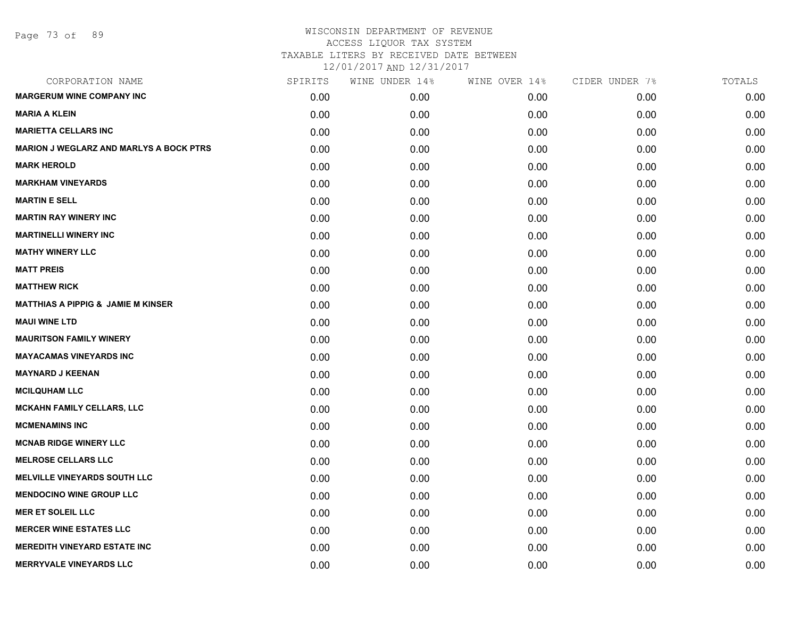| CORPORATION NAME                               | SPIRITS | WINE UNDER 14% | WINE OVER 14% | CIDER UNDER 7% | TOTALS |
|------------------------------------------------|---------|----------------|---------------|----------------|--------|
| <b>MARGERUM WINE COMPANY INC</b>               | 0.00    | 0.00           | 0.00          | 0.00           | 0.00   |
| <b>MARIA A KLEIN</b>                           | 0.00    | 0.00           | 0.00          | 0.00           | 0.00   |
| <b>MARIETTA CELLARS INC</b>                    | 0.00    | 0.00           | 0.00          | 0.00           | 0.00   |
| <b>MARION J WEGLARZ AND MARLYS A BOCK PTRS</b> | 0.00    | 0.00           | 0.00          | 0.00           | 0.00   |
| <b>MARK HEROLD</b>                             | 0.00    | 0.00           | 0.00          | 0.00           | 0.00   |
| <b>MARKHAM VINEYARDS</b>                       | 0.00    | 0.00           | 0.00          | 0.00           | 0.00   |
| <b>MARTIN E SELL</b>                           | 0.00    | 0.00           | 0.00          | 0.00           | 0.00   |
| <b>MARTIN RAY WINERY INC</b>                   | 0.00    | 0.00           | 0.00          | 0.00           | 0.00   |
| <b>MARTINELLI WINERY INC</b>                   | 0.00    | 0.00           | 0.00          | 0.00           | 0.00   |
| <b>MATHY WINERY LLC</b>                        | 0.00    | 0.00           | 0.00          | 0.00           | 0.00   |
| <b>MATT PREIS</b>                              | 0.00    | 0.00           | 0.00          | 0.00           | 0.00   |
| <b>MATTHEW RICK</b>                            | 0.00    | 0.00           | 0.00          | 0.00           | 0.00   |
| <b>MATTHIAS A PIPPIG &amp; JAMIE M KINSER</b>  | 0.00    | 0.00           | 0.00          | 0.00           | 0.00   |
| <b>MAUI WINE LTD</b>                           | 0.00    | 0.00           | 0.00          | 0.00           | 0.00   |
| <b>MAURITSON FAMILY WINERY</b>                 | 0.00    | 0.00           | 0.00          | 0.00           | 0.00   |
| <b>MAYACAMAS VINEYARDS INC</b>                 | 0.00    | 0.00           | 0.00          | 0.00           | 0.00   |
| <b>MAYNARD J KEENAN</b>                        | 0.00    | 0.00           | 0.00          | 0.00           | 0.00   |
| <b>MCILQUHAM LLC</b>                           | 0.00    | 0.00           | 0.00          | 0.00           | 0.00   |
| <b>MCKAHN FAMILY CELLARS, LLC</b>              | 0.00    | 0.00           | 0.00          | 0.00           | 0.00   |
| <b>MCMENAMINS INC</b>                          | 0.00    | 0.00           | 0.00          | 0.00           | 0.00   |
| <b>MCNAB RIDGE WINERY LLC</b>                  | 0.00    | 0.00           | 0.00          | 0.00           | 0.00   |
| <b>MELROSE CELLARS LLC</b>                     | 0.00    | 0.00           | 0.00          | 0.00           | 0.00   |
| <b>MELVILLE VINEYARDS SOUTH LLC</b>            | 0.00    | 0.00           | 0.00          | 0.00           | 0.00   |
| <b>MENDOCINO WINE GROUP LLC</b>                | 0.00    | 0.00           | 0.00          | 0.00           | 0.00   |
| <b>MER ET SOLEIL LLC</b>                       | 0.00    | 0.00           | 0.00          | 0.00           | 0.00   |
| <b>MERCER WINE ESTATES LLC</b>                 | 0.00    | 0.00           | 0.00          | 0.00           | 0.00   |
| <b>MEREDITH VINEYARD ESTATE INC</b>            | 0.00    | 0.00           | 0.00          | 0.00           | 0.00   |
| <b>MERRYVALE VINEYARDS LLC</b>                 | 0.00    | 0.00           | 0.00          | 0.00           | 0.00   |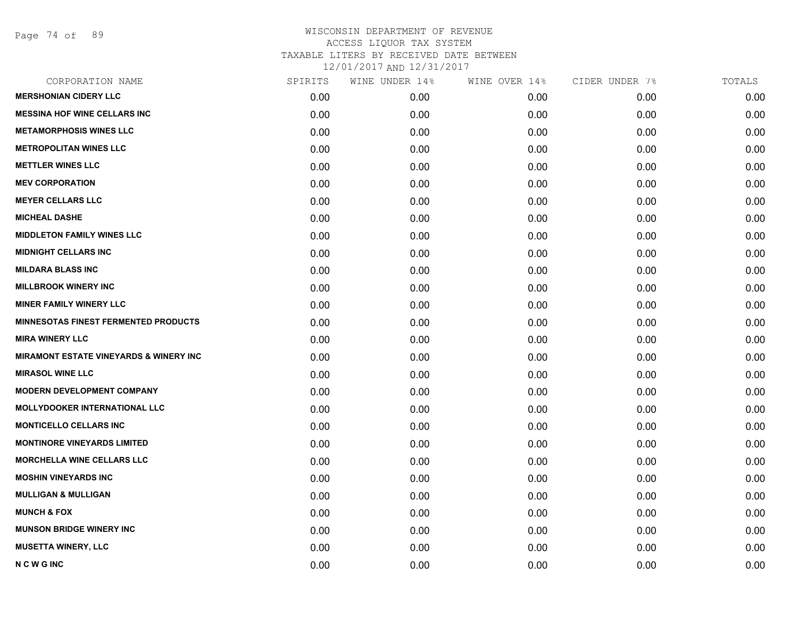Page 74 of 89

| CORPORATION NAME                                  | SPIRITS | WINE UNDER 14% | WINE OVER 14% | CIDER UNDER 7% | TOTALS |
|---------------------------------------------------|---------|----------------|---------------|----------------|--------|
| <b>MERSHONIAN CIDERY LLC</b>                      | 0.00    | 0.00           | 0.00          | 0.00           | 0.00   |
| <b>MESSINA HOF WINE CELLARS INC</b>               | 0.00    | 0.00           | 0.00          | 0.00           | 0.00   |
| <b>METAMORPHOSIS WINES LLC</b>                    | 0.00    | 0.00           | 0.00          | 0.00           | 0.00   |
| <b>METROPOLITAN WINES LLC</b>                     | 0.00    | 0.00           | 0.00          | 0.00           | 0.00   |
| <b>METTLER WINES LLC</b>                          | 0.00    | 0.00           | 0.00          | 0.00           | 0.00   |
| <b>MEV CORPORATION</b>                            | 0.00    | 0.00           | 0.00          | 0.00           | 0.00   |
| <b>MEYER CELLARS LLC</b>                          | 0.00    | 0.00           | 0.00          | 0.00           | 0.00   |
| <b>MICHEAL DASHE</b>                              | 0.00    | 0.00           | 0.00          | 0.00           | 0.00   |
| <b>MIDDLETON FAMILY WINES LLC</b>                 | 0.00    | 0.00           | 0.00          | 0.00           | 0.00   |
| <b>MIDNIGHT CELLARS INC</b>                       | 0.00    | 0.00           | 0.00          | 0.00           | 0.00   |
| <b>MILDARA BLASS INC</b>                          | 0.00    | 0.00           | 0.00          | 0.00           | 0.00   |
| <b>MILLBROOK WINERY INC</b>                       | 0.00    | 0.00           | 0.00          | 0.00           | 0.00   |
| <b>MINER FAMILY WINERY LLC</b>                    | 0.00    | 0.00           | 0.00          | 0.00           | 0.00   |
| <b>MINNESOTAS FINEST FERMENTED PRODUCTS</b>       | 0.00    | 0.00           | 0.00          | 0.00           | 0.00   |
| <b>MIRA WINERY LLC</b>                            | 0.00    | 0.00           | 0.00          | 0.00           | 0.00   |
| <b>MIRAMONT ESTATE VINEYARDS &amp; WINERY INC</b> | 0.00    | 0.00           | 0.00          | 0.00           | 0.00   |
| <b>MIRASOL WINE LLC</b>                           | 0.00    | 0.00           | 0.00          | 0.00           | 0.00   |
| <b>MODERN DEVELOPMENT COMPANY</b>                 | 0.00    | 0.00           | 0.00          | 0.00           | 0.00   |
| <b>MOLLYDOOKER INTERNATIONAL LLC</b>              | 0.00    | 0.00           | 0.00          | 0.00           | 0.00   |
| <b>MONTICELLO CELLARS INC</b>                     | 0.00    | 0.00           | 0.00          | 0.00           | 0.00   |
| <b>MONTINORE VINEYARDS LIMITED</b>                | 0.00    | 0.00           | 0.00          | 0.00           | 0.00   |
| <b>MORCHELLA WINE CELLARS LLC</b>                 | 0.00    | 0.00           | 0.00          | 0.00           | 0.00   |
| <b>MOSHIN VINEYARDS INC</b>                       | 0.00    | 0.00           | 0.00          | 0.00           | 0.00   |
| <b>MULLIGAN &amp; MULLIGAN</b>                    | 0.00    | 0.00           | 0.00          | 0.00           | 0.00   |
| <b>MUNCH &amp; FOX</b>                            | 0.00    | 0.00           | 0.00          | 0.00           | 0.00   |
| <b>MUNSON BRIDGE WINERY INC</b>                   | 0.00    | 0.00           | 0.00          | 0.00           | 0.00   |
| <b>MUSETTA WINERY, LLC</b>                        | 0.00    | 0.00           | 0.00          | 0.00           | 0.00   |
| <b>NCWGINC</b>                                    | 0.00    | 0.00           | 0.00          | 0.00           | 0.00   |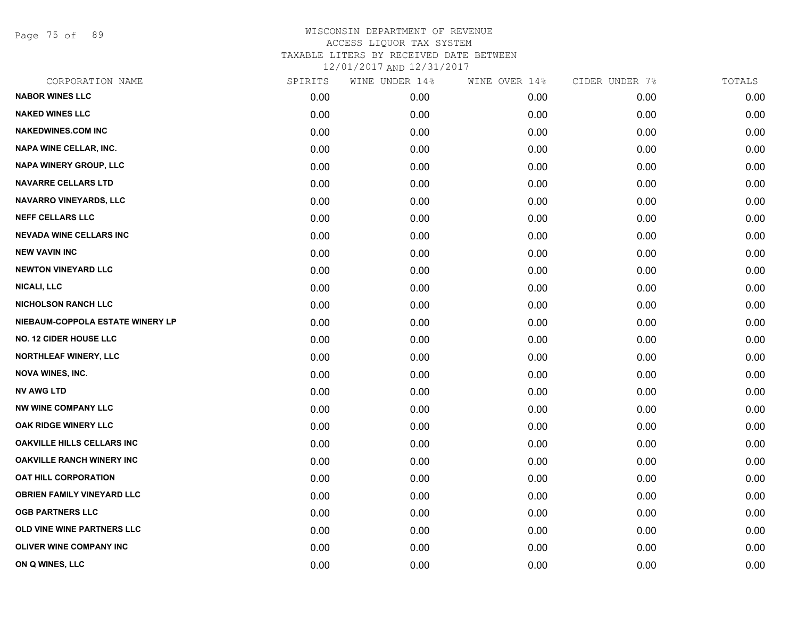Page 75 of 89

| CORPORATION NAME                  | SPIRITS | WINE UNDER 14% | WINE OVER 14% | CIDER UNDER 7% | TOTALS |
|-----------------------------------|---------|----------------|---------------|----------------|--------|
| <b>NABOR WINES LLC</b>            | 0.00    | 0.00           | 0.00          | 0.00           | 0.00   |
| <b>NAKED WINES LLC</b>            | 0.00    | 0.00           | 0.00          | 0.00           | 0.00   |
| <b>NAKEDWINES.COM INC</b>         | 0.00    | 0.00           | 0.00          | 0.00           | 0.00   |
| <b>NAPA WINE CELLAR, INC.</b>     | 0.00    | 0.00           | 0.00          | 0.00           | 0.00   |
| <b>NAPA WINERY GROUP, LLC</b>     | 0.00    | 0.00           | 0.00          | 0.00           | 0.00   |
| <b>NAVARRE CELLARS LTD</b>        | 0.00    | 0.00           | 0.00          | 0.00           | 0.00   |
| <b>NAVARRO VINEYARDS, LLC</b>     | 0.00    | 0.00           | 0.00          | 0.00           | 0.00   |
| <b>NEFF CELLARS LLC</b>           | 0.00    | 0.00           | 0.00          | 0.00           | 0.00   |
| <b>NEVADA WINE CELLARS INC</b>    | 0.00    | 0.00           | 0.00          | 0.00           | 0.00   |
| <b>NEW VAVIN INC</b>              | 0.00    | 0.00           | 0.00          | 0.00           | 0.00   |
| <b>NEWTON VINEYARD LLC</b>        | 0.00    | 0.00           | 0.00          | 0.00           | 0.00   |
| <b>NICALI, LLC</b>                | 0.00    | 0.00           | 0.00          | 0.00           | 0.00   |
| <b>NICHOLSON RANCH LLC</b>        | 0.00    | 0.00           | 0.00          | 0.00           | 0.00   |
| NIEBAUM-COPPOLA ESTATE WINERY LP  | 0.00    | 0.00           | 0.00          | 0.00           | 0.00   |
| <b>NO. 12 CIDER HOUSE LLC</b>     | 0.00    | 0.00           | 0.00          | 0.00           | 0.00   |
| NORTHLEAF WINERY, LLC             | 0.00    | 0.00           | 0.00          | 0.00           | 0.00   |
| <b>NOVA WINES, INC.</b>           | 0.00    | 0.00           | 0.00          | 0.00           | 0.00   |
| <b>NV AWG LTD</b>                 | 0.00    | 0.00           | 0.00          | 0.00           | 0.00   |
| <b>NW WINE COMPANY LLC</b>        | 0.00    | 0.00           | 0.00          | 0.00           | 0.00   |
| <b>OAK RIDGE WINERY LLC</b>       | 0.00    | 0.00           | 0.00          | 0.00           | 0.00   |
| <b>OAKVILLE HILLS CELLARS INC</b> | 0.00    | 0.00           | 0.00          | 0.00           | 0.00   |
| <b>OAKVILLE RANCH WINERY INC</b>  | 0.00    | 0.00           | 0.00          | 0.00           | 0.00   |
| <b>OAT HILL CORPORATION</b>       | 0.00    | 0.00           | 0.00          | 0.00           | 0.00   |
| <b>OBRIEN FAMILY VINEYARD LLC</b> | 0.00    | 0.00           | 0.00          | 0.00           | 0.00   |
| <b>OGB PARTNERS LLC</b>           | 0.00    | 0.00           | 0.00          | 0.00           | 0.00   |
| OLD VINE WINE PARTNERS LLC        | 0.00    | 0.00           | 0.00          | 0.00           | 0.00   |
| <b>OLIVER WINE COMPANY INC</b>    | 0.00    | 0.00           | 0.00          | 0.00           | 0.00   |
| ON Q WINES, LLC                   | 0.00    | 0.00           | 0.00          | 0.00           | 0.00   |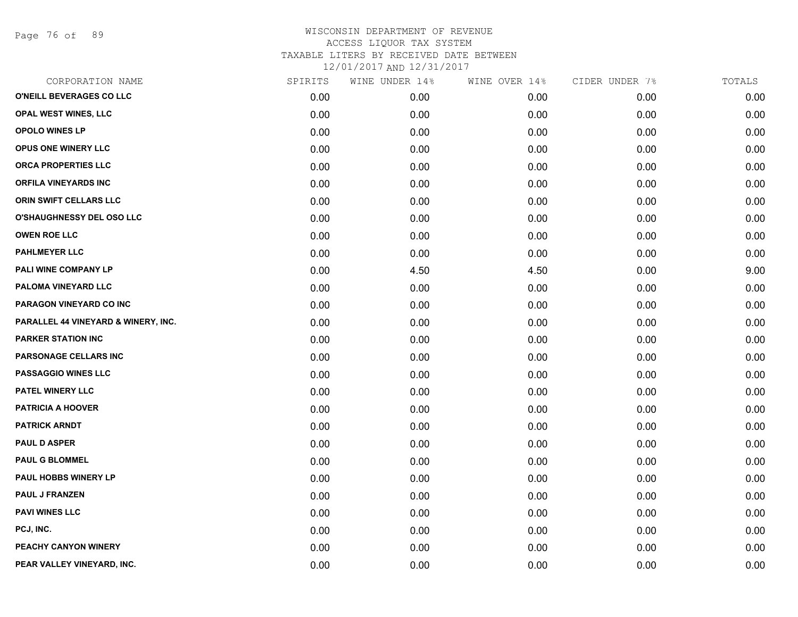Page 76 of 89

## WISCONSIN DEPARTMENT OF REVENUE ACCESS LIQUOR TAX SYSTEM TAXABLE LITERS BY RECEIVED DATE BETWEEN

12/01/2017 AND 12/31/2017

| CORPORATION NAME                    | SPIRITS | WINE UNDER 14% | WINE OVER 14% | CIDER UNDER 7% | TOTALS |
|-------------------------------------|---------|----------------|---------------|----------------|--------|
| O'NEILL BEVERAGES CO LLC            | 0.00    | 0.00           | 0.00          | 0.00           | 0.00   |
| OPAL WEST WINES, LLC                | 0.00    | 0.00           | 0.00          | 0.00           | 0.00   |
| OPOLO WINES LP                      | 0.00    | 0.00           | 0.00          | 0.00           | 0.00   |
| <b>OPUS ONE WINERY LLC</b>          | 0.00    | 0.00           | 0.00          | 0.00           | 0.00   |
| ORCA PROPERTIES LLC                 | 0.00    | 0.00           | 0.00          | 0.00           | 0.00   |
| <b>ORFILA VINEYARDS INC</b>         | 0.00    | 0.00           | 0.00          | 0.00           | 0.00   |
| ORIN SWIFT CELLARS LLC              | 0.00    | 0.00           | 0.00          | 0.00           | 0.00   |
| <b>O'SHAUGHNESSY DEL OSO LLC</b>    | 0.00    | 0.00           | 0.00          | 0.00           | 0.00   |
| <b>OWEN ROE LLC</b>                 | 0.00    | 0.00           | 0.00          | 0.00           | 0.00   |
| <b>PAHLMEYER LLC</b>                | 0.00    | 0.00           | 0.00          | 0.00           | 0.00   |
| PALI WINE COMPANY LP                | 0.00    | 4.50           | 4.50          | 0.00           | 9.00   |
| PALOMA VINEYARD LLC                 | 0.00    | 0.00           | 0.00          | 0.00           | 0.00   |
| PARAGON VINEYARD CO INC             | 0.00    | 0.00           | 0.00          | 0.00           | 0.00   |
| PARALLEL 44 VINEYARD & WINERY, INC. | 0.00    | 0.00           | 0.00          | 0.00           | 0.00   |
| <b>PARKER STATION INC</b>           | 0.00    | 0.00           | 0.00          | 0.00           | 0.00   |
| PARSONAGE CELLARS INC               | 0.00    | 0.00           | 0.00          | 0.00           | 0.00   |
| <b>PASSAGGIO WINES LLC</b>          | 0.00    | 0.00           | 0.00          | 0.00           | 0.00   |
| PATEL WINERY LLC                    | 0.00    | 0.00           | 0.00          | 0.00           | 0.00   |
| <b>PATRICIA A HOOVER</b>            | 0.00    | 0.00           | 0.00          | 0.00           | 0.00   |
| <b>PATRICK ARNDT</b>                | 0.00    | 0.00           | 0.00          | 0.00           | 0.00   |
| <b>PAUL D ASPER</b>                 | 0.00    | 0.00           | 0.00          | 0.00           | 0.00   |
| <b>PAUL G BLOMMEL</b>               | 0.00    | 0.00           | 0.00          | 0.00           | 0.00   |
| PAUL HOBBS WINERY LP                | 0.00    | 0.00           | 0.00          | 0.00           | 0.00   |
| <b>PAUL J FRANZEN</b>               | 0.00    | 0.00           | 0.00          | 0.00           | 0.00   |
| <b>PAVI WINES LLC</b>               | 0.00    | 0.00           | 0.00          | 0.00           | 0.00   |
| PCJ, INC.                           | 0.00    | 0.00           | 0.00          | 0.00           | 0.00   |
| PEACHY CANYON WINERY                | 0.00    | 0.00           | 0.00          | 0.00           | 0.00   |
| PEAR VALLEY VINEYARD, INC.          | 0.00    | 0.00           | 0.00          | 0.00           | 0.00   |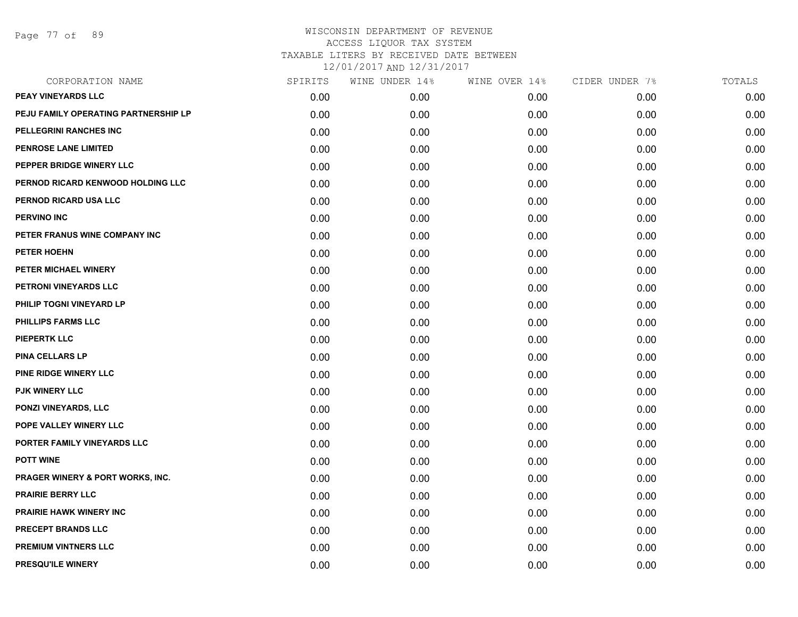Page 77 of 89

| CORPORATION NAME                     | SPIRITS | WINE UNDER 14% | WINE OVER 14% | CIDER UNDER 7% | TOTALS |
|--------------------------------------|---------|----------------|---------------|----------------|--------|
| <b>PEAY VINEYARDS LLC</b>            | 0.00    | 0.00           | 0.00          | 0.00           | 0.00   |
| PEJU FAMILY OPERATING PARTNERSHIP LP | 0.00    | 0.00           | 0.00          | 0.00           | 0.00   |
| PELLEGRINI RANCHES INC               | 0.00    | 0.00           | 0.00          | 0.00           | 0.00   |
| <b>PENROSE LANE LIMITED</b>          | 0.00    | 0.00           | 0.00          | 0.00           | 0.00   |
| PEPPER BRIDGE WINERY LLC             | 0.00    | 0.00           | 0.00          | 0.00           | 0.00   |
| PERNOD RICARD KENWOOD HOLDING LLC    | 0.00    | 0.00           | 0.00          | 0.00           | 0.00   |
| PERNOD RICARD USA LLC                | 0.00    | 0.00           | 0.00          | 0.00           | 0.00   |
| <b>PERVINO INC</b>                   | 0.00    | 0.00           | 0.00          | 0.00           | 0.00   |
| PETER FRANUS WINE COMPANY INC        | 0.00    | 0.00           | 0.00          | 0.00           | 0.00   |
| PETER HOEHN                          | 0.00    | 0.00           | 0.00          | 0.00           | 0.00   |
| PETER MICHAEL WINERY                 | 0.00    | 0.00           | 0.00          | 0.00           | 0.00   |
| PETRONI VINEYARDS LLC                | 0.00    | 0.00           | 0.00          | 0.00           | 0.00   |
| PHILIP TOGNI VINEYARD LP             | 0.00    | 0.00           | 0.00          | 0.00           | 0.00   |
| <b>PHILLIPS FARMS LLC</b>            | 0.00    | 0.00           | 0.00          | 0.00           | 0.00   |
| <b>PIEPERTK LLC</b>                  | 0.00    | 0.00           | 0.00          | 0.00           | 0.00   |
| <b>PINA CELLARS LP</b>               | 0.00    | 0.00           | 0.00          | 0.00           | 0.00   |
| PINE RIDGE WINERY LLC                | 0.00    | 0.00           | 0.00          | 0.00           | 0.00   |
| <b>PJK WINERY LLC</b>                | 0.00    | 0.00           | 0.00          | 0.00           | 0.00   |
| PONZI VINEYARDS, LLC                 | 0.00    | 0.00           | 0.00          | 0.00           | 0.00   |
| POPE VALLEY WINERY LLC               | 0.00    | 0.00           | 0.00          | 0.00           | 0.00   |
| PORTER FAMILY VINEYARDS LLC          | 0.00    | 0.00           | 0.00          | 0.00           | 0.00   |
| <b>POTT WINE</b>                     | 0.00    | 0.00           | 0.00          | 0.00           | 0.00   |
| PRAGER WINERY & PORT WORKS, INC.     | 0.00    | 0.00           | 0.00          | 0.00           | 0.00   |
| <b>PRAIRIE BERRY LLC</b>             | 0.00    | 0.00           | 0.00          | 0.00           | 0.00   |
| <b>PRAIRIE HAWK WINERY INC</b>       | 0.00    | 0.00           | 0.00          | 0.00           | 0.00   |
| PRECEPT BRANDS LLC                   | 0.00    | 0.00           | 0.00          | 0.00           | 0.00   |
| <b>PREMIUM VINTNERS LLC</b>          | 0.00    | 0.00           | 0.00          | 0.00           | 0.00   |
| PRESQU'ILE WINERY                    | 0.00    | 0.00           | 0.00          | 0.00           | 0.00   |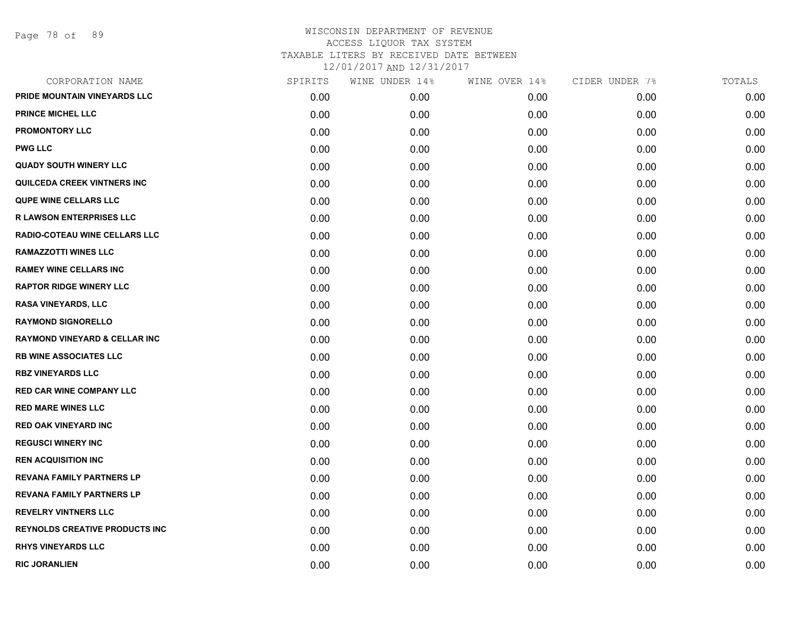| CORPORATION NAME                         | SPIRITS | WINE UNDER 14% | WINE OVER 14% | CIDER UNDER 7% | TOTALS |
|------------------------------------------|---------|----------------|---------------|----------------|--------|
| PRIDE MOUNTAIN VINEYARDS LLC             | 0.00    | 0.00           | 0.00          | 0.00           | 0.00   |
| <b>PRINCE MICHEL LLC</b>                 | 0.00    | 0.00           | 0.00          | 0.00           | 0.00   |
| <b>PROMONTORY LLC</b>                    | 0.00    | 0.00           | 0.00          | 0.00           | 0.00   |
| <b>PWG LLC</b>                           | 0.00    | 0.00           | 0.00          | 0.00           | 0.00   |
| <b>QUADY SOUTH WINERY LLC</b>            | 0.00    | 0.00           | 0.00          | 0.00           | 0.00   |
| QUILCEDA CREEK VINTNERS INC              | 0.00    | 0.00           | 0.00          | 0.00           | 0.00   |
| <b>QUPE WINE CELLARS LLC</b>             | 0.00    | 0.00           | 0.00          | 0.00           | 0.00   |
| <b>R LAWSON ENTERPRISES LLC</b>          | 0.00    | 0.00           | 0.00          | 0.00           | 0.00   |
| RADIO-COTEAU WINE CELLARS LLC            | 0.00    | 0.00           | 0.00          | 0.00           | 0.00   |
| <b>RAMAZZOTTI WINES LLC</b>              | 0.00    | 0.00           | 0.00          | 0.00           | 0.00   |
| <b>RAMEY WINE CELLARS INC</b>            | 0.00    | 0.00           | 0.00          | 0.00           | 0.00   |
| <b>RAPTOR RIDGE WINERY LLC</b>           | 0.00    | 0.00           | 0.00          | 0.00           | 0.00   |
| RASA VINEYARDS, LLC                      | 0.00    | 0.00           | 0.00          | 0.00           | 0.00   |
| <b>RAYMOND SIGNORELLO</b>                | 0.00    | 0.00           | 0.00          | 0.00           | 0.00   |
| <b>RAYMOND VINEYARD &amp; CELLAR INC</b> | 0.00    | 0.00           | 0.00          | 0.00           | 0.00   |
| <b>RB WINE ASSOCIATES LLC</b>            | 0.00    | 0.00           | 0.00          | 0.00           | 0.00   |
| <b>RBZ VINEYARDS LLC</b>                 | 0.00    | 0.00           | 0.00          | 0.00           | 0.00   |
| <b>RED CAR WINE COMPANY LLC</b>          | 0.00    | 0.00           | 0.00          | 0.00           | 0.00   |
| <b>RED MARE WINES LLC</b>                | 0.00    | 0.00           | 0.00          | 0.00           | 0.00   |
| <b>RED OAK VINEYARD INC</b>              | 0.00    | 0.00           | 0.00          | 0.00           | 0.00   |
| <b>REGUSCI WINERY INC</b>                | 0.00    | 0.00           | 0.00          | 0.00           | 0.00   |
| <b>REN ACQUISITION INC</b>               | 0.00    | 0.00           | 0.00          | 0.00           | 0.00   |
| <b>REVANA FAMILY PARTNERS LP</b>         | 0.00    | 0.00           | 0.00          | 0.00           | 0.00   |
| <b>REVANA FAMILY PARTNERS LP</b>         | 0.00    | 0.00           | 0.00          | 0.00           | 0.00   |
| <b>REVELRY VINTNERS LLC</b>              | 0.00    | 0.00           | 0.00          | 0.00           | 0.00   |
| <b>REYNOLDS CREATIVE PRODUCTS INC</b>    | 0.00    | 0.00           | 0.00          | 0.00           | 0.00   |
| <b>RHYS VINEYARDS LLC</b>                | 0.00    | 0.00           | 0.00          | 0.00           | 0.00   |
| <b>RIC JORANLIEN</b>                     | 0.00    | 0.00           | 0.00          | 0.00           | 0.00   |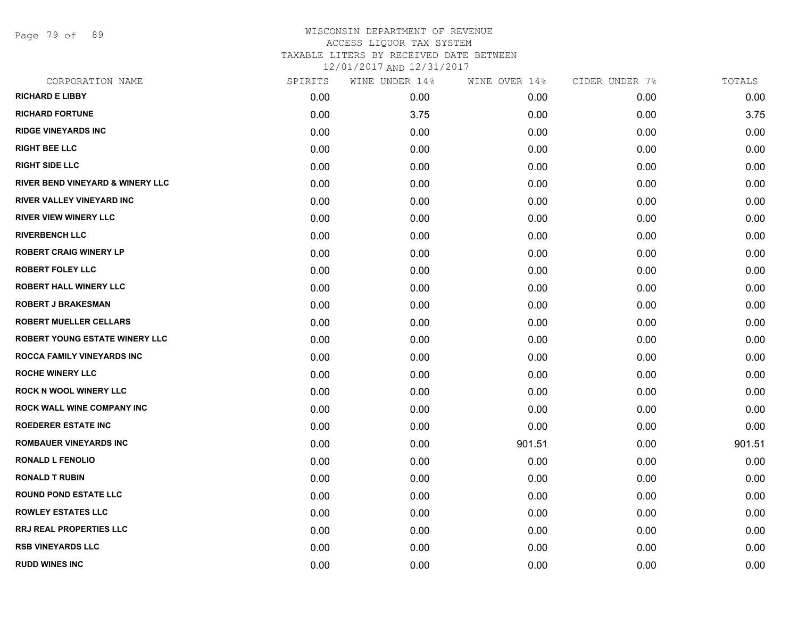Page 79 of 89

| CORPORATION NAME                            | SPIRITS | WINE UNDER 14% | WINE OVER 14% | CIDER UNDER 7% | TOTALS |
|---------------------------------------------|---------|----------------|---------------|----------------|--------|
| <b>RICHARD E LIBBY</b>                      | 0.00    | 0.00           | 0.00          | 0.00           | 0.00   |
| <b>RICHARD FORTUNE</b>                      | 0.00    | 3.75           | 0.00          | 0.00           | 3.75   |
| <b>RIDGE VINEYARDS INC</b>                  | 0.00    | 0.00           | 0.00          | 0.00           | 0.00   |
| <b>RIGHT BEE LLC</b>                        | 0.00    | 0.00           | 0.00          | 0.00           | 0.00   |
| <b>RIGHT SIDE LLC</b>                       | 0.00    | 0.00           | 0.00          | 0.00           | 0.00   |
| <b>RIVER BEND VINEYARD &amp; WINERY LLC</b> | 0.00    | 0.00           | 0.00          | 0.00           | 0.00   |
| RIVER VALLEY VINEYARD INC                   | 0.00    | 0.00           | 0.00          | 0.00           | 0.00   |
| <b>RIVER VIEW WINERY LLC</b>                | 0.00    | 0.00           | 0.00          | 0.00           | 0.00   |
| <b>RIVERBENCH LLC</b>                       | 0.00    | 0.00           | 0.00          | 0.00           | 0.00   |
| <b>ROBERT CRAIG WINERY LP</b>               | 0.00    | 0.00           | 0.00          | 0.00           | 0.00   |
| <b>ROBERT FOLEY LLC</b>                     | 0.00    | 0.00           | 0.00          | 0.00           | 0.00   |
| <b>ROBERT HALL WINERY LLC</b>               | 0.00    | 0.00           | 0.00          | 0.00           | 0.00   |
| <b>ROBERT J BRAKESMAN</b>                   | 0.00    | 0.00           | 0.00          | 0.00           | 0.00   |
| <b>ROBERT MUELLER CELLARS</b>               | 0.00    | 0.00           | 0.00          | 0.00           | 0.00   |
| ROBERT YOUNG ESTATE WINERY LLC              | 0.00    | 0.00           | 0.00          | 0.00           | 0.00   |
| ROCCA FAMILY VINEYARDS INC                  | 0.00    | 0.00           | 0.00          | 0.00           | 0.00   |
| <b>ROCHE WINERY LLC</b>                     | 0.00    | 0.00           | 0.00          | 0.00           | 0.00   |
| <b>ROCK N WOOL WINERY LLC</b>               | 0.00    | 0.00           | 0.00          | 0.00           | 0.00   |
| <b>ROCK WALL WINE COMPANY INC</b>           | 0.00    | 0.00           | 0.00          | 0.00           | 0.00   |
| <b>ROEDERER ESTATE INC</b>                  | 0.00    | 0.00           | 0.00          | 0.00           | 0.00   |
| <b>ROMBAUER VINEYARDS INC</b>               | 0.00    | 0.00           | 901.51        | 0.00           | 901.51 |
| <b>RONALD L FENOLIO</b>                     | 0.00    | 0.00           | 0.00          | 0.00           | 0.00   |
| <b>RONALD T RUBIN</b>                       | 0.00    | 0.00           | 0.00          | 0.00           | 0.00   |
| <b>ROUND POND ESTATE LLC</b>                | 0.00    | 0.00           | 0.00          | 0.00           | 0.00   |
| <b>ROWLEY ESTATES LLC</b>                   | 0.00    | 0.00           | 0.00          | 0.00           | 0.00   |
| <b>RRJ REAL PROPERTIES LLC</b>              | 0.00    | 0.00           | 0.00          | 0.00           | 0.00   |
| <b>RSB VINEYARDS LLC</b>                    | 0.00    | 0.00           | 0.00          | 0.00           | 0.00   |
| <b>RUDD WINES INC</b>                       | 0.00    | 0.00           | 0.00          | 0.00           | 0.00   |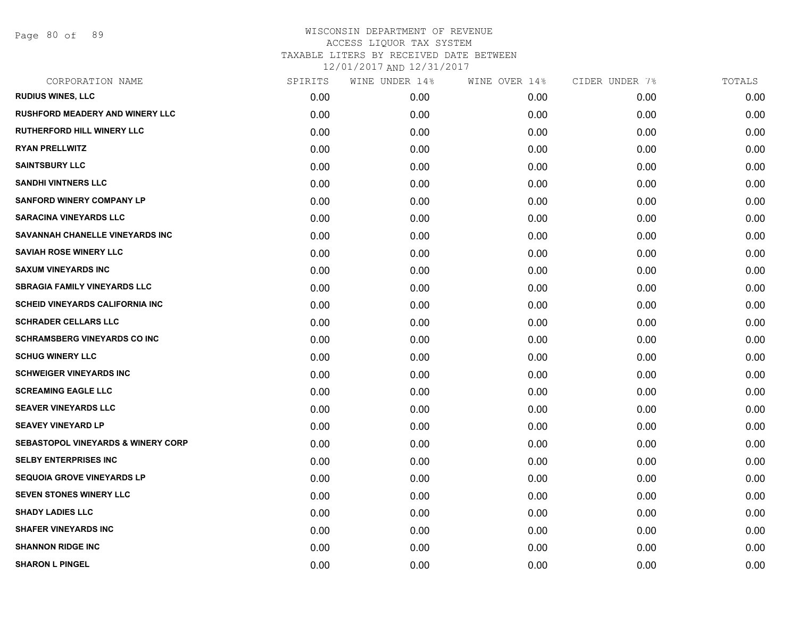Page 80 of 89

| CORPORATION NAME                              | SPIRITS | WINE UNDER 14% | WINE OVER 14% | CIDER UNDER 7% | TOTALS |
|-----------------------------------------------|---------|----------------|---------------|----------------|--------|
| <b>RUDIUS WINES, LLC</b>                      | 0.00    | 0.00           | 0.00          | 0.00           | 0.00   |
| <b>RUSHFORD MEADERY AND WINERY LLC</b>        | 0.00    | 0.00           | 0.00          | 0.00           | 0.00   |
| <b>RUTHERFORD HILL WINERY LLC</b>             | 0.00    | 0.00           | 0.00          | 0.00           | 0.00   |
| <b>RYAN PRELLWITZ</b>                         | 0.00    | 0.00           | 0.00          | 0.00           | 0.00   |
| <b>SAINTSBURY LLC</b>                         | 0.00    | 0.00           | 0.00          | 0.00           | 0.00   |
| <b>SANDHI VINTNERS LLC</b>                    | 0.00    | 0.00           | 0.00          | 0.00           | 0.00   |
| <b>SANFORD WINERY COMPANY LP</b>              | 0.00    | 0.00           | 0.00          | 0.00           | 0.00   |
| <b>SARACINA VINEYARDS LLC</b>                 | 0.00    | 0.00           | 0.00          | 0.00           | 0.00   |
| SAVANNAH CHANELLE VINEYARDS INC               | 0.00    | 0.00           | 0.00          | 0.00           | 0.00   |
| <b>SAVIAH ROSE WINERY LLC</b>                 | 0.00    | 0.00           | 0.00          | 0.00           | 0.00   |
| <b>SAXUM VINEYARDS INC</b>                    | 0.00    | 0.00           | 0.00          | 0.00           | 0.00   |
| <b>SBRAGIA FAMILY VINEYARDS LLC</b>           | 0.00    | 0.00           | 0.00          | 0.00           | 0.00   |
| <b>SCHEID VINEYARDS CALIFORNIA INC</b>        | 0.00    | 0.00           | 0.00          | 0.00           | 0.00   |
| <b>SCHRADER CELLARS LLC</b>                   | 0.00    | 0.00           | 0.00          | 0.00           | 0.00   |
| <b>SCHRAMSBERG VINEYARDS CO INC</b>           | 0.00    | 0.00           | 0.00          | 0.00           | 0.00   |
| <b>SCHUG WINERY LLC</b>                       | 0.00    | 0.00           | 0.00          | 0.00           | 0.00   |
| <b>SCHWEIGER VINEYARDS INC</b>                | 0.00    | 0.00           | 0.00          | 0.00           | 0.00   |
| <b>SCREAMING EAGLE LLC</b>                    | 0.00    | 0.00           | 0.00          | 0.00           | 0.00   |
| <b>SEAVER VINEYARDS LLC</b>                   | 0.00    | 0.00           | 0.00          | 0.00           | 0.00   |
| <b>SEAVEY VINEYARD LP</b>                     | 0.00    | 0.00           | 0.00          | 0.00           | 0.00   |
| <b>SEBASTOPOL VINEYARDS &amp; WINERY CORP</b> | 0.00    | 0.00           | 0.00          | 0.00           | 0.00   |
| <b>SELBY ENTERPRISES INC</b>                  | 0.00    | 0.00           | 0.00          | 0.00           | 0.00   |
| <b>SEQUOIA GROVE VINEYARDS LP</b>             | 0.00    | 0.00           | 0.00          | 0.00           | 0.00   |
| SEVEN STONES WINERY LLC                       | 0.00    | 0.00           | 0.00          | 0.00           | 0.00   |
| <b>SHADY LADIES LLC</b>                       | 0.00    | 0.00           | 0.00          | 0.00           | 0.00   |
| <b>SHAFER VINEYARDS INC</b>                   | 0.00    | 0.00           | 0.00          | 0.00           | 0.00   |
| <b>SHANNON RIDGE INC</b>                      | 0.00    | 0.00           | 0.00          | 0.00           | 0.00   |
| <b>SHARON L PINGEL</b>                        | 0.00    | 0.00           | 0.00          | 0.00           | 0.00   |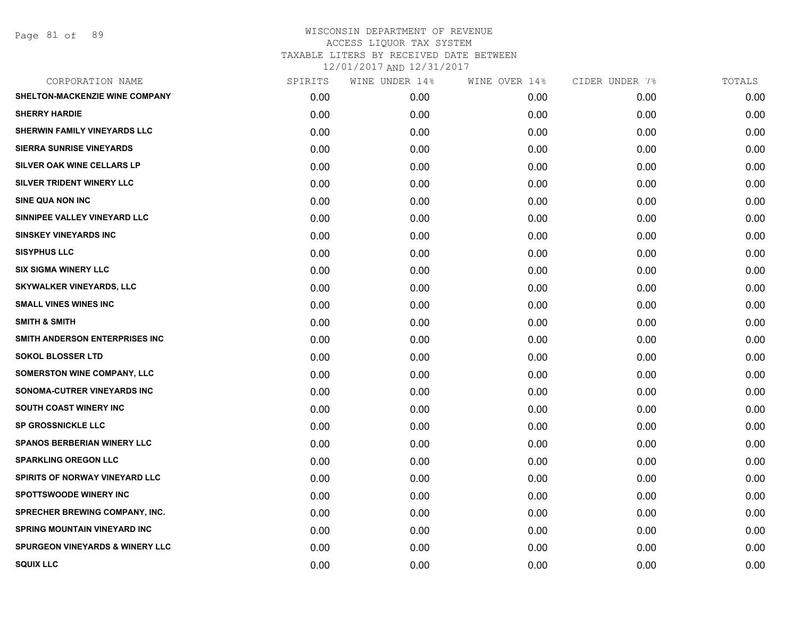Page 81 of 89

| CORPORATION NAME                           | SPIRITS | WINE UNDER 14% | WINE OVER 14% | CIDER UNDER 7% | TOTALS |
|--------------------------------------------|---------|----------------|---------------|----------------|--------|
| SHELTON-MACKENZIE WINE COMPANY             | 0.00    | 0.00           | 0.00          | 0.00           | 0.00   |
| <b>SHERRY HARDIE</b>                       | 0.00    | 0.00           | 0.00          | 0.00           | 0.00   |
| SHERWIN FAMILY VINEYARDS LLC               | 0.00    | 0.00           | 0.00          | 0.00           | 0.00   |
| <b>SIERRA SUNRISE VINEYARDS</b>            | 0.00    | 0.00           | 0.00          | 0.00           | 0.00   |
| SILVER OAK WINE CELLARS LP                 | 0.00    | 0.00           | 0.00          | 0.00           | 0.00   |
| SILVER TRIDENT WINERY LLC                  | 0.00    | 0.00           | 0.00          | 0.00           | 0.00   |
| <b>SINE QUA NON INC</b>                    | 0.00    | 0.00           | 0.00          | 0.00           | 0.00   |
| SINNIPEE VALLEY VINEYARD LLC               | 0.00    | 0.00           | 0.00          | 0.00           | 0.00   |
| <b>SINSKEY VINEYARDS INC</b>               | 0.00    | 0.00           | 0.00          | 0.00           | 0.00   |
| <b>SISYPHUS LLC</b>                        | 0.00    | 0.00           | 0.00          | 0.00           | 0.00   |
| <b>SIX SIGMA WINERY LLC</b>                | 0.00    | 0.00           | 0.00          | 0.00           | 0.00   |
| <b>SKYWALKER VINEYARDS, LLC</b>            | 0.00    | 0.00           | 0.00          | 0.00           | 0.00   |
| <b>SMALL VINES WINES INC</b>               | 0.00    | 0.00           | 0.00          | 0.00           | 0.00   |
| <b>SMITH &amp; SMITH</b>                   | 0.00    | 0.00           | 0.00          | 0.00           | 0.00   |
| SMITH ANDERSON ENTERPRISES INC             | 0.00    | 0.00           | 0.00          | 0.00           | 0.00   |
| <b>SOKOL BLOSSER LTD</b>                   | 0.00    | 0.00           | 0.00          | 0.00           | 0.00   |
| <b>SOMERSTON WINE COMPANY, LLC</b>         | 0.00    | 0.00           | 0.00          | 0.00           | 0.00   |
| SONOMA-CUTRER VINEYARDS INC                | 0.00    | 0.00           | 0.00          | 0.00           | 0.00   |
| <b>SOUTH COAST WINERY INC</b>              | 0.00    | 0.00           | 0.00          | 0.00           | 0.00   |
| <b>SP GROSSNICKLE LLC</b>                  | 0.00    | 0.00           | 0.00          | 0.00           | 0.00   |
| <b>SPANOS BERBERIAN WINERY LLC</b>         | 0.00    | 0.00           | 0.00          | 0.00           | 0.00   |
| <b>SPARKLING OREGON LLC</b>                | 0.00    | 0.00           | 0.00          | 0.00           | 0.00   |
| SPIRITS OF NORWAY VINEYARD LLC             | 0.00    | 0.00           | 0.00          | 0.00           | 0.00   |
| <b>SPOTTSWOODE WINERY INC</b>              | 0.00    | 0.00           | 0.00          | 0.00           | 0.00   |
| <b>SPRECHER BREWING COMPANY, INC.</b>      | 0.00    | 0.00           | 0.00          | 0.00           | 0.00   |
| SPRING MOUNTAIN VINEYARD INC               | 0.00    | 0.00           | 0.00          | 0.00           | 0.00   |
| <b>SPURGEON VINEYARDS &amp; WINERY LLC</b> | 0.00    | 0.00           | 0.00          | 0.00           | 0.00   |
| <b>SQUIX LLC</b>                           | 0.00    | 0.00           | 0.00          | 0.00           | 0.00   |
|                                            |         |                |               |                |        |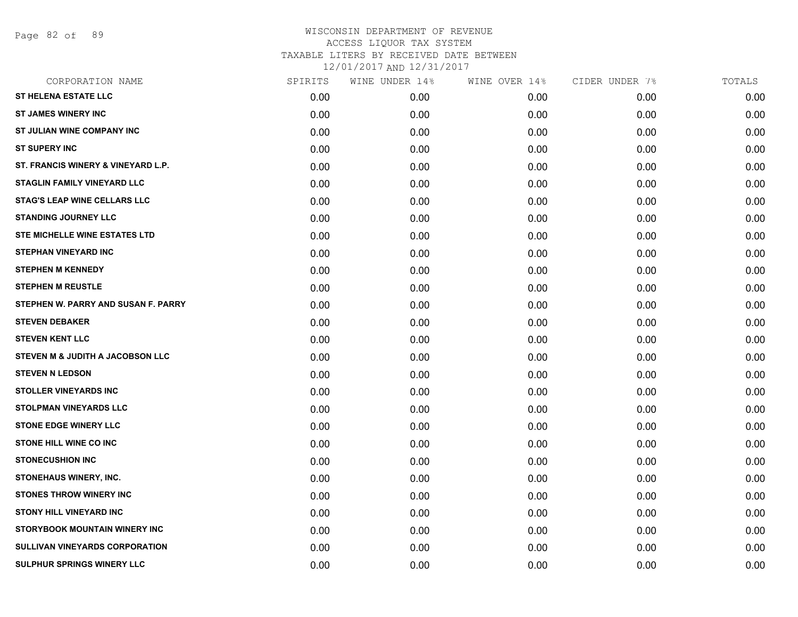Page 82 of 89

| CORPORATION NAME                      | SPIRITS | WINE UNDER 14% | WINE OVER 14% | CIDER UNDER 7% | TOTALS |
|---------------------------------------|---------|----------------|---------------|----------------|--------|
| <b>ST HELENA ESTATE LLC</b>           | 0.00    | 0.00           | 0.00          | 0.00           | 0.00   |
| <b>ST JAMES WINERY INC</b>            | 0.00    | 0.00           | 0.00          | 0.00           | 0.00   |
| ST JULIAN WINE COMPANY INC            | 0.00    | 0.00           | 0.00          | 0.00           | 0.00   |
| <b>ST SUPERY INC</b>                  | 0.00    | 0.00           | 0.00          | 0.00           | 0.00   |
| ST. FRANCIS WINERY & VINEYARD L.P.    | 0.00    | 0.00           | 0.00          | 0.00           | 0.00   |
| <b>STAGLIN FAMILY VINEYARD LLC</b>    | 0.00    | 0.00           | 0.00          | 0.00           | 0.00   |
| <b>STAG'S LEAP WINE CELLARS LLC</b>   | 0.00    | 0.00           | 0.00          | 0.00           | 0.00   |
| <b>STANDING JOURNEY LLC</b>           | 0.00    | 0.00           | 0.00          | 0.00           | 0.00   |
| STE MICHELLE WINE ESTATES LTD         | 0.00    | 0.00           | 0.00          | 0.00           | 0.00   |
| <b>STEPHAN VINEYARD INC</b>           | 0.00    | 0.00           | 0.00          | 0.00           | 0.00   |
| <b>STEPHEN M KENNEDY</b>              | 0.00    | 0.00           | 0.00          | 0.00           | 0.00   |
| <b>STEPHEN M REUSTLE</b>              | 0.00    | 0.00           | 0.00          | 0.00           | 0.00   |
| STEPHEN W. PARRY AND SUSAN F. PARRY   | 0.00    | 0.00           | 0.00          | 0.00           | 0.00   |
| <b>STEVEN DEBAKER</b>                 | 0.00    | 0.00           | 0.00          | 0.00           | 0.00   |
| <b>STEVEN KENT LLC</b>                | 0.00    | 0.00           | 0.00          | 0.00           | 0.00   |
| STEVEN M & JUDITH A JACOBSON LLC      | 0.00    | 0.00           | 0.00          | 0.00           | 0.00   |
| <b>STEVEN N LEDSON</b>                | 0.00    | 0.00           | 0.00          | 0.00           | 0.00   |
| <b>STOLLER VINEYARDS INC</b>          | 0.00    | 0.00           | 0.00          | 0.00           | 0.00   |
| <b>STOLPMAN VINEYARDS LLC</b>         | 0.00    | 0.00           | 0.00          | 0.00           | 0.00   |
| <b>STONE EDGE WINERY LLC</b>          | 0.00    | 0.00           | 0.00          | 0.00           | 0.00   |
| <b>STONE HILL WINE CO INC</b>         | 0.00    | 0.00           | 0.00          | 0.00           | 0.00   |
| <b>STONECUSHION INC</b>               | 0.00    | 0.00           | 0.00          | 0.00           | 0.00   |
| <b>STONEHAUS WINERY, INC.</b>         | 0.00    | 0.00           | 0.00          | 0.00           | 0.00   |
| <b>STONES THROW WINERY INC</b>        | 0.00    | 0.00           | 0.00          | 0.00           | 0.00   |
| <b>STONY HILL VINEYARD INC</b>        | 0.00    | 0.00           | 0.00          | 0.00           | 0.00   |
| STORYBOOK MOUNTAIN WINERY INC         | 0.00    | 0.00           | 0.00          | 0.00           | 0.00   |
| <b>SULLIVAN VINEYARDS CORPORATION</b> | 0.00    | 0.00           | 0.00          | 0.00           | 0.00   |
| SULPHUR SPRINGS WINERY LLC            | 0.00    | 0.00           | 0.00          | 0.00           | 0.00   |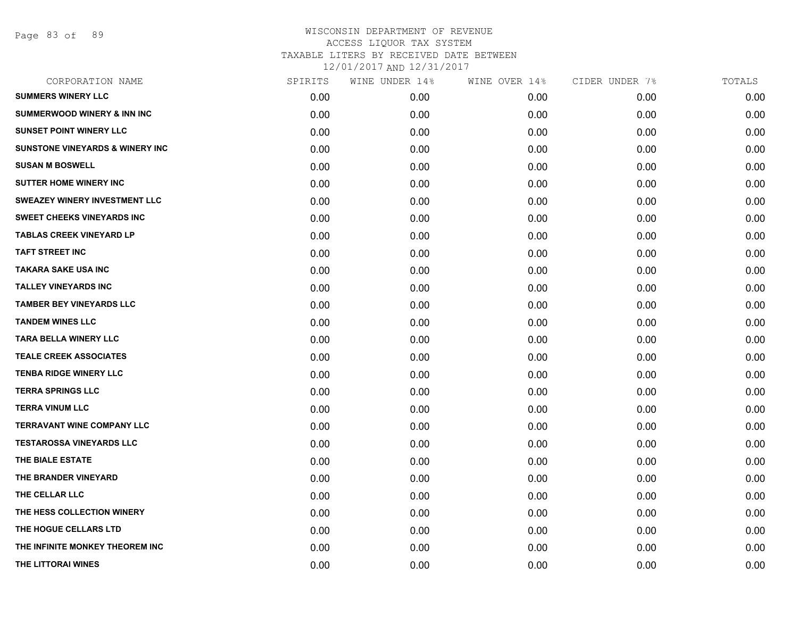Page 83 of 89

| CORPORATION NAME                           | SPIRITS | WINE UNDER 14% | WINE OVER 14% | CIDER UNDER 7% | TOTALS |
|--------------------------------------------|---------|----------------|---------------|----------------|--------|
| <b>SUMMERS WINERY LLC</b>                  | 0.00    | 0.00           | 0.00          | 0.00           | 0.00   |
| <b>SUMMERWOOD WINERY &amp; INN INC</b>     | 0.00    | 0.00           | 0.00          | 0.00           | 0.00   |
| <b>SUNSET POINT WINERY LLC</b>             | 0.00    | 0.00           | 0.00          | 0.00           | 0.00   |
| <b>SUNSTONE VINEYARDS &amp; WINERY INC</b> | 0.00    | 0.00           | 0.00          | 0.00           | 0.00   |
| <b>SUSAN M BOSWELL</b>                     | 0.00    | 0.00           | 0.00          | 0.00           | 0.00   |
| <b>SUTTER HOME WINERY INC</b>              | 0.00    | 0.00           | 0.00          | 0.00           | 0.00   |
| <b>SWEAZEY WINERY INVESTMENT LLC</b>       | 0.00    | 0.00           | 0.00          | 0.00           | 0.00   |
| <b>SWEET CHEEKS VINEYARDS INC</b>          | 0.00    | 0.00           | 0.00          | 0.00           | 0.00   |
| <b>TABLAS CREEK VINEYARD LP</b>            | 0.00    | 0.00           | 0.00          | 0.00           | 0.00   |
| <b>TAFT STREET INC</b>                     | 0.00    | 0.00           | 0.00          | 0.00           | 0.00   |
| <b>TAKARA SAKE USA INC</b>                 | 0.00    | 0.00           | 0.00          | 0.00           | 0.00   |
| <b>TALLEY VINEYARDS INC</b>                | 0.00    | 0.00           | 0.00          | 0.00           | 0.00   |
| <b>TAMBER BEY VINEYARDS LLC</b>            | 0.00    | 0.00           | 0.00          | 0.00           | 0.00   |
| <b>TANDEM WINES LLC</b>                    | 0.00    | 0.00           | 0.00          | 0.00           | 0.00   |
| <b>TARA BELLA WINERY LLC</b>               | 0.00    | 0.00           | 0.00          | 0.00           | 0.00   |
| <b>TEALE CREEK ASSOCIATES</b>              | 0.00    | 0.00           | 0.00          | 0.00           | 0.00   |
| <b>TENBA RIDGE WINERY LLC</b>              | 0.00    | 0.00           | 0.00          | 0.00           | 0.00   |
| <b>TERRA SPRINGS LLC</b>                   | 0.00    | 0.00           | 0.00          | 0.00           | 0.00   |
| <b>TERRA VINUM LLC</b>                     | 0.00    | 0.00           | 0.00          | 0.00           | 0.00   |
| <b>TERRAVANT WINE COMPANY LLC</b>          | 0.00    | 0.00           | 0.00          | 0.00           | 0.00   |
| <b>TESTAROSSA VINEYARDS LLC</b>            | 0.00    | 0.00           | 0.00          | 0.00           | 0.00   |
| THE BIALE ESTATE                           | 0.00    | 0.00           | 0.00          | 0.00           | 0.00   |
| THE BRANDER VINEYARD                       | 0.00    | 0.00           | 0.00          | 0.00           | 0.00   |
| THE CELLAR LLC                             | 0.00    | 0.00           | 0.00          | 0.00           | 0.00   |
| THE HESS COLLECTION WINERY                 | 0.00    | 0.00           | 0.00          | 0.00           | 0.00   |
| THE HOGUE CELLARS LTD                      | 0.00    | 0.00           | 0.00          | 0.00           | 0.00   |
| THE INFINITE MONKEY THEOREM INC.           | 0.00    | 0.00           | 0.00          | 0.00           | 0.00   |
| THE LITTORAI WINES                         | 0.00    | 0.00           | 0.00          | 0.00           | 0.00   |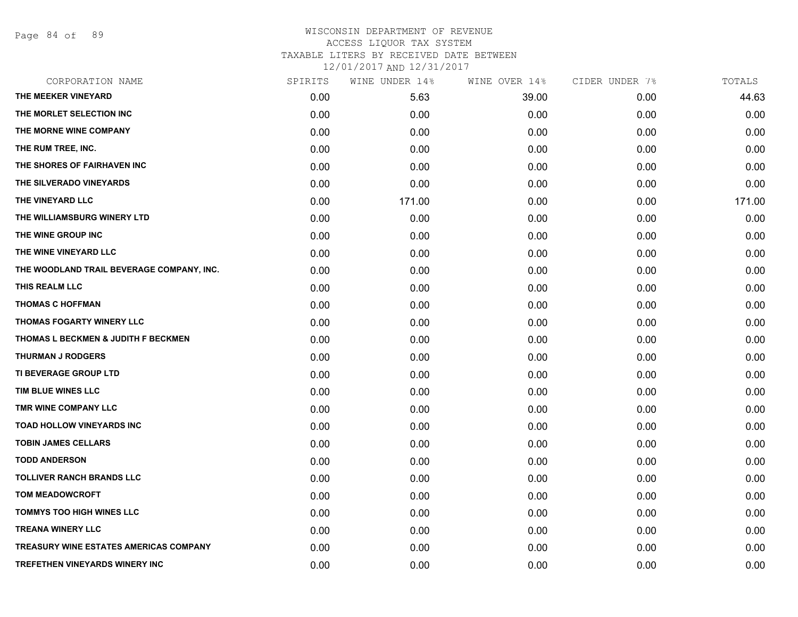Page 84 of 89

## WISCONSIN DEPARTMENT OF REVENUE ACCESS LIQUOR TAX SYSTEM TAXABLE LITERS BY RECEIVED DATE BETWEEN

12/01/2017 AND 12/31/2017

| CORPORATION NAME                          | SPIRITS | WINE UNDER 14% | WINE OVER 14% | CIDER UNDER 7% | TOTALS |
|-------------------------------------------|---------|----------------|---------------|----------------|--------|
| THE MEEKER VINEYARD                       | 0.00    | 5.63           | 39.00         | 0.00           | 44.63  |
| THE MORLET SELECTION INC                  | 0.00    | 0.00           | 0.00          | 0.00           | 0.00   |
| THE MORNE WINE COMPANY                    | 0.00    | 0.00           | 0.00          | 0.00           | 0.00   |
| THE RUM TREE, INC.                        | 0.00    | 0.00           | 0.00          | 0.00           | 0.00   |
| THE SHORES OF FAIRHAVEN INC               | 0.00    | 0.00           | 0.00          | 0.00           | 0.00   |
| THE SILVERADO VINEYARDS                   | 0.00    | 0.00           | 0.00          | 0.00           | 0.00   |
| THE VINEYARD LLC                          | 0.00    | 171.00         | 0.00          | 0.00           | 171.00 |
| THE WILLIAMSBURG WINERY LTD               | 0.00    | 0.00           | 0.00          | 0.00           | 0.00   |
| THE WINE GROUP INC                        | 0.00    | 0.00           | 0.00          | 0.00           | 0.00   |
| THE WINE VINEYARD LLC                     | 0.00    | 0.00           | 0.00          | 0.00           | 0.00   |
| THE WOODLAND TRAIL BEVERAGE COMPANY, INC. | 0.00    | 0.00           | 0.00          | 0.00           | 0.00   |
| THIS REALM LLC                            | 0.00    | 0.00           | 0.00          | 0.00           | 0.00   |
| <b>THOMAS C HOFFMAN</b>                   | 0.00    | 0.00           | 0.00          | 0.00           | 0.00   |
| <b>THOMAS FOGARTY WINERY LLC</b>          | 0.00    | 0.00           | 0.00          | 0.00           | 0.00   |
| THOMAS L BECKMEN & JUDITH F BECKMEN       | 0.00    | 0.00           | 0.00          | 0.00           | 0.00   |
| <b>THURMAN J RODGERS</b>                  | 0.00    | 0.00           | 0.00          | 0.00           | 0.00   |
| TI BEVERAGE GROUP LTD                     | 0.00    | 0.00           | 0.00          | 0.00           | 0.00   |
| TIM BLUE WINES LLC                        | 0.00    | 0.00           | 0.00          | 0.00           | 0.00   |
| TMR WINE COMPANY LLC                      | 0.00    | 0.00           | 0.00          | 0.00           | 0.00   |
| <b>TOAD HOLLOW VINEYARDS INC</b>          | 0.00    | 0.00           | 0.00          | 0.00           | 0.00   |
| <b>TOBIN JAMES CELLARS</b>                | 0.00    | 0.00           | 0.00          | 0.00           | 0.00   |
| <b>TODD ANDERSON</b>                      | 0.00    | 0.00           | 0.00          | 0.00           | 0.00   |
| <b>TOLLIVER RANCH BRANDS LLC</b>          | 0.00    | 0.00           | 0.00          | 0.00           | 0.00   |
| <b>TOM MEADOWCROFT</b>                    | 0.00    | 0.00           | 0.00          | 0.00           | 0.00   |
| <b>TOMMYS TOO HIGH WINES LLC</b>          | 0.00    | 0.00           | 0.00          | 0.00           | 0.00   |
| <b>TREANA WINERY LLC</b>                  | 0.00    | 0.00           | 0.00          | 0.00           | 0.00   |
| TREASURY WINE ESTATES AMERICAS COMPANY    | 0.00    | 0.00           | 0.00          | 0.00           | 0.00   |
| TREFETHEN VINEYARDS WINERY INC            | 0.00    | 0.00           | 0.00          | 0.00           | 0.00   |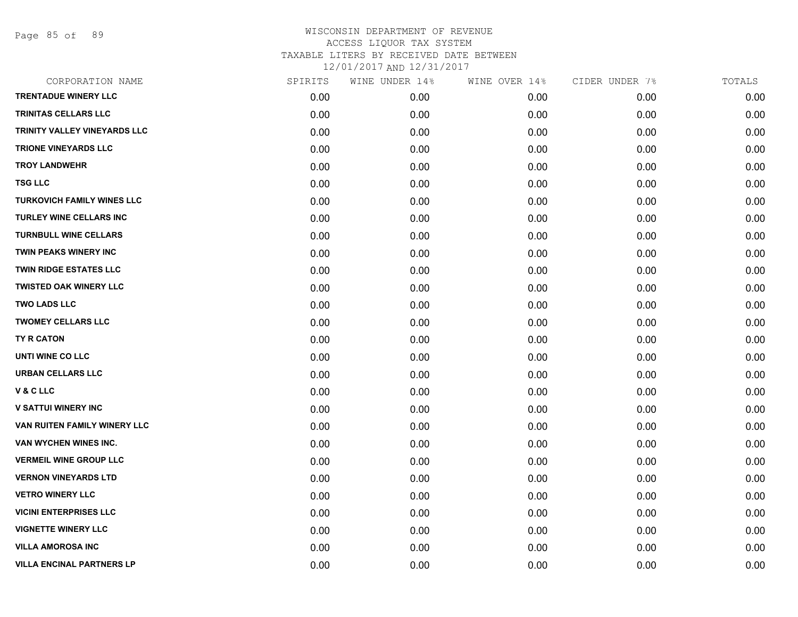Page 85 of 89

| CORPORATION NAME                  | SPIRITS | WINE UNDER 14% | WINE OVER 14% | CIDER UNDER 7% | TOTALS |
|-----------------------------------|---------|----------------|---------------|----------------|--------|
| <b>TRENTADUE WINERY LLC</b>       | 0.00    | 0.00           | 0.00          | 0.00           | 0.00   |
| TRINITAS CELLARS LLC              | 0.00    | 0.00           | 0.00          | 0.00           | 0.00   |
| TRINITY VALLEY VINEYARDS LLC      | 0.00    | 0.00           | 0.00          | 0.00           | 0.00   |
| <b>TRIONE VINEYARDS LLC</b>       | 0.00    | 0.00           | 0.00          | 0.00           | 0.00   |
| <b>TROY LANDWEHR</b>              | 0.00    | 0.00           | 0.00          | 0.00           | 0.00   |
| <b>TSG LLC</b>                    | 0.00    | 0.00           | 0.00          | 0.00           | 0.00   |
| <b>TURKOVICH FAMILY WINES LLC</b> | 0.00    | 0.00           | 0.00          | 0.00           | 0.00   |
| TURLEY WINE CELLARS INC           | 0.00    | 0.00           | 0.00          | 0.00           | 0.00   |
| <b>TURNBULL WINE CELLARS</b>      | 0.00    | 0.00           | 0.00          | 0.00           | 0.00   |
| <b>TWIN PEAKS WINERY INC</b>      | 0.00    | 0.00           | 0.00          | 0.00           | 0.00   |
| <b>TWIN RIDGE ESTATES LLC</b>     | 0.00    | 0.00           | 0.00          | 0.00           | 0.00   |
| <b>TWISTED OAK WINERY LLC</b>     | 0.00    | 0.00           | 0.00          | 0.00           | 0.00   |
| <b>TWO LADS LLC</b>               | 0.00    | 0.00           | 0.00          | 0.00           | 0.00   |
| <b>TWOMEY CELLARS LLC</b>         | 0.00    | 0.00           | 0.00          | 0.00           | 0.00   |
| TY R CATON                        | 0.00    | 0.00           | 0.00          | 0.00           | 0.00   |
| UNTI WINE CO LLC                  | 0.00    | 0.00           | 0.00          | 0.00           | 0.00   |
| <b>URBAN CELLARS LLC</b>          | 0.00    | 0.00           | 0.00          | 0.00           | 0.00   |
| V & C LLC                         | 0.00    | 0.00           | 0.00          | 0.00           | 0.00   |
| <b>V SATTUI WINERY INC</b>        | 0.00    | 0.00           | 0.00          | 0.00           | 0.00   |
| VAN RUITEN FAMILY WINERY LLC      | 0.00    | 0.00           | 0.00          | 0.00           | 0.00   |
| VAN WYCHEN WINES INC.             | 0.00    | 0.00           | 0.00          | 0.00           | 0.00   |
| <b>VERMEIL WINE GROUP LLC</b>     | 0.00    | 0.00           | 0.00          | 0.00           | 0.00   |
| <b>VERNON VINEYARDS LTD</b>       | 0.00    | 0.00           | 0.00          | 0.00           | 0.00   |
| <b>VETRO WINERY LLC</b>           | 0.00    | 0.00           | 0.00          | 0.00           | 0.00   |
| <b>VICINI ENTERPRISES LLC</b>     | 0.00    | 0.00           | 0.00          | 0.00           | 0.00   |
| <b>VIGNETTE WINERY LLC</b>        | 0.00    | 0.00           | 0.00          | 0.00           | 0.00   |
| <b>VILLA AMOROSA INC</b>          | 0.00    | 0.00           | 0.00          | 0.00           | 0.00   |
| <b>VILLA ENCINAL PARTNERS LP</b>  | 0.00    | 0.00           | 0.00          | 0.00           | 0.00   |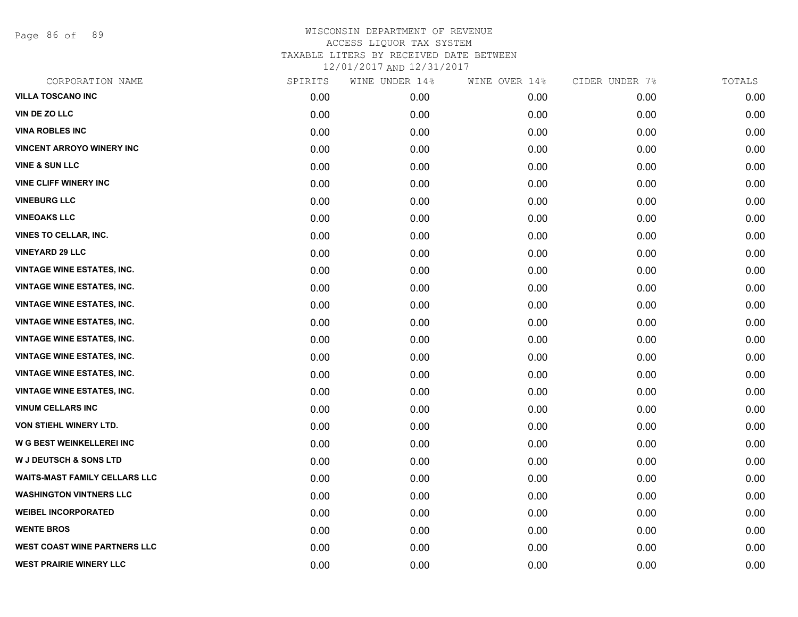Page 86 of 89

| CORPORATION NAME                     | SPIRITS | WINE UNDER 14% | WINE OVER 14% | CIDER UNDER 7% | TOTALS |
|--------------------------------------|---------|----------------|---------------|----------------|--------|
| VILLA TOSCANO INC                    | 0.00    | 0.00           | 0.00          | 0.00           | 0.00   |
| <b>VIN DE ZO LLC</b>                 | 0.00    | 0.00           | 0.00          | 0.00           | 0.00   |
| <b>VINA ROBLES INC</b>               | 0.00    | 0.00           | 0.00          | 0.00           | 0.00   |
| <b>VINCENT ARROYO WINERY INC</b>     | 0.00    | 0.00           | 0.00          | 0.00           | 0.00   |
| <b>VINE &amp; SUN LLC</b>            | 0.00    | 0.00           | 0.00          | 0.00           | 0.00   |
| <b>VINE CLIFF WINERY INC</b>         | 0.00    | 0.00           | 0.00          | 0.00           | 0.00   |
| <b>VINEBURG LLC</b>                  | 0.00    | 0.00           | 0.00          | 0.00           | 0.00   |
| <b>VINEOAKS LLC</b>                  | 0.00    | 0.00           | 0.00          | 0.00           | 0.00   |
| VINES TO CELLAR, INC.                | 0.00    | 0.00           | 0.00          | 0.00           | 0.00   |
| <b>VINEYARD 29 LLC</b>               | 0.00    | 0.00           | 0.00          | 0.00           | 0.00   |
| <b>VINTAGE WINE ESTATES, INC.</b>    | 0.00    | 0.00           | 0.00          | 0.00           | 0.00   |
| <b>VINTAGE WINE ESTATES, INC.</b>    | 0.00    | 0.00           | 0.00          | 0.00           | 0.00   |
| <b>VINTAGE WINE ESTATES, INC.</b>    | 0.00    | 0.00           | 0.00          | 0.00           | 0.00   |
| <b>VINTAGE WINE ESTATES, INC.</b>    | 0.00    | 0.00           | 0.00          | 0.00           | 0.00   |
| <b>VINTAGE WINE ESTATES, INC.</b>    | 0.00    | 0.00           | 0.00          | 0.00           | 0.00   |
| <b>VINTAGE WINE ESTATES, INC.</b>    | 0.00    | 0.00           | 0.00          | 0.00           | 0.00   |
| <b>VINTAGE WINE ESTATES, INC.</b>    | 0.00    | 0.00           | 0.00          | 0.00           | 0.00   |
| <b>VINTAGE WINE ESTATES, INC.</b>    | 0.00    | 0.00           | 0.00          | 0.00           | 0.00   |
| <b>VINUM CELLARS INC</b>             | 0.00    | 0.00           | 0.00          | 0.00           | 0.00   |
| <b>VON STIEHL WINERY LTD.</b>        | 0.00    | 0.00           | 0.00          | 0.00           | 0.00   |
| W G BEST WEINKELLEREI INC            | 0.00    | 0.00           | 0.00          | 0.00           | 0.00   |
| W J DEUTSCH & SONS LTD               | 0.00    | 0.00           | 0.00          | 0.00           | 0.00   |
| <b>WAITS-MAST FAMILY CELLARS LLC</b> | 0.00    | 0.00           | 0.00          | 0.00           | 0.00   |
| <b>WASHINGTON VINTNERS LLC</b>       | 0.00    | 0.00           | 0.00          | 0.00           | 0.00   |
| <b>WEIBEL INCORPORATED</b>           | 0.00    | 0.00           | 0.00          | 0.00           | 0.00   |
| <b>WENTE BROS</b>                    | 0.00    | 0.00           | 0.00          | 0.00           | 0.00   |
| <b>WEST COAST WINE PARTNERS LLC</b>  | 0.00    | 0.00           | 0.00          | 0.00           | 0.00   |
| <b>WEST PRAIRIE WINERY LLC</b>       | 0.00    | 0.00           | 0.00          | 0.00           | 0.00   |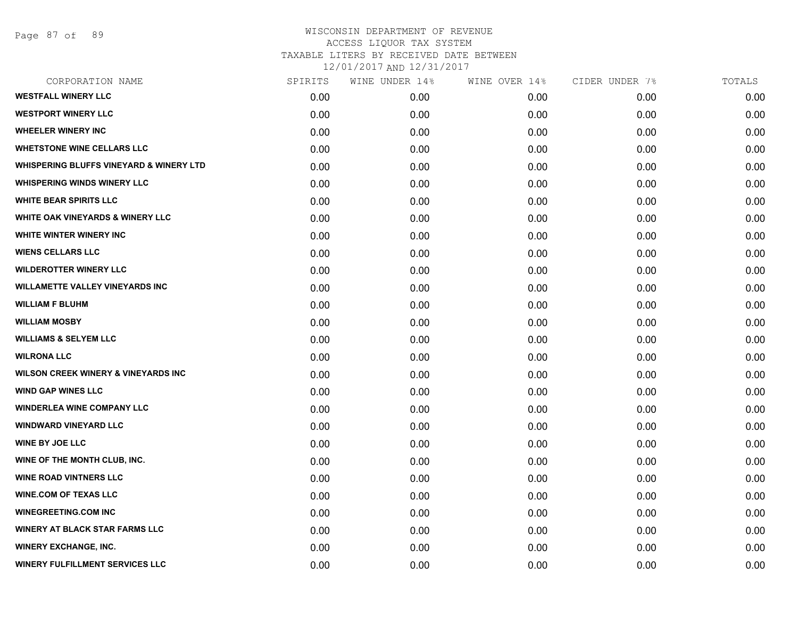## WISCONSIN DEPARTMENT OF REVENUE ACCESS LIQUOR TAX SYSTEM TAXABLE LITERS BY RECEIVED DATE BETWEEN

12/01/2017 AND 12/31/2017

| CORPORATION NAME                                   | SPIRITS | WINE UNDER 14% | WINE OVER 14% | CIDER UNDER 7% | TOTALS |
|----------------------------------------------------|---------|----------------|---------------|----------------|--------|
| <b>WESTFALL WINERY LLC</b>                         | 0.00    | 0.00           | 0.00          | 0.00           | 0.00   |
| <b>WESTPORT WINERY LLC</b>                         | 0.00    | 0.00           | 0.00          | 0.00           | 0.00   |
| <b>WHEELER WINERY INC</b>                          | 0.00    | 0.00           | 0.00          | 0.00           | 0.00   |
| <b>WHETSTONE WINE CELLARS LLC</b>                  | 0.00    | 0.00           | 0.00          | 0.00           | 0.00   |
| <b>WHISPERING BLUFFS VINEYARD &amp; WINERY LTD</b> | 0.00    | 0.00           | 0.00          | 0.00           | 0.00   |
| <b>WHISPERING WINDS WINERY LLC</b>                 | 0.00    | 0.00           | 0.00          | 0.00           | 0.00   |
| <b>WHITE BEAR SPIRITS LLC</b>                      | 0.00    | 0.00           | 0.00          | 0.00           | 0.00   |
| <b>WHITE OAK VINEYARDS &amp; WINERY LLC</b>        | 0.00    | 0.00           | 0.00          | 0.00           | 0.00   |
| WHITE WINTER WINERY INC                            | 0.00    | 0.00           | 0.00          | 0.00           | 0.00   |
| <b>WIENS CELLARS LLC</b>                           | 0.00    | 0.00           | 0.00          | 0.00           | 0.00   |
| <b>WILDEROTTER WINERY LLC</b>                      | 0.00    | 0.00           | 0.00          | 0.00           | 0.00   |
| <b>WILLAMETTE VALLEY VINEYARDS INC</b>             | 0.00    | 0.00           | 0.00          | 0.00           | 0.00   |
| <b>WILLIAM F BLUHM</b>                             | 0.00    | 0.00           | 0.00          | 0.00           | 0.00   |
| <b>WILLIAM MOSBY</b>                               | 0.00    | 0.00           | 0.00          | 0.00           | 0.00   |
| <b>WILLIAMS &amp; SELYEM LLC</b>                   | 0.00    | 0.00           | 0.00          | 0.00           | 0.00   |
| <b>WILRONA LLC</b>                                 | 0.00    | 0.00           | 0.00          | 0.00           | 0.00   |
| <b>WILSON CREEK WINERY &amp; VINEYARDS INC</b>     | 0.00    | 0.00           | 0.00          | 0.00           | 0.00   |
| <b>WIND GAP WINES LLC</b>                          | 0.00    | 0.00           | 0.00          | 0.00           | 0.00   |
| <b>WINDERLEA WINE COMPANY LLC</b>                  | 0.00    | 0.00           | 0.00          | 0.00           | 0.00   |
| <b>WINDWARD VINEYARD LLC</b>                       | 0.00    | 0.00           | 0.00          | 0.00           | 0.00   |
| <b>WINE BY JOE LLC</b>                             | 0.00    | 0.00           | 0.00          | 0.00           | 0.00   |
| WINE OF THE MONTH CLUB, INC.                       | 0.00    | 0.00           | 0.00          | 0.00           | 0.00   |
| <b>WINE ROAD VINTNERS LLC</b>                      | 0.00    | 0.00           | 0.00          | 0.00           | 0.00   |
| <b>WINE COM OF TEXAS LLC</b>                       | 0.00    | 0.00           | 0.00          | 0.00           | 0.00   |
| <b>WINEGREETING.COM INC</b>                        | 0.00    | 0.00           | 0.00          | 0.00           | 0.00   |
| <b>WINERY AT BLACK STAR FARMS LLC</b>              | 0.00    | 0.00           | 0.00          | 0.00           | 0.00   |
| <b>WINERY EXCHANGE, INC.</b>                       | 0.00    | 0.00           | 0.00          | 0.00           | 0.00   |
| <b>WINERY FULFILLMENT SERVICES LLC</b>             | 0.00    | 0.00           | 0.00          | 0.00           | 0.00   |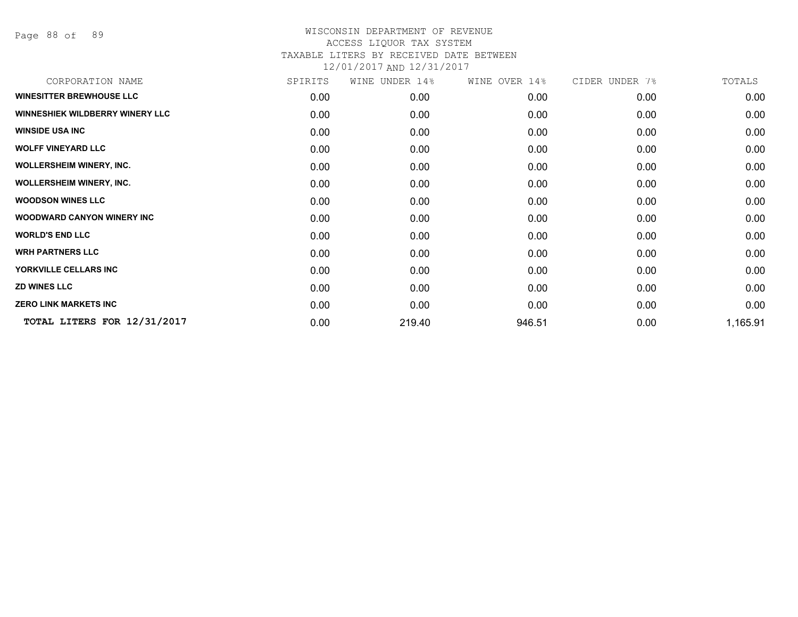Page 88 of 89

| SPIRITS | WINE UNDER 14% | WINE OVER 14% | CIDER UNDER 7% | TOTALS   |
|---------|----------------|---------------|----------------|----------|
| 0.00    | 0.00           | 0.00          | 0.00           | 0.00     |
| 0.00    | 0.00           | 0.00          | 0.00           | 0.00     |
| 0.00    | 0.00           | 0.00          | 0.00           | 0.00     |
| 0.00    | 0.00           | 0.00          | 0.00           | 0.00     |
| 0.00    | 0.00           | 0.00          | 0.00           | 0.00     |
| 0.00    | 0.00           | 0.00          | 0.00           | 0.00     |
| 0.00    | 0.00           | 0.00          | 0.00           | 0.00     |
| 0.00    | 0.00           | 0.00          | 0.00           | 0.00     |
| 0.00    | 0.00           | 0.00          | 0.00           | 0.00     |
| 0.00    | 0.00           | 0.00          | 0.00           | 0.00     |
| 0.00    | 0.00           | 0.00          | 0.00           | 0.00     |
| 0.00    | 0.00           | 0.00          | 0.00           | 0.00     |
| 0.00    | 0.00           | 0.00          | 0.00           | 0.00     |
| 0.00    | 219.40         | 946.51        | 0.00           | 1,165.91 |
|         |                |               |                |          |